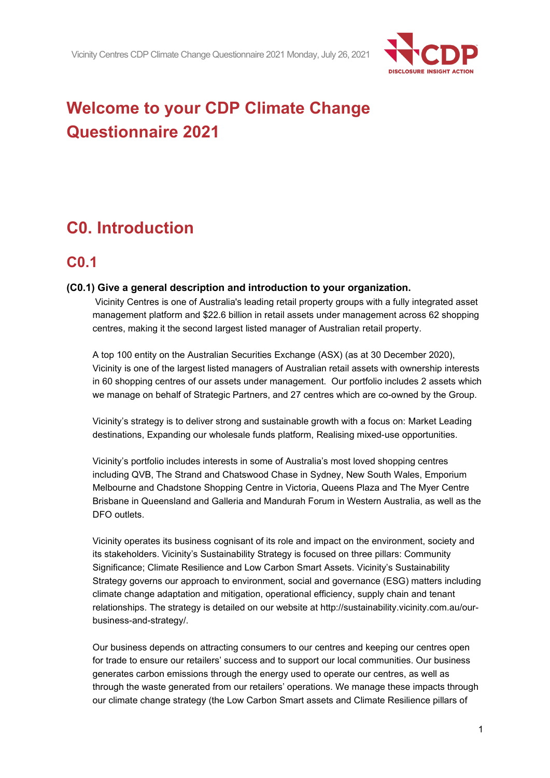

# **Welcome to your CDP Climate Change Questionnaire 2021**

# **C0. Introduction**

## **C0.1**

### **(C0.1) Give a general description and introduction to your organization.**

Vicinity Centres is one of Australia's leading retail property groups with a fully integrated asset management platform and \$22.6 billion in retail assets under management across 62 shopping centres, making it the second largest listed manager of Australian retail property.

A top 100 entity on the Australian Securities Exchange (ASX) (as at 30 December 2020), Vicinity is one of the largest listed managers of Australian retail assets with ownership interests in 60 shopping centres of our assets under management. Our portfolio includes 2 assets which we manage on behalf of Strategic Partners, and 27 centres which are co-owned by the Group.

Vicinity's strategy is to deliver strong and sustainable growth with a focus on: Market Leading destinations, Expanding our wholesale funds platform, Realising mixed-use opportunities.

Vicinity's portfolio includes interests in some of Australia's most loved shopping centres including QVB, The Strand and Chatswood Chase in Sydney, New South Wales, Emporium Melbourne and Chadstone Shopping Centre in Victoria, Queens Plaza and The Myer Centre Brisbane in Queensland and Galleria and Mandurah Forum in Western Australia, as well as the DFO outlets.

Vicinity operates its business cognisant of its role and impact on the environment, society and its stakeholders. Vicinity's Sustainability Strategy is focused on three pillars: Community Significance; Climate Resilience and Low Carbon Smart Assets. Vicinity's Sustainability Strategy governs our approach to environment, social and governance (ESG) matters including climate change adaptation and mitigation, operational efficiency, supply chain and tenant relationships. The strategy is detailed on our website at http://sustainability.vicinity.com.au/ourbusiness-and-strategy/.

Our business depends on attracting consumers to our centres and keeping our centres open for trade to ensure our retailers' success and to support our local communities. Our business generates carbon emissions through the energy used to operate our centres, as well as through the waste generated from our retailers' operations. We manage these impacts through our climate change strategy (the Low Carbon Smart assets and Climate Resilience pillars of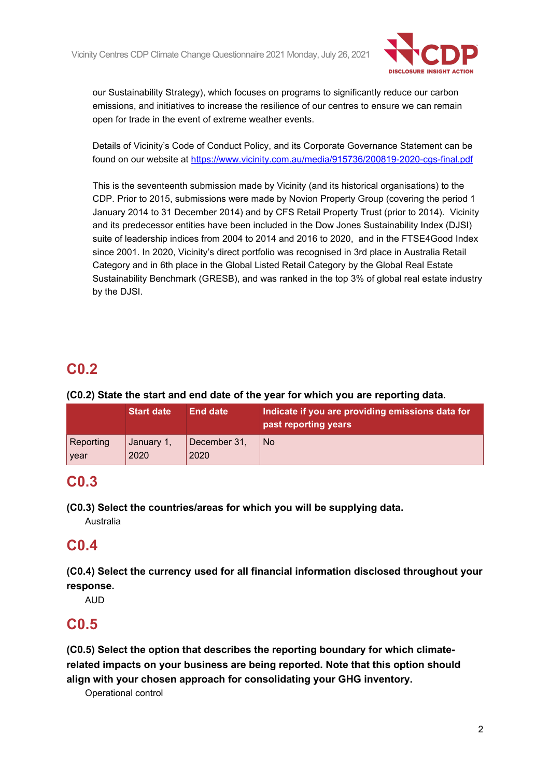

our Sustainability Strategy), which focuses on programs to significantly reduce our carbon emissions, and initiatives to increase the resilience of our centres to ensure we can remain open for trade in the event of extreme weather events.

Details of Vicinity's Code of Conduct Policy, and its Corporate Governance Statement can be found on our website at<https://www.vicinity.com.au/media/915736/200819-2020-cgs-final.pdf>

This is the seventeenth submission made by Vicinity (and its historical organisations) to the CDP. Prior to 2015, submissions were made by Novion Property Group (covering the period 1 January 2014 to 31 December 2014) and by CFS Retail Property Trust (prior to 2014). Vicinity and its predecessor entities have been included in the Dow Jones Sustainability Index (DJSI) suite of leadership indices from 2004 to 2014 and 2016 to 2020, and in the FTSE4Good Index since 2001. In 2020, Vicinity's direct portfolio was recognised in 3rd place in Australia Retail Category and in 6th place in the Global Listed Retail Category by the Global Real Estate Sustainability Benchmark (GRESB), and was ranked in the top 3% of global real estate industry by the DJSI.

## **C0.2**

## **(C0.2) State the start and end date of the year for which you are reporting data.**

|           | <b>Start date</b> | End date     | Indicate if you are providing emissions data for<br>past reporting years |
|-----------|-------------------|--------------|--------------------------------------------------------------------------|
| Reporting | January 1,        | December 31, | No.                                                                      |
| year      | 2020              | 2020         |                                                                          |

## **C0.3**

**(C0.3) Select the countries/areas for which you will be supplying data.**

Australia

## **C0.4**

**(C0.4) Select the currency used for all financial information disclosed throughout your response.**

AUD

## **C0.5**

**(C0.5) Select the option that describes the reporting boundary for which climaterelated impacts on your business are being reported. Note that this option should align with your chosen approach for consolidating your GHG inventory.**

Operational control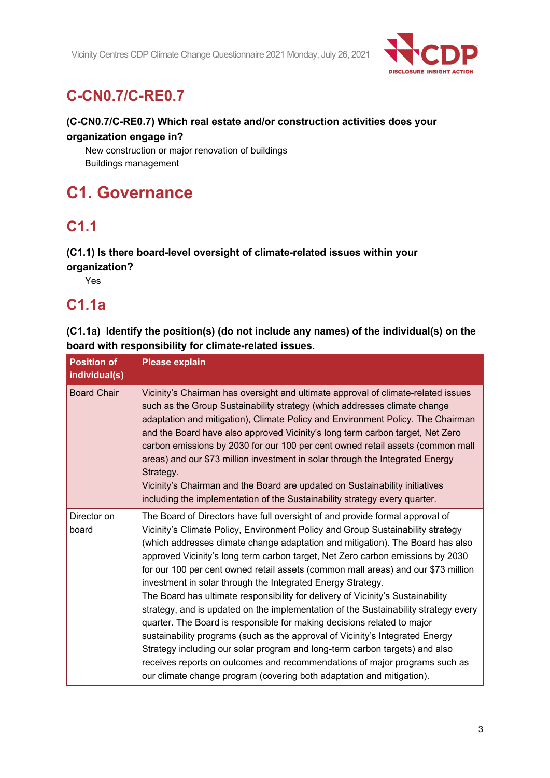

## **C-CN0.7/C-RE0.7**

## **(C-CN0.7/C-RE0.7) Which real estate and/or construction activities does your organization engage in?**

New construction or major renovation of buildings Buildings management

# **C1. Governance**

## **C1.1**

## **(C1.1) Is there board-level oversight of climate-related issues within your**

**organization?**

Yes

## **C1.1a**

## **(C1.1a) Identify the position(s) (do not include any names) of the individual(s) on the board with responsibility for climate-related issues.**

| <b>Position of</b><br>individual(s) | <b>Please explain</b>                                                                                                                                                                                                                                                                                                                                                                                                                                                                                                                                                                                                                                                                                                                                                                                                                                                                                                                                                                                                                                               |
|-------------------------------------|---------------------------------------------------------------------------------------------------------------------------------------------------------------------------------------------------------------------------------------------------------------------------------------------------------------------------------------------------------------------------------------------------------------------------------------------------------------------------------------------------------------------------------------------------------------------------------------------------------------------------------------------------------------------------------------------------------------------------------------------------------------------------------------------------------------------------------------------------------------------------------------------------------------------------------------------------------------------------------------------------------------------------------------------------------------------|
| <b>Board Chair</b>                  | Vicinity's Chairman has oversight and ultimate approval of climate-related issues<br>such as the Group Sustainability strategy (which addresses climate change<br>adaptation and mitigation), Climate Policy and Environment Policy. The Chairman<br>and the Board have also approved Vicinity's long term carbon target, Net Zero<br>carbon emissions by 2030 for our 100 per cent owned retail assets (common mall<br>areas) and our \$73 million investment in solar through the Integrated Energy<br>Strategy.<br>Vicinity's Chairman and the Board are updated on Sustainability initiatives<br>including the implementation of the Sustainability strategy every quarter.                                                                                                                                                                                                                                                                                                                                                                                     |
| Director on<br>board                | The Board of Directors have full oversight of and provide formal approval of<br>Vicinity's Climate Policy, Environment Policy and Group Sustainability strategy<br>(which addresses climate change adaptation and mitigation). The Board has also<br>approved Vicinity's long term carbon target, Net Zero carbon emissions by 2030<br>for our 100 per cent owned retail assets (common mall areas) and our \$73 million<br>investment in solar through the Integrated Energy Strategy.<br>The Board has ultimate responsibility for delivery of Vicinity's Sustainability<br>strategy, and is updated on the implementation of the Sustainability strategy every<br>quarter. The Board is responsible for making decisions related to major<br>sustainability programs (such as the approval of Vicinity's Integrated Energy<br>Strategy including our solar program and long-term carbon targets) and also<br>receives reports on outcomes and recommendations of major programs such as<br>our climate change program (covering both adaptation and mitigation). |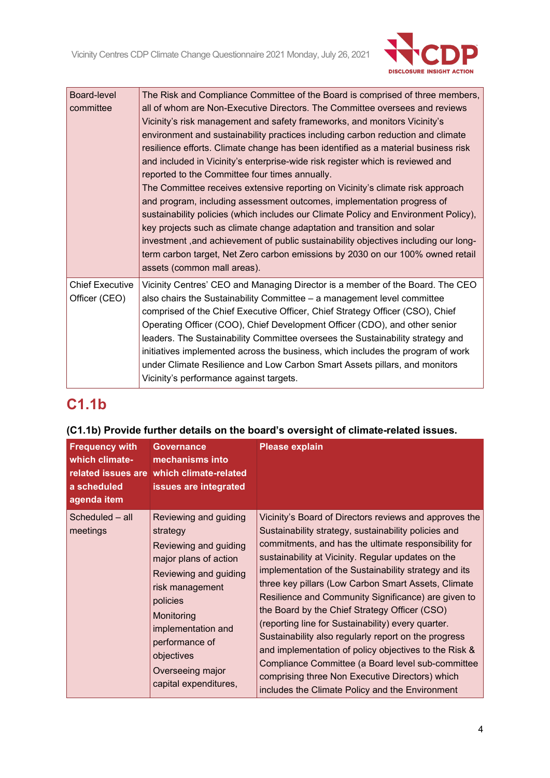

| Board-level            | The Risk and Compliance Committee of the Board is comprised of three members,       |  |  |  |  |  |
|------------------------|-------------------------------------------------------------------------------------|--|--|--|--|--|
| committee              | all of whom are Non-Executive Directors. The Committee oversees and reviews         |  |  |  |  |  |
|                        | Vicinity's risk management and safety frameworks, and monitors Vicinity's           |  |  |  |  |  |
|                        | environment and sustainability practices including carbon reduction and climate     |  |  |  |  |  |
|                        | resilience efforts. Climate change has been identified as a material business risk  |  |  |  |  |  |
|                        | and included in Vicinity's enterprise-wide risk register which is reviewed and      |  |  |  |  |  |
|                        | reported to the Committee four times annually.                                      |  |  |  |  |  |
|                        | The Committee receives extensive reporting on Vicinity's climate risk approach      |  |  |  |  |  |
|                        | and program, including assessment outcomes, implementation progress of              |  |  |  |  |  |
|                        | sustainability policies (which includes our Climate Policy and Environment Policy), |  |  |  |  |  |
|                        | key projects such as climate change adaptation and transition and solar             |  |  |  |  |  |
|                        | investment, and achievement of public sustainability objectives including our long- |  |  |  |  |  |
|                        | term carbon target, Net Zero carbon emissions by 2030 on our 100% owned retail      |  |  |  |  |  |
|                        | assets (common mall areas).                                                         |  |  |  |  |  |
| <b>Chief Executive</b> | Vicinity Centres' CEO and Managing Director is a member of the Board. The CEO       |  |  |  |  |  |
| Officer (CEO)          | also chairs the Sustainability Committee - a management level committee             |  |  |  |  |  |
|                        | comprised of the Chief Executive Officer, Chief Strategy Officer (CSO), Chief       |  |  |  |  |  |
|                        | Operating Officer (COO), Chief Development Officer (CDO), and other senior          |  |  |  |  |  |
|                        | leaders. The Sustainability Committee oversees the Sustainability strategy and      |  |  |  |  |  |
|                        | initiatives implemented across the business, which includes the program of work     |  |  |  |  |  |
|                        | under Climate Resilience and Low Carbon Smart Assets pillars, and monitors          |  |  |  |  |  |
|                        |                                                                                     |  |  |  |  |  |
|                        | Vicinity's performance against targets.                                             |  |  |  |  |  |

# **C1.1b**

## **(C1.1b) Provide further details on the board's oversight of climate-related issues.**

| <b>Frequency with</b><br>which climate-<br>a scheduled<br>agenda item | <b>Governance</b><br>mechanisms into<br>related issues are which climate-related<br>issues are integrated                                                                                                                                                    | <b>Please explain</b>                                                                                                                                                                                                                                                                                                                                                                                                                                                                                                                                                                                                                                                                                                                                                                  |
|-----------------------------------------------------------------------|--------------------------------------------------------------------------------------------------------------------------------------------------------------------------------------------------------------------------------------------------------------|----------------------------------------------------------------------------------------------------------------------------------------------------------------------------------------------------------------------------------------------------------------------------------------------------------------------------------------------------------------------------------------------------------------------------------------------------------------------------------------------------------------------------------------------------------------------------------------------------------------------------------------------------------------------------------------------------------------------------------------------------------------------------------------|
| Scheduled - all<br>meetings                                           | Reviewing and guiding<br>strategy<br>Reviewing and guiding<br>major plans of action<br>Reviewing and guiding<br>risk management<br>policies<br>Monitoring<br>implementation and<br>performance of<br>objectives<br>Overseeing major<br>capital expenditures, | Vicinity's Board of Directors reviews and approves the<br>Sustainability strategy, sustainability policies and<br>commitments, and has the ultimate responsibility for<br>sustainability at Vicinity. Regular updates on the<br>implementation of the Sustainability strategy and its<br>three key pillars (Low Carbon Smart Assets, Climate<br>Resilience and Community Significance) are given to<br>the Board by the Chief Strategy Officer (CSO)<br>(reporting line for Sustainability) every quarter.<br>Sustainability also regularly report on the progress<br>and implementation of policy objectives to the Risk &<br>Compliance Committee (a Board level sub-committee<br>comprising three Non Executive Directors) which<br>includes the Climate Policy and the Environment |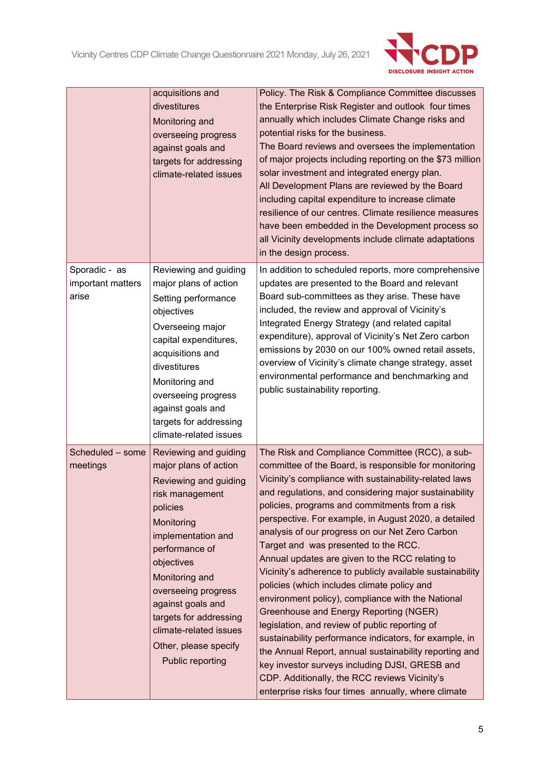

|                                             | acquisitions and<br>divestitures<br>Monitoring and<br>overseeing progress<br>against goals and<br>targets for addressing<br>climate-related issues                                                                                                                                                                                               | Policy. The Risk & Compliance Committee discusses<br>the Enterprise Risk Register and outlook four times<br>annually which includes Climate Change risks and<br>potential risks for the business.<br>The Board reviews and oversees the implementation<br>of major projects including reporting on the \$73 million<br>solar investment and integrated energy plan.<br>All Development Plans are reviewed by the Board<br>including capital expenditure to increase climate<br>resilience of our centres. Climate resilience measures<br>have been embedded in the Development process so<br>all Vicinity developments include climate adaptations<br>in the design process.                                                                                                                                                                                                                                                                                                                                                   |
|---------------------------------------------|--------------------------------------------------------------------------------------------------------------------------------------------------------------------------------------------------------------------------------------------------------------------------------------------------------------------------------------------------|--------------------------------------------------------------------------------------------------------------------------------------------------------------------------------------------------------------------------------------------------------------------------------------------------------------------------------------------------------------------------------------------------------------------------------------------------------------------------------------------------------------------------------------------------------------------------------------------------------------------------------------------------------------------------------------------------------------------------------------------------------------------------------------------------------------------------------------------------------------------------------------------------------------------------------------------------------------------------------------------------------------------------------|
| Sporadic - as<br>important matters<br>arise | Reviewing and guiding<br>major plans of action<br>Setting performance<br>objectives<br>Overseeing major<br>capital expenditures,<br>acquisitions and<br>divestitures<br>Monitoring and<br>overseeing progress<br>against goals and<br>targets for addressing<br>climate-related issues                                                           | In addition to scheduled reports, more comprehensive<br>updates are presented to the Board and relevant<br>Board sub-committees as they arise. These have<br>included, the review and approval of Vicinity's<br>Integrated Energy Strategy (and related capital<br>expenditure), approval of Vicinity's Net Zero carbon<br>emissions by 2030 on our 100% owned retail assets,<br>overview of Vicinity's climate change strategy, asset<br>environmental performance and benchmarking and<br>public sustainability reporting.                                                                                                                                                                                                                                                                                                                                                                                                                                                                                                   |
| Scheduled - some<br>meetings                | Reviewing and guiding<br>major plans of action<br>Reviewing and guiding<br>risk management<br>policies<br>Monitoring<br>implementation and<br>performance of<br>objectives<br>Monitoring and<br>overseeing progress<br>against goals and<br>targets for addressing<br>climate-related issues<br>Other, please specify<br><b>Public reporting</b> | The Risk and Compliance Committee (RCC), a sub-<br>committee of the Board, is responsible for monitoring<br>Vicinity's compliance with sustainability-related laws<br>and regulations, and considering major sustainability<br>policies, programs and commitments from a risk<br>perspective. For example, in August 2020, a detailed<br>analysis of our progress on our Net Zero Carbon<br>Target and was presented to the RCC.<br>Annual updates are given to the RCC relating to<br>Vicinity's adherence to publicly available sustainability<br>policies (which includes climate policy and<br>environment policy), compliance with the National<br>Greenhouse and Energy Reporting (NGER)<br>legislation, and review of public reporting of<br>sustainability performance indicators, for example, in<br>the Annual Report, annual sustainability reporting and<br>key investor surveys including DJSI, GRESB and<br>CDP. Additionally, the RCC reviews Vicinity's<br>enterprise risks four times annually, where climate |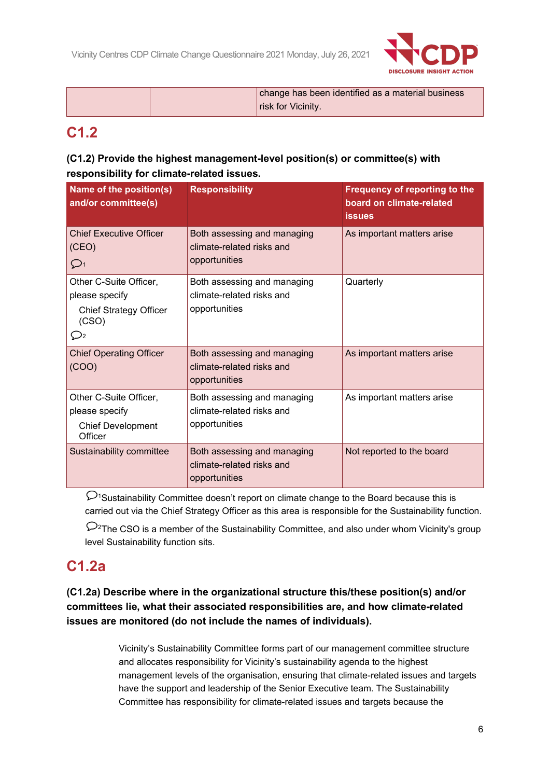

|  | change has been identified as a material business |
|--|---------------------------------------------------|
|  | risk for Vicinity.                                |

## **C1.2**

## **(C1.2) Provide the highest management-level position(s) or committee(s) with responsibility for climate-related issues.**

| Name of the position(s)<br>and/or committee(s)                                                        | <b>Responsibility</b>                                                     | <b>Frequency of reporting to the</b><br>board on climate-related<br><b>issues</b> |  |
|-------------------------------------------------------------------------------------------------------|---------------------------------------------------------------------------|-----------------------------------------------------------------------------------|--|
| <b>Chief Executive Officer</b><br>(CEO)<br>$\mathcal{D}_1$                                            | Both assessing and managing<br>climate-related risks and<br>opportunities | As important matters arise                                                        |  |
| Other C-Suite Officer,<br>please specify<br><b>Chief Strategy Officer</b><br>(CSO)<br>$\mathcal{Q}_2$ | Both assessing and managing<br>climate-related risks and<br>opportunities | Quarterly                                                                         |  |
| <b>Chief Operating Officer</b><br>(COO)                                                               | Both assessing and managing<br>climate-related risks and<br>opportunities | As important matters arise                                                        |  |
| Other C-Suite Officer,<br>please specify<br><b>Chief Development</b><br>Officer                       | Both assessing and managing<br>climate-related risks and<br>opportunities | As important matters arise                                                        |  |
| Sustainability committee                                                                              | Both assessing and managing<br>climate-related risks and<br>opportunities | Not reported to the board                                                         |  |

 $\mathcal{D}_1$ Sustainability Committee doesn't report on climate change to the Board because this is carried out via the Chief Strategy Officer as this area is responsible for the Sustainability function.

 $\mathcal{D}^2$ The CSO is a member of the Sustainability Committee, and also under whom Vicinity's group level Sustainability function sits.

## **C1.2a**

## **(C1.2a) Describe where in the organizational structure this/these position(s) and/or committees lie, what their associated responsibilities are, and how climate-related issues are monitored (do not include the names of individuals).**

Vicinity's Sustainability Committee forms part of our management committee structure and allocates responsibility for Vicinity's sustainability agenda to the highest management levels of the organisation, ensuring that climate-related issues and targets have the support and leadership of the Senior Executive team. The Sustainability Committee has responsibility for climate-related issues and targets because the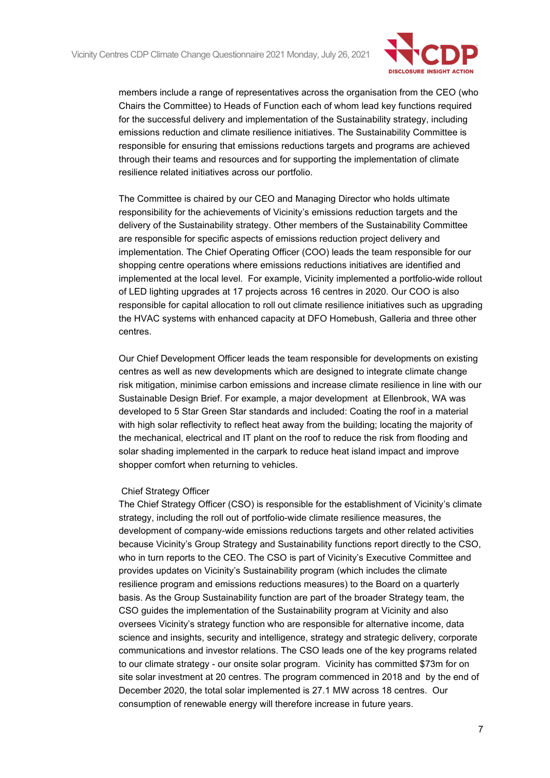

members include a range of representatives across the organisation from the CEO (who Chairs the Committee) to Heads of Function each of whom lead key functions required for the successful delivery and implementation of the Sustainability strategy, including emissions reduction and climate resilience initiatives. The Sustainability Committee is responsible for ensuring that emissions reductions targets and programs are achieved through their teams and resources and for supporting the implementation of climate resilience related initiatives across our portfolio.

The Committee is chaired by our CEO and Managing Director who holds ultimate responsibility for the achievements of Vicinity's emissions reduction targets and the delivery of the Sustainability strategy. Other members of the Sustainability Committee are responsible for specific aspects of emissions reduction project delivery and implementation. The Chief Operating Officer (COO) leads the team responsible for our shopping centre operations where emissions reductions initiatives are identified and implemented at the local level. For example, Vicinity implemented a portfolio-wide rollout of LED lighting upgrades at 17 projects across 16 centres in 2020. Our COO is also responsible for capital allocation to roll out climate resilience initiatives such as upgrading the HVAC systems with enhanced capacity at DFO Homebush, Galleria and three other centres.

Our Chief Development Officer leads the team responsible for developments on existing centres as well as new developments which are designed to integrate climate change risk mitigation, minimise carbon emissions and increase climate resilience in line with our Sustainable Design Brief. For example, a major development at Ellenbrook, WA was developed to 5 Star Green Star standards and included: Coating the roof in a material with high solar reflectivity to reflect heat away from the building; locating the majority of the mechanical, electrical and IT plant on the roof to reduce the risk from flooding and solar shading implemented in the carpark to reduce heat island impact and improve shopper comfort when returning to vehicles.

#### Chief Strategy Officer

The Chief Strategy Officer (CSO) is responsible for the establishment of Vicinity's climate strategy, including the roll out of portfolio-wide climate resilience measures, the development of company-wide emissions reductions targets and other related activities because Vicinity's Group Strategy and Sustainability functions report directly to the CSO, who in turn reports to the CEO. The CSO is part of Vicinity's Executive Committee and provides updates on Vicinity's Sustainability program (which includes the climate resilience program and emissions reductions measures) to the Board on a quarterly basis. As the Group Sustainability function are part of the broader Strategy team, the CSO guides the implementation of the Sustainability program at Vicinity and also oversees Vicinity's strategy function who are responsible for alternative income, data science and insights, security and intelligence, strategy and strategic delivery, corporate communications and investor relations. The CSO leads one of the key programs related to our climate strategy - our onsite solar program. Vicinity has committed \$73m for on site solar investment at 20 centres. The program commenced in 2018 and by the end of December 2020, the total solar implemented is 27.1 MW across 18 centres. Our consumption of renewable energy will therefore increase in future years.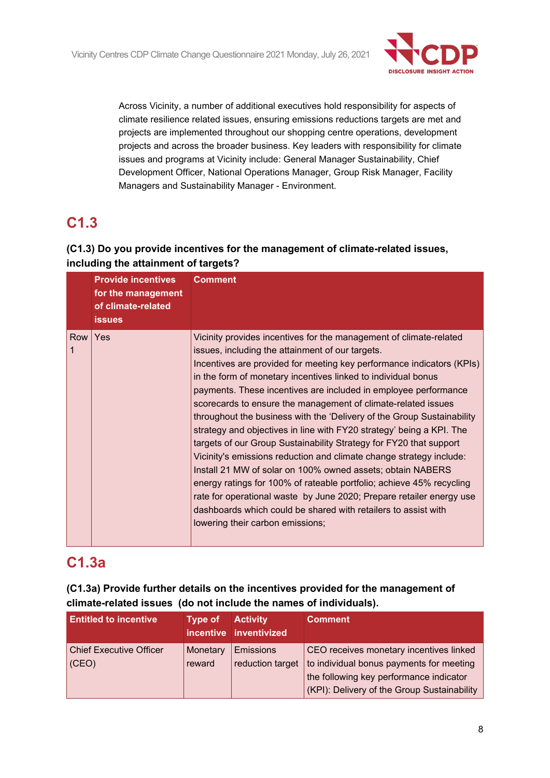

Across Vicinity, a number of additional executives hold responsibility for aspects of climate resilience related issues, ensuring emissions reductions targets are met and projects are implemented throughout our shopping centre operations, development projects and across the broader business. Key leaders with responsibility for climate issues and programs at Vicinity include: General Manager Sustainability, Chief Development Officer, National Operations Manager, Group Risk Manager, Facility Managers and Sustainability Manager - Environment.

# **C1.3**

## **(C1.3) Do you provide incentives for the management of climate-related issues, including the attainment of targets?**

|          | <b>Provide incentives</b><br>for the management<br>of climate-related<br><b>issues</b> | <b>Comment</b>                                                                                                                                                                                                                                                                                                                                                                                                                                                                                                                                                                                                                                                                                                                                                                                                                                                                                                                                                                                                          |
|----------|----------------------------------------------------------------------------------------|-------------------------------------------------------------------------------------------------------------------------------------------------------------------------------------------------------------------------------------------------------------------------------------------------------------------------------------------------------------------------------------------------------------------------------------------------------------------------------------------------------------------------------------------------------------------------------------------------------------------------------------------------------------------------------------------------------------------------------------------------------------------------------------------------------------------------------------------------------------------------------------------------------------------------------------------------------------------------------------------------------------------------|
| Row<br>1 | Yes                                                                                    | Vicinity provides incentives for the management of climate-related<br>issues, including the attainment of our targets.<br>Incentives are provided for meeting key performance indicators (KPIs)<br>in the form of monetary incentives linked to individual bonus<br>payments. These incentives are included in employee performance<br>scorecards to ensure the management of climate-related issues<br>throughout the business with the 'Delivery of the Group Sustainability<br>strategy and objectives in line with FY20 strategy' being a KPI. The<br>targets of our Group Sustainability Strategy for FY20 that support<br>Vicinity's emissions reduction and climate change strategy include:<br>Install 21 MW of solar on 100% owned assets; obtain NABERS<br>energy ratings for 100% of rateable portfolio; achieve 45% recycling<br>rate for operational waste by June 2020; Prepare retailer energy use<br>dashboards which could be shared with retailers to assist with<br>lowering their carbon emissions; |

## **C1.3a**

## **(C1.3a) Provide further details on the incentives provided for the management of climate-related issues (do not include the names of individuals).**

| <b>Entitled to incentive</b>            | <b>Type of</b>     | <b>Activity</b><br>incentive inventivized | <b>Comment</b>                                                                                                                                                                |
|-----------------------------------------|--------------------|-------------------------------------------|-------------------------------------------------------------------------------------------------------------------------------------------------------------------------------|
| <b>Chief Executive Officer</b><br>(CEO) | Monetary<br>reward | <b>Emissions</b><br>reduction target      | CEO receives monetary incentives linked<br>to individual bonus payments for meeting<br>the following key performance indicator<br>(KPI): Delivery of the Group Sustainability |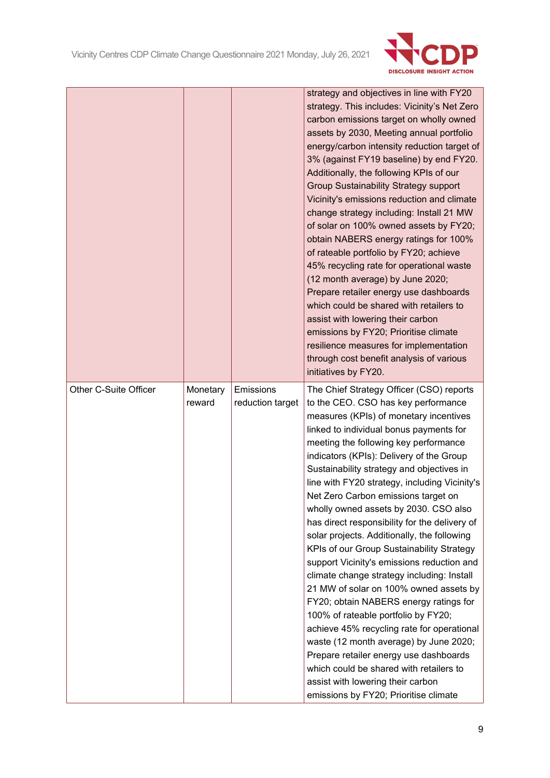

|                       |          |                  | strategy and objectives in line with FY20                                                |
|-----------------------|----------|------------------|------------------------------------------------------------------------------------------|
|                       |          |                  | strategy. This includes: Vicinity's Net Zero                                             |
|                       |          |                  | carbon emissions target on wholly owned                                                  |
|                       |          |                  | assets by 2030, Meeting annual portfolio                                                 |
|                       |          |                  | energy/carbon intensity reduction target of                                              |
|                       |          |                  | 3% (against FY19 baseline) by end FY20.                                                  |
|                       |          |                  | Additionally, the following KPIs of our                                                  |
|                       |          |                  | <b>Group Sustainability Strategy support</b>                                             |
|                       |          |                  | Vicinity's emissions reduction and climate                                               |
|                       |          |                  | change strategy including: Install 21 MW                                                 |
|                       |          |                  | of solar on 100% owned assets by FY20;                                                   |
|                       |          |                  | obtain NABERS energy ratings for 100%                                                    |
|                       |          |                  |                                                                                          |
|                       |          |                  | of rateable portfolio by FY20; achieve                                                   |
|                       |          |                  | 45% recycling rate for operational waste                                                 |
|                       |          |                  | (12 month average) by June 2020;                                                         |
|                       |          |                  | Prepare retailer energy use dashboards                                                   |
|                       |          |                  | which could be shared with retailers to                                                  |
|                       |          |                  | assist with lowering their carbon                                                        |
|                       |          |                  | emissions by FY20; Prioritise climate                                                    |
|                       |          |                  | resilience measures for implementation                                                   |
|                       |          |                  | through cost benefit analysis of various                                                 |
|                       |          |                  | initiatives by FY20.                                                                     |
| Other C-Suite Officer | Monetary | Emissions        | The Chief Strategy Officer (CSO) reports                                                 |
|                       | reward   | reduction target | to the CEO. CSO has key performance                                                      |
|                       |          |                  | measures (KPIs) of monetary incentives                                                   |
|                       |          |                  | linked to individual bonus payments for                                                  |
|                       |          |                  | meeting the following key performance                                                    |
|                       |          |                  | indicators (KPIs): Delivery of the Group                                                 |
|                       |          |                  | Sustainability strategy and objectives in                                                |
|                       |          |                  | line with FY20 strategy, including Vicinity's                                            |
|                       |          |                  |                                                                                          |
|                       |          |                  | Net Zero Carbon emissions target on                                                      |
|                       |          |                  | wholly owned assets by 2030. CSO also                                                    |
|                       |          |                  | has direct responsibility for the delivery of                                            |
|                       |          |                  |                                                                                          |
|                       |          |                  | solar projects. Additionally, the following                                              |
|                       |          |                  | KPIs of our Group Sustainability Strategy                                                |
|                       |          |                  | support Vicinity's emissions reduction and<br>climate change strategy including: Install |
|                       |          |                  |                                                                                          |
|                       |          |                  | 21 MW of solar on 100% owned assets by                                                   |
|                       |          |                  | FY20; obtain NABERS energy ratings for                                                   |
|                       |          |                  | 100% of rateable portfolio by FY20;                                                      |
|                       |          |                  | achieve 45% recycling rate for operational                                               |
|                       |          |                  | waste (12 month average) by June 2020;                                                   |
|                       |          |                  | Prepare retailer energy use dashboards                                                   |
|                       |          |                  | which could be shared with retailers to                                                  |
|                       |          |                  | assist with lowering their carbon<br>emissions by FY20; Prioritise climate               |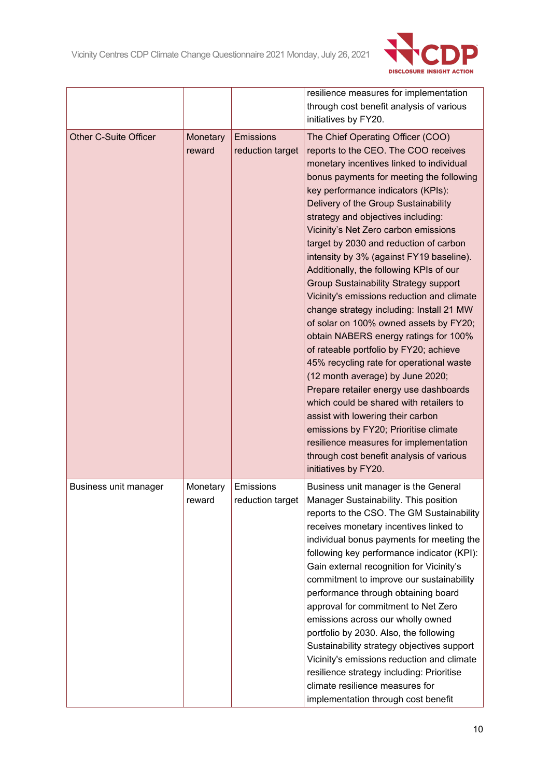

|                              |                    |                                      | resilience measures for implementation<br>through cost benefit analysis of various<br>initiatives by FY20.                                                                                                                                                                                                                                                                                                                                                                                                                                                                                                                                                                                                                                                                                                                                                                                                                                                                                                                                                                                             |
|------------------------------|--------------------|--------------------------------------|--------------------------------------------------------------------------------------------------------------------------------------------------------------------------------------------------------------------------------------------------------------------------------------------------------------------------------------------------------------------------------------------------------------------------------------------------------------------------------------------------------------------------------------------------------------------------------------------------------------------------------------------------------------------------------------------------------------------------------------------------------------------------------------------------------------------------------------------------------------------------------------------------------------------------------------------------------------------------------------------------------------------------------------------------------------------------------------------------------|
| <b>Other C-Suite Officer</b> | Monetary<br>reward | <b>Emissions</b><br>reduction target | The Chief Operating Officer (COO)<br>reports to the CEO. The COO receives<br>monetary incentives linked to individual<br>bonus payments for meeting the following<br>key performance indicators (KPIs):<br>Delivery of the Group Sustainability<br>strategy and objectives including:<br>Vicinity's Net Zero carbon emissions<br>target by 2030 and reduction of carbon<br>intensity by 3% (against FY19 baseline).<br>Additionally, the following KPIs of our<br><b>Group Sustainability Strategy support</b><br>Vicinity's emissions reduction and climate<br>change strategy including: Install 21 MW<br>of solar on 100% owned assets by FY20;<br>obtain NABERS energy ratings for 100%<br>of rateable portfolio by FY20; achieve<br>45% recycling rate for operational waste<br>(12 month average) by June 2020;<br>Prepare retailer energy use dashboards<br>which could be shared with retailers to<br>assist with lowering their carbon<br>emissions by FY20; Prioritise climate<br>resilience measures for implementation<br>through cost benefit analysis of various<br>initiatives by FY20. |
| Business unit manager        | Monetary<br>reward | Emissions<br>reduction target        | Business unit manager is the General<br>Manager Sustainability. This position<br>reports to the CSO. The GM Sustainability<br>receives monetary incentives linked to<br>individual bonus payments for meeting the<br>following key performance indicator (KPI):<br>Gain external recognition for Vicinity's<br>commitment to improve our sustainability<br>performance through obtaining board<br>approval for commitment to Net Zero<br>emissions across our wholly owned<br>portfolio by 2030. Also, the following<br>Sustainability strategy objectives support<br>Vicinity's emissions reduction and climate<br>resilience strategy including: Prioritise<br>climate resilience measures for<br>implementation through cost benefit                                                                                                                                                                                                                                                                                                                                                                |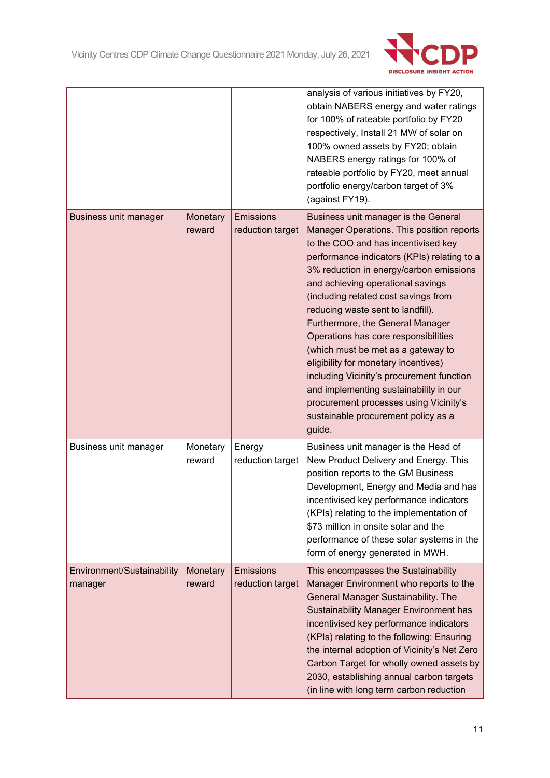

|                                       |                    |                                      | analysis of various initiatives by FY20,<br>obtain NABERS energy and water ratings<br>for 100% of rateable portfolio by FY20<br>respectively, Install 21 MW of solar on<br>100% owned assets by FY20; obtain<br>NABERS energy ratings for 100% of<br>rateable portfolio by FY20, meet annual<br>portfolio energy/carbon target of 3%<br>(against FY19).                                                                                                                                                                                                                                                                                                                          |
|---------------------------------------|--------------------|--------------------------------------|----------------------------------------------------------------------------------------------------------------------------------------------------------------------------------------------------------------------------------------------------------------------------------------------------------------------------------------------------------------------------------------------------------------------------------------------------------------------------------------------------------------------------------------------------------------------------------------------------------------------------------------------------------------------------------|
| Business unit manager                 | Monetary<br>reward | <b>Emissions</b><br>reduction target | Business unit manager is the General<br>Manager Operations. This position reports<br>to the COO and has incentivised key<br>performance indicators (KPIs) relating to a<br>3% reduction in energy/carbon emissions<br>and achieving operational savings<br>(including related cost savings from<br>reducing waste sent to landfill).<br>Furthermore, the General Manager<br>Operations has core responsibilities<br>(which must be met as a gateway to<br>eligibility for monetary incentives)<br>including Vicinity's procurement function<br>and implementing sustainability in our<br>procurement processes using Vicinity's<br>sustainable procurement policy as a<br>guide. |
| Business unit manager                 | Monetary<br>reward | Energy<br>reduction target           | Business unit manager is the Head of<br>New Product Delivery and Energy. This<br>position reports to the GM Business<br>Development, Energy and Media and has<br>incentivised key performance indicators<br>(KPIs) relating to the implementation of<br>\$73 million in onsite solar and the<br>performance of these solar systems in the<br>form of energy generated in MWH.                                                                                                                                                                                                                                                                                                    |
| Environment/Sustainability<br>manager | Monetary<br>reward | <b>Emissions</b><br>reduction target | This encompasses the Sustainability<br>Manager Environment who reports to the<br>General Manager Sustainability. The<br><b>Sustainability Manager Environment has</b><br>incentivised key performance indicators<br>(KPIs) relating to the following: Ensuring<br>the internal adoption of Vicinity's Net Zero<br>Carbon Target for wholly owned assets by<br>2030, establishing annual carbon targets<br>(in line with long term carbon reduction                                                                                                                                                                                                                               |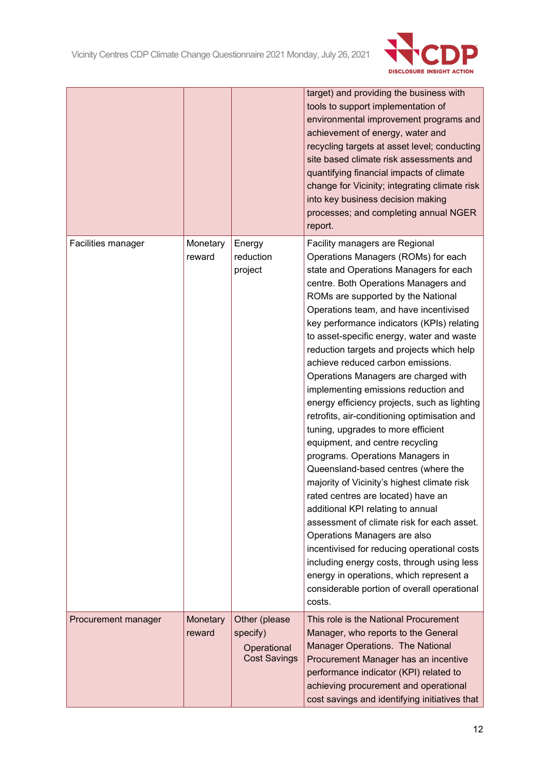

|                     |                    |                                                                 | target) and providing the business with<br>tools to support implementation of<br>environmental improvement programs and<br>achievement of energy, water and<br>recycling targets at asset level; conducting<br>site based climate risk assessments and<br>quantifying financial impacts of climate<br>change for Vicinity; integrating climate risk<br>into key business decision making<br>processes; and completing annual NGER<br>report.                                                                                                                                                                                                                                                                                                                                                                                                                                                                                                                                                                                                                                                                                                                      |
|---------------------|--------------------|-----------------------------------------------------------------|-------------------------------------------------------------------------------------------------------------------------------------------------------------------------------------------------------------------------------------------------------------------------------------------------------------------------------------------------------------------------------------------------------------------------------------------------------------------------------------------------------------------------------------------------------------------------------------------------------------------------------------------------------------------------------------------------------------------------------------------------------------------------------------------------------------------------------------------------------------------------------------------------------------------------------------------------------------------------------------------------------------------------------------------------------------------------------------------------------------------------------------------------------------------|
| Facilities manager  | Monetary<br>reward | Energy<br>reduction<br>project                                  | Facility managers are Regional<br>Operations Managers (ROMs) for each<br>state and Operations Managers for each<br>centre. Both Operations Managers and<br>ROMs are supported by the National<br>Operations team, and have incentivised<br>key performance indicators (KPIs) relating<br>to asset-specific energy, water and waste<br>reduction targets and projects which help<br>achieve reduced carbon emissions.<br>Operations Managers are charged with<br>implementing emissions reduction and<br>energy efficiency projects, such as lighting<br>retrofits, air-conditioning optimisation and<br>tuning, upgrades to more efficient<br>equipment, and centre recycling<br>programs. Operations Managers in<br>Queensland-based centres (where the<br>majority of Vicinity's highest climate risk<br>rated centres are located) have an<br>additional KPI relating to annual<br>assessment of climate risk for each asset.<br>Operations Managers are also<br>incentivised for reducing operational costs<br>including energy costs, through using less<br>energy in operations, which represent a<br>considerable portion of overall operational<br>costs. |
| Procurement manager | Monetary<br>reward | Other (please<br>specify)<br>Operational<br><b>Cost Savings</b> | This role is the National Procurement<br>Manager, who reports to the General<br>Manager Operations. The National<br>Procurement Manager has an incentive<br>performance indicator (KPI) related to<br>achieving procurement and operational<br>cost savings and identifying initiatives that                                                                                                                                                                                                                                                                                                                                                                                                                                                                                                                                                                                                                                                                                                                                                                                                                                                                      |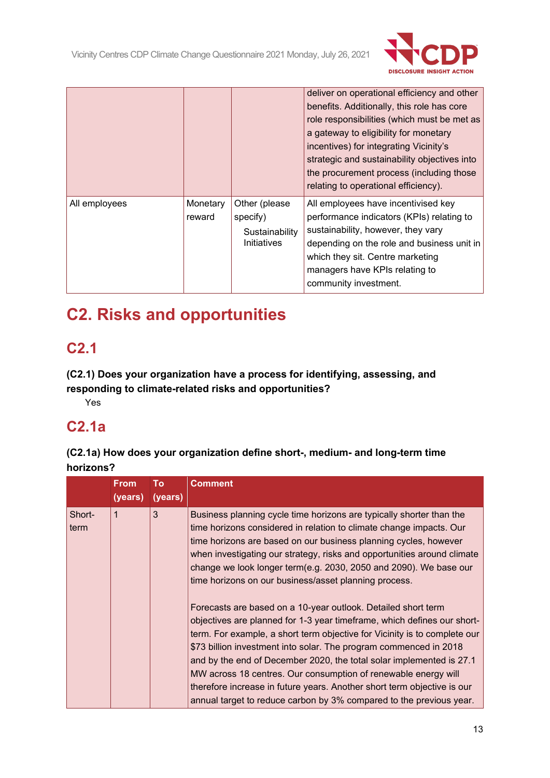

|               |                    |                                                            | deliver on operational efficiency and other<br>benefits. Additionally, this role has core<br>role responsibilities (which must be met as<br>a gateway to eligibility for monetary<br>incentives) for integrating Vicinity's<br>strategic and sustainability objectives into<br>the procurement process (including those<br>relating to operational efficiency). |
|---------------|--------------------|------------------------------------------------------------|-----------------------------------------------------------------------------------------------------------------------------------------------------------------------------------------------------------------------------------------------------------------------------------------------------------------------------------------------------------------|
| All employees | Monetary<br>reward | Other (please<br>specify)<br>Sustainability<br>Initiatives | All employees have incentivised key<br>performance indicators (KPIs) relating to<br>sustainability, however, they vary<br>depending on the role and business unit in<br>which they sit. Centre marketing<br>managers have KPIs relating to<br>community investment.                                                                                             |

# **C2. Risks and opportunities**

## **C2.1**

**(C2.1) Does your organization have a process for identifying, assessing, and responding to climate-related risks and opportunities?**

Yes

## **C2.1a**

**(C2.1a) How does your organization define short-, medium- and long-term time horizons?**

|                | <b>From</b> | To      | <b>Comment</b>                                                                                                                                                                                                                                                                                                                                                                                                                                                                                                                                                                         |
|----------------|-------------|---------|----------------------------------------------------------------------------------------------------------------------------------------------------------------------------------------------------------------------------------------------------------------------------------------------------------------------------------------------------------------------------------------------------------------------------------------------------------------------------------------------------------------------------------------------------------------------------------------|
|                | (years)     | (years) |                                                                                                                                                                                                                                                                                                                                                                                                                                                                                                                                                                                        |
| Short-<br>term | 1           | 3       | Business planning cycle time horizons are typically shorter than the<br>time horizons considered in relation to climate change impacts. Our<br>time horizons are based on our business planning cycles, however<br>when investigating our strategy, risks and opportunities around climate<br>change we look longer term(e.g. 2030, 2050 and 2090). We base our<br>time horizons on our business/asset planning process.                                                                                                                                                               |
|                |             |         | Forecasts are based on a 10-year outlook. Detailed short term<br>objectives are planned for 1-3 year timeframe, which defines our short-<br>term. For example, a short term objective for Vicinity is to complete our<br>\$73 billion investment into solar. The program commenced in 2018<br>and by the end of December 2020, the total solar implemented is 27.1<br>MW across 18 centres. Our consumption of renewable energy will<br>therefore increase in future years. Another short term objective is our<br>annual target to reduce carbon by 3% compared to the previous year. |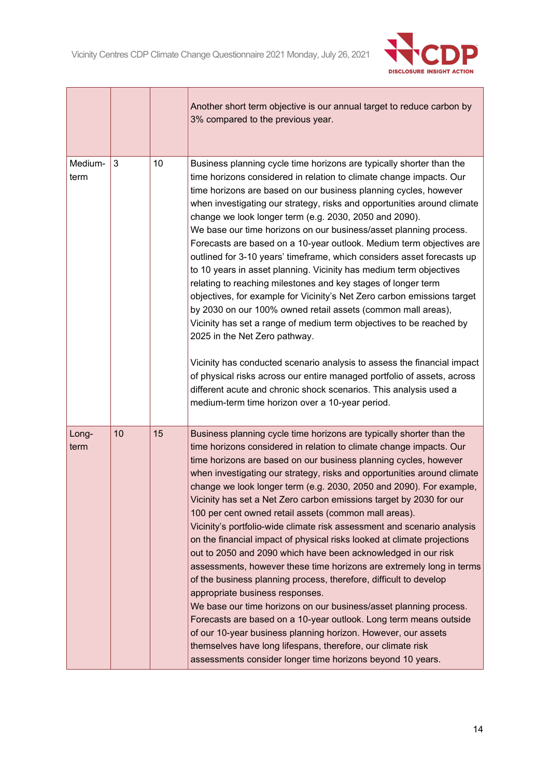r

 $\overline{\phantom{a}}$ 



٦

|                 |    |    | Another short term objective is our annual target to reduce carbon by<br>3% compared to the previous year.                                                                                                                                                                                                                                                                                                                                                                                                                                                                                                                                                                                                                                                                                                                                                                                                                                                                                                                                                                                                                                                                                                                                          |
|-----------------|----|----|-----------------------------------------------------------------------------------------------------------------------------------------------------------------------------------------------------------------------------------------------------------------------------------------------------------------------------------------------------------------------------------------------------------------------------------------------------------------------------------------------------------------------------------------------------------------------------------------------------------------------------------------------------------------------------------------------------------------------------------------------------------------------------------------------------------------------------------------------------------------------------------------------------------------------------------------------------------------------------------------------------------------------------------------------------------------------------------------------------------------------------------------------------------------------------------------------------------------------------------------------------|
| Medium-<br>term | 3  | 10 | Business planning cycle time horizons are typically shorter than the<br>time horizons considered in relation to climate change impacts. Our<br>time horizons are based on our business planning cycles, however<br>when investigating our strategy, risks and opportunities around climate<br>change we look longer term (e.g. 2030, 2050 and 2090).<br>We base our time horizons on our business/asset planning process.<br>Forecasts are based on a 10-year outlook. Medium term objectives are<br>outlined for 3-10 years' timeframe, which considers asset forecasts up<br>to 10 years in asset planning. Vicinity has medium term objectives<br>relating to reaching milestones and key stages of longer term<br>objectives, for example for Vicinity's Net Zero carbon emissions target<br>by 2030 on our 100% owned retail assets (common mall areas),<br>Vicinity has set a range of medium term objectives to be reached by<br>2025 in the Net Zero pathway.<br>Vicinity has conducted scenario analysis to assess the financial impact<br>of physical risks across our entire managed portfolio of assets, across<br>different acute and chronic shock scenarios. This analysis used a<br>medium-term time horizon over a 10-year period. |
| Long-<br>term   | 10 | 15 | Business planning cycle time horizons are typically shorter than the<br>time horizons considered in relation to climate change impacts. Our<br>time horizons are based on our business planning cycles, however<br>when investigating our strategy, risks and opportunities around climate<br>change we look longer term (e.g. 2030, 2050 and 2090). For example,<br>Vicinity has set a Net Zero carbon emissions target by 2030 for our<br>100 per cent owned retail assets (common mall areas).<br>Vicinity's portfolio-wide climate risk assessment and scenario analysis<br>on the financial impact of physical risks looked at climate projections<br>out to 2050 and 2090 which have been acknowledged in our risk<br>assessments, however these time horizons are extremely long in terms<br>of the business planning process, therefore, difficult to develop<br>appropriate business responses.<br>We base our time horizons on our business/asset planning process.<br>Forecasts are based on a 10-year outlook. Long term means outside<br>of our 10-year business planning horizon. However, our assets<br>themselves have long lifespans, therefore, our climate risk<br>assessments consider longer time horizons beyond 10 years.    |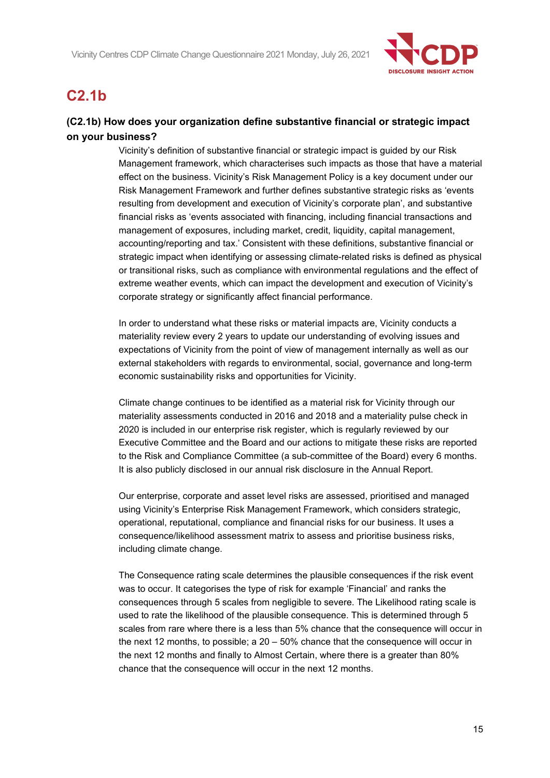

## **C2.1b**

## **(C2.1b) How does your organization define substantive financial or strategic impact on your business?**

Vicinity's definition of substantive financial or strategic impact is guided by our Risk Management framework, which characterises such impacts as those that have a material effect on the business. Vicinity's Risk Management Policy is a key document under our Risk Management Framework and further defines substantive strategic risks as 'events resulting from development and execution of Vicinity's corporate plan', and substantive financial risks as 'events associated with financing, including financial transactions and management of exposures, including market, credit, liquidity, capital management, accounting/reporting and tax.' Consistent with these definitions, substantive financial or strategic impact when identifying or assessing climate-related risks is defined as physical or transitional risks, such as compliance with environmental regulations and the effect of extreme weather events, which can impact the development and execution of Vicinity's corporate strategy or significantly affect financial performance.

In order to understand what these risks or material impacts are, Vicinity conducts a materiality review every 2 years to update our understanding of evolving issues and expectations of Vicinity from the point of view of management internally as well as our external stakeholders with regards to environmental, social, governance and long-term economic sustainability risks and opportunities for Vicinity.

Climate change continues to be identified as a material risk for Vicinity through our materiality assessments conducted in 2016 and 2018 and a materiality pulse check in 2020 is included in our enterprise risk register, which is regularly reviewed by our Executive Committee and the Board and our actions to mitigate these risks are reported to the Risk and Compliance Committee (a sub-committee of the Board) every 6 months. It is also publicly disclosed in our annual risk disclosure in the Annual Report.

Our enterprise, corporate and asset level risks are assessed, prioritised and managed using Vicinity's Enterprise Risk Management Framework, which considers strategic, operational, reputational, compliance and financial risks for our business. It uses a consequence/likelihood assessment matrix to assess and prioritise business risks, including climate change.

The Consequence rating scale determines the plausible consequences if the risk event was to occur. It categorises the type of risk for example 'Financial' and ranks the consequences through 5 scales from negligible to severe. The Likelihood rating scale is used to rate the likelihood of the plausible consequence. This is determined through 5 scales from rare where there is a less than 5% chance that the consequence will occur in the next 12 months, to possible; a 20 – 50% chance that the consequence will occur in the next 12 months and finally to Almost Certain, where there is a greater than 80% chance that the consequence will occur in the next 12 months.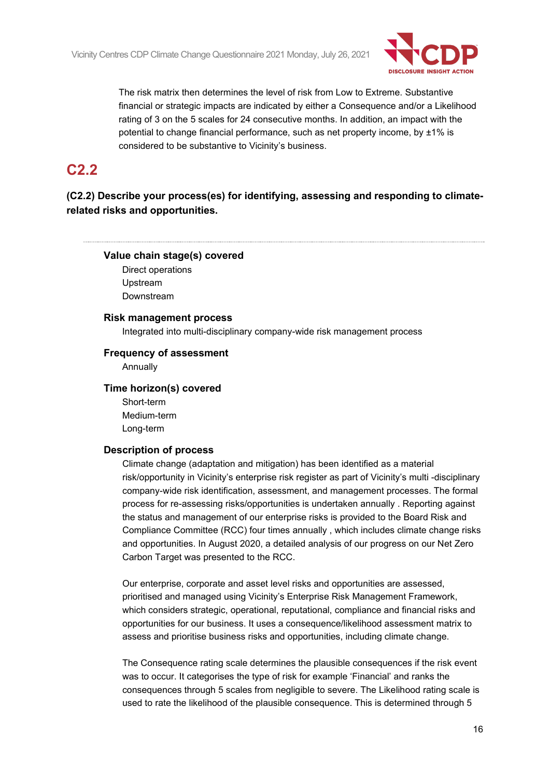

The risk matrix then determines the level of risk from Low to Extreme. Substantive financial or strategic impacts are indicated by either a Consequence and/or a Likelihood rating of 3 on the 5 scales for 24 consecutive months. In addition, an impact with the potential to change financial performance, such as net property income, by ±1% is considered to be substantive to Vicinity's business.

## **C2.2**

**(C2.2) Describe your process(es) for identifying, assessing and responding to climaterelated risks and opportunities.**

#### **Value chain stage(s) covered**

Direct operations Upstream Downstream

#### **Risk management process**

Integrated into multi-disciplinary company-wide risk management process

#### **Frequency of assessment**

Annually

#### **Time horizon(s) covered**

Short-term Medium-term Long-term

#### **Description of process**

Climate change (adaptation and mitigation) has been identified as a material risk/opportunity in Vicinity's enterprise risk register as part of Vicinity's multi -disciplinary company-wide risk identification, assessment, and management processes. The formal process for re-assessing risks/opportunities is undertaken annually . Reporting against the status and management of our enterprise risks is provided to the Board Risk and Compliance Committee (RCC) four times annually , which includes climate change risks and opportunities. In August 2020, a detailed analysis of our progress on our Net Zero Carbon Target was presented to the RCC.

Our enterprise, corporate and asset level risks and opportunities are assessed, prioritised and managed using Vicinity's Enterprise Risk Management Framework, which considers strategic, operational, reputational, compliance and financial risks and opportunities for our business. It uses a consequence/likelihood assessment matrix to assess and prioritise business risks and opportunities, including climate change.

The Consequence rating scale determines the plausible consequences if the risk event was to occur. It categorises the type of risk for example 'Financial' and ranks the consequences through 5 scales from negligible to severe. The Likelihood rating scale is used to rate the likelihood of the plausible consequence. This is determined through 5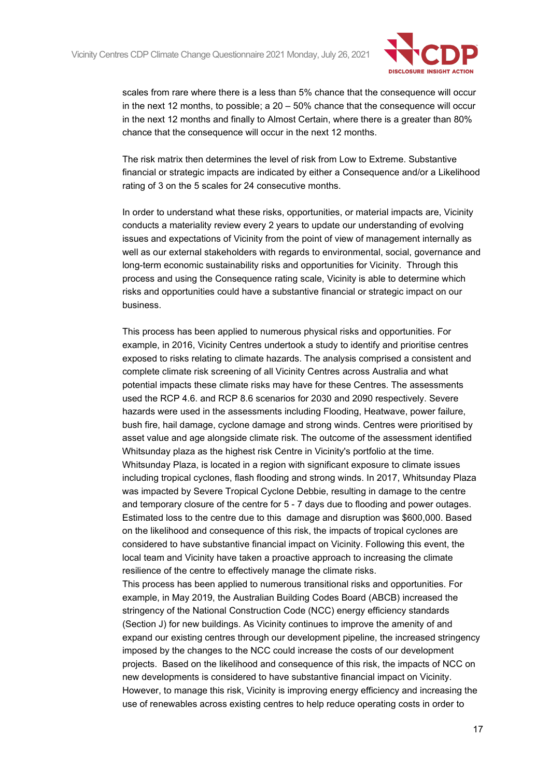

scales from rare where there is a less than 5% chance that the consequence will occur in the next 12 months, to possible; a  $20 - 50\%$  chance that the consequence will occur in the next 12 months and finally to Almost Certain, where there is a greater than 80% chance that the consequence will occur in the next 12 months.

The risk matrix then determines the level of risk from Low to Extreme. Substantive financial or strategic impacts are indicated by either a Consequence and/or a Likelihood rating of 3 on the 5 scales for 24 consecutive months.

In order to understand what these risks, opportunities, or material impacts are, Vicinity conducts a materiality review every 2 years to update our understanding of evolving issues and expectations of Vicinity from the point of view of management internally as well as our external stakeholders with regards to environmental, social, governance and long-term economic sustainability risks and opportunities for Vicinity. Through this process and using the Consequence rating scale, Vicinity is able to determine which risks and opportunities could have a substantive financial or strategic impact on our business.

This process has been applied to numerous physical risks and opportunities. For example, in 2016, Vicinity Centres undertook a study to identify and prioritise centres exposed to risks relating to climate hazards. The analysis comprised a consistent and complete climate risk screening of all Vicinity Centres across Australia and what potential impacts these climate risks may have for these Centres. The assessments used the RCP 4.6. and RCP 8.6 scenarios for 2030 and 2090 respectively. Severe hazards were used in the assessments including Flooding, Heatwave, power failure, bush fire, hail damage, cyclone damage and strong winds. Centres were prioritised by asset value and age alongside climate risk. The outcome of the assessment identified Whitsunday plaza as the highest risk Centre in Vicinity's portfolio at the time. Whitsunday Plaza, is located in a region with significant exposure to climate issues including tropical cyclones, flash flooding and strong winds. In 2017, Whitsunday Plaza was impacted by Severe Tropical Cyclone Debbie, resulting in damage to the centre and temporary closure of the centre for 5 - 7 days due to flooding and power outages. Estimated loss to the centre due to this damage and disruption was \$600,000. Based on the likelihood and consequence of this risk, the impacts of tropical cyclones are considered to have substantive financial impact on Vicinity. Following this event, the local team and Vicinity have taken a proactive approach to increasing the climate resilience of the centre to effectively manage the climate risks.

This process has been applied to numerous transitional risks and opportunities. For example, in May 2019, the Australian Building Codes Board (ABCB) increased the stringency of the National Construction Code (NCC) energy efficiency standards (Section J) for new buildings. As Vicinity continues to improve the amenity of and expand our existing centres through our development pipeline, the increased stringency imposed by the changes to the NCC could increase the costs of our development projects. Based on the likelihood and consequence of this risk, the impacts of NCC on new developments is considered to have substantive financial impact on Vicinity. However, to manage this risk, Vicinity is improving energy efficiency and increasing the use of renewables across existing centres to help reduce operating costs in order to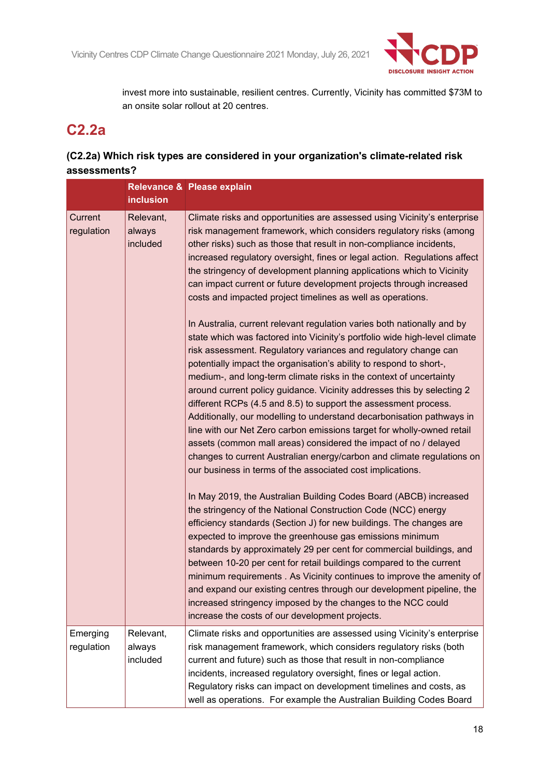

invest more into sustainable, resilient centres. Currently, Vicinity has committed \$73M to an onsite solar rollout at 20 centres.

## **C2.2a**

## **(C2.2a) Which risk types are considered in your organization's climate-related risk assessments?**

|                        | inclusion                       | Relevance & Please explain                                                                                                                                                                                                                                                                                                                                                                                                                                                                                                                                                                                                                                                                                                                                                                                                                                                                                                                                                                                                                                                                                                                                                                                                                                                                                                                                                                             |
|------------------------|---------------------------------|--------------------------------------------------------------------------------------------------------------------------------------------------------------------------------------------------------------------------------------------------------------------------------------------------------------------------------------------------------------------------------------------------------------------------------------------------------------------------------------------------------------------------------------------------------------------------------------------------------------------------------------------------------------------------------------------------------------------------------------------------------------------------------------------------------------------------------------------------------------------------------------------------------------------------------------------------------------------------------------------------------------------------------------------------------------------------------------------------------------------------------------------------------------------------------------------------------------------------------------------------------------------------------------------------------------------------------------------------------------------------------------------------------|
| Current<br>regulation  | Relevant,<br>always<br>included | Climate risks and opportunities are assessed using Vicinity's enterprise<br>risk management framework, which considers regulatory risks (among<br>other risks) such as those that result in non-compliance incidents,<br>increased regulatory oversight, fines or legal action. Regulations affect<br>the stringency of development planning applications which to Vicinity<br>can impact current or future development projects through increased<br>costs and impacted project timelines as well as operations.<br>In Australia, current relevant regulation varies both nationally and by<br>state which was factored into Vicinity's portfolio wide high-level climate<br>risk assessment. Regulatory variances and regulatory change can<br>potentially impact the organisation's ability to respond to short-,<br>medium-, and long-term climate risks in the context of uncertainty<br>around current policy guidance. Vicinity addresses this by selecting 2<br>different RCPs (4.5 and 8.5) to support the assessment process.<br>Additionally, our modelling to understand decarbonisation pathways in<br>line with our Net Zero carbon emissions target for wholly-owned retail<br>assets (common mall areas) considered the impact of no / delayed<br>changes to current Australian energy/carbon and climate regulations on<br>our business in terms of the associated cost implications. |
|                        |                                 | In May 2019, the Australian Building Codes Board (ABCB) increased<br>the stringency of the National Construction Code (NCC) energy<br>efficiency standards (Section J) for new buildings. The changes are<br>expected to improve the greenhouse gas emissions minimum<br>standards by approximately 29 per cent for commercial buildings, and<br>between 10-20 per cent for retail buildings compared to the current<br>minimum requirements . As Vicinity continues to improve the amenity of<br>and expand our existing centres through our development pipeline, the<br>increased stringency imposed by the changes to the NCC could<br>increase the costs of our development projects.                                                                                                                                                                                                                                                                                                                                                                                                                                                                                                                                                                                                                                                                                                             |
| Emerging<br>regulation | Relevant,<br>always<br>included | Climate risks and opportunities are assessed using Vicinity's enterprise<br>risk management framework, which considers regulatory risks (both<br>current and future) such as those that result in non-compliance<br>incidents, increased regulatory oversight, fines or legal action.<br>Regulatory risks can impact on development timelines and costs, as<br>well as operations. For example the Australian Building Codes Board                                                                                                                                                                                                                                                                                                                                                                                                                                                                                                                                                                                                                                                                                                                                                                                                                                                                                                                                                                     |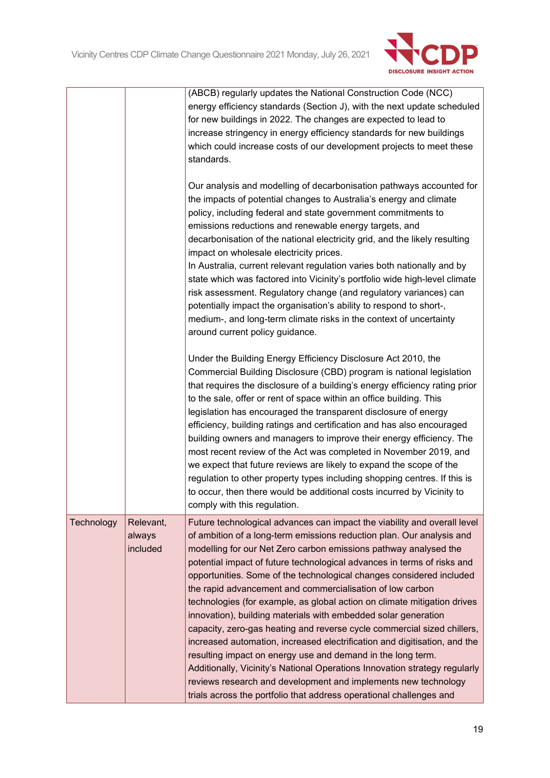

|            |                                 | (ABCB) regularly updates the National Construction Code (NCC)<br>energy efficiency standards (Section J), with the next update scheduled<br>for new buildings in 2022. The changes are expected to lead to<br>increase stringency in energy efficiency standards for new buildings<br>which could increase costs of our development projects to meet these<br>standards.                                                                                                                                                                                                                                                                                                                                                                                                                                                                                                                                                                                                                                                          |
|------------|---------------------------------|-----------------------------------------------------------------------------------------------------------------------------------------------------------------------------------------------------------------------------------------------------------------------------------------------------------------------------------------------------------------------------------------------------------------------------------------------------------------------------------------------------------------------------------------------------------------------------------------------------------------------------------------------------------------------------------------------------------------------------------------------------------------------------------------------------------------------------------------------------------------------------------------------------------------------------------------------------------------------------------------------------------------------------------|
|            |                                 | Our analysis and modelling of decarbonisation pathways accounted for<br>the impacts of potential changes to Australia's energy and climate<br>policy, including federal and state government commitments to<br>emissions reductions and renewable energy targets, and<br>decarbonisation of the national electricity grid, and the likely resulting<br>impact on wholesale electricity prices.<br>In Australia, current relevant regulation varies both nationally and by<br>state which was factored into Vicinity's portfolio wide high-level climate<br>risk assessment. Regulatory change (and regulatory variances) can<br>potentially impact the organisation's ability to respond to short-,<br>medium-, and long-term climate risks in the context of uncertainty<br>around current policy guidance.                                                                                                                                                                                                                      |
|            |                                 | Under the Building Energy Efficiency Disclosure Act 2010, the<br>Commercial Building Disclosure (CBD) program is national legislation<br>that requires the disclosure of a building's energy efficiency rating prior<br>to the sale, offer or rent of space within an office building. This<br>legislation has encouraged the transparent disclosure of energy<br>efficiency, building ratings and certification and has also encouraged<br>building owners and managers to improve their energy efficiency. The<br>most recent review of the Act was completed in November 2019, and<br>we expect that future reviews are likely to expand the scope of the<br>regulation to other property types including shopping centres. If this is<br>to occur, then there would be additional costs incurred by Vicinity to<br>comply with this regulation.                                                                                                                                                                               |
| Technology | Relevant,<br>always<br>included | Future technological advances can impact the viability and overall level<br>of ambition of a long-term emissions reduction plan. Our analysis and<br>modelling for our Net Zero carbon emissions pathway analysed the<br>potential impact of future technological advances in terms of risks and<br>opportunities. Some of the technological changes considered included<br>the rapid advancement and commercialisation of low carbon<br>technologies (for example, as global action on climate mitigation drives<br>innovation), building materials with embedded solar generation<br>capacity, zero-gas heating and reverse cycle commercial sized chillers,<br>increased automation, increased electrification and digitisation, and the<br>resulting impact on energy use and demand in the long term.<br>Additionally, Vicinity's National Operations Innovation strategy regularly<br>reviews research and development and implements new technology<br>trials across the portfolio that address operational challenges and |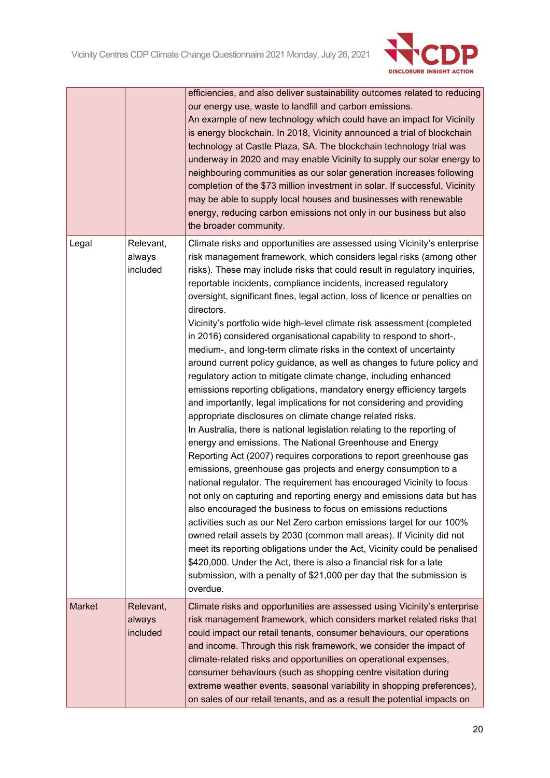

|               |                                 | efficiencies, and also deliver sustainability outcomes related to reducing<br>our energy use, waste to landfill and carbon emissions.<br>An example of new technology which could have an impact for Vicinity<br>is energy blockchain. In 2018, Vicinity announced a trial of blockchain<br>technology at Castle Plaza, SA. The blockchain technology trial was<br>underway in 2020 and may enable Vicinity to supply our solar energy to<br>neighbouring communities as our solar generation increases following<br>completion of the \$73 million investment in solar. If successful, Vicinity<br>may be able to supply local houses and businesses with renewable<br>energy, reducing carbon emissions not only in our business but also<br>the broader community.                                                                                                                                                                                                                                                                                                                                                                                                                                                                                                                                                                                                                                                                                                                                                                                                                                                                                                                                                                                                                                                                                                          |
|---------------|---------------------------------|--------------------------------------------------------------------------------------------------------------------------------------------------------------------------------------------------------------------------------------------------------------------------------------------------------------------------------------------------------------------------------------------------------------------------------------------------------------------------------------------------------------------------------------------------------------------------------------------------------------------------------------------------------------------------------------------------------------------------------------------------------------------------------------------------------------------------------------------------------------------------------------------------------------------------------------------------------------------------------------------------------------------------------------------------------------------------------------------------------------------------------------------------------------------------------------------------------------------------------------------------------------------------------------------------------------------------------------------------------------------------------------------------------------------------------------------------------------------------------------------------------------------------------------------------------------------------------------------------------------------------------------------------------------------------------------------------------------------------------------------------------------------------------------------------------------------------------------------------------------------------------|
| Legal         | Relevant,<br>always<br>included | Climate risks and opportunities are assessed using Vicinity's enterprise<br>risk management framework, which considers legal risks (among other<br>risks). These may include risks that could result in regulatory inquiries,<br>reportable incidents, compliance incidents, increased regulatory<br>oversight, significant fines, legal action, loss of licence or penalties on<br>directors.<br>Vicinity's portfolio wide high-level climate risk assessment (completed<br>in 2016) considered organisational capability to respond to short-,<br>medium-, and long-term climate risks in the context of uncertainty<br>around current policy guidance, as well as changes to future policy and<br>regulatory action to mitigate climate change, including enhanced<br>emissions reporting obligations, mandatory energy efficiency targets<br>and importantly, legal implications for not considering and providing<br>appropriate disclosures on climate change related risks.<br>In Australia, there is national legislation relating to the reporting of<br>energy and emissions. The National Greenhouse and Energy<br>Reporting Act (2007) requires corporations to report greenhouse gas<br>emissions, greenhouse gas projects and energy consumption to a<br>national regulator. The requirement has encouraged Vicinity to focus<br>not only on capturing and reporting energy and emissions data but has<br>also encouraged the business to focus on emissions reductions<br>activities such as our Net Zero carbon emissions target for our 100%<br>owned retail assets by 2030 (common mall areas). If Vicinity did not<br>meet its reporting obligations under the Act, Vicinity could be penalised<br>\$420,000. Under the Act, there is also a financial risk for a late<br>submission, with a penalty of \$21,000 per day that the submission is<br>overdue. |
| <b>Market</b> | Relevant,<br>always<br>included | Climate risks and opportunities are assessed using Vicinity's enterprise<br>risk management framework, which considers market related risks that<br>could impact our retail tenants, consumer behaviours, our operations<br>and income. Through this risk framework, we consider the impact of<br>climate-related risks and opportunities on operational expenses,<br>consumer behaviours (such as shopping centre visitation during<br>extreme weather events, seasonal variability in shopping preferences),<br>on sales of our retail tenants, and as a result the potential impacts on                                                                                                                                                                                                                                                                                                                                                                                                                                                                                                                                                                                                                                                                                                                                                                                                                                                                                                                                                                                                                                                                                                                                                                                                                                                                                     |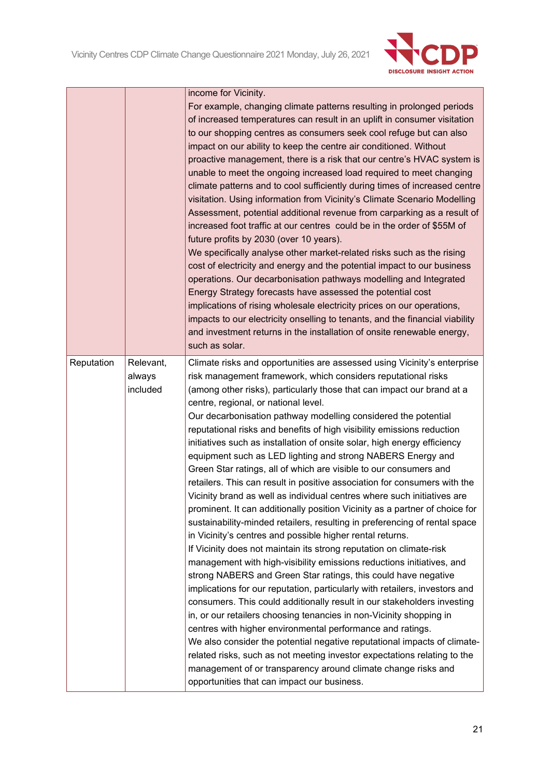

|            |                                 | income for Vicinity.<br>For example, changing climate patterns resulting in prolonged periods<br>of increased temperatures can result in an uplift in consumer visitation<br>to our shopping centres as consumers seek cool refuge but can also<br>impact on our ability to keep the centre air conditioned. Without<br>proactive management, there is a risk that our centre's HVAC system is<br>unable to meet the ongoing increased load required to meet changing<br>climate patterns and to cool sufficiently during times of increased centre<br>visitation. Using information from Vicinity's Climate Scenario Modelling<br>Assessment, potential additional revenue from carparking as a result of<br>increased foot traffic at our centres could be in the order of \$55M of<br>future profits by 2030 (over 10 years).<br>We specifically analyse other market-related risks such as the rising<br>cost of electricity and energy and the potential impact to our business<br>operations. Our decarbonisation pathways modelling and Integrated<br>Energy Strategy forecasts have assessed the potential cost<br>implications of rising wholesale electricity prices on our operations,<br>impacts to our electricity onselling to tenants, and the financial viability<br>and investment returns in the installation of onsite renewable energy,<br>such as solar.                                                                                                                                                                                                                                                                                                                                                                                                                      |
|------------|---------------------------------|----------------------------------------------------------------------------------------------------------------------------------------------------------------------------------------------------------------------------------------------------------------------------------------------------------------------------------------------------------------------------------------------------------------------------------------------------------------------------------------------------------------------------------------------------------------------------------------------------------------------------------------------------------------------------------------------------------------------------------------------------------------------------------------------------------------------------------------------------------------------------------------------------------------------------------------------------------------------------------------------------------------------------------------------------------------------------------------------------------------------------------------------------------------------------------------------------------------------------------------------------------------------------------------------------------------------------------------------------------------------------------------------------------------------------------------------------------------------------------------------------------------------------------------------------------------------------------------------------------------------------------------------------------------------------------------------------------------------------------------------------------------------------------------------------|
| Reputation | Relevant,<br>always<br>included | Climate risks and opportunities are assessed using Vicinity's enterprise<br>risk management framework, which considers reputational risks<br>(among other risks), particularly those that can impact our brand at a<br>centre, regional, or national level.<br>Our decarbonisation pathway modelling considered the potential<br>reputational risks and benefits of high visibility emissions reduction<br>initiatives such as installation of onsite solar, high energy efficiency<br>equipment such as LED lighting and strong NABERS Energy and<br>Green Star ratings, all of which are visible to our consumers and<br>retailers. This can result in positive association for consumers with the<br>Vicinity brand as well as individual centres where such initiatives are<br>prominent. It can additionally position Vicinity as a partner of choice for<br>sustainability-minded retailers, resulting in preferencing of rental space<br>in Vicinity's centres and possible higher rental returns.<br>If Vicinity does not maintain its strong reputation on climate-risk<br>management with high-visibility emissions reductions initiatives, and<br>strong NABERS and Green Star ratings, this could have negative<br>implications for our reputation, particularly with retailers, investors and<br>consumers. This could additionally result in our stakeholders investing<br>in, or our retailers choosing tenancies in non-Vicinity shopping in<br>centres with higher environmental performance and ratings.<br>We also consider the potential negative reputational impacts of climate-<br>related risks, such as not meeting investor expectations relating to the<br>management of or transparency around climate change risks and<br>opportunities that can impact our business. |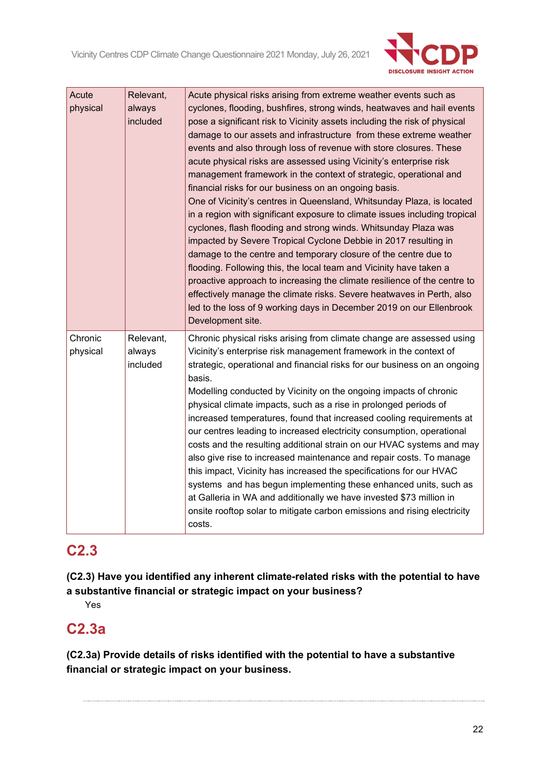

| Acute<br>physical   | Relevant,<br>always<br>included | Acute physical risks arising from extreme weather events such as<br>cyclones, flooding, bushfires, strong winds, heatwaves and hail events<br>pose a significant risk to Vicinity assets including the risk of physical<br>damage to our assets and infrastructure from these extreme weather<br>events and also through loss of revenue with store closures. These<br>acute physical risks are assessed using Vicinity's enterprise risk<br>management framework in the context of strategic, operational and<br>financial risks for our business on an ongoing basis.<br>One of Vicinity's centres in Queensland, Whitsunday Plaza, is located<br>in a region with significant exposure to climate issues including tropical<br>cyclones, flash flooding and strong winds. Whitsunday Plaza was<br>impacted by Severe Tropical Cyclone Debbie in 2017 resulting in<br>damage to the centre and temporary closure of the centre due to<br>flooding. Following this, the local team and Vicinity have taken a<br>proactive approach to increasing the climate resilience of the centre to<br>effectively manage the climate risks. Severe heatwaves in Perth, also<br>led to the loss of 9 working days in December 2019 on our Ellenbrook<br>Development site. |
|---------------------|---------------------------------|-----------------------------------------------------------------------------------------------------------------------------------------------------------------------------------------------------------------------------------------------------------------------------------------------------------------------------------------------------------------------------------------------------------------------------------------------------------------------------------------------------------------------------------------------------------------------------------------------------------------------------------------------------------------------------------------------------------------------------------------------------------------------------------------------------------------------------------------------------------------------------------------------------------------------------------------------------------------------------------------------------------------------------------------------------------------------------------------------------------------------------------------------------------------------------------------------------------------------------------------------------------------|
| Chronic<br>physical | Relevant,<br>always<br>included | Chronic physical risks arising from climate change are assessed using<br>Vicinity's enterprise risk management framework in the context of<br>strategic, operational and financial risks for our business on an ongoing<br>basis.<br>Modelling conducted by Vicinity on the ongoing impacts of chronic<br>physical climate impacts, such as a rise in prolonged periods of<br>increased temperatures, found that increased cooling requirements at<br>our centres leading to increased electricity consumption, operational<br>costs and the resulting additional strain on our HVAC systems and may<br>also give rise to increased maintenance and repair costs. To manage<br>this impact, Vicinity has increased the specifications for our HVAC<br>systems and has begun implementing these enhanced units, such as<br>at Galleria in WA and additionally we have invested \$73 million in<br>onsite rooftop solar to mitigate carbon emissions and rising electricity<br>costs.                                                                                                                                                                                                                                                                             |

## **C2.3**

**(C2.3) Have you identified any inherent climate-related risks with the potential to have a substantive financial or strategic impact on your business?**

Yes

## **C2.3a**

**(C2.3a) Provide details of risks identified with the potential to have a substantive financial or strategic impact on your business.**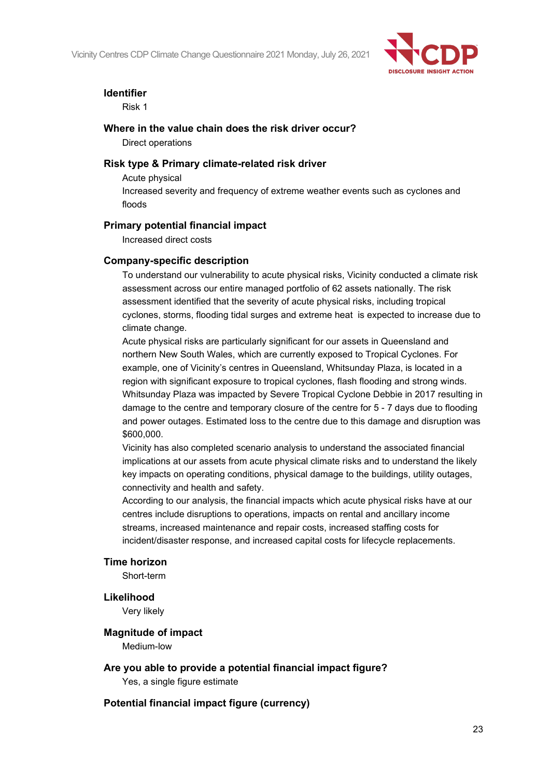

#### **Identifier**

Risk 1

#### **Where in the value chain does the risk driver occur?**

Direct operations

#### **Risk type & Primary climate-related risk driver**

Acute physical Increased severity and frequency of extreme weather events such as cyclones and floods

#### **Primary potential financial impact**

Increased direct costs

#### **Company-specific description**

To understand our vulnerability to acute physical risks, Vicinity conducted a climate risk assessment across our entire managed portfolio of 62 assets nationally. The risk assessment identified that the severity of acute physical risks, including tropical cyclones, storms, flooding tidal surges and extreme heat is expected to increase due to climate change.

Acute physical risks are particularly significant for our assets in Queensland and northern New South Wales, which are currently exposed to Tropical Cyclones. For example, one of Vicinity's centres in Queensland, Whitsunday Plaza, is located in a region with significant exposure to tropical cyclones, flash flooding and strong winds. Whitsunday Plaza was impacted by Severe Tropical Cyclone Debbie in 2017 resulting in damage to the centre and temporary closure of the centre for 5 - 7 days due to flooding and power outages. Estimated loss to the centre due to this damage and disruption was \$600,000.

Vicinity has also completed scenario analysis to understand the associated financial implications at our assets from acute physical climate risks and to understand the likely key impacts on operating conditions, physical damage to the buildings, utility outages, connectivity and health and safety.

According to our analysis, the financial impacts which acute physical risks have at our centres include disruptions to operations, impacts on rental and ancillary income streams, increased maintenance and repair costs, increased staffing costs for incident/disaster response, and increased capital costs for lifecycle replacements.

#### **Time horizon**

Short-term

#### **Likelihood**

Very likely

#### **Magnitude of impact**

Medium-low

**Are you able to provide a potential financial impact figure?**

Yes, a single figure estimate

### **Potential financial impact figure (currency)**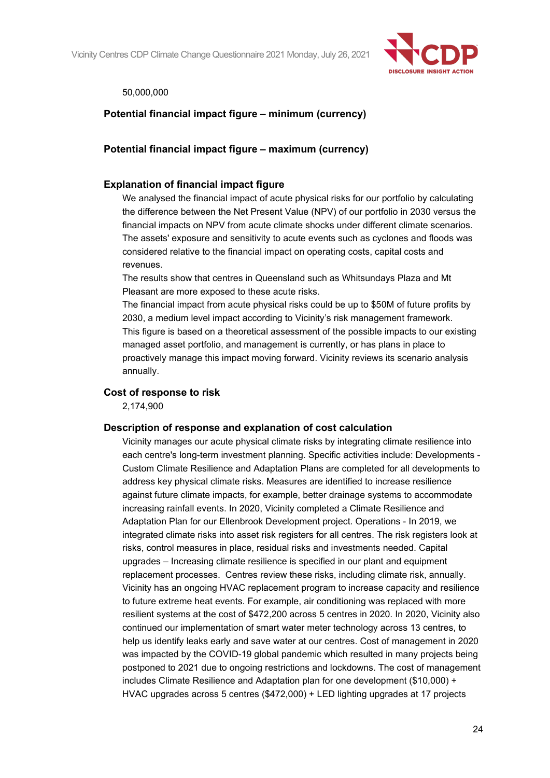Vicinity Centres CDP Climate Change Questionnaire 2021 Monday, July 26, 2021



#### 50,000,000

## **Potential financial impact figure – minimum (currency)**

### **Potential financial impact figure – maximum (currency)**

#### **Explanation of financial impact figure**

We analysed the financial impact of acute physical risks for our portfolio by calculating the difference between the Net Present Value (NPV) of our portfolio in 2030 versus the financial impacts on NPV from acute climate shocks under different climate scenarios. The assets' exposure and sensitivity to acute events such as cyclones and floods was considered relative to the financial impact on operating costs, capital costs and revenues.

The results show that centres in Queensland such as Whitsundays Plaza and Mt Pleasant are more exposed to these acute risks.

The financial impact from acute physical risks could be up to \$50M of future profits by 2030, a medium level impact according to Vicinity's risk management framework. This figure is based on a theoretical assessment of the possible impacts to our existing managed asset portfolio, and management is currently, or has plans in place to proactively manage this impact moving forward. Vicinity reviews its scenario analysis annually.

#### **Cost of response to risk**

2,174,900

#### **Description of response and explanation of cost calculation**

Vicinity manages our acute physical climate risks by integrating climate resilience into each centre's long-term investment planning. Specific activities include: Developments - Custom Climate Resilience and Adaptation Plans are completed for all developments to address key physical climate risks. Measures are identified to increase resilience against future climate impacts, for example, better drainage systems to accommodate increasing rainfall events. In 2020, Vicinity completed a Climate Resilience and Adaptation Plan for our Ellenbrook Development project. Operations - In 2019, we integrated climate risks into asset risk registers for all centres. The risk registers look at risks, control measures in place, residual risks and investments needed. Capital upgrades – Increasing climate resilience is specified in our plant and equipment replacement processes. Centres review these risks, including climate risk, annually. Vicinity has an ongoing HVAC replacement program to increase capacity and resilience to future extreme heat events. For example, air conditioning was replaced with more resilient systems at the cost of \$472,200 across 5 centres in 2020. In 2020, Vicinity also continued our implementation of smart water meter technology across 13 centres, to help us identify leaks early and save water at our centres. Cost of management in 2020 was impacted by the COVID-19 global pandemic which resulted in many projects being postponed to 2021 due to ongoing restrictions and lockdowns. The cost of management includes Climate Resilience and Adaptation plan for one development (\$10,000) + HVAC upgrades across 5 centres (\$472,000) + LED lighting upgrades at 17 projects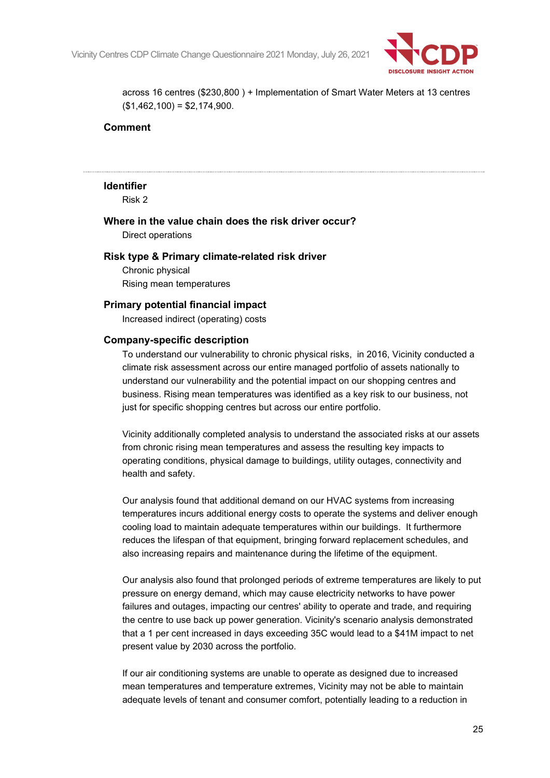

across 16 centres (\$230,800 ) + Implementation of Smart Water Meters at 13 centres  $($1,462,100) = $2,174,900.$ 

#### **Comment**

#### **Identifier**

Risk 2

### **Where in the value chain does the risk driver occur?**

Direct operations

#### **Risk type & Primary climate-related risk driver**

Chronic physical Rising mean temperatures

#### **Primary potential financial impact**

Increased indirect (operating) costs

#### **Company-specific description**

To understand our vulnerability to chronic physical risks, in 2016, Vicinity conducted a climate risk assessment across our entire managed portfolio of assets nationally to understand our vulnerability and the potential impact on our shopping centres and business. Rising mean temperatures was identified as a key risk to our business, not just for specific shopping centres but across our entire portfolio.

Vicinity additionally completed analysis to understand the associated risks at our assets from chronic rising mean temperatures and assess the resulting key impacts to operating conditions, physical damage to buildings, utility outages, connectivity and health and safety.

Our analysis found that additional demand on our HVAC systems from increasing temperatures incurs additional energy costs to operate the systems and deliver enough cooling load to maintain adequate temperatures within our buildings. It furthermore reduces the lifespan of that equipment, bringing forward replacement schedules, and also increasing repairs and maintenance during the lifetime of the equipment.

Our analysis also found that prolonged periods of extreme temperatures are likely to put pressure on energy demand, which may cause electricity networks to have power failures and outages, impacting our centres' ability to operate and trade, and requiring the centre to use back up power generation. Vicinity's scenario analysis demonstrated that a 1 per cent increased in days exceeding 35C would lead to a \$41M impact to net present value by 2030 across the portfolio.

If our air conditioning systems are unable to operate as designed due to increased mean temperatures and temperature extremes, Vicinity may not be able to maintain adequate levels of tenant and consumer comfort, potentially leading to a reduction in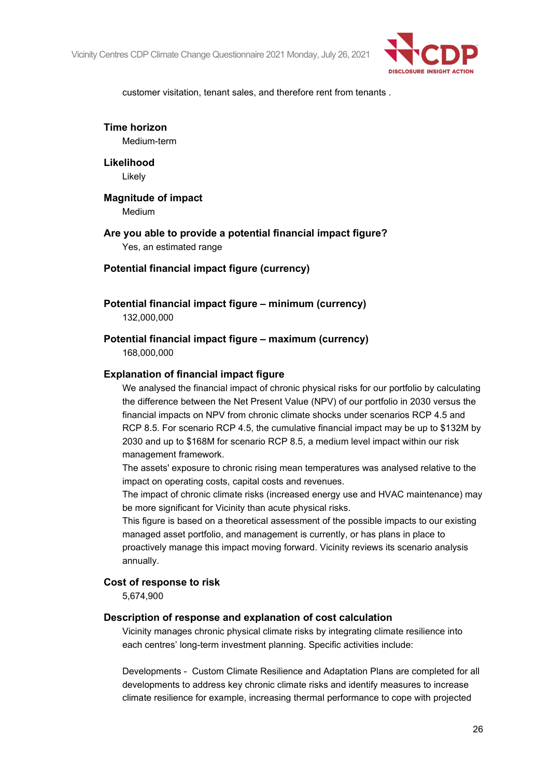

customer visitation, tenant sales, and therefore rent from tenants .

**Time horizon**

Medium-term

**Likelihood** Likely

**Magnitude of impact** Medium

**Are you able to provide a potential financial impact figure?** Yes, an estimated range

#### **Potential financial impact figure (currency)**

**Potential financial impact figure – minimum (currency)**

132,000,000

#### **Potential financial impact figure – maximum (currency)**

168,000,000

#### **Explanation of financial impact figure**

We analysed the financial impact of chronic physical risks for our portfolio by calculating the difference between the Net Present Value (NPV) of our portfolio in 2030 versus the financial impacts on NPV from chronic climate shocks under scenarios RCP 4.5 and RCP 8.5. For scenario RCP 4.5, the cumulative financial impact may be up to \$132M by 2030 and up to \$168M for scenario RCP 8.5, a medium level impact within our risk management framework.

The assets' exposure to chronic rising mean temperatures was analysed relative to the impact on operating costs, capital costs and revenues.

The impact of chronic climate risks (increased energy use and HVAC maintenance) may be more significant for Vicinity than acute physical risks.

This figure is based on a theoretical assessment of the possible impacts to our existing managed asset portfolio, and management is currently, or has plans in place to proactively manage this impact moving forward. Vicinity reviews its scenario analysis annually.

#### **Cost of response to risk**

5,674,900

#### **Description of response and explanation of cost calculation**

Vicinity manages chronic physical climate risks by integrating climate resilience into each centres' long-term investment planning. Specific activities include:

Developments - Custom Climate Resilience and Adaptation Plans are completed for all developments to address key chronic climate risks and identify measures to increase climate resilience for example, increasing thermal performance to cope with projected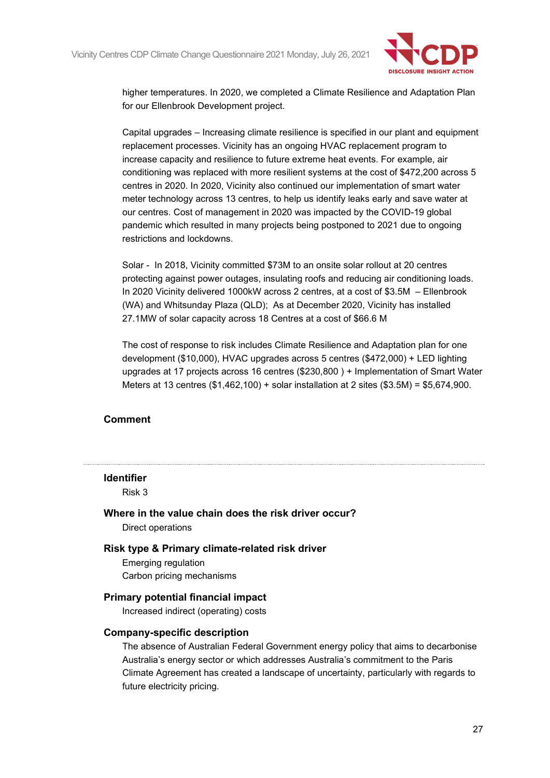

higher temperatures. In 2020, we completed a Climate Resilience and Adaptation Plan for our Ellenbrook Development project.

Capital upgrades – Increasing climate resilience is specified in our plant and equipment replacement processes. Vicinity has an ongoing HVAC replacement program to increase capacity and resilience to future extreme heat events. For example, air conditioning was replaced with more resilient systems at the cost of \$472,200 across 5 centres in 2020. In 2020, Vicinity also continued our implementation of smart water meter technology across 13 centres, to help us identify leaks early and save water at our centres. Cost of management in 2020 was impacted by the COVID-19 global pandemic which resulted in many projects being postponed to 2021 due to ongoing restrictions and lockdowns.

Solar - In 2018, Vicinity committed \$73M to an onsite solar rollout at 20 centres protecting against power outages, insulating roofs and reducing air conditioning loads. In 2020 Vicinity delivered 1000kW across 2 centres, at a cost of \$3.5M – Ellenbrook (WA) and Whitsunday Plaza (QLD); As at December 2020, Vicinity has installed 27.1MW of solar capacity across 18 Centres at a cost of \$66.6 M

The cost of response to risk includes Climate Resilience and Adaptation plan for one development (\$10,000), HVAC upgrades across 5 centres (\$472,000) + LED lighting upgrades at 17 projects across 16 centres (\$230,800 ) + Implementation of Smart Water Meters at 13 centres  $(\$1,462,100)$  + solar installation at 2 sites  $(\$3.5M)$  =  $\$5,674,900$ .

### **Comment**

#### **Identifier**

Risk 3

**Where in the value chain does the risk driver occur?**

Direct operations

#### **Risk type & Primary climate-related risk driver**

Emerging regulation Carbon pricing mechanisms

#### **Primary potential financial impact**

Increased indirect (operating) costs

#### **Company-specific description**

The absence of Australian Federal Government energy policy that aims to decarbonise Australia's energy sector or which addresses Australia's commitment to the Paris Climate Agreement has created a landscape of uncertainty, particularly with regards to future electricity pricing.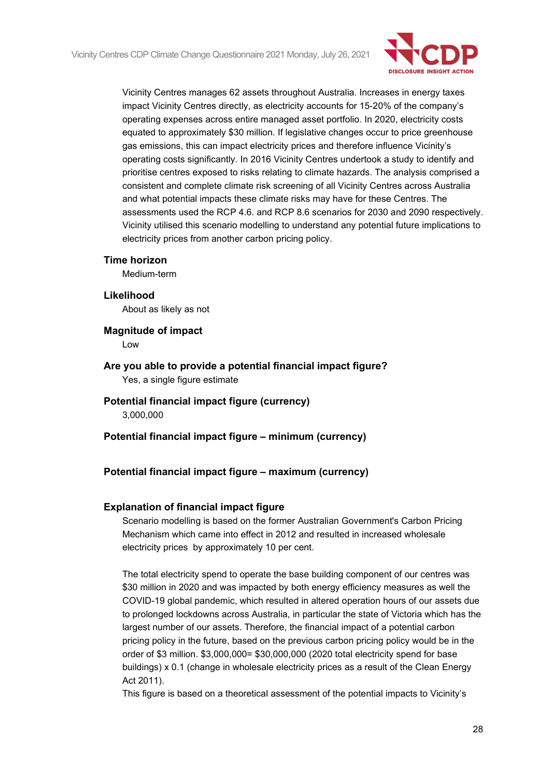

Vicinity Centres manages 62 assets throughout Australia. Increases in energy taxes impact Vicinity Centres directly, as electricity accounts for 15-20% of the company's operating expenses across entire managed asset portfolio. In 2020, electricity costs equated to approximately \$30 million. If legislative changes occur to price greenhouse gas emissions, this can impact electricity prices and therefore influence Vicinity's operating costs significantly. In 2016 Vicinity Centres undertook a study to identify and prioritise centres exposed to risks relating to climate hazards. The analysis comprised a consistent and complete climate risk screening of all Vicinity Centres across Australia and what potential impacts these climate risks may have for these Centres. The assessments used the RCP 4.6. and RCP 8.6 scenarios for 2030 and 2090 respectively. Vicinity utilised this scenario modelling to understand any potential future implications to electricity prices from another carbon pricing policy.

#### **Time horizon**

Medium-term

#### **Likelihood**

About as likely as not

## **Magnitude of impact**

Low

### **Are you able to provide a potential financial impact figure?** Yes, a single figure estimate

- **Potential financial impact figure (currency)** 3,000,000
- **Potential financial impact figure – minimum (currency)**

### **Potential financial impact figure – maximum (currency)**

#### **Explanation of financial impact figure**

Scenario modelling is based on the former Australian Government's Carbon Pricing Mechanism which came into effect in 2012 and resulted in increased wholesale electricity prices by approximately 10 per cent.

The total electricity spend to operate the base building component of our centres was \$30 million in 2020 and was impacted by both energy efficiency measures as well the COVID-19 global pandemic, which resulted in altered operation hours of our assets due to prolonged lockdowns across Australia, in particular the state of Victoria which has the largest number of our assets. Therefore, the financial impact of a potential carbon pricing policy in the future, based on the previous carbon pricing policy would be in the order of \$3 million. \$3,000,000= \$30,000,000 (2020 total electricity spend for base buildings) x 0.1 (change in wholesale electricity prices as a result of the Clean Energy Act 2011).

This figure is based on a theoretical assessment of the potential impacts to Vicinity's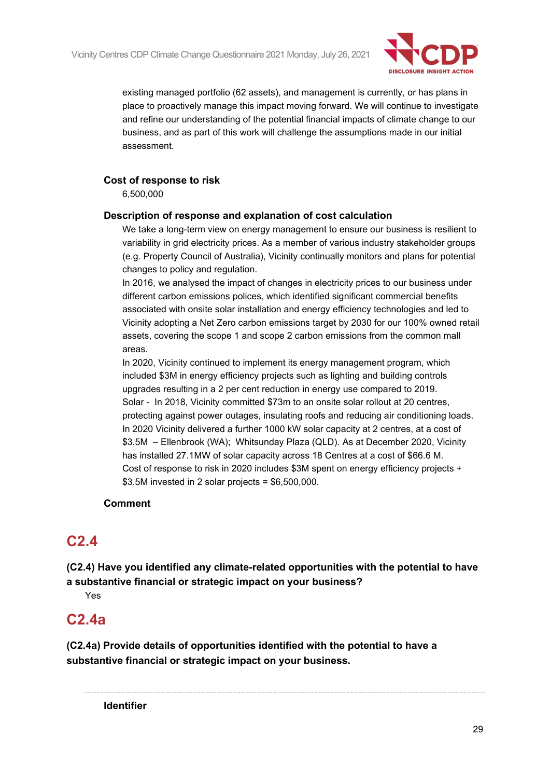

existing managed portfolio (62 assets), and management is currently, or has plans in place to proactively manage this impact moving forward. We will continue to investigate and refine our understanding of the potential financial impacts of climate change to our business, and as part of this work will challenge the assumptions made in our initial assessment.

## **Cost of response to risk**

6,500,000

### **Description of response and explanation of cost calculation**

We take a long-term view on energy management to ensure our business is resilient to variability in grid electricity prices. As a member of various industry stakeholder groups (e.g. Property Council of Australia), Vicinity continually monitors and plans for potential changes to policy and regulation.

In 2016, we analysed the impact of changes in electricity prices to our business under different carbon emissions polices, which identified significant commercial benefits associated with onsite solar installation and energy efficiency technologies and led to Vicinity adopting a Net Zero carbon emissions target by 2030 for our 100% owned retail assets, covering the scope 1 and scope 2 carbon emissions from the common mall areas.

In 2020, Vicinity continued to implement its energy management program, which included \$3M in energy efficiency projects such as lighting and building controls upgrades resulting in a 2 per cent reduction in energy use compared to 2019. Solar - In 2018, Vicinity committed \$73m to an onsite solar rollout at 20 centres, protecting against power outages, insulating roofs and reducing air conditioning loads. In 2020 Vicinity delivered a further 1000 kW solar capacity at 2 centres, at a cost of \$3.5M – Ellenbrook (WA); Whitsunday Plaza (QLD). As at December 2020, Vicinity has installed 27.1MW of solar capacity across 18 Centres at a cost of \$66.6 M. Cost of response to risk in 2020 includes \$3M spent on energy efficiency projects +  $$3.5M$  invested in 2 solar projects =  $$6,500,000$ .

## **Comment**

## **C2.4**

**(C2.4) Have you identified any climate-related opportunities with the potential to have a substantive financial or strategic impact on your business?**

Yes

## **C2.4a**

**(C2.4a) Provide details of opportunities identified with the potential to have a substantive financial or strategic impact on your business.**

**Identifier**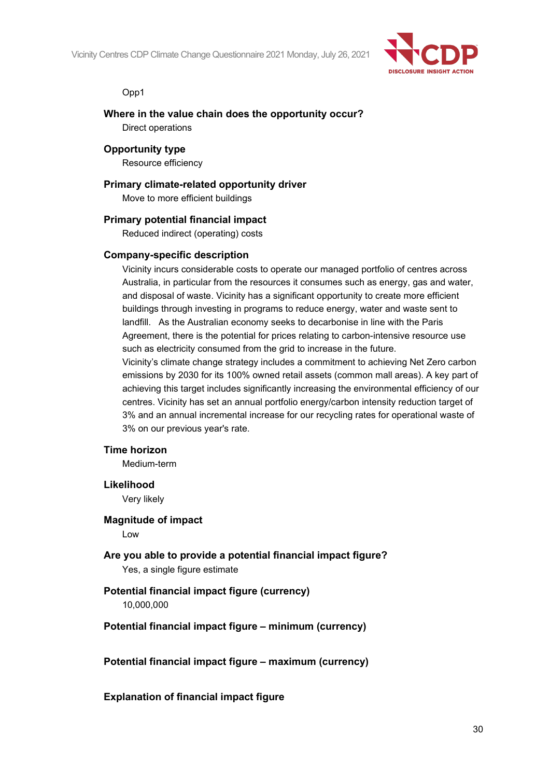Vicinity Centres CDP Climate Change Questionnaire 2021 Monday, July 26, 2021



Opp1

## **Where in the value chain does the opportunity occur?**

Direct operations

## **Opportunity type**

Resource efficiency

### **Primary climate-related opportunity driver**

Move to more efficient buildings

### **Primary potential financial impact**

Reduced indirect (operating) costs

### **Company-specific description**

Vicinity incurs considerable costs to operate our managed portfolio of centres across Australia, in particular from the resources it consumes such as energy, gas and water, and disposal of waste. Vicinity has a significant opportunity to create more efficient buildings through investing in programs to reduce energy, water and waste sent to landfill. As the Australian economy seeks to decarbonise in line with the Paris Agreement, there is the potential for prices relating to carbon-intensive resource use such as electricity consumed from the grid to increase in the future.

Vicinity's climate change strategy includes a commitment to achieving Net Zero carbon emissions by 2030 for its 100% owned retail assets (common mall areas). A key part of achieving this target includes significantly increasing the environmental efficiency of our centres. Vicinity has set an annual portfolio energy/carbon intensity reduction target of 3% and an annual incremental increase for our recycling rates for operational waste of 3% on our previous year's rate.

### **Time horizon**

Medium-term

## **Likelihood**

Very likely

#### **Magnitude of impact**

Low

## **Are you able to provide a potential financial impact figure?** Yes, a single figure estimate

## **Potential financial impact figure (currency)**

10,000,000

### **Potential financial impact figure – minimum (currency)**

### **Potential financial impact figure – maximum (currency)**

### **Explanation of financial impact figure**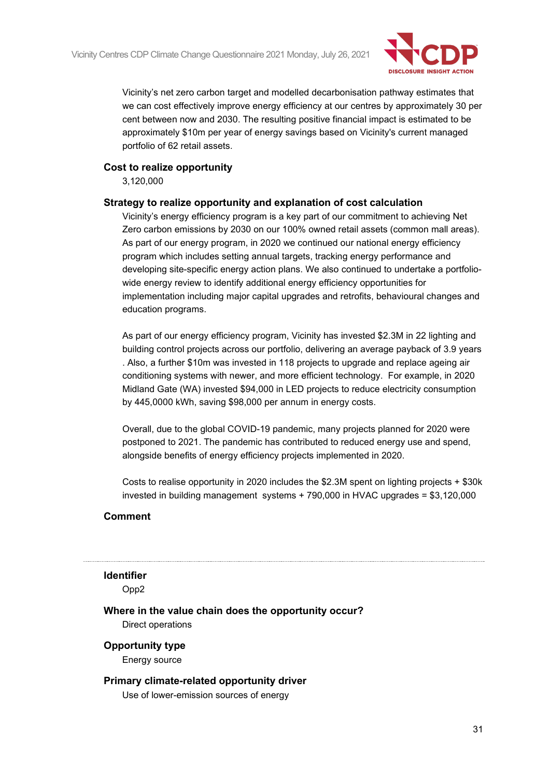

Vicinity's net zero carbon target and modelled decarbonisation pathway estimates that we can cost effectively improve energy efficiency at our centres by approximately 30 per cent between now and 2030. The resulting positive financial impact is estimated to be approximately \$10m per year of energy savings based on Vicinity's current managed portfolio of 62 retail assets.

### **Cost to realize opportunity**

3,120,000

#### **Strategy to realize opportunity and explanation of cost calculation**

Vicinity's energy efficiency program is a key part of our commitment to achieving Net Zero carbon emissions by 2030 on our 100% owned retail assets (common mall areas). As part of our energy program, in 2020 we continued our national energy efficiency program which includes setting annual targets, tracking energy performance and developing site-specific energy action plans. We also continued to undertake a portfoliowide energy review to identify additional energy efficiency opportunities for implementation including major capital upgrades and retrofits, behavioural changes and education programs.

As part of our energy efficiency program, Vicinity has invested \$2.3M in 22 lighting and building control projects across our portfolio, delivering an average payback of 3.9 years . Also, a further \$10m was invested in 118 projects to upgrade and replace ageing air conditioning systems with newer, and more efficient technology. For example, in 2020 Midland Gate (WA) invested \$94,000 in LED projects to reduce electricity consumption by 445,0000 kWh, saving \$98,000 per annum in energy costs.

Overall, due to the global COVID-19 pandemic, many projects planned for 2020 were postponed to 2021. The pandemic has contributed to reduced energy use and spend, alongside benefits of energy efficiency projects implemented in 2020.

Costs to realise opportunity in 2020 includes the \$2.3M spent on lighting projects + \$30k invested in building management systems + 790,000 in HVAC upgrades = \$3,120,000

### **Comment**

### **Identifier**

Opp2

**Where in the value chain does the opportunity occur?**

Direct operations

**Opportunity type**

Energy source

#### **Primary climate-related opportunity driver**

Use of lower-emission sources of energy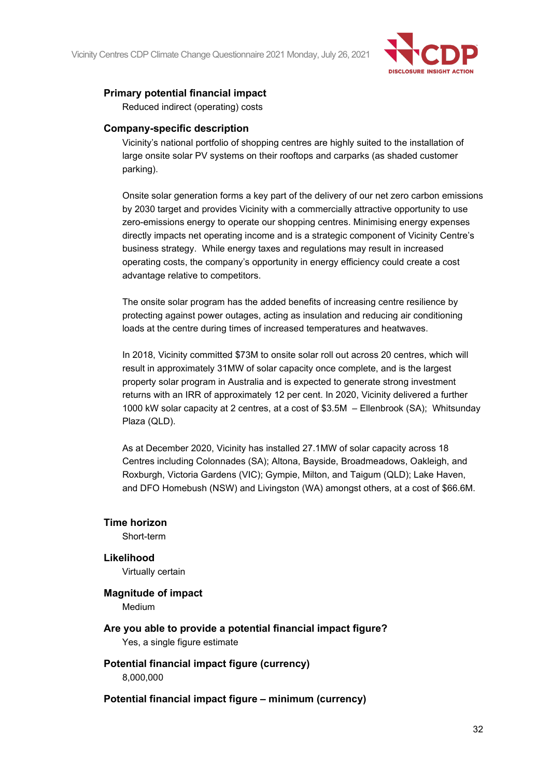

## **Primary potential financial impact**

Reduced indirect (operating) costs

#### **Company-specific description**

Vicinity's national portfolio of shopping centres are highly suited to the installation of large onsite solar PV systems on their rooftops and carparks (as shaded customer parking).

Onsite solar generation forms a key part of the delivery of our net zero carbon emissions by 2030 target and provides Vicinity with a commercially attractive opportunity to use zero-emissions energy to operate our shopping centres. Minimising energy expenses directly impacts net operating income and is a strategic component of Vicinity Centre's business strategy. While energy taxes and regulations may result in increased operating costs, the company's opportunity in energy efficiency could create a cost advantage relative to competitors.

The onsite solar program has the added benefits of increasing centre resilience by protecting against power outages, acting as insulation and reducing air conditioning loads at the centre during times of increased temperatures and heatwaves.

In 2018, Vicinity committed \$73M to onsite solar roll out across 20 centres, which will result in approximately 31MW of solar capacity once complete, and is the largest property solar program in Australia and is expected to generate strong investment returns with an IRR of approximately 12 per cent. In 2020, Vicinity delivered a further 1000 kW solar capacity at 2 centres, at a cost of \$3.5M – Ellenbrook (SA); Whitsunday Plaza (QLD).

As at December 2020, Vicinity has installed 27.1MW of solar capacity across 18 Centres including Colonnades (SA); Altona, Bayside, Broadmeadows, Oakleigh, and Roxburgh, Victoria Gardens (VIC); Gympie, Milton, and Taigum (QLD); Lake Haven, and DFO Homebush (NSW) and Livingston (WA) amongst others, at a cost of \$66.6M.

### **Time horizon**

Short-term

#### **Likelihood**

Virtually certain

## **Magnitude of impact**

Medium

**Are you able to provide a potential financial impact figure?** Yes, a single figure estimate

### **Potential financial impact figure (currency)** 8,000,000

### **Potential financial impact figure – minimum (currency)**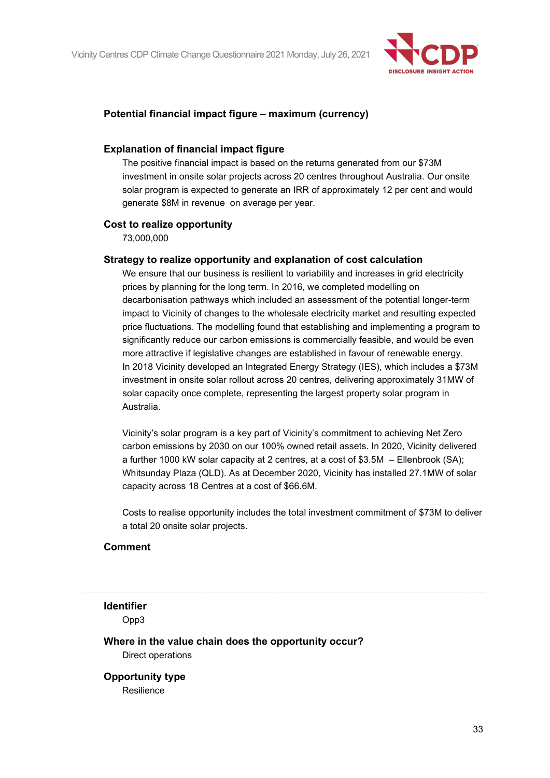

### **Potential financial impact figure – maximum (currency)**

#### **Explanation of financial impact figure**

The positive financial impact is based on the returns generated from our \$73M investment in onsite solar projects across 20 centres throughout Australia. Our onsite solar program is expected to generate an IRR of approximately 12 per cent and would generate \$8M in revenue on average per year.

#### **Cost to realize opportunity**

73,000,000

## **Strategy to realize opportunity and explanation of cost calculation**

We ensure that our business is resilient to variability and increases in grid electricity prices by planning for the long term. In 2016, we completed modelling on decarbonisation pathways which included an assessment of the potential longer-term impact to Vicinity of changes to the wholesale electricity market and resulting expected price fluctuations. The modelling found that establishing and implementing a program to significantly reduce our carbon emissions is commercially feasible, and would be even more attractive if legislative changes are established in favour of renewable energy. In 2018 Vicinity developed an Integrated Energy Strategy (IES), which includes a \$73M investment in onsite solar rollout across 20 centres, delivering approximately 31MW of solar capacity once complete, representing the largest property solar program in Australia.

Vicinity's solar program is a key part of Vicinity's commitment to achieving Net Zero carbon emissions by 2030 on our 100% owned retail assets. In 2020, Vicinity delivered a further 1000 kW solar capacity at 2 centres, at a cost of \$3.5M – Ellenbrook (SA); Whitsunday Plaza (QLD). As at December 2020, Vicinity has installed 27.1MW of solar capacity across 18 Centres at a cost of \$66.6M.

Costs to realise opportunity includes the total investment commitment of \$73M to deliver a total 20 onsite solar projects.

#### **Comment**

#### **Identifier**

Opp3

**Where in the value chain does the opportunity occur?** Direct operations

## **Opportunity type**

Resilience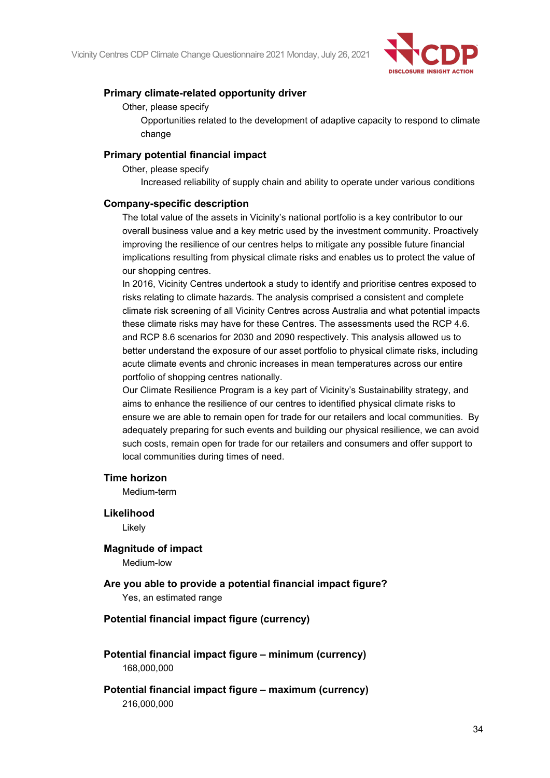

### **Primary climate-related opportunity driver**

Other, please specify

Opportunities related to the development of adaptive capacity to respond to climate change

### **Primary potential financial impact**

Other, please specify

Increased reliability of supply chain and ability to operate under various conditions

#### **Company-specific description**

The total value of the assets in Vicinity's national portfolio is a key contributor to our overall business value and a key metric used by the investment community. Proactively improving the resilience of our centres helps to mitigate any possible future financial implications resulting from physical climate risks and enables us to protect the value of our shopping centres.

In 2016, Vicinity Centres undertook a study to identify and prioritise centres exposed to risks relating to climate hazards. The analysis comprised a consistent and complete climate risk screening of all Vicinity Centres across Australia and what potential impacts these climate risks may have for these Centres. The assessments used the RCP 4.6. and RCP 8.6 scenarios for 2030 and 2090 respectively. This analysis allowed us to better understand the exposure of our asset portfolio to physical climate risks, including acute climate events and chronic increases in mean temperatures across our entire portfolio of shopping centres nationally.

Our Climate Resilience Program is a key part of Vicinity's Sustainability strategy, and aims to enhance the resilience of our centres to identified physical climate risks to ensure we are able to remain open for trade for our retailers and local communities. By adequately preparing for such events and building our physical resilience, we can avoid such costs, remain open for trade for our retailers and consumers and offer support to local communities during times of need.

#### **Time horizon**

Medium-term

**Likelihood**

Likely

**Magnitude of impact** Medium-low

## **Are you able to provide a potential financial impact figure?**

Yes, an estimated range

### **Potential financial impact figure (currency)**

**Potential financial impact figure – minimum (currency)** 168,000,000

**Potential financial impact figure – maximum (currency)** 216,000,000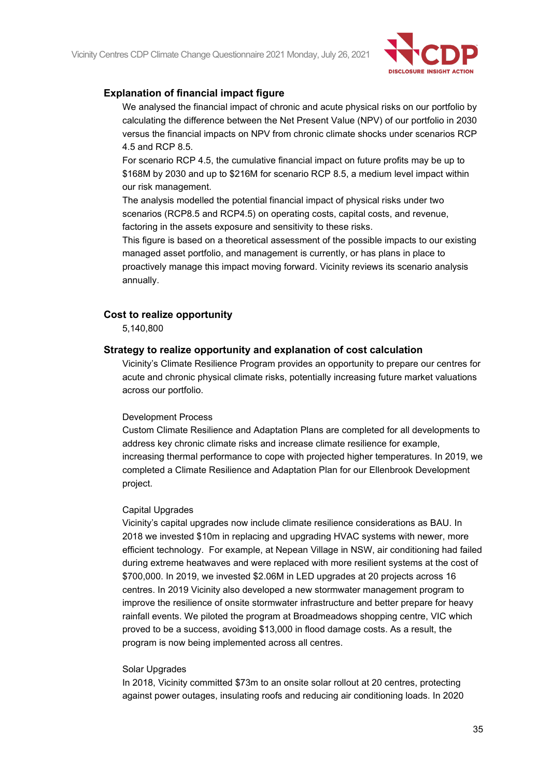

### **Explanation of financial impact figure**

We analysed the financial impact of chronic and acute physical risks on our portfolio by calculating the difference between the Net Present Value (NPV) of our portfolio in 2030 versus the financial impacts on NPV from chronic climate shocks under scenarios RCP 4.5 and RCP 8.5.

For scenario RCP 4.5, the cumulative financial impact on future profits may be up to \$168M by 2030 and up to \$216M for scenario RCP 8.5, a medium level impact within our risk management.

The analysis modelled the potential financial impact of physical risks under two scenarios (RCP8.5 and RCP4.5) on operating costs, capital costs, and revenue, factoring in the assets exposure and sensitivity to these risks.

This figure is based on a theoretical assessment of the possible impacts to our existing managed asset portfolio, and management is currently, or has plans in place to proactively manage this impact moving forward. Vicinity reviews its scenario analysis annually.

#### **Cost to realize opportunity**

5,140,800

#### **Strategy to realize opportunity and explanation of cost calculation**

Vicinity's Climate Resilience Program provides an opportunity to prepare our centres for acute and chronic physical climate risks, potentially increasing future market valuations across our portfolio.

#### Development Process

Custom Climate Resilience and Adaptation Plans are completed for all developments to address key chronic climate risks and increase climate resilience for example, increasing thermal performance to cope with projected higher temperatures. In 2019, we completed a Climate Resilience and Adaptation Plan for our Ellenbrook Development project.

#### Capital Upgrades

Vicinity's capital upgrades now include climate resilience considerations as BAU. In 2018 we invested \$10m in replacing and upgrading HVAC systems with newer, more efficient technology. For example, at Nepean Village in NSW, air conditioning had failed during extreme heatwaves and were replaced with more resilient systems at the cost of \$700,000. In 2019, we invested \$2.06M in LED upgrades at 20 projects across 16 centres. In 2019 Vicinity also developed a new stormwater management program to improve the resilience of onsite stormwater infrastructure and better prepare for heavy rainfall events. We piloted the program at Broadmeadows shopping centre, VIC which proved to be a success, avoiding \$13,000 in flood damage costs. As a result, the program is now being implemented across all centres.

#### Solar Upgrades

In 2018, Vicinity committed \$73m to an onsite solar rollout at 20 centres, protecting against power outages, insulating roofs and reducing air conditioning loads. In 2020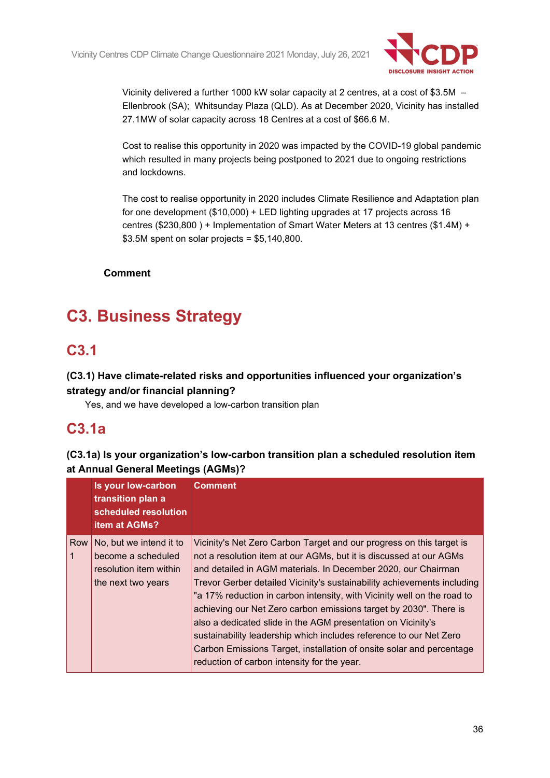

Vicinity delivered a further 1000 kW solar capacity at 2 centres, at a cost of \$3.5M – Ellenbrook (SA); Whitsunday Plaza (QLD). As at December 2020, Vicinity has installed 27.1MW of solar capacity across 18 Centres at a cost of \$66.6 M.

Cost to realise this opportunity in 2020 was impacted by the COVID-19 global pandemic which resulted in many projects being postponed to 2021 due to ongoing restrictions and lockdowns.

The cost to realise opportunity in 2020 includes Climate Resilience and Adaptation plan for one development (\$10,000) + LED lighting upgrades at 17 projects across 16 centres (\$230,800 ) + Implementation of Smart Water Meters at 13 centres (\$1.4M) +  $$3.5M$  spent on solar projects =  $$5,140,800$ .

**Comment**

# **C3. Business Strategy**

## **C3.1**

## **(C3.1) Have climate-related risks and opportunities influenced your organization's strategy and/or financial planning?**

Yes, and we have developed a low-carbon transition plan

## **C3.1a**

## **(C3.1a) Is your organization's low-carbon transition plan a scheduled resolution item at Annual General Meetings (AGMs)?**

|     | Is your low-carbon<br>transition plan a<br>scheduled resolution<br><b>item at AGMs?</b>       | <b>Comment</b>                                                                                                                                                                                                                                                                                                                                                                                                                                                                                                                                                                                                                                       |
|-----|-----------------------------------------------------------------------------------------------|------------------------------------------------------------------------------------------------------------------------------------------------------------------------------------------------------------------------------------------------------------------------------------------------------------------------------------------------------------------------------------------------------------------------------------------------------------------------------------------------------------------------------------------------------------------------------------------------------------------------------------------------------|
| Row | No, but we intend it to<br>become a scheduled<br>resolution item within<br>the next two years | Vicinity's Net Zero Carbon Target and our progress on this target is<br>not a resolution item at our AGMs, but it is discussed at our AGMs<br>and detailed in AGM materials. In December 2020, our Chairman<br>Trevor Gerber detailed Vicinity's sustainability achievements including<br>"a 17% reduction in carbon intensity, with Vicinity well on the road to<br>achieving our Net Zero carbon emissions target by 2030". There is<br>also a dedicated slide in the AGM presentation on Vicinity's<br>sustainability leadership which includes reference to our Net Zero<br>Carbon Emissions Target, installation of onsite solar and percentage |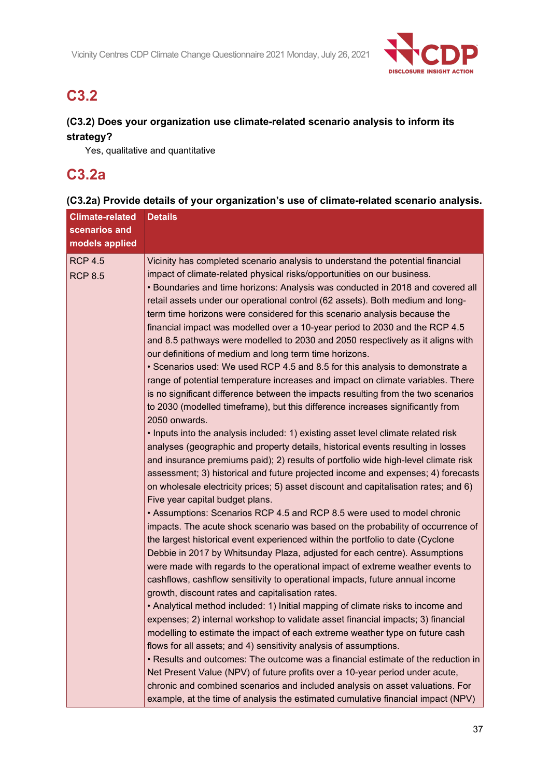

# **C3.2**

# **(C3.2) Does your organization use climate-related scenario analysis to inform its strategy?**

Yes, qualitative and quantitative

# **C3.2a**

| <b>Climate-related</b><br>scenarios and<br>models applied | <b>Details</b>                                                                                                                                                                                                                                                                                                                                                                                                                                                                                                                                                                                                                                                                                                                                                                                                                                                                                                                                                                                                                                                                                                                                                                                                                                                                                                                                                                                                                                                                                                                                                                                                                                                                                                                                                                                                                                                                                                                                                                                                                                                                                                                                                                                                                                                                                                                                                                                                                                                                                                                                                                                                                                                                                        |
|-----------------------------------------------------------|-------------------------------------------------------------------------------------------------------------------------------------------------------------------------------------------------------------------------------------------------------------------------------------------------------------------------------------------------------------------------------------------------------------------------------------------------------------------------------------------------------------------------------------------------------------------------------------------------------------------------------------------------------------------------------------------------------------------------------------------------------------------------------------------------------------------------------------------------------------------------------------------------------------------------------------------------------------------------------------------------------------------------------------------------------------------------------------------------------------------------------------------------------------------------------------------------------------------------------------------------------------------------------------------------------------------------------------------------------------------------------------------------------------------------------------------------------------------------------------------------------------------------------------------------------------------------------------------------------------------------------------------------------------------------------------------------------------------------------------------------------------------------------------------------------------------------------------------------------------------------------------------------------------------------------------------------------------------------------------------------------------------------------------------------------------------------------------------------------------------------------------------------------------------------------------------------------------------------------------------------------------------------------------------------------------------------------------------------------------------------------------------------------------------------------------------------------------------------------------------------------------------------------------------------------------------------------------------------------------------------------------------------------------------------------------------------------|
| <b>RCP 4.5</b><br><b>RCP 8.5</b>                          | Vicinity has completed scenario analysis to understand the potential financial<br>impact of climate-related physical risks/opportunities on our business.<br>• Boundaries and time horizons: Analysis was conducted in 2018 and covered all<br>retail assets under our operational control (62 assets). Both medium and long-<br>term time horizons were considered for this scenario analysis because the<br>financial impact was modelled over a 10-year period to 2030 and the RCP 4.5<br>and 8.5 pathways were modelled to 2030 and 2050 respectively as it aligns with<br>our definitions of medium and long term time horizons.<br>• Scenarios used: We used RCP 4.5 and 8.5 for this analysis to demonstrate a<br>range of potential temperature increases and impact on climate variables. There<br>is no significant difference between the impacts resulting from the two scenarios<br>to 2030 (modelled timeframe), but this difference increases significantly from<br>2050 onwards.<br>. Inputs into the analysis included: 1) existing asset level climate related risk<br>analyses (geographic and property details, historical events resulting in losses<br>and insurance premiums paid); 2) results of portfolio wide high-level climate risk<br>assessment; 3) historical and future projected income and expenses; 4) forecasts<br>on wholesale electricity prices; 5) asset discount and capitalisation rates; and 6)<br>Five year capital budget plans.<br>• Assumptions: Scenarios RCP 4.5 and RCP 8.5 were used to model chronic<br>impacts. The acute shock scenario was based on the probability of occurrence of<br>the largest historical event experienced within the portfolio to date (Cyclone<br>Debbie in 2017 by Whitsunday Plaza, adjusted for each centre). Assumptions<br>were made with regards to the operational impact of extreme weather events to<br>cashflows, cashflow sensitivity to operational impacts, future annual income<br>growth, discount rates and capitalisation rates.<br>• Analytical method included: 1) Initial mapping of climate risks to income and<br>expenses; 2) internal workshop to validate asset financial impacts; 3) financial<br>modelling to estimate the impact of each extreme weather type on future cash<br>flows for all assets; and 4) sensitivity analysis of assumptions.<br>• Results and outcomes: The outcome was a financial estimate of the reduction in<br>Net Present Value (NPV) of future profits over a 10-year period under acute,<br>chronic and combined scenarios and included analysis on asset valuations. For<br>example, at the time of analysis the estimated cumulative financial impact (NPV) |

# **(C3.2a) Provide details of your organization's use of climate-related scenario analysis.**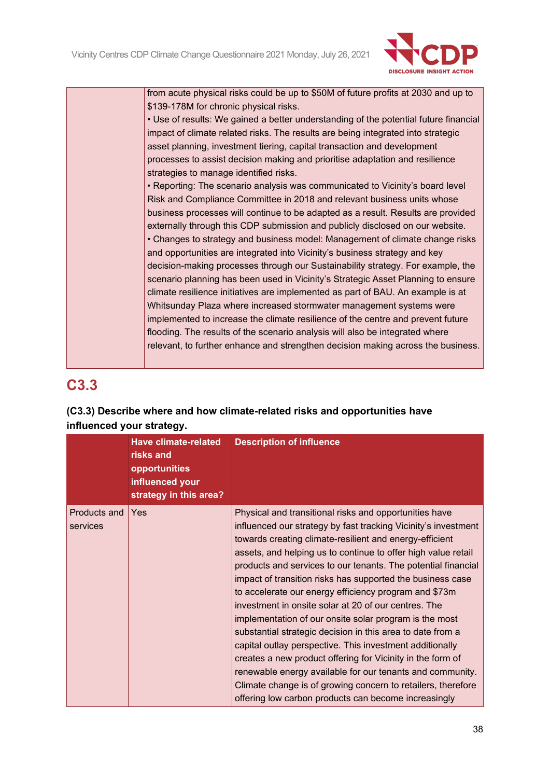

from acute physical risks could be up to \$50M of future profits at 2030 and up to \$139-178M for chronic physical risks.

• Use of results: We gained a better understanding of the potential future financial impact of climate related risks. The results are being integrated into strategic asset planning, investment tiering, capital transaction and development processes to assist decision making and prioritise adaptation and resilience strategies to manage identified risks.

• Reporting: The scenario analysis was communicated to Vicinity's board level Risk and Compliance Committee in 2018 and relevant business units whose business processes will continue to be adapted as a result. Results are provided externally through this CDP submission and publicly disclosed on our website. • Changes to strategy and business model: Management of climate change risks and opportunities are integrated into Vicinity's business strategy and key decision-making processes through our Sustainability strategy. For example, the scenario planning has been used in Vicinity's Strategic Asset Planning to ensure climate resilience initiatives are implemented as part of BAU. An example is at Whitsunday Plaza where increased stormwater management systems were implemented to increase the climate resilience of the centre and prevent future flooding. The results of the scenario analysis will also be integrated where relevant, to further enhance and strengthen decision making across the business.

# **C3.3**

# **(C3.3) Describe where and how climate-related risks and opportunities have influenced your strategy.**

|                          | <b>Have climate-related</b><br>risks and<br>opportunities<br>influenced your<br>strategy in this area? | <b>Description of influence</b>                                                                                                                                                                                                                                                                                                                                                                                                                                                                                                                                                                                                                                                                                                                                                                                                                                                                                                             |
|--------------------------|--------------------------------------------------------------------------------------------------------|---------------------------------------------------------------------------------------------------------------------------------------------------------------------------------------------------------------------------------------------------------------------------------------------------------------------------------------------------------------------------------------------------------------------------------------------------------------------------------------------------------------------------------------------------------------------------------------------------------------------------------------------------------------------------------------------------------------------------------------------------------------------------------------------------------------------------------------------------------------------------------------------------------------------------------------------|
| Products and<br>services | <b>Yes</b>                                                                                             | Physical and transitional risks and opportunities have<br>influenced our strategy by fast tracking Vicinity's investment<br>towards creating climate-resilient and energy-efficient<br>assets, and helping us to continue to offer high value retail<br>products and services to our tenants. The potential financial<br>impact of transition risks has supported the business case<br>to accelerate our energy efficiency program and \$73m<br>investment in onsite solar at 20 of our centres. The<br>implementation of our onsite solar program is the most<br>substantial strategic decision in this area to date from a<br>capital outlay perspective. This investment additionally<br>creates a new product offering for Vicinity in the form of<br>renewable energy available for our tenants and community.<br>Climate change is of growing concern to retailers, therefore<br>offering low carbon products can become increasingly |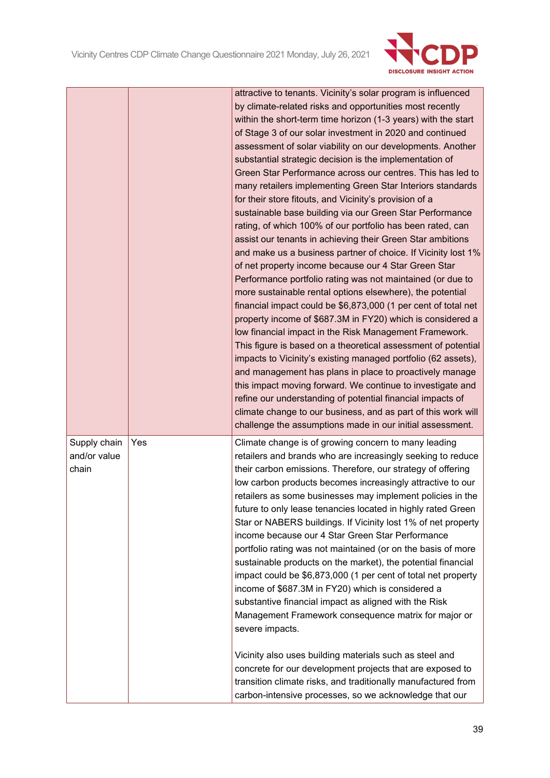

|                                       |     | attractive to tenants. Vicinity's solar program is influenced<br>by climate-related risks and opportunities most recently<br>within the short-term time horizon (1-3 years) with the start<br>of Stage 3 of our solar investment in 2020 and continued<br>assessment of solar viability on our developments. Another<br>substantial strategic decision is the implementation of<br>Green Star Performance across our centres. This has led to<br>many retailers implementing Green Star Interiors standards<br>for their store fitouts, and Vicinity's provision of a<br>sustainable base building via our Green Star Performance<br>rating, of which 100% of our portfolio has been rated, can<br>assist our tenants in achieving their Green Star ambitions<br>and make us a business partner of choice. If Vicinity lost 1%<br>of net property income because our 4 Star Green Star<br>Performance portfolio rating was not maintained (or due to<br>more sustainable rental options elsewhere), the potential<br>financial impact could be \$6,873,000 (1 per cent of total net<br>property income of \$687.3M in FY20) which is considered a<br>low financial impact in the Risk Management Framework.<br>This figure is based on a theoretical assessment of potential<br>impacts to Vicinity's existing managed portfolio (62 assets),<br>and management has plans in place to proactively manage<br>this impact moving forward. We continue to investigate and<br>refine our understanding of potential financial impacts of<br>climate change to our business, and as part of this work will<br>challenge the assumptions made in our initial assessment. |
|---------------------------------------|-----|--------------------------------------------------------------------------------------------------------------------------------------------------------------------------------------------------------------------------------------------------------------------------------------------------------------------------------------------------------------------------------------------------------------------------------------------------------------------------------------------------------------------------------------------------------------------------------------------------------------------------------------------------------------------------------------------------------------------------------------------------------------------------------------------------------------------------------------------------------------------------------------------------------------------------------------------------------------------------------------------------------------------------------------------------------------------------------------------------------------------------------------------------------------------------------------------------------------------------------------------------------------------------------------------------------------------------------------------------------------------------------------------------------------------------------------------------------------------------------------------------------------------------------------------------------------------------------------------------------------------------------------------------------------------|
| Supply chain<br>and/or value<br>chain | Yes | Climate change is of growing concern to many leading<br>retailers and brands who are increasingly seeking to reduce<br>their carbon emissions. Therefore, our strategy of offering<br>low carbon products becomes increasingly attractive to our<br>retailers as some businesses may implement policies in the<br>future to only lease tenancies located in highly rated Green<br>Star or NABERS buildings. If Vicinity lost 1% of net property<br>income because our 4 Star Green Star Performance<br>portfolio rating was not maintained (or on the basis of more<br>sustainable products on the market), the potential financial<br>impact could be \$6,873,000 (1 per cent of total net property<br>income of \$687.3M in FY20) which is considered a<br>substantive financial impact as aligned with the Risk<br>Management Framework consequence matrix for major or<br>severe impacts.<br>Vicinity also uses building materials such as steel and<br>concrete for our development projects that are exposed to<br>transition climate risks, and traditionally manufactured from<br>carbon-intensive processes, so we acknowledge that our                                                                                                                                                                                                                                                                                                                                                                                                                                                                                                                   |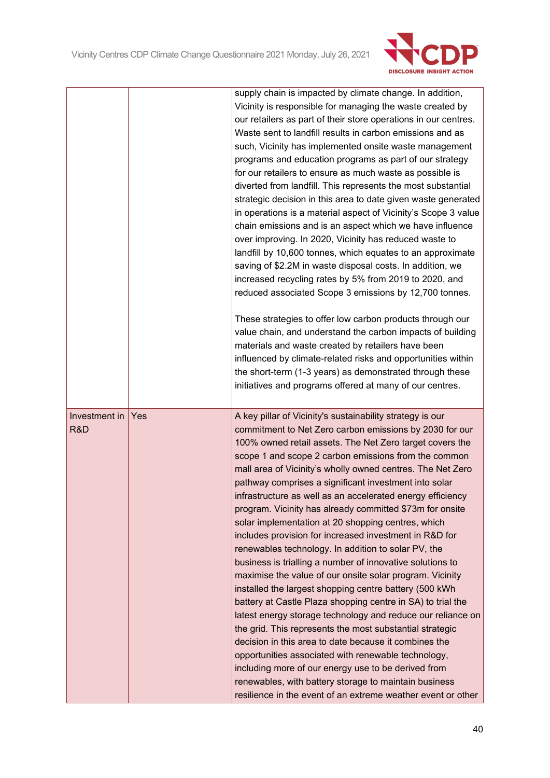

|               |     | supply chain is impacted by climate change. In addition,        |
|---------------|-----|-----------------------------------------------------------------|
|               |     | Vicinity is responsible for managing the waste created by       |
|               |     | our retailers as part of their store operations in our centres. |
|               |     | Waste sent to landfill results in carbon emissions and as       |
|               |     | such, Vicinity has implemented onsite waste management          |
|               |     | programs and education programs as part of our strategy         |
|               |     | for our retailers to ensure as much waste as possible is        |
|               |     | diverted from landfill. This represents the most substantial    |
|               |     | strategic decision in this area to date given waste generated   |
|               |     | in operations is a material aspect of Vicinity's Scope 3 value  |
|               |     | chain emissions and is an aspect which we have influence        |
|               |     | over improving. In 2020, Vicinity has reduced waste to          |
|               |     | landfill by 10,600 tonnes, which equates to an approximate      |
|               |     | saving of \$2.2M in waste disposal costs. In addition, we       |
|               |     | increased recycling rates by 5% from 2019 to 2020, and          |
|               |     | reduced associated Scope 3 emissions by 12,700 tonnes.          |
|               |     |                                                                 |
|               |     | These strategies to offer low carbon products through our       |
|               |     | value chain, and understand the carbon impacts of building      |
|               |     | materials and waste created by retailers have been              |
|               |     | influenced by climate-related risks and opportunities within    |
|               |     | the short-term (1-3 years) as demonstrated through these        |
|               |     | initiatives and programs offered at many of our centres.        |
|               |     |                                                                 |
|               |     |                                                                 |
|               |     |                                                                 |
| Investment in | Yes | A key pillar of Vicinity's sustainability strategy is our       |
| R&D           |     | commitment to Net Zero carbon emissions by 2030 for our         |
|               |     | 100% owned retail assets. The Net Zero target covers the        |
|               |     | scope 1 and scope 2 carbon emissions from the common            |
|               |     | mall area of Vicinity's wholly owned centres. The Net Zero      |
|               |     | pathway comprises a significant investment into solar           |
|               |     | infrastructure as well as an accelerated energy efficiency      |
|               |     | program. Vicinity has already committed \$73m for onsite        |
|               |     | solar implementation at 20 shopping centres, which              |
|               |     | includes provision for increased investment in R&D for          |
|               |     | renewables technology. In addition to solar PV, the             |
|               |     | business is trialling a number of innovative solutions to       |
|               |     | maximise the value of our onsite solar program. Vicinity        |
|               |     | installed the largest shopping centre battery (500 kWh          |
|               |     | battery at Castle Plaza shopping centre in SA) to trial the     |
|               |     | latest energy storage technology and reduce our reliance on     |
|               |     | the grid. This represents the most substantial strategic        |
|               |     | decision in this area to date because it combines the           |
|               |     | opportunities associated with renewable technology,             |
|               |     | including more of our energy use to be derived from             |
|               |     | renewables, with battery storage to maintain business           |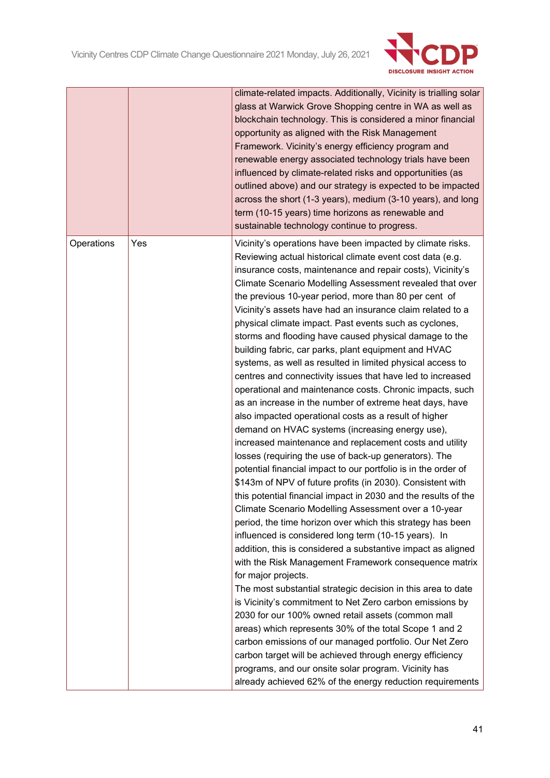

|            |     | climate-related impacts. Additionally, Vicinity is trialling solar<br>glass at Warwick Grove Shopping centre in WA as well as<br>blockchain technology. This is considered a minor financial<br>opportunity as aligned with the Risk Management<br>Framework. Vicinity's energy efficiency program and<br>renewable energy associated technology trials have been<br>influenced by climate-related risks and opportunities (as<br>outlined above) and our strategy is expected to be impacted<br>across the short (1-3 years), medium (3-10 years), and long<br>term (10-15 years) time horizons as renewable and<br>sustainable technology continue to progress.                                                                                                                                                                                                                                                                                                                                                                                                                                                                                                                                                                                                                                                                                                                                                                                                                                                                                                                                                                                                                                                                                                                                                                                                                                                                                                                                                                                               |
|------------|-----|-----------------------------------------------------------------------------------------------------------------------------------------------------------------------------------------------------------------------------------------------------------------------------------------------------------------------------------------------------------------------------------------------------------------------------------------------------------------------------------------------------------------------------------------------------------------------------------------------------------------------------------------------------------------------------------------------------------------------------------------------------------------------------------------------------------------------------------------------------------------------------------------------------------------------------------------------------------------------------------------------------------------------------------------------------------------------------------------------------------------------------------------------------------------------------------------------------------------------------------------------------------------------------------------------------------------------------------------------------------------------------------------------------------------------------------------------------------------------------------------------------------------------------------------------------------------------------------------------------------------------------------------------------------------------------------------------------------------------------------------------------------------------------------------------------------------------------------------------------------------------------------------------------------------------------------------------------------------------------------------------------------------------------------------------------------------|
| Operations | Yes | Vicinity's operations have been impacted by climate risks.<br>Reviewing actual historical climate event cost data (e.g.<br>insurance costs, maintenance and repair costs), Vicinity's<br>Climate Scenario Modelling Assessment revealed that over<br>the previous 10-year period, more than 80 per cent of<br>Vicinity's assets have had an insurance claim related to a<br>physical climate impact. Past events such as cyclones,<br>storms and flooding have caused physical damage to the<br>building fabric, car parks, plant equipment and HVAC<br>systems, as well as resulted in limited physical access to<br>centres and connectivity issues that have led to increased<br>operational and maintenance costs. Chronic impacts, such<br>as an increase in the number of extreme heat days, have<br>also impacted operational costs as a result of higher<br>demand on HVAC systems (increasing energy use),<br>increased maintenance and replacement costs and utility<br>losses (requiring the use of back-up generators). The<br>potential financial impact to our portfolio is in the order of<br>\$143m of NPV of future profits (in 2030). Consistent with<br>this potential financial impact in 2030 and the results of the<br>Climate Scenario Modelling Assessment over a 10-year<br>period, the time horizon over which this strategy has been<br>influenced is considered long term (10-15 years). In<br>addition, this is considered a substantive impact as aligned<br>with the Risk Management Framework consequence matrix<br>for major projects.<br>The most substantial strategic decision in this area to date<br>is Vicinity's commitment to Net Zero carbon emissions by<br>2030 for our 100% owned retail assets (common mall<br>areas) which represents 30% of the total Scope 1 and 2<br>carbon emissions of our managed portfolio. Our Net Zero<br>carbon target will be achieved through energy efficiency<br>programs, and our onsite solar program. Vicinity has<br>already achieved 62% of the energy reduction requirements |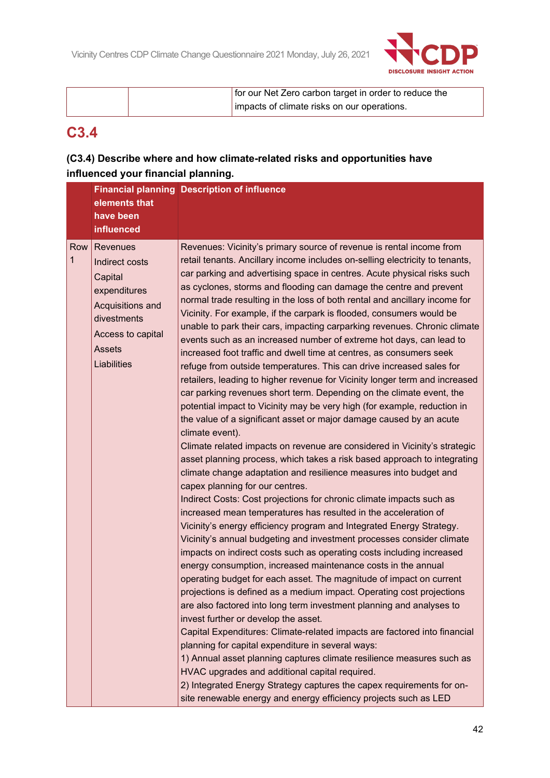

| for our Net Zero carbon target in order to reduce the |
|-------------------------------------------------------|
| impacts of climate risks on our operations.           |

# **C3.4**

# **(C3.4) Describe where and how climate-related risks and opportunities have influenced your financial planning.**

|          | elements that<br>have been<br><b>influenced</b>                                                                                               | <b>Financial planning Description of influence</b>                                                                                                                                                                                                                                                                                                                                                                                                                                                                                                                                                                                                                                                                                                                                                                                                                                                                                                                                                                                                                                                                                                                                                                                                                                                                                                                                                                                                                                                                                                                                                                                                                                                                                                                                                                                                                                                                                                                                                                                                                                                                                                                                                                                                                                                                                                                                                                                                                           |
|----------|-----------------------------------------------------------------------------------------------------------------------------------------------|------------------------------------------------------------------------------------------------------------------------------------------------------------------------------------------------------------------------------------------------------------------------------------------------------------------------------------------------------------------------------------------------------------------------------------------------------------------------------------------------------------------------------------------------------------------------------------------------------------------------------------------------------------------------------------------------------------------------------------------------------------------------------------------------------------------------------------------------------------------------------------------------------------------------------------------------------------------------------------------------------------------------------------------------------------------------------------------------------------------------------------------------------------------------------------------------------------------------------------------------------------------------------------------------------------------------------------------------------------------------------------------------------------------------------------------------------------------------------------------------------------------------------------------------------------------------------------------------------------------------------------------------------------------------------------------------------------------------------------------------------------------------------------------------------------------------------------------------------------------------------------------------------------------------------------------------------------------------------------------------------------------------------------------------------------------------------------------------------------------------------------------------------------------------------------------------------------------------------------------------------------------------------------------------------------------------------------------------------------------------------------------------------------------------------------------------------------------------------|
| Row<br>1 | Revenues<br>Indirect costs<br>Capital<br>expenditures<br>Acquisitions and<br>divestments<br>Access to capital<br><b>Assets</b><br>Liabilities | Revenues: Vicinity's primary source of revenue is rental income from<br>retail tenants. Ancillary income includes on-selling electricity to tenants,<br>car parking and advertising space in centres. Acute physical risks such<br>as cyclones, storms and flooding can damage the centre and prevent<br>normal trade resulting in the loss of both rental and ancillary income for<br>Vicinity. For example, if the carpark is flooded, consumers would be<br>unable to park their cars, impacting carparking revenues. Chronic climate<br>events such as an increased number of extreme hot days, can lead to<br>increased foot traffic and dwell time at centres, as consumers seek<br>refuge from outside temperatures. This can drive increased sales for<br>retailers, leading to higher revenue for Vicinity longer term and increased<br>car parking revenues short term. Depending on the climate event, the<br>potential impact to Vicinity may be very high (for example, reduction in<br>the value of a significant asset or major damage caused by an acute<br>climate event).<br>Climate related impacts on revenue are considered in Vicinity's strategic<br>asset planning process, which takes a risk based approach to integrating<br>climate change adaptation and resilience measures into budget and<br>capex planning for our centres.<br>Indirect Costs: Cost projections for chronic climate impacts such as<br>increased mean temperatures has resulted in the acceleration of<br>Vicinity's energy efficiency program and Integrated Energy Strategy.<br>Vicinity's annual budgeting and investment processes consider climate<br>impacts on indirect costs such as operating costs including increased<br>energy consumption, increased maintenance costs in the annual<br>operating budget for each asset. The magnitude of impact on current<br>projections is defined as a medium impact. Operating cost projections<br>are also factored into long term investment planning and analyses to<br>invest further or develop the asset.<br>Capital Expenditures: Climate-related impacts are factored into financial<br>planning for capital expenditure in several ways:<br>1) Annual asset planning captures climate resilience measures such as<br>HVAC upgrades and additional capital required.<br>2) Integrated Energy Strategy captures the capex requirements for on-<br>site renewable energy and energy efficiency projects such as LED |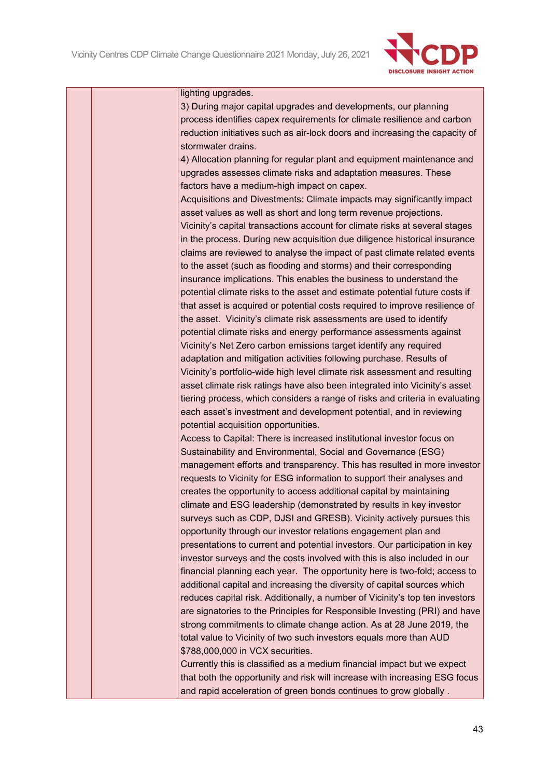

#### lighting upgrades.

3) During major capital upgrades and developments, our planning process identifies capex requirements for climate resilience and carbon reduction initiatives such as air-lock doors and increasing the capacity of stormwater drains.

4) Allocation planning for regular plant and equipment maintenance and upgrades assesses climate risks and adaptation measures. These factors have a medium-high impact on capex.

Acquisitions and Divestments: Climate impacts may significantly impact asset values as well as short and long term revenue projections. Vicinity's capital transactions account for climate risks at several stages in the process. During new acquisition due diligence historical insurance claims are reviewed to analyse the impact of past climate related events to the asset (such as flooding and storms) and their corresponding insurance implications. This enables the business to understand the potential climate risks to the asset and estimate potential future costs if that asset is acquired or potential costs required to improve resilience of the asset. Vicinity's climate risk assessments are used to identify potential climate risks and energy performance assessments against Vicinity's Net Zero carbon emissions target identify any required adaptation and mitigation activities following purchase. Results of Vicinity's portfolio-wide high level climate risk assessment and resulting asset climate risk ratings have also been integrated into Vicinity's asset tiering process, which considers a range of risks and criteria in evaluating each asset's investment and development potential, and in reviewing potential acquisition opportunities.

Access to Capital: There is increased institutional investor focus on Sustainability and Environmental, Social and Governance (ESG) management efforts and transparency. This has resulted in more investor requests to Vicinity for ESG information to support their analyses and creates the opportunity to access additional capital by maintaining climate and ESG leadership (demonstrated by results in key investor surveys such as CDP, DJSI and GRESB). Vicinity actively pursues this opportunity through our investor relations engagement plan and presentations to current and potential investors. Our participation in key investor surveys and the costs involved with this is also included in our financial planning each year. The opportunity here is two-fold; access to additional capital and increasing the diversity of capital sources which reduces capital risk. Additionally, a number of Vicinity's top ten investors are signatories to the Principles for Responsible Investing (PRI) and have strong commitments to climate change action. As at 28 June 2019, the total value to Vicinity of two such investors equals more than AUD \$788,000,000 in VCX securities.

Currently this is classified as a medium financial impact but we expect that both the opportunity and risk will increase with increasing ESG focus and rapid acceleration of green bonds continues to grow globally .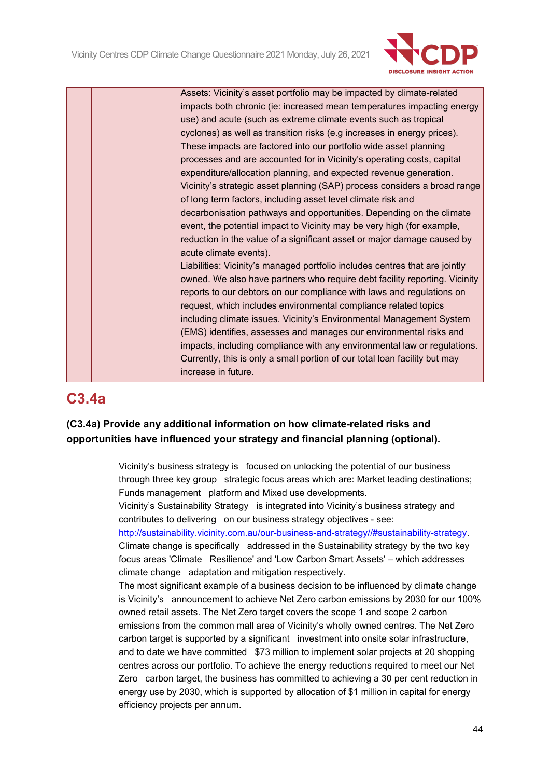

|  | Assets: Vicinity's asset portfolio may be impacted by climate-related       |
|--|-----------------------------------------------------------------------------|
|  | impacts both chronic (ie: increased mean temperatures impacting energy      |
|  | use) and acute (such as extreme climate events such as tropical             |
|  | cyclones) as well as transition risks (e.g increases in energy prices).     |
|  | These impacts are factored into our portfolio wide asset planning           |
|  | processes and are accounted for in Vicinity's operating costs, capital      |
|  | expenditure/allocation planning, and expected revenue generation.           |
|  | Vicinity's strategic asset planning (SAP) process considers a broad range   |
|  | of long term factors, including asset level climate risk and                |
|  | decarbonisation pathways and opportunities. Depending on the climate        |
|  | event, the potential impact to Vicinity may be very high (for example,      |
|  | reduction in the value of a significant asset or major damage caused by     |
|  | acute climate events).                                                      |
|  | Liabilities: Vicinity's managed portfolio includes centres that are jointly |
|  | owned. We also have partners who require debt facility reporting. Vicinity  |
|  | reports to our debtors on our compliance with laws and regulations on       |
|  | request, which includes environmental compliance related topics             |
|  | including climate issues. Vicinity's Environmental Management System        |
|  | (EMS) identifies, assesses and manages our environmental risks and          |
|  | impacts, including compliance with any environmental law or regulations.    |
|  | Currently, this is only a small portion of our total loan facility but may  |
|  | increase in future.                                                         |
|  |                                                                             |

# **C3.4a**

# **(C3.4a) Provide any additional information on how climate-related risks and opportunities have influenced your strategy and financial planning (optional).**

Vicinity's business strategy is focused on unlocking the potential of our business through three key group strategic focus areas which are: Market leading destinations; Funds management platform and Mixed use developments.

Vicinity's Sustainability Strategy is integrated into Vicinity's business strategy and contributes to delivering on our business strategy objectives - see:

[http://sustainability.vicinity.com.au/our-business-and-strategy//#sustainability-strategy.](http://sustainability.vicinity.com.au/our-business-and-strategy/#sustainability-strategy) Climate change is specifically addressed in the Sustainability strategy by the two key focus areas 'Climate Resilience' and 'Low Carbon Smart Assets' – which addresses climate change adaptation and mitigation respectively.

The most significant example of a business decision to be influenced by climate change is Vicinity's announcement to achieve Net Zero carbon emissions by 2030 for our 100% owned retail assets. The Net Zero target covers the scope 1 and scope 2 carbon emissions from the common mall area of Vicinity's wholly owned centres. The Net Zero carbon target is supported by a significant investment into onsite solar infrastructure, and to date we have committed \$73 million to implement solar projects at 20 shopping centres across our portfolio. To achieve the energy reductions required to meet our Net Zero carbon target, the business has committed to achieving a 30 per cent reduction in energy use by 2030, which is supported by allocation of \$1 million in capital for energy efficiency projects per annum.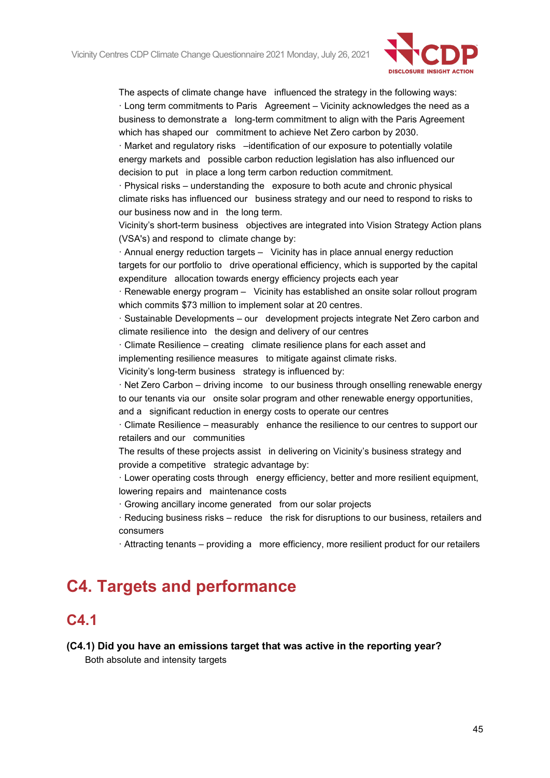

The aspects of climate change have influenced the strategy in the following ways: · Long term commitments to Paris Agreement – Vicinity acknowledges the need as a business to demonstrate a long-term commitment to align with the Paris Agreement which has shaped our commitment to achieve Net Zero carbon by 2030.

· Market and regulatory risks –identification of our exposure to potentially volatile energy markets and possible carbon reduction legislation has also influenced our decision to put in place a long term carbon reduction commitment.

· Physical risks – understanding the exposure to both acute and chronic physical climate risks has influenced our business strategy and our need to respond to risks to our business now and in the long term.

Vicinity's short-term business objectives are integrated into Vision Strategy Action plans (VSA's) and respond to climate change by:

· Annual energy reduction targets – Vicinity has in place annual energy reduction targets for our portfolio to drive operational efficiency, which is supported by the capital expenditure allocation towards energy efficiency projects each year

 $\cdot$  Renewable energy program  $-$  Vicinity has established an onsite solar rollout program which commits \$73 million to implement solar at 20 centres.

· Sustainable Developments – our development projects integrate Net Zero carbon and climate resilience into the design and delivery of our centres

 $\cdot$  Climate Resilience – creating climate resilience plans for each asset and implementing resilience measures to mitigate against climate risks.

Vicinity's long-term business strategy is influenced by:

· Net Zero Carbon – driving income to our business through onselling renewable energy to our tenants via our onsite solar program and other renewable energy opportunities,

and a significant reduction in energy costs to operate our centres

· Climate Resilience – measurably enhance the resilience to our centres to support our retailers and our communities

The results of these projects assist in delivering on Vicinity's business strategy and provide a competitive strategic advantage by:

· Lower operating costs through energy efficiency, better and more resilient equipment, lowering repairs and maintenance costs

· Growing ancillary income generated from our solar projects

 $\cdot$  Reducing business risks – reduce the risk for disruptions to our business, retailers and consumers

· Attracting tenants – providing a more efficiency, more resilient product for our retailers

# **C4. Targets and performance**

# **C4.1**

# **(C4.1) Did you have an emissions target that was active in the reporting year?**

Both absolute and intensity targets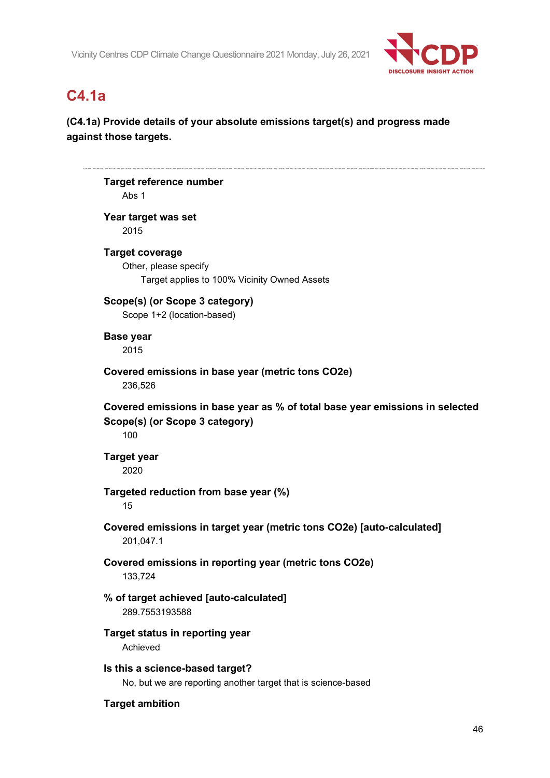

# **C4.1a**

# **(C4.1a) Provide details of your absolute emissions target(s) and progress made against those targets.**

```
Target reference number
   Abs 1
Year target was set
   2015
Target coverage
    Other, please specify
       Target applies to 100% Vicinity Owned Assets
Scope(s) (or Scope 3 category)
   Scope 1+2 (location-based)
Base year
    2015
Covered emissions in base year (metric tons CO2e)
    236,526
Covered emissions in base year as % of total base year emissions in selected 
Scope(s) (or Scope 3 category)
    100
Target year
    2020
Targeted reduction from base year (%)
    15
Covered emissions in target year (metric tons CO2e) [auto-calculated]
    201,047.1
Covered emissions in reporting year (metric tons CO2e)
    133,724
% of target achieved [auto-calculated]
    289.7553193588
Target status in reporting year
   Achieved
Is this a science-based target?
    No, but we are reporting another target that is science-based
Target ambition
```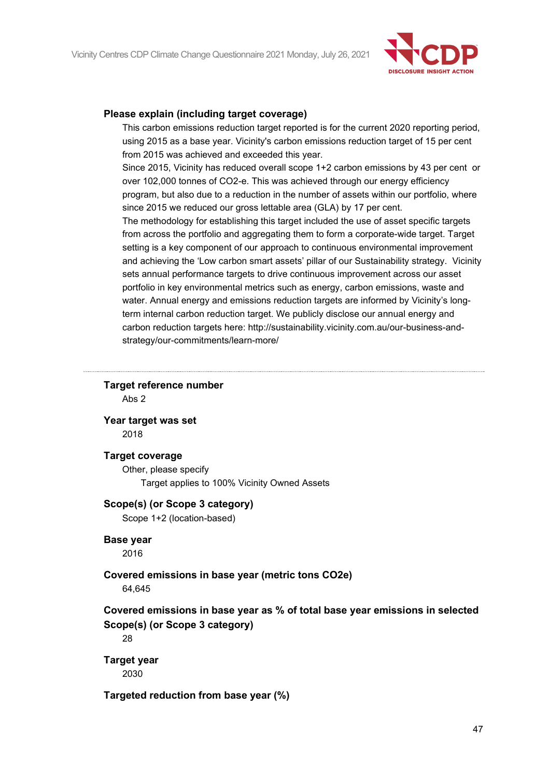

#### **Please explain (including target coverage)**

This carbon emissions reduction target reported is for the current 2020 reporting period, using 2015 as a base year. Vicinity's carbon emissions reduction target of 15 per cent from 2015 was achieved and exceeded this year.

Since 2015, Vicinity has reduced overall scope 1+2 carbon emissions by 43 per cent or over 102,000 tonnes of CO2-e. This was achieved through our energy efficiency program, but also due to a reduction in the number of assets within our portfolio, where since 2015 we reduced our gross lettable area (GLA) by 17 per cent.

The methodology for establishing this target included the use of asset specific targets from across the portfolio and aggregating them to form a corporate-wide target. Target setting is a key component of our approach to continuous environmental improvement and achieving the 'Low carbon smart assets' pillar of our Sustainability strategy. Vicinity sets annual performance targets to drive continuous improvement across our asset portfolio in key environmental metrics such as energy, carbon emissions, waste and water. Annual energy and emissions reduction targets are informed by Vicinity's longterm internal carbon reduction target. We publicly disclose our annual energy and carbon reduction targets here: http://sustainability.vicinity.com.au/our-business-andstrategy/our-commitments/learn-more/

#### **Target reference number**

Abs 2

**Year target was set**

2018

#### **Target coverage**

Other, please specify Target applies to 100% Vicinity Owned Assets

## **Scope(s) (or Scope 3 category)**

Scope 1+2 (location-based)

## **Base year**

2016

# **Covered emissions in base year (metric tons CO2e)**

64,645

# **Covered emissions in base year as % of total base year emissions in selected Scope(s) (or Scope 3 category)**

28

# **Target year**

2030

## **Targeted reduction from base year (%)**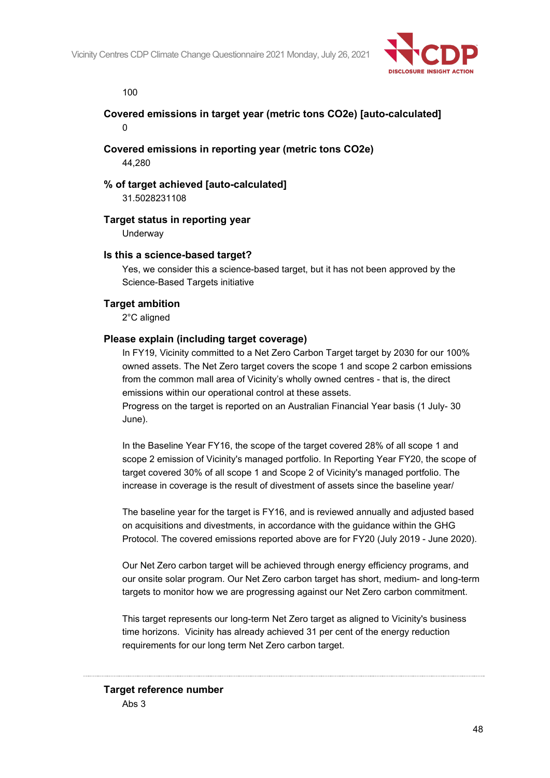

100

# **Covered emissions in target year (metric tons CO2e) [auto-calculated]**  $\Omega$

## **Covered emissions in reporting year (metric tons CO2e)** 44,280

**% of target achieved [auto-calculated]** 31.5028231108

## **Target status in reporting year**

**Underway** 

#### **Is this a science-based target?**

Yes, we consider this a science-based target, but it has not been approved by the Science-Based Targets initiative

#### **Target ambition**

2°C aligned

#### **Please explain (including target coverage)**

In FY19, Vicinity committed to a Net Zero Carbon Target target by 2030 for our 100% owned assets. The Net Zero target covers the scope 1 and scope 2 carbon emissions from the common mall area of Vicinity's wholly owned centres - that is, the direct emissions within our operational control at these assets.

Progress on the target is reported on an Australian Financial Year basis (1 July- 30 June).

In the Baseline Year FY16, the scope of the target covered 28% of all scope 1 and scope 2 emission of Vicinity's managed portfolio. In Reporting Year FY20, the scope of target covered 30% of all scope 1 and Scope 2 of Vicinity's managed portfolio. The increase in coverage is the result of divestment of assets since the baseline year/

The baseline year for the target is FY16, and is reviewed annually and adjusted based on acquisitions and divestments, in accordance with the guidance within the GHG Protocol. The covered emissions reported above are for FY20 (July 2019 - June 2020).

Our Net Zero carbon target will be achieved through energy efficiency programs, and our onsite solar program. Our Net Zero carbon target has short, medium- and long-term targets to monitor how we are progressing against our Net Zero carbon commitment.

This target represents our long-term Net Zero target as aligned to Vicinity's business time horizons. Vicinity has already achieved 31 per cent of the energy reduction requirements for our long term Net Zero carbon target.

# **Target reference number** Abs 3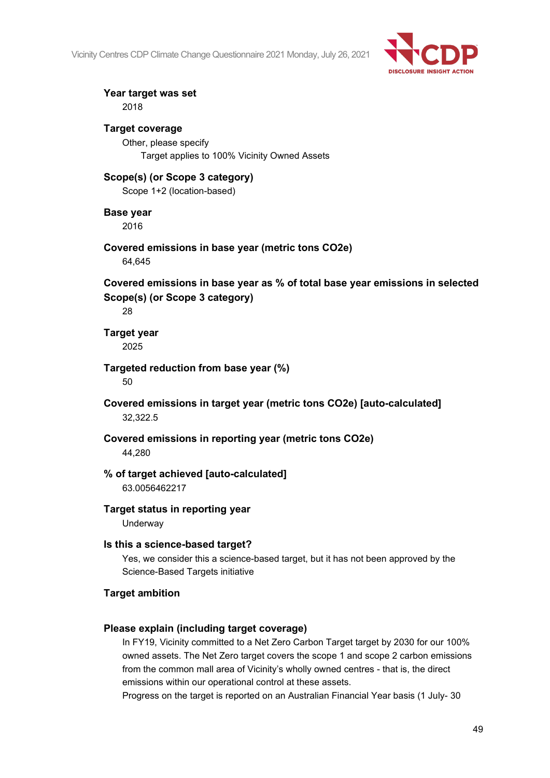

# **Year target was set**

2018

## **Target coverage**

Other, please specify Target applies to 100% Vicinity Owned Assets

# **Scope(s) (or Scope 3 category)**

Scope 1+2 (location-based)

# **Base year**

2016

#### **Covered emissions in base year (metric tons CO2e)** 64,645

**Covered emissions in base year as % of total base year emissions in selected Scope(s) (or Scope 3 category)**

28

#### **Target year** 2025

#### **Targeted reduction from base year (%)** 50

**Covered emissions in target year (metric tons CO2e) [auto-calculated]** 32,322.5

#### **Covered emissions in reporting year (metric tons CO2e)** 44,280

# **% of target achieved [auto-calculated]**

63.0056462217

## **Target status in reporting year**

**Underway** 

## **Is this a science-based target?**

Yes, we consider this a science-based target, but it has not been approved by the Science-Based Targets initiative

# **Target ambition**

# **Please explain (including target coverage)**

In FY19, Vicinity committed to a Net Zero Carbon Target target by 2030 for our 100% owned assets. The Net Zero target covers the scope 1 and scope 2 carbon emissions from the common mall area of Vicinity's wholly owned centres - that is, the direct emissions within our operational control at these assets.

Progress on the target is reported on an Australian Financial Year basis (1 July- 30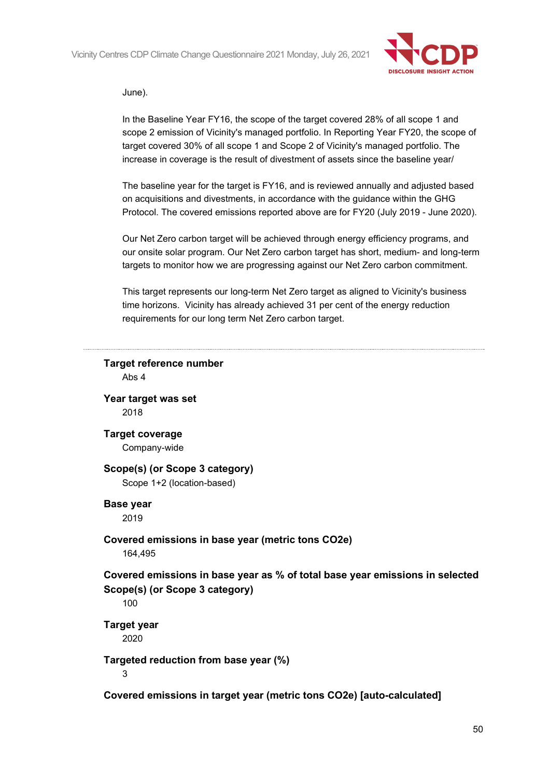

#### June).

In the Baseline Year FY16, the scope of the target covered 28% of all scope 1 and scope 2 emission of Vicinity's managed portfolio. In Reporting Year FY20, the scope of target covered 30% of all scope 1 and Scope 2 of Vicinity's managed portfolio. The increase in coverage is the result of divestment of assets since the baseline year/

The baseline year for the target is FY16, and is reviewed annually and adjusted based on acquisitions and divestments, in accordance with the guidance within the GHG Protocol. The covered emissions reported above are for FY20 (July 2019 - June 2020).

Our Net Zero carbon target will be achieved through energy efficiency programs, and our onsite solar program. Our Net Zero carbon target has short, medium- and long-term targets to monitor how we are progressing against our Net Zero carbon commitment.

This target represents our long-term Net Zero target as aligned to Vicinity's business time horizons. Vicinity has already achieved 31 per cent of the energy reduction requirements for our long term Net Zero carbon target.

# **Target reference number** Abs 4 **Year target was set** 2018 **Target coverage** Company-wide **Scope(s) (or Scope 3 category)** Scope 1+2 (location-based) **Base year** 2019 **Covered emissions in base year (metric tons CO2e)** 164,495 **Covered emissions in base year as % of total base year emissions in selected Scope(s) (or Scope 3 category)** 100 **Target year** 2020 **Targeted reduction from base year (%)** 3 **Covered emissions in target year (metric tons CO2e) [auto-calculated]**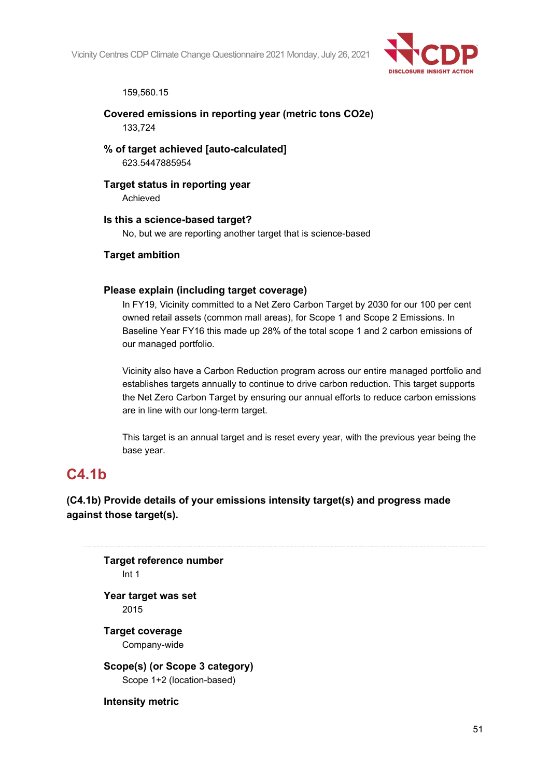

159,560.15

**Covered emissions in reporting year (metric tons CO2e)** 133,724

**% of target achieved [auto-calculated]** 623.5447885954

**Target status in reporting year** Achieved

**Is this a science-based target?**

No, but we are reporting another target that is science-based

**Target ambition**

#### **Please explain (including target coverage)**

In FY19, Vicinity committed to a Net Zero Carbon Target by 2030 for our 100 per cent owned retail assets (common mall areas), for Scope 1 and Scope 2 Emissions. In Baseline Year FY16 this made up 28% of the total scope 1 and 2 carbon emissions of our managed portfolio.

Vicinity also have a Carbon Reduction program across our entire managed portfolio and establishes targets annually to continue to drive carbon reduction. This target supports the Net Zero Carbon Target by ensuring our annual efforts to reduce carbon emissions are in line with our long-term target.

This target is an annual target and is reset every year, with the previous year being the base year.

# **C4.1b**

**(C4.1b) Provide details of your emissions intensity target(s) and progress made against those target(s).**

**Target reference number** Int 1 **Year target was set** 2015

**Target coverage**

Company-wide

**Scope(s) (or Scope 3 category)** Scope 1+2 (location-based)

**Intensity metric**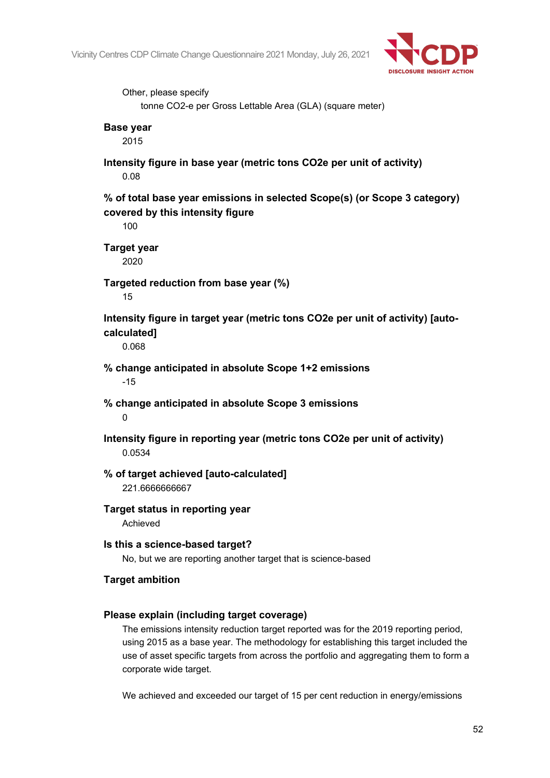

Other, please specify tonne CO2-e per Gross Lettable Area (GLA) (square meter) **Base year** 2015 **Intensity figure in base year (metric tons CO2e per unit of activity)** 0.08 **% of total base year emissions in selected Scope(s) (or Scope 3 category) covered by this intensity figure** 100 **Target year** 2020 **Targeted reduction from base year (%)** 15 **Intensity figure in target year (metric tons CO2e per unit of activity) [autocalculated]** 0.068 **% change anticipated in absolute Scope 1+2 emissions** -15 **% change anticipated in absolute Scope 3 emissions**  $\Omega$ **Intensity figure in reporting year (metric tons CO2e per unit of activity)** 0.0534 **% of target achieved [auto-calculated]** 221.6666666667 **Target status in reporting year** Achieved **Is this a science-based target?** No, but we are reporting another target that is science-based **Target ambition Please explain (including target coverage)** The emissions intensity reduction target reported was for the 2019 reporting period, using 2015 as a base year. The methodology for establishing this target included the use of asset specific targets from across the portfolio and aggregating them to form a corporate wide target.

We achieved and exceeded our target of 15 per cent reduction in energy/emissions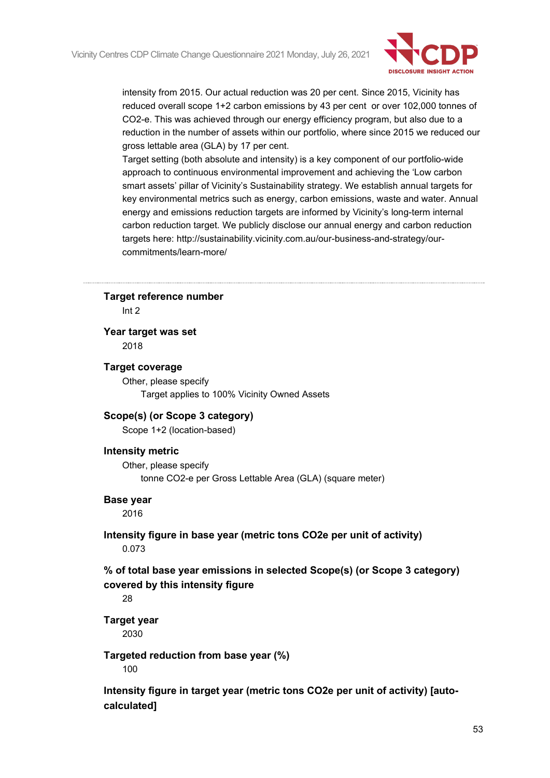

intensity from 2015. Our actual reduction was 20 per cent. Since 2015, Vicinity has reduced overall scope 1+2 carbon emissions by 43 per cent or over 102,000 tonnes of CO2-e. This was achieved through our energy efficiency program, but also due to a reduction in the number of assets within our portfolio, where since 2015 we reduced our gross lettable area (GLA) by 17 per cent.

Target setting (both absolute and intensity) is a key component of our portfolio-wide approach to continuous environmental improvement and achieving the 'Low carbon smart assets' pillar of Vicinity's Sustainability strategy. We establish annual targets for key environmental metrics such as energy, carbon emissions, waste and water. Annual energy and emissions reduction targets are informed by Vicinity's long-term internal carbon reduction target. We publicly disclose our annual energy and carbon reduction targets here: http://sustainability.vicinity.com.au/our-business-and-strategy/ourcommitments/learn-more/

#### **Target reference number**

Int 2

#### **Year target was set**

2018

#### **Target coverage**

Other, please specify Target applies to 100% Vicinity Owned Assets

#### **Scope(s) (or Scope 3 category)**

Scope 1+2 (location-based)

#### **Intensity metric**

Other, please specify tonne CO2-e per Gross Lettable Area (GLA) (square meter)

#### **Base year**

2016

#### **Intensity figure in base year (metric tons CO2e per unit of activity)** 0.073

## **% of total base year emissions in selected Scope(s) (or Scope 3 category) covered by this intensity figure**

28

## **Target year**

2030

#### **Targeted reduction from base year (%)**

100

**Intensity figure in target year (metric tons CO2e per unit of activity) [autocalculated]**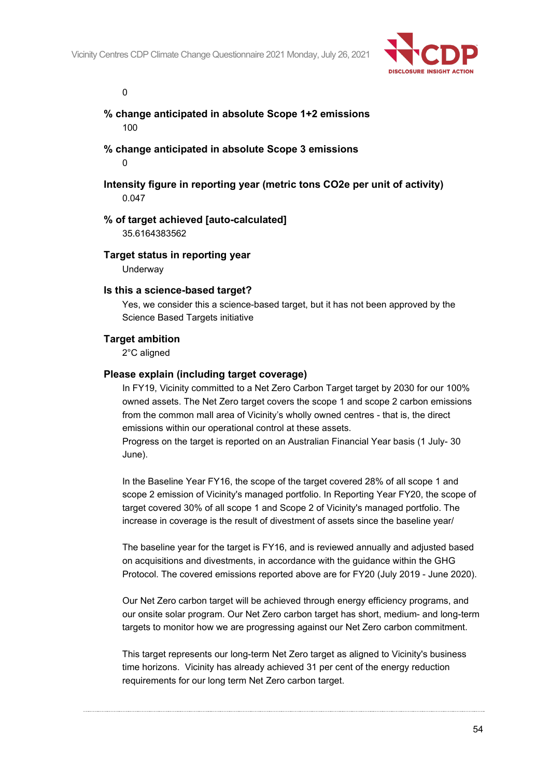

 $\Omega$ 

## **% change anticipated in absolute Scope 1+2 emissions** 100

**% change anticipated in absolute Scope 3 emissions**  $\Omega$ 

**Intensity figure in reporting year (metric tons CO2e per unit of activity)** 0.047

#### **% of target achieved [auto-calculated]**

35.6164383562

#### **Target status in reporting year**

**Underway** 

#### **Is this a science-based target?**

Yes, we consider this a science-based target, but it has not been approved by the Science Based Targets initiative

#### **Target ambition**

2°C aligned

#### **Please explain (including target coverage)**

In FY19, Vicinity committed to a Net Zero Carbon Target target by 2030 for our 100% owned assets. The Net Zero target covers the scope 1 and scope 2 carbon emissions from the common mall area of Vicinity's wholly owned centres - that is, the direct emissions within our operational control at these assets.

Progress on the target is reported on an Australian Financial Year basis (1 July- 30 June).

In the Baseline Year FY16, the scope of the target covered 28% of all scope 1 and scope 2 emission of Vicinity's managed portfolio. In Reporting Year FY20, the scope of target covered 30% of all scope 1 and Scope 2 of Vicinity's managed portfolio. The increase in coverage is the result of divestment of assets since the baseline year/

The baseline year for the target is FY16, and is reviewed annually and adjusted based on acquisitions and divestments, in accordance with the guidance within the GHG Protocol. The covered emissions reported above are for FY20 (July 2019 - June 2020).

Our Net Zero carbon target will be achieved through energy efficiency programs, and our onsite solar program. Our Net Zero carbon target has short, medium- and long-term targets to monitor how we are progressing against our Net Zero carbon commitment.

This target represents our long-term Net Zero target as aligned to Vicinity's business time horizons. Vicinity has already achieved 31 per cent of the energy reduction requirements for our long term Net Zero carbon target.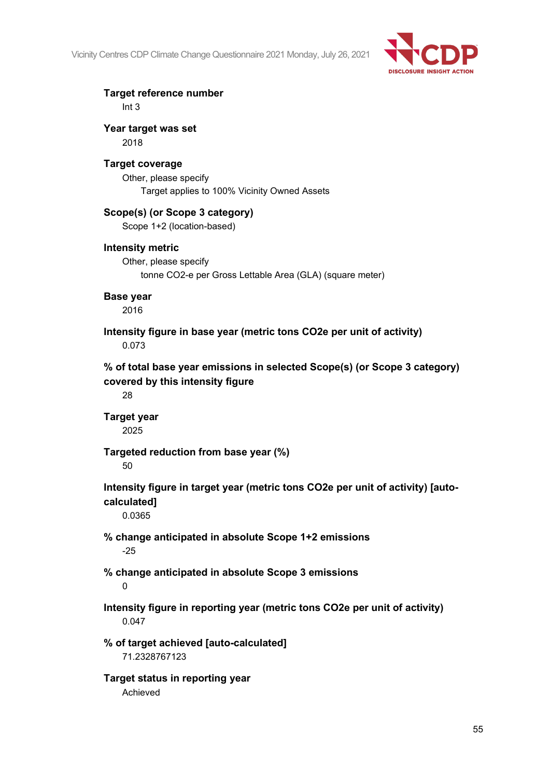

**Target reference number** Int 3

**Year target was set** 2018

## **Target coverage**

Other, please specify Target applies to 100% Vicinity Owned Assets

# **Scope(s) (or Scope 3 category)**

Scope 1+2 (location-based)

## **Intensity metric**

Other, please specify tonne CO2-e per Gross Lettable Area (GLA) (square meter)

#### **Base year**

2016

**Intensity figure in base year (metric tons CO2e per unit of activity)** 0.073

**% of total base year emissions in selected Scope(s) (or Scope 3 category) covered by this intensity figure**

28

**Target year** 2025

**Targeted reduction from base year (%)**

50

**Intensity figure in target year (metric tons CO2e per unit of activity) [auto-**

**calculated]**

0.0365

- **% change anticipated in absolute Scope 1+2 emissions** -25
- **% change anticipated in absolute Scope 3 emissions**

## $\Omega$

**Intensity figure in reporting year (metric tons CO2e per unit of activity)** 0.047

**% of target achieved [auto-calculated]** 71.2328767123

**Target status in reporting year** Achieved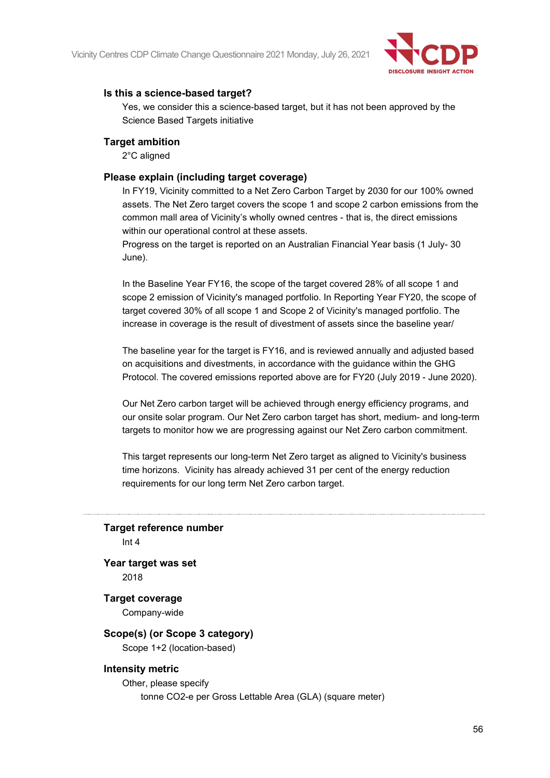

#### **Is this a science-based target?**

Yes, we consider this a science-based target, but it has not been approved by the Science Based Targets initiative

#### **Target ambition**

2°C aligned

#### **Please explain (including target coverage)**

In FY19, Vicinity committed to a Net Zero Carbon Target by 2030 for our 100% owned assets. The Net Zero target covers the scope 1 and scope 2 carbon emissions from the common mall area of Vicinity's wholly owned centres - that is, the direct emissions within our operational control at these assets.

Progress on the target is reported on an Australian Financial Year basis (1 July- 30 June).

In the Baseline Year FY16, the scope of the target covered 28% of all scope 1 and scope 2 emission of Vicinity's managed portfolio. In Reporting Year FY20, the scope of target covered 30% of all scope 1 and Scope 2 of Vicinity's managed portfolio. The increase in coverage is the result of divestment of assets since the baseline year/

The baseline year for the target is FY16, and is reviewed annually and adjusted based on acquisitions and divestments, in accordance with the guidance within the GHG Protocol. The covered emissions reported above are for FY20 (July 2019 - June 2020).

Our Net Zero carbon target will be achieved through energy efficiency programs, and our onsite solar program. Our Net Zero carbon target has short, medium- and long-term targets to monitor how we are progressing against our Net Zero carbon commitment.

This target represents our long-term Net Zero target as aligned to Vicinity's business time horizons. Vicinity has already achieved 31 per cent of the energy reduction requirements for our long term Net Zero carbon target.

#### **Target reference number** Int 4

**Year target was set** 2018

#### **Target coverage** Company-wide

# **Scope(s) (or Scope 3 category)**

Scope 1+2 (location-based)

## **Intensity metric**

Other, please specify tonne CO2-e per Gross Lettable Area (GLA) (square meter)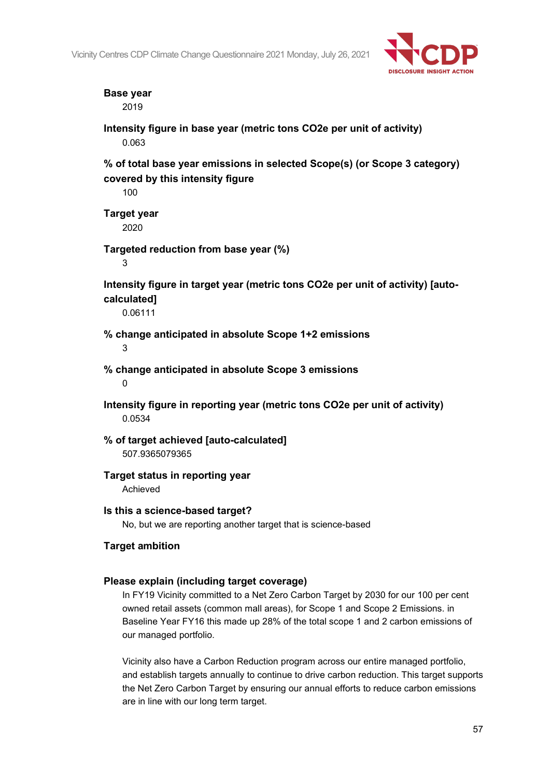

## **Base year**

2019

**Intensity figure in base year (metric tons CO2e per unit of activity)** 0.063

**% of total base year emissions in selected Scope(s) (or Scope 3 category) covered by this intensity figure**

100

**Target year** 2020

**Targeted reduction from base year (%)**

3

**Intensity figure in target year (metric tons CO2e per unit of activity) [autocalculated]**

0.06111

**% change anticipated in absolute Scope 1+2 emissions**

3

**% change anticipated in absolute Scope 3 emissions**

0

**Intensity figure in reporting year (metric tons CO2e per unit of activity)** 0.0534

**% of target achieved [auto-calculated]** 507.9365079365

## **Target status in reporting year**

Achieved

## **Is this a science-based target?**

No, but we are reporting another target that is science-based

## **Target ambition**

## **Please explain (including target coverage)**

In FY19 Vicinity committed to a Net Zero Carbon Target by 2030 for our 100 per cent owned retail assets (common mall areas), for Scope 1 and Scope 2 Emissions. in Baseline Year FY16 this made up 28% of the total scope 1 and 2 carbon emissions of our managed portfolio.

Vicinity also have a Carbon Reduction program across our entire managed portfolio, and establish targets annually to continue to drive carbon reduction. This target supports the Net Zero Carbon Target by ensuring our annual efforts to reduce carbon emissions are in line with our long term target.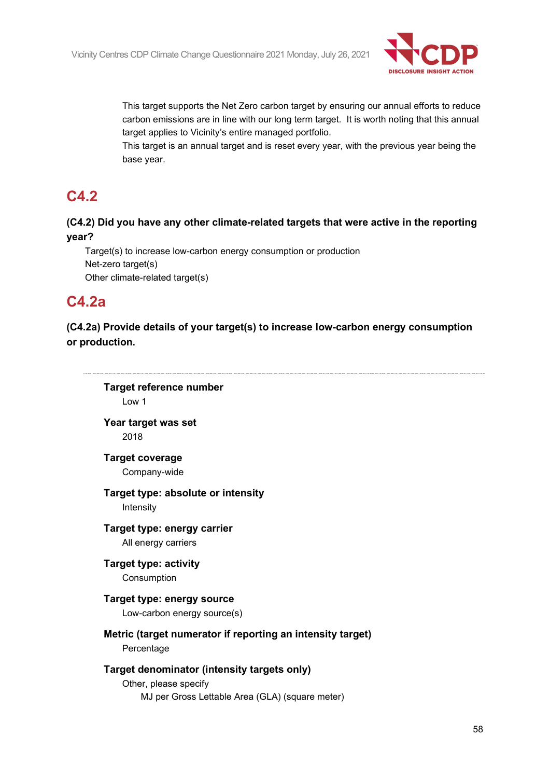

This target supports the Net Zero carbon target by ensuring our annual efforts to reduce carbon emissions are in line with our long term target. It is worth noting that this annual target applies to Vicinity's entire managed portfolio.

This target is an annual target and is reset every year, with the previous year being the base year.

# **C4.2**

# **(C4.2) Did you have any other climate-related targets that were active in the reporting year?**

Target(s) to increase low-carbon energy consumption or production Net-zero target(s) Other climate-related target(s)

# **C4.2a**

**(C4.2a) Provide details of your target(s) to increase low-carbon energy consumption or production.**

**Target reference number** Low 1 **Year target was set** 2018 **Target coverage** Company-wide **Target type: absolute or intensity** Intensity **Target type: energy carrier** All energy carriers **Target type: activity** Consumption **Target type: energy source** Low-carbon energy source(s) **Metric (target numerator if reporting an intensity target)** Percentage **Target denominator (intensity targets only)** Other, please specify MJ per Gross Lettable Area (GLA) (square meter)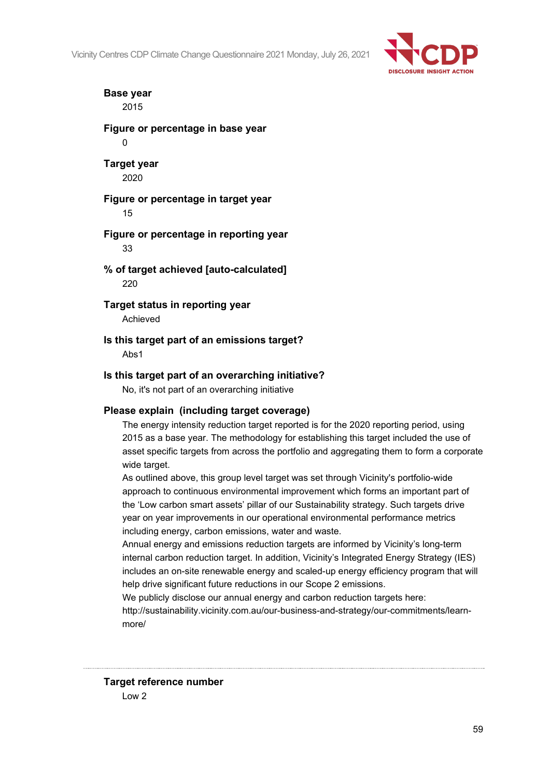

## **Base year** 2015

**Figure or percentage in base year**  $\Omega$ 

## **Target year** 2020

#### **Figure or percentage in target year** 15

## **Figure or percentage in reporting year** 33

# **% of target achieved [auto-calculated]** 220

**Target status in reporting year** Achieved

# **Is this target part of an emissions target?**

Abs1

# **Is this target part of an overarching initiative?**

No, it's not part of an overarching initiative

# **Please explain (including target coverage)**

The energy intensity reduction target reported is for the 2020 reporting period, using 2015 as a base year. The methodology for establishing this target included the use of asset specific targets from across the portfolio and aggregating them to form a corporate wide target.

As outlined above, this group level target was set through Vicinity's portfolio-wide approach to continuous environmental improvement which forms an important part of the 'Low carbon smart assets' pillar of our Sustainability strategy. Such targets drive year on year improvements in our operational environmental performance metrics including energy, carbon emissions, water and waste.

Annual energy and emissions reduction targets are informed by Vicinity's long-term internal carbon reduction target. In addition, Vicinity's Integrated Energy Strategy (IES) includes an on-site renewable energy and scaled-up energy efficiency program that will help drive significant future reductions in our Scope 2 emissions.

We publicly disclose our annual energy and carbon reduction targets here: http://sustainability.vicinity.com.au/our-business-and-strategy/our-commitments/learnmore/

**Target reference number** Low 2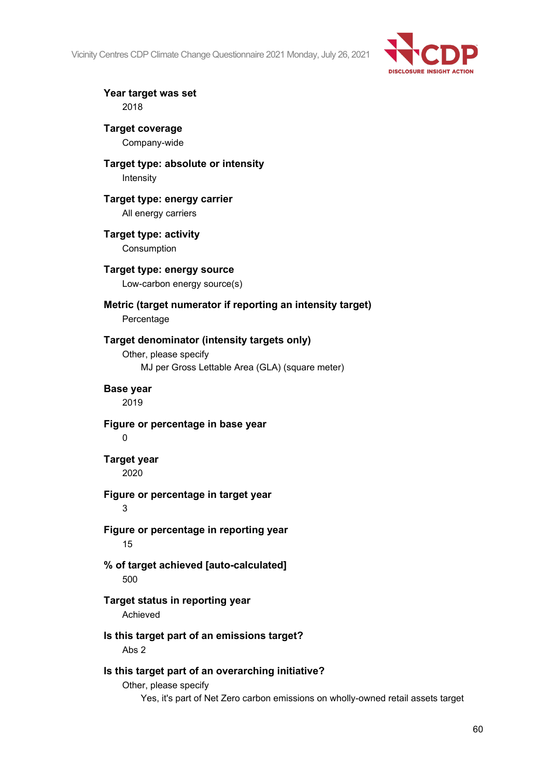

**Year target was set** 2018

**Target coverage** Company-wide

**Target type: absolute or intensity** Intensity

**Target type: energy carrier** All energy carriers

**Target type: activity** Consumption

**Target type: energy source** Low-carbon energy source(s)

**Metric (target numerator if reporting an intensity target)** Percentage

## **Target denominator (intensity targets only)**

Other, please specify MJ per Gross Lettable Area (GLA) (square meter)

**Base year**

2019

**Figure or percentage in base year**

 $\Omega$ 

**Target year**

2020

## **Figure or percentage in target year**

3

**Figure or percentage in reporting year** 15

**% of target achieved [auto-calculated]** 500

**Target status in reporting year**

Achieved

**Is this target part of an emissions target?** Abs 2

# **Is this target part of an overarching initiative?**

Other, please specify

Yes, it's part of Net Zero carbon emissions on wholly-owned retail assets target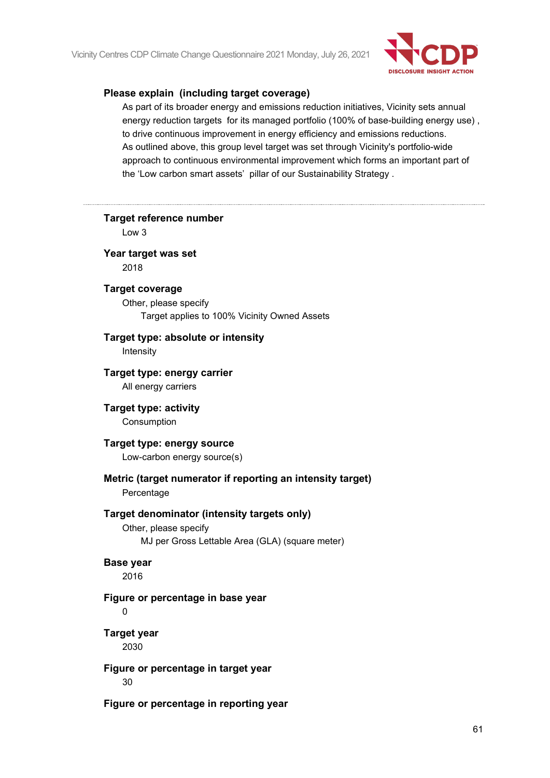

#### **Please explain (including target coverage)**

As part of its broader energy and emissions reduction initiatives, Vicinity sets annual energy reduction targets for its managed portfolio (100% of base-building energy use) , to drive continuous improvement in energy efficiency and emissions reductions. As outlined above, this group level target was set through Vicinity's portfolio-wide approach to continuous environmental improvement which forms an important part of the 'Low carbon smart assets' pillar of our Sustainability Strategy .

| <b>Target reference number</b><br>Low <sub>3</sub>                                                                      |
|-------------------------------------------------------------------------------------------------------------------------|
| Year target was set<br>2018                                                                                             |
| <b>Target coverage</b><br>Other, please specify<br>Target applies to 100% Vicinity Owned Assets                         |
| Target type: absolute or intensity<br>Intensity                                                                         |
| Target type: energy carrier<br>All energy carriers                                                                      |
| <b>Target type: activity</b><br>Consumption                                                                             |
| Target type: energy source<br>Low-carbon energy source(s)                                                               |
| Metric (target numerator if reporting an intensity target)<br>Percentage                                                |
| Target denominator (intensity targets only)<br>Other, please specify<br>MJ per Gross Lettable Area (GLA) (square meter) |
| <b>Base year</b><br>2016                                                                                                |
| Figure or percentage in base year<br>0                                                                                  |
| <b>Target year</b><br>2030                                                                                              |
| Figure or percentage in target year<br>30                                                                               |
| Figure or percentage in reporting year                                                                                  |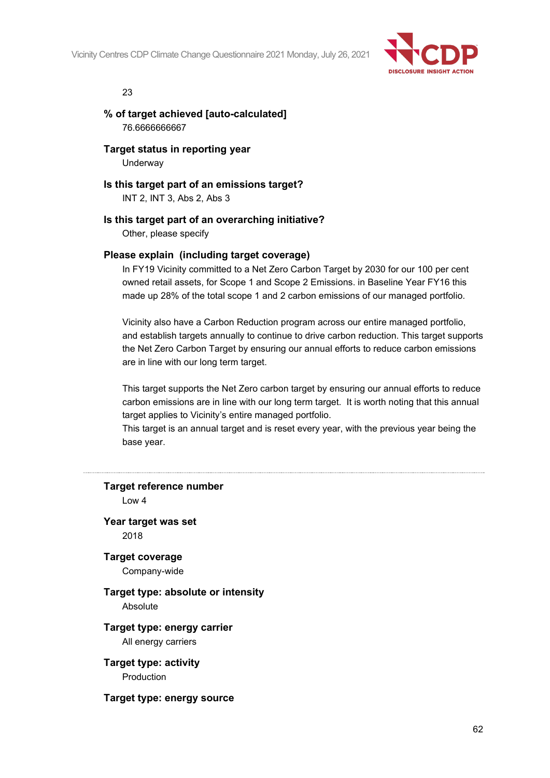

#### 23

## **% of target achieved [auto-calculated]** 76.6666666667

**Target status in reporting year** Underway

**Is this target part of an emissions target?** INT 2, INT 3, Abs 2, Abs 3

## **Is this target part of an overarching initiative?**

Other, please specify

## **Please explain (including target coverage)**

In FY19 Vicinity committed to a Net Zero Carbon Target by 2030 for our 100 per cent owned retail assets, for Scope 1 and Scope 2 Emissions. in Baseline Year FY16 this made up 28% of the total scope 1 and 2 carbon emissions of our managed portfolio.

Vicinity also have a Carbon Reduction program across our entire managed portfolio, and establish targets annually to continue to drive carbon reduction. This target supports the Net Zero Carbon Target by ensuring our annual efforts to reduce carbon emissions are in line with our long term target.

This target supports the Net Zero carbon target by ensuring our annual efforts to reduce carbon emissions are in line with our long term target. It is worth noting that this annual target applies to Vicinity's entire managed portfolio.

This target is an annual target and is reset every year, with the previous year being the base year.

**Target reference number** Low 4 **Year target was set** 2018 **Target coverage** Company-wide **Target type: absolute or intensity** Absolute **Target type: energy carrier** All energy carriers **Target type: activity** Production **Target type: energy source**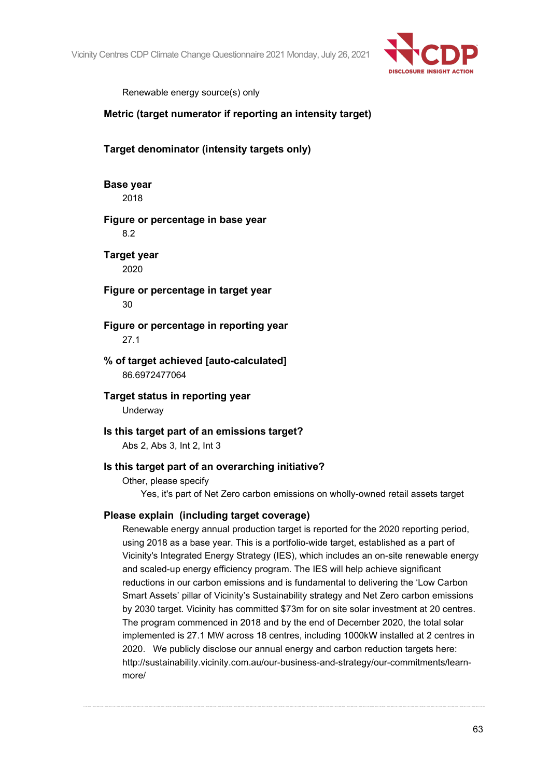

Renewable energy source(s) only

# **Metric (target numerator if reporting an intensity target)**

# **Target denominator (intensity targets only)**

**Base year** 2018

## **Figure or percentage in base year**

8.2

**Target year** 2020

**Figure or percentage in target year** 30

**Figure or percentage in reporting year** 27.1

**% of target achieved [auto-calculated]** 86.6972477064

**Target status in reporting year Underway** 

**Is this target part of an emissions target?** Abs 2, Abs 3, Int 2, Int 3

## **Is this target part of an overarching initiative?**

Other, please specify Yes, it's part of Net Zero carbon emissions on wholly-owned retail assets target

## **Please explain (including target coverage)**

Renewable energy annual production target is reported for the 2020 reporting period, using 2018 as a base year. This is a portfolio-wide target, established as a part of Vicinity's Integrated Energy Strategy (IES), which includes an on-site renewable energy and scaled-up energy efficiency program. The IES will help achieve significant reductions in our carbon emissions and is fundamental to delivering the 'Low Carbon Smart Assets' pillar of Vicinity's Sustainability strategy and Net Zero carbon emissions by 2030 target. Vicinity has committed \$73m for on site solar investment at 20 centres. The program commenced in 2018 and by the end of December 2020, the total solar implemented is 27.1 MW across 18 centres, including 1000kW installed at 2 centres in 2020. We publicly disclose our annual energy and carbon reduction targets here: http://sustainability.vicinity.com.au/our-business-and-strategy/our-commitments/learnmore/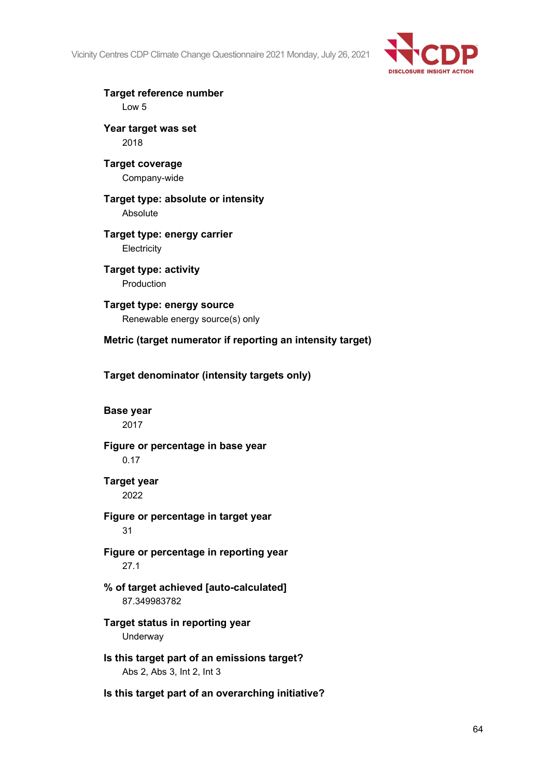

**Target reference number** Low 5

**Year target was set** 2018

**Target coverage** Company-wide

**Target type: absolute or intensity** Absolute

**Target type: energy carrier Electricity** 

**Target type: activity** Production

**Target type: energy source** Renewable energy source(s) only

**Metric (target numerator if reporting an intensity target)**

**Target denominator (intensity targets only)**

**Base year**

2017

**Figure or percentage in base year** 0.17

**Target year** 2022

**Figure or percentage in target year** 31

**Figure or percentage in reporting year** 27.1

**% of target achieved [auto-calculated]** 87.349983782

**Target status in reporting year** Underway

**Is this target part of an emissions target?** Abs 2, Abs 3, Int 2, Int 3

**Is this target part of an overarching initiative?**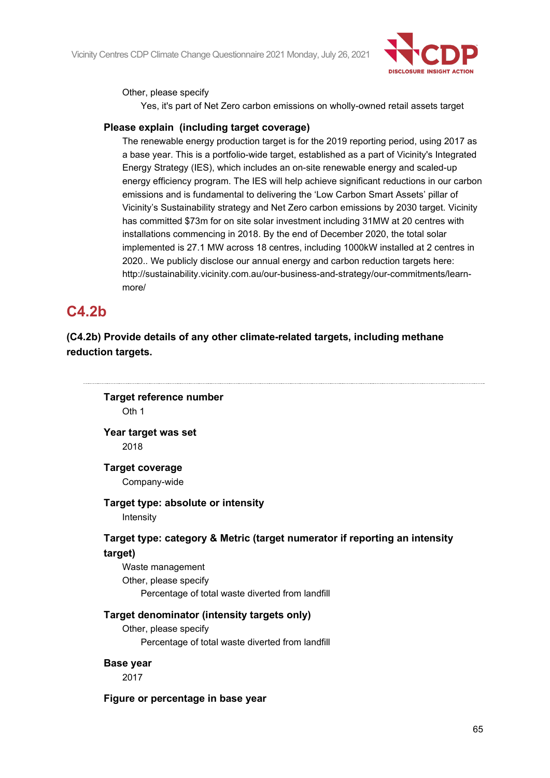

Other, please specify

Yes, it's part of Net Zero carbon emissions on wholly-owned retail assets target

#### **Please explain (including target coverage)**

The renewable energy production target is for the 2019 reporting period, using 2017 as a base year. This is a portfolio-wide target, established as a part of Vicinity's Integrated Energy Strategy (IES), which includes an on-site renewable energy and scaled-up energy efficiency program. The IES will help achieve significant reductions in our carbon emissions and is fundamental to delivering the 'Low Carbon Smart Assets' pillar of Vicinity's Sustainability strategy and Net Zero carbon emissions by 2030 target. Vicinity has committed \$73m for on site solar investment including 31MW at 20 centres with installations commencing in 2018. By the end of December 2020, the total solar implemented is 27.1 MW across 18 centres, including 1000kW installed at 2 centres in 2020.. We publicly disclose our annual energy and carbon reduction targets here: http://sustainability.vicinity.com.au/our-business-and-strategy/our-commitments/learnmore/

# **C4.2b**

**(C4.2b) Provide details of any other climate-related targets, including methane reduction targets.**

**Target reference number** Oth 1

**Year target was set** 2018

**Target coverage** Company-wide

**Target type: absolute or intensity**

Intensity

# **Target type: category & Metric (target numerator if reporting an intensity target)**

Waste management Other, please specify Percentage of total waste diverted from landfill

## **Target denominator (intensity targets only)**

Other, please specify Percentage of total waste diverted from landfill

**Base year**

2017

# **Figure or percentage in base year**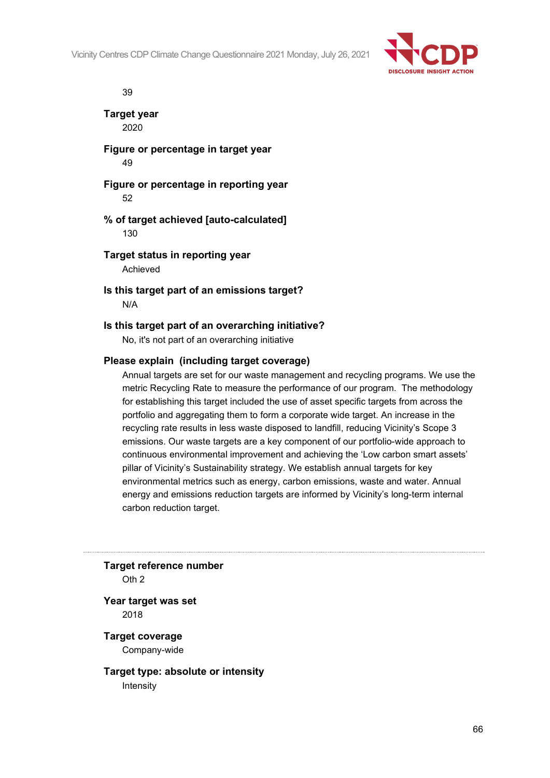

39

**Target year** 2020

**Figure or percentage in target year** 49

**Figure or percentage in reporting year** 52

**% of target achieved [auto-calculated]** 130

**Target status in reporting year** Achieved

**Is this target part of an emissions target?** N/A

#### **Is this target part of an overarching initiative?**

No, it's not part of an overarching initiative

#### **Please explain (including target coverage)**

Annual targets are set for our waste management and recycling programs. We use the metric Recycling Rate to measure the performance of our program. The methodology for establishing this target included the use of asset specific targets from across the portfolio and aggregating them to form a corporate wide target. An increase in the recycling rate results in less waste disposed to landfill, reducing Vicinity's Scope 3 emissions. Our waste targets are a key component of our portfolio-wide approach to continuous environmental improvement and achieving the 'Low carbon smart assets' pillar of Vicinity's Sustainability strategy. We establish annual targets for key environmental metrics such as energy, carbon emissions, waste and water. Annual energy and emissions reduction targets are informed by Vicinity's long-term internal carbon reduction target.

**Target reference number** Oth 2

**Year target was set** 2018

**Target coverage** Company-wide

**Target type: absolute or intensity** Intensity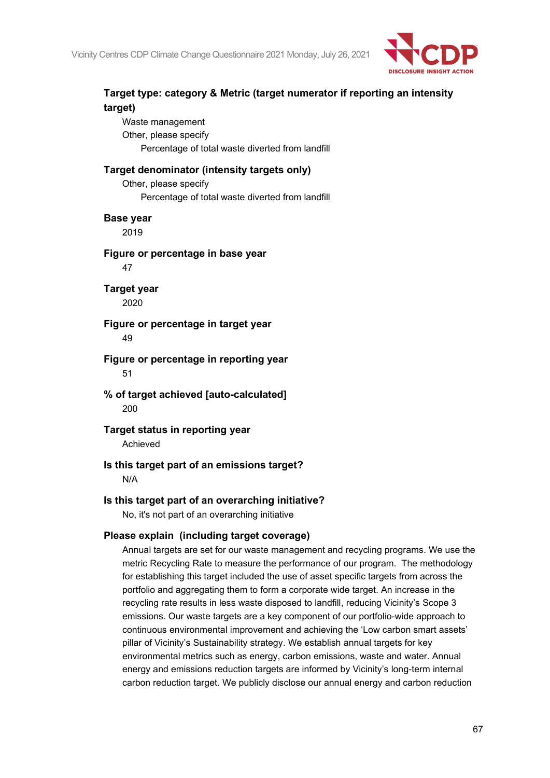

# **Target type: category & Metric (target numerator if reporting an intensity target)** Waste management Other, please specify Percentage of total waste diverted from landfill **Target denominator (intensity targets only)** Other, please specify Percentage of total waste diverted from landfill **Base year** 2019 **Figure or percentage in base year** 47 **Target year** 2020 **Figure or percentage in target year** 49 **Figure or percentage in reporting year** 51 **% of target achieved [auto-calculated]** 200 **Target status in reporting year** Achieved **Is this target part of an emissions target?** N/A **Is this target part of an overarching initiative?** No, it's not part of an overarching initiative **Please explain (including target coverage)** Annual targets are set for our waste management and recycling programs. We use the metric Recycling Rate to measure the performance of our program. The methodology

for establishing this target included the use of asset specific targets from across the portfolio and aggregating them to form a corporate wide target. An increase in the recycling rate results in less waste disposed to landfill, reducing Vicinity's Scope 3 emissions. Our waste targets are a key component of our portfolio-wide approach to continuous environmental improvement and achieving the 'Low carbon smart assets' pillar of Vicinity's Sustainability strategy. We establish annual targets for key environmental metrics such as energy, carbon emissions, waste and water. Annual energy and emissions reduction targets are informed by Vicinity's long-term internal carbon reduction target. We publicly disclose our annual energy and carbon reduction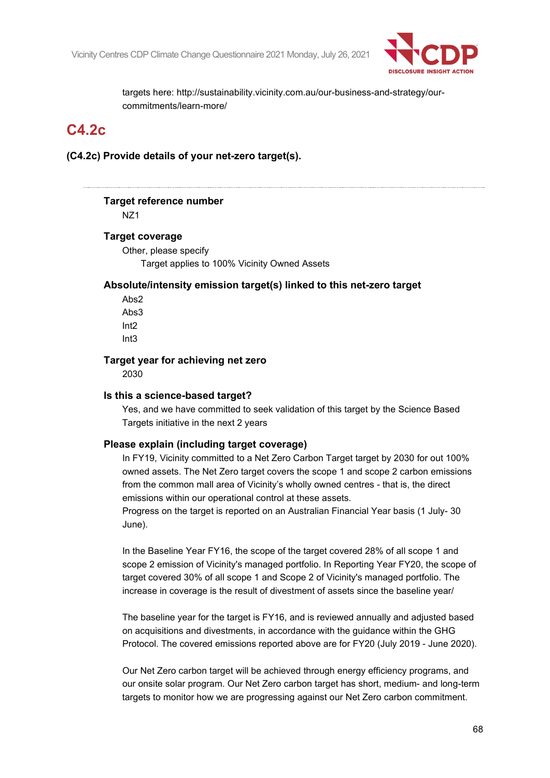

targets here: http://sustainability.vicinity.com.au/our-business-and-strategy/ourcommitments/learn-more/

# **C4.2c**

**(C4.2c) Provide details of your net-zero target(s).**

# **Target reference number**

NZ1

#### **Target coverage**

Other, please specify Target applies to 100% Vicinity Owned Assets

## **Absolute/intensity emission target(s) linked to this net-zero target**

Abs2 Abs3 Int2 Int3

#### **Target year for achieving net zero**

2030

## **Is this a science-based target?**

Yes, and we have committed to seek validation of this target by the Science Based Targets initiative in the next 2 years

## **Please explain (including target coverage)**

In FY19, Vicinity committed to a Net Zero Carbon Target target by 2030 for out 100% owned assets. The Net Zero target covers the scope 1 and scope 2 carbon emissions from the common mall area of Vicinity's wholly owned centres - that is, the direct emissions within our operational control at these assets.

Progress on the target is reported on an Australian Financial Year basis (1 July- 30 June).

In the Baseline Year FY16, the scope of the target covered 28% of all scope 1 and scope 2 emission of Vicinity's managed portfolio. In Reporting Year FY20, the scope of target covered 30% of all scope 1 and Scope 2 of Vicinity's managed portfolio. The increase in coverage is the result of divestment of assets since the baseline year/

The baseline year for the target is FY16, and is reviewed annually and adjusted based on acquisitions and divestments, in accordance with the guidance within the GHG Protocol. The covered emissions reported above are for FY20 (July 2019 - June 2020).

Our Net Zero carbon target will be achieved through energy efficiency programs, and our onsite solar program. Our Net Zero carbon target has short, medium- and long-term targets to monitor how we are progressing against our Net Zero carbon commitment.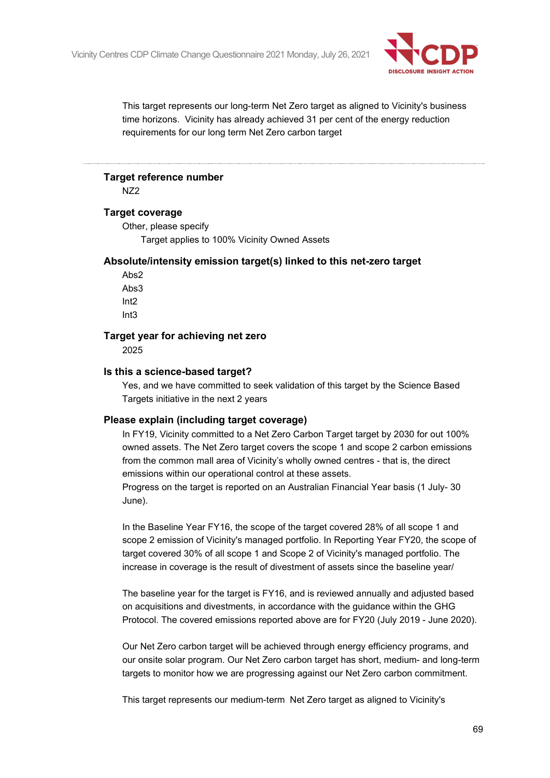

This target represents our long-term Net Zero target as aligned to Vicinity's business time horizons. Vicinity has already achieved 31 per cent of the energy reduction requirements for our long term Net Zero carbon target

# **Target reference number**

NZ2

## **Target coverage**

Other, please specify

Target applies to 100% Vicinity Owned Assets

#### **Absolute/intensity emission target(s) linked to this net-zero target**

Abs2 Abs3 Int2 Int3

#### **Target year for achieving net zero**

2025

#### **Is this a science-based target?**

Yes, and we have committed to seek validation of this target by the Science Based Targets initiative in the next 2 years

## **Please explain (including target coverage)**

In FY19, Vicinity committed to a Net Zero Carbon Target target by 2030 for out 100% owned assets. The Net Zero target covers the scope 1 and scope 2 carbon emissions from the common mall area of Vicinity's wholly owned centres - that is, the direct emissions within our operational control at these assets. Progress on the target is reported on an Australian Financial Year basis (1 July- 30 June).

In the Baseline Year FY16, the scope of the target covered 28% of all scope 1 and scope 2 emission of Vicinity's managed portfolio. In Reporting Year FY20, the scope of target covered 30% of all scope 1 and Scope 2 of Vicinity's managed portfolio. The increase in coverage is the result of divestment of assets since the baseline year/

The baseline year for the target is FY16, and is reviewed annually and adjusted based on acquisitions and divestments, in accordance with the guidance within the GHG Protocol. The covered emissions reported above are for FY20 (July 2019 - June 2020).

Our Net Zero carbon target will be achieved through energy efficiency programs, and our onsite solar program. Our Net Zero carbon target has short, medium- and long-term targets to monitor how we are progressing against our Net Zero carbon commitment.

This target represents our medium-term Net Zero target as aligned to Vicinity's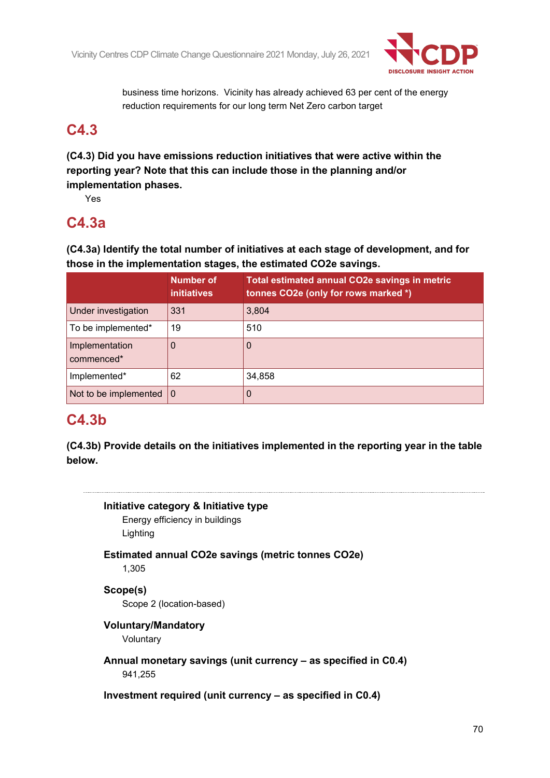

business time horizons. Vicinity has already achieved 63 per cent of the energy reduction requirements for our long term Net Zero carbon target

# **C4.3**

**(C4.3) Did you have emissions reduction initiatives that were active within the reporting year? Note that this can include those in the planning and/or implementation phases.**

Yes

# **C4.3a**

**(C4.3a) Identify the total number of initiatives at each stage of development, and for those in the implementation stages, the estimated CO2e savings.**

|                              | <b>Number of</b><br><b>initiatives</b> | Total estimated annual CO2e savings in metric<br>tonnes CO2e (only for rows marked *) |
|------------------------------|----------------------------------------|---------------------------------------------------------------------------------------|
| Under investigation          | 331                                    | 3,804                                                                                 |
| To be implemented*           | 19                                     | 510                                                                                   |
| Implementation<br>commenced* | 0                                      | 0                                                                                     |
| Implemented*                 | 62                                     | 34,858                                                                                |
| Not to be implemented        | $\overline{0}$                         | 0                                                                                     |

# **C4.3b**

**(C4.3b) Provide details on the initiatives implemented in the reporting year in the table below.**



Energy efficiency in buildings Lighting

**Estimated annual CO2e savings (metric tonnes CO2e)**

1,305

**Scope(s)** Scope 2 (location-based)

# **Voluntary/Mandatory**

Voluntary

**Annual monetary savings (unit currency – as specified in C0.4)** 941,255

**Investment required (unit currency – as specified in C0.4)**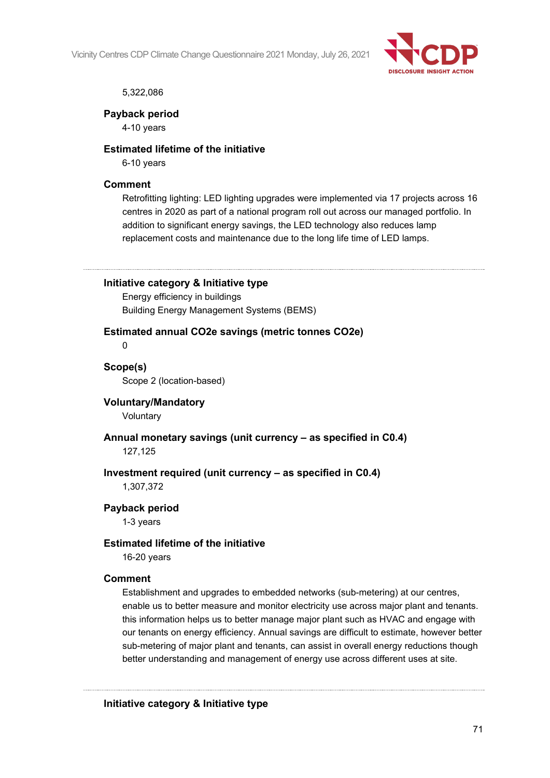

#### 5,322,086

#### **Payback period**

4-10 years

#### **Estimated lifetime of the initiative**

6-10 years

#### **Comment**

Retrofitting lighting: LED lighting upgrades were implemented via 17 projects across 16 centres in 2020 as part of a national program roll out across our managed portfolio. In addition to significant energy savings, the LED technology also reduces lamp replacement costs and maintenance due to the long life time of LED lamps.

**Initiative category & Initiative type**

Energy efficiency in buildings Building Energy Management Systems (BEMS)

#### **Estimated annual CO2e savings (metric tonnes CO2e)**

 $\Omega$ 

**Scope(s)** Scope 2 (location-based)

# **Voluntary/Mandatory**

Voluntary

**Annual monetary savings (unit currency – as specified in C0.4)** 127,125

## **Investment required (unit currency – as specified in C0.4)**

1,307,372

## **Payback period**

1-3 years

## **Estimated lifetime of the initiative**

16-20 years

#### **Comment**

Establishment and upgrades to embedded networks (sub-metering) at our centres, enable us to better measure and monitor electricity use across major plant and tenants. this information helps us to better manage major plant such as HVAC and engage with our tenants on energy efficiency. Annual savings are difficult to estimate, however better sub-metering of major plant and tenants, can assist in overall energy reductions though better understanding and management of energy use across different uses at site.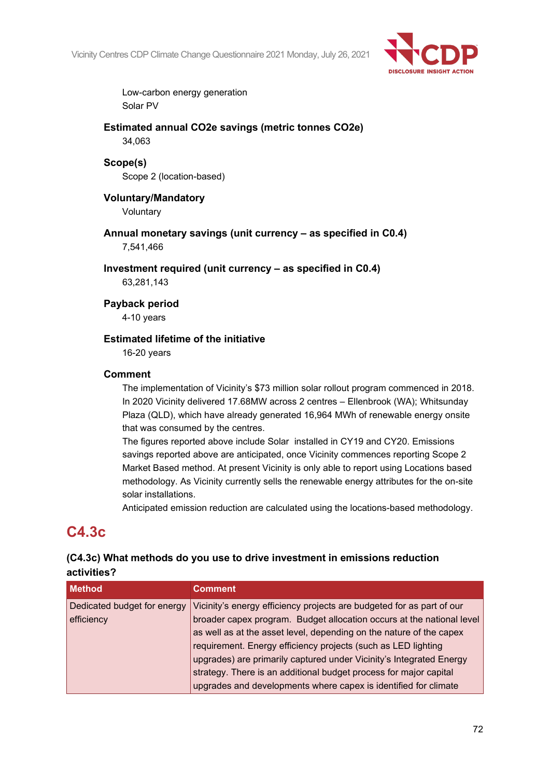

Low-carbon energy generation Solar PV

**Estimated annual CO2e savings (metric tonnes CO2e)** 34,063

**Scope(s)** Scope 2 (location-based)

# **Voluntary/Mandatory**

Voluntary

**Annual monetary savings (unit currency – as specified in C0.4)** 7,541,466

**Investment required (unit currency – as specified in C0.4)**

63,281,143

## **Payback period**

4-10 years

## **Estimated lifetime of the initiative**

16-20 years

## **Comment**

The implementation of Vicinity's \$73 million solar rollout program commenced in 2018. In 2020 Vicinity delivered 17.68MW across 2 centres – Ellenbrook (WA); Whitsunday Plaza (QLD), which have already generated 16,964 MWh of renewable energy onsite that was consumed by the centres.

The figures reported above include Solar installed in CY19 and CY20. Emissions savings reported above are anticipated, once Vicinity commences reporting Scope 2 Market Based method. At present Vicinity is only able to report using Locations based methodology. As Vicinity currently sells the renewable energy attributes for the on-site solar installations.

Anticipated emission reduction are calculated using the locations-based methodology.

# **C4.3c**

# **(C4.3c) What methods do you use to drive investment in emissions reduction activities?**

| <b>Method</b>               | <b>Comment</b>                                                                                                                               |
|-----------------------------|----------------------------------------------------------------------------------------------------------------------------------------------|
| Dedicated budget for energy | Vicinity's energy efficiency projects are budgeted for as part of our                                                                        |
| efficiency                  | broader capex program. Budget allocation occurs at the national level<br>as well as at the asset level, depending on the nature of the capex |
|                             | requirement. Energy efficiency projects (such as LED lighting                                                                                |
|                             | upgrades) are primarily captured under Vicinity's Integrated Energy                                                                          |
|                             | strategy. There is an additional budget process for major capital                                                                            |
|                             | upgrades and developments where capex is identified for climate                                                                              |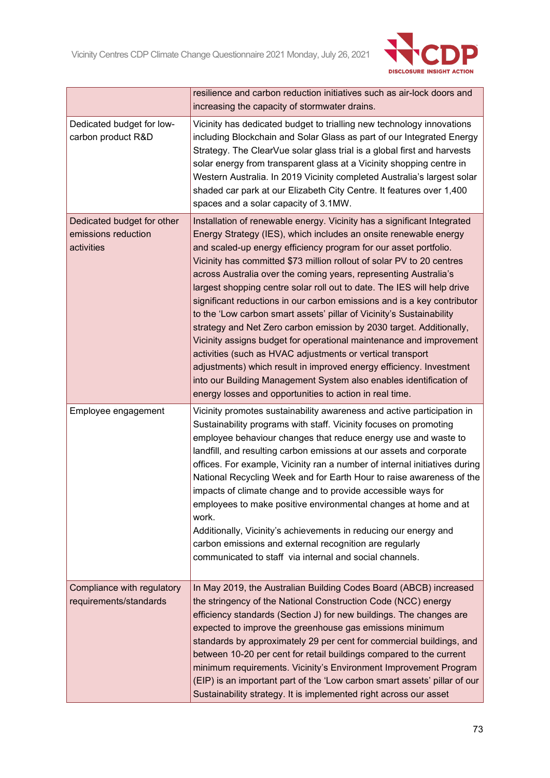

|                                                                 | resilience and carbon reduction initiatives such as air-lock doors and<br>increasing the capacity of stormwater drains.                                                                                                                                                                                                                                                                                                                                                                                                                                                                                                                                                                                                                                                                                                                                                                                                                                                                                        |
|-----------------------------------------------------------------|----------------------------------------------------------------------------------------------------------------------------------------------------------------------------------------------------------------------------------------------------------------------------------------------------------------------------------------------------------------------------------------------------------------------------------------------------------------------------------------------------------------------------------------------------------------------------------------------------------------------------------------------------------------------------------------------------------------------------------------------------------------------------------------------------------------------------------------------------------------------------------------------------------------------------------------------------------------------------------------------------------------|
| Dedicated budget for low-<br>carbon product R&D                 | Vicinity has dedicated budget to trialling new technology innovations<br>including Blockchain and Solar Glass as part of our Integrated Energy<br>Strategy. The ClearVue solar glass trial is a global first and harvests<br>solar energy from transparent glass at a Vicinity shopping centre in<br>Western Australia. In 2019 Vicinity completed Australia's largest solar<br>shaded car park at our Elizabeth City Centre. It features over 1,400<br>spaces and a solar capacity of 3.1MW.                                                                                                                                                                                                                                                                                                                                                                                                                                                                                                                  |
| Dedicated budget for other<br>emissions reduction<br>activities | Installation of renewable energy. Vicinity has a significant Integrated<br>Energy Strategy (IES), which includes an onsite renewable energy<br>and scaled-up energy efficiency program for our asset portfolio.<br>Vicinity has committed \$73 million rollout of solar PV to 20 centres<br>across Australia over the coming years, representing Australia's<br>largest shopping centre solar roll out to date. The IES will help drive<br>significant reductions in our carbon emissions and is a key contributor<br>to the 'Low carbon smart assets' pillar of Vicinity's Sustainability<br>strategy and Net Zero carbon emission by 2030 target. Additionally,<br>Vicinity assigns budget for operational maintenance and improvement<br>activities (such as HVAC adjustments or vertical transport<br>adjustments) which result in improved energy efficiency. Investment<br>into our Building Management System also enables identification of<br>energy losses and opportunities to action in real time. |
| Employee engagement                                             | Vicinity promotes sustainability awareness and active participation in<br>Sustainability programs with staff. Vicinity focuses on promoting<br>employee behaviour changes that reduce energy use and waste to<br>landfill, and resulting carbon emissions at our assets and corporate<br>offices. For example, Vicinity ran a number of internal initiatives during<br>National Recycling Week and for Earth Hour to raise awareness of the<br>impacts of climate change and to provide accessible ways for<br>employees to make positive environmental changes at home and at<br>work.<br>Additionally, Vicinity's achievements in reducing our energy and<br>carbon emissions and external recognition are regularly<br>communicated to staff via internal and social channels.                                                                                                                                                                                                                              |
| Compliance with regulatory<br>requirements/standards            | In May 2019, the Australian Building Codes Board (ABCB) increased<br>the stringency of the National Construction Code (NCC) energy<br>efficiency standards (Section J) for new buildings. The changes are<br>expected to improve the greenhouse gas emissions minimum<br>standards by approximately 29 per cent for commercial buildings, and<br>between 10-20 per cent for retail buildings compared to the current<br>minimum requirements. Vicinity's Environment Improvement Program<br>(EIP) is an important part of the 'Low carbon smart assets' pillar of our<br>Sustainability strategy. It is implemented right across our asset                                                                                                                                                                                                                                                                                                                                                                     |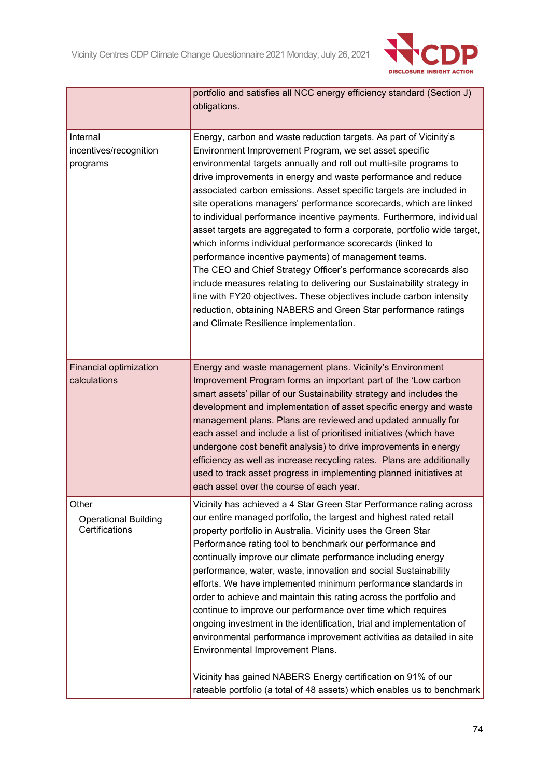

|                                                        | portfolio and satisfies all NCC energy efficiency standard (Section J)<br>obligations.                                                                                                                                                                                                                                                                                                                                                                                                                                                                                                                                                                                                                                                                                                                                                                                                                                                                                                                                       |
|--------------------------------------------------------|------------------------------------------------------------------------------------------------------------------------------------------------------------------------------------------------------------------------------------------------------------------------------------------------------------------------------------------------------------------------------------------------------------------------------------------------------------------------------------------------------------------------------------------------------------------------------------------------------------------------------------------------------------------------------------------------------------------------------------------------------------------------------------------------------------------------------------------------------------------------------------------------------------------------------------------------------------------------------------------------------------------------------|
| Internal<br>incentives/recognition<br>programs         | Energy, carbon and waste reduction targets. As part of Vicinity's<br>Environment Improvement Program, we set asset specific<br>environmental targets annually and roll out multi-site programs to<br>drive improvements in energy and waste performance and reduce<br>associated carbon emissions. Asset specific targets are included in<br>site operations managers' performance scorecards, which are linked<br>to individual performance incentive payments. Furthermore, individual<br>asset targets are aggregated to form a corporate, portfolio wide target,<br>which informs individual performance scorecards (linked to<br>performance incentive payments) of management teams.<br>The CEO and Chief Strategy Officer's performance scorecards also<br>include measures relating to delivering our Sustainability strategy in<br>line with FY20 objectives. These objectives include carbon intensity<br>reduction, obtaining NABERS and Green Star performance ratings<br>and Climate Resilience implementation. |
| <b>Financial optimization</b><br>calculations          | Energy and waste management plans. Vicinity's Environment<br>Improvement Program forms an important part of the 'Low carbon<br>smart assets' pillar of our Sustainability strategy and includes the<br>development and implementation of asset specific energy and waste<br>management plans. Plans are reviewed and updated annually for<br>each asset and include a list of prioritised initiatives (which have<br>undergone cost benefit analysis) to drive improvements in energy<br>efficiency as well as increase recycling rates. Plans are additionally<br>used to track asset progress in implementing planned initiatives at<br>each asset over the course of each year.                                                                                                                                                                                                                                                                                                                                           |
| Other<br><b>Operational Building</b><br>Certifications | Vicinity has achieved a 4 Star Green Star Performance rating across<br>our entire managed portfolio, the largest and highest rated retail<br>property portfolio in Australia. Vicinity uses the Green Star<br>Performance rating tool to benchmark our performance and<br>continually improve our climate performance including energy<br>performance, water, waste, innovation and social Sustainability<br>efforts. We have implemented minimum performance standards in<br>order to achieve and maintain this rating across the portfolio and<br>continue to improve our performance over time which requires<br>ongoing investment in the identification, trial and implementation of<br>environmental performance improvement activities as detailed in site<br>Environmental Improvement Plans.<br>Vicinity has gained NABERS Energy certification on 91% of our<br>rateable portfolio (a total of 48 assets) which enables us to benchmark                                                                            |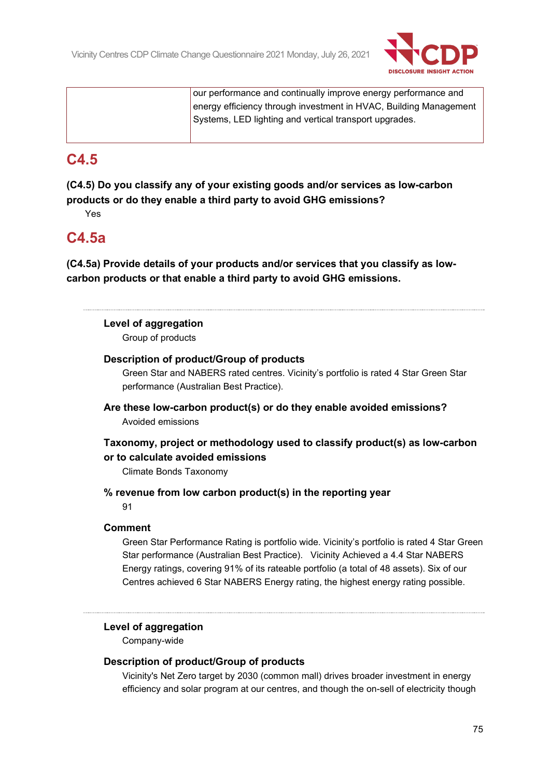

| our performance and continually improve energy performance and    |
|-------------------------------------------------------------------|
| energy efficiency through investment in HVAC, Building Management |
| Systems, LED lighting and vertical transport upgrades.            |
|                                                                   |

# **C4.5**

**(C4.5) Do you classify any of your existing goods and/or services as low-carbon products or do they enable a third party to avoid GHG emissions?**

Yes

# **C4.5a**

**(C4.5a) Provide details of your products and/or services that you classify as lowcarbon products or that enable a third party to avoid GHG emissions.**

## **Level of aggregation**

Group of products

### **Description of product/Group of products**

Green Star and NABERS rated centres. Vicinity's portfolio is rated 4 Star Green Star performance (Australian Best Practice).

**Are these low-carbon product(s) or do they enable avoided emissions?** Avoided emissions

## **Taxonomy, project or methodology used to classify product(s) as low-carbon or to calculate avoided emissions**

Climate Bonds Taxonomy

**% revenue from low carbon product(s) in the reporting year**

91

### **Comment**

Green Star Performance Rating is portfolio wide. Vicinity's portfolio is rated 4 Star Green Star performance (Australian Best Practice). Vicinity Achieved a 4.4 Star NABERS Energy ratings, covering 91% of its rateable portfolio (a total of 48 assets). Six of our Centres achieved 6 Star NABERS Energy rating, the highest energy rating possible.

## **Level of aggregation**

Company-wide

### **Description of product/Group of products**

Vicinity's Net Zero target by 2030 (common mall) drives broader investment in energy efficiency and solar program at our centres, and though the on-sell of electricity though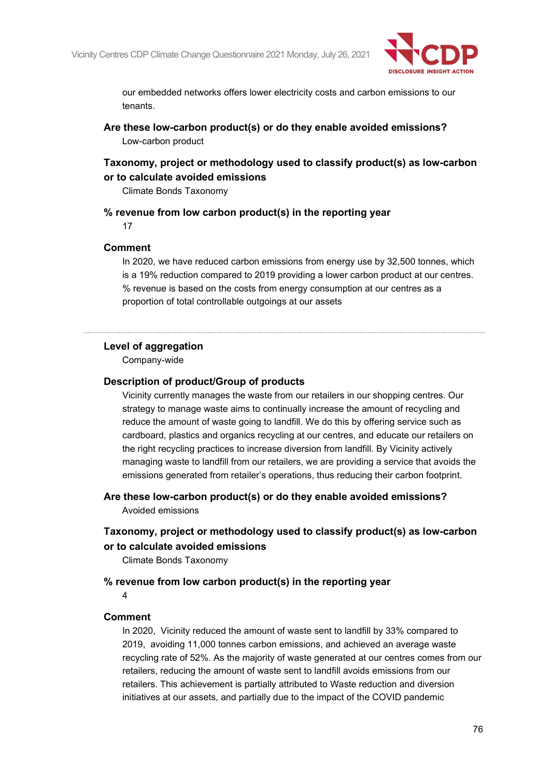

our embedded networks offers lower electricity costs and carbon emissions to our tenants.

**Are these low-carbon product(s) or do they enable avoided emissions?** Low-carbon product

## **Taxonomy, project or methodology used to classify product(s) as low-carbon or to calculate avoided emissions**

Climate Bonds Taxonomy

**% revenue from low carbon product(s) in the reporting year**

17

### **Comment**

In 2020, we have reduced carbon emissions from energy use by 32,500 tonnes, which is a 19% reduction compared to 2019 providing a lower carbon product at our centres. % revenue is based on the costs from energy consumption at our centres as a proportion of total controllable outgoings at our assets

### **Level of aggregation**

Company-wide

#### **Description of product/Group of products**

Vicinity currently manages the waste from our retailers in our shopping centres. Our strategy to manage waste aims to continually increase the amount of recycling and reduce the amount of waste going to landfill. We do this by offering service such as cardboard, plastics and organics recycling at our centres, and educate our retailers on the right recycling practices to increase diversion from landfill. By Vicinity actively managing waste to landfill from our retailers, we are providing a service that avoids the emissions generated from retailer's operations, thus reducing their carbon footprint.

**Are these low-carbon product(s) or do they enable avoided emissions?** Avoided emissions

## **Taxonomy, project or methodology used to classify product(s) as low-carbon or to calculate avoided emissions**

Climate Bonds Taxonomy

### **% revenue from low carbon product(s) in the reporting year**

4

### **Comment**

In 2020, Vicinity reduced the amount of waste sent to landfill by 33% compared to 2019, avoiding 11,000 tonnes carbon emissions, and achieved an average waste recycling rate of 52%. As the majority of waste generated at our centres comes from our retailers, reducing the amount of waste sent to landfill avoids emissions from our retailers. This achievement is partially attributed to Waste reduction and diversion initiatives at our assets, and partially due to the impact of the COVID pandemic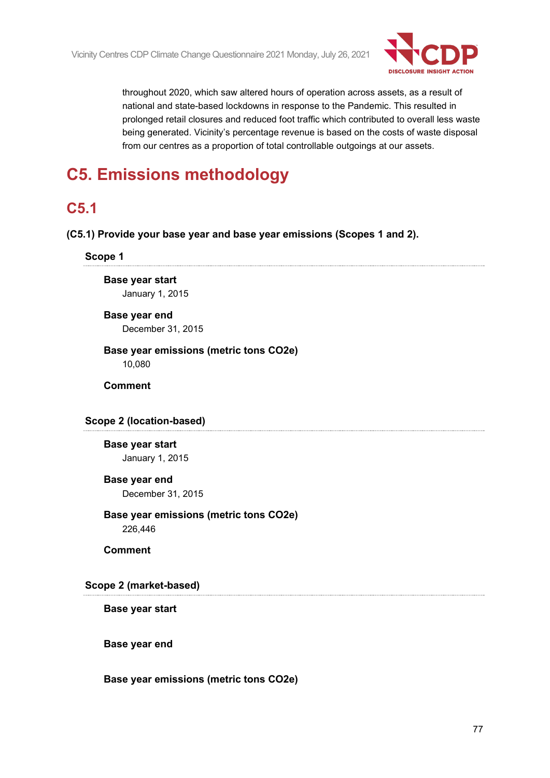

throughout 2020, which saw altered hours of operation across assets, as a result of national and state-based lockdowns in response to the Pandemic. This resulted in prolonged retail closures and reduced foot traffic which contributed to overall less waste being generated. Vicinity's percentage revenue is based on the costs of waste disposal from our centres as a proportion of total controllable outgoings at our assets.

# **C5. Emissions methodology**

# **C5.1**

**(C5.1) Provide your base year and base year emissions (Scopes 1 and 2).**

#### **Scope 1**

**Base year start** January 1, 2015

# **Base year end**

December 31, 2015

#### **Base year emissions (metric tons CO2e)** 10,080

**Comment**

### **Scope 2 (location-based)**

### **Base year start**

January 1, 2015

### **Base year end**

December 31, 2015

# **Base year emissions (metric tons CO2e)**

226,446

**Comment**

### **Scope 2 (market-based)**

**Base year start**

**Base year end**

#### **Base year emissions (metric tons CO2e)**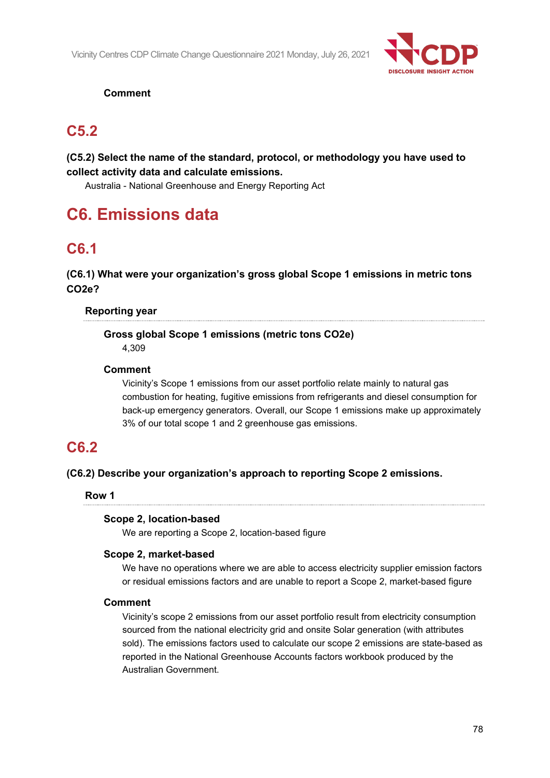

## **Comment**

# **C5.2**

## **(C5.2) Select the name of the standard, protocol, or methodology you have used to collect activity data and calculate emissions.**

Australia - National Greenhouse and Energy Reporting Act

# **C6. Emissions data**

# **C6.1**

**(C6.1) What were your organization's gross global Scope 1 emissions in metric tons CO2e?**

## **Reporting year**

## **Gross global Scope 1 emissions (metric tons CO2e)**

4,309

### **Comment**

Vicinity's Scope 1 emissions from our asset portfolio relate mainly to natural gas combustion for heating, fugitive emissions from refrigerants and diesel consumption for back-up emergency generators. Overall, our Scope 1 emissions make up approximately 3% of our total scope 1 and 2 greenhouse gas emissions.

# **C6.2**

## **(C6.2) Describe your organization's approach to reporting Scope 2 emissions.**

## **Row 1**

## **Scope 2, location-based**

We are reporting a Scope 2, location-based figure

### **Scope 2, market-based**

We have no operations where we are able to access electricity supplier emission factors or residual emissions factors and are unable to report a Scope 2, market-based figure

### **Comment**

Vicinity's scope 2 emissions from our asset portfolio result from electricity consumption sourced from the national electricity grid and onsite Solar generation (with attributes sold). The emissions factors used to calculate our scope 2 emissions are state-based as reported in the National Greenhouse Accounts factors workbook produced by the Australian Government.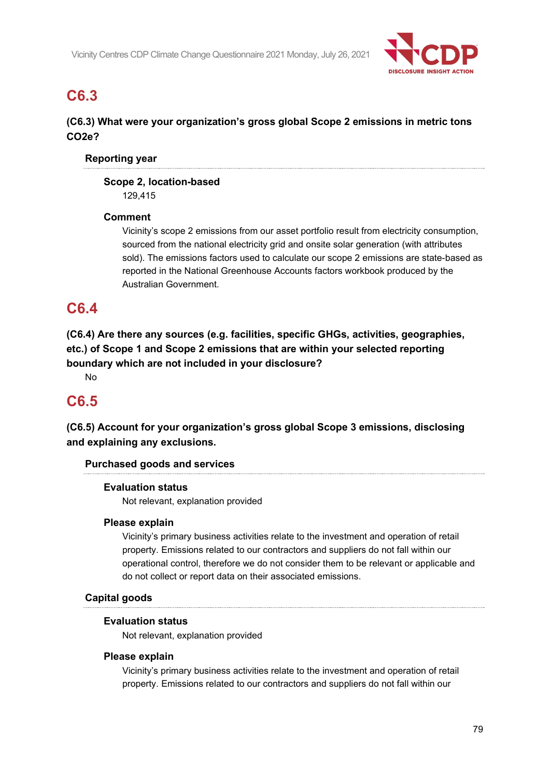

# **C6.3**

## **(C6.3) What were your organization's gross global Scope 2 emissions in metric tons CO2e?**

### **Reporting year**

#### **Scope 2, location-based** 129,415

### **Comment**

Vicinity's scope 2 emissions from our asset portfolio result from electricity consumption, sourced from the national electricity grid and onsite solar generation (with attributes sold). The emissions factors used to calculate our scope 2 emissions are state-based as reported in the National Greenhouse Accounts factors workbook produced by the Australian Government.

# **C6.4**

**(C6.4) Are there any sources (e.g. facilities, specific GHGs, activities, geographies, etc.) of Scope 1 and Scope 2 emissions that are within your selected reporting boundary which are not included in your disclosure?**

No

# **C6.5**

**(C6.5) Account for your organization's gross global Scope 3 emissions, disclosing and explaining any exclusions.**

### **Purchased goods and services**

### **Evaluation status**

Not relevant, explanation provided

### **Please explain**

Vicinity's primary business activities relate to the investment and operation of retail property. Emissions related to our contractors and suppliers do not fall within our operational control, therefore we do not consider them to be relevant or applicable and do not collect or report data on their associated emissions.

### **Capital goods**

### **Evaluation status**

Not relevant, explanation provided

### **Please explain**

Vicinity's primary business activities relate to the investment and operation of retail property. Emissions related to our contractors and suppliers do not fall within our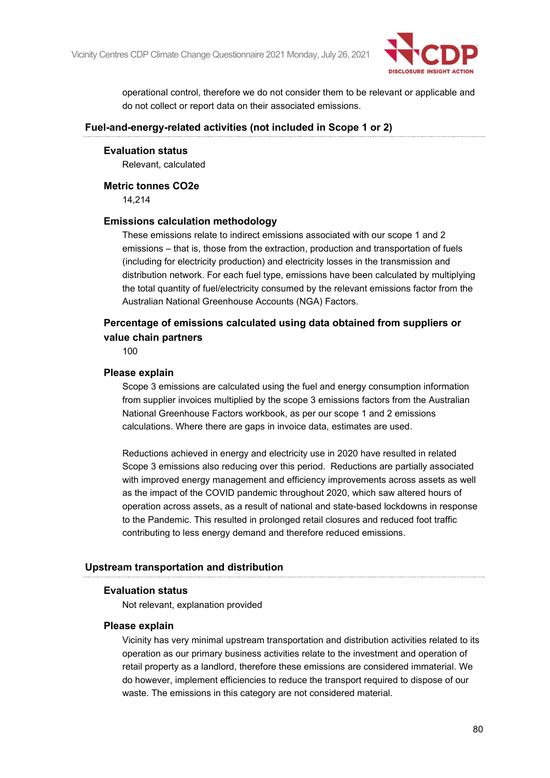

operational control, therefore we do not consider them to be relevant or applicable and do not collect or report data on their associated emissions.

#### **Fuel-and-energy-related activities (not included in Scope 1 or 2)**

#### **Evaluation status**

Relevant, calculated

#### **Metric tonnes CO2e**

14,214

#### **Emissions calculation methodology**

These emissions relate to indirect emissions associated with our scope 1 and 2 emissions – that is, those from the extraction, production and transportation of fuels (including for electricity production) and electricity losses in the transmission and distribution network. For each fuel type, emissions have been calculated by multiplying the total quantity of fuel/electricity consumed by the relevant emissions factor from the Australian National Greenhouse Accounts (NGA) Factors.

## **Percentage of emissions calculated using data obtained from suppliers or value chain partners**

100

#### **Please explain**

Scope 3 emissions are calculated using the fuel and energy consumption information from supplier invoices multiplied by the scope 3 emissions factors from the Australian National Greenhouse Factors workbook, as per our scope 1 and 2 emissions calculations. Where there are gaps in invoice data, estimates are used.

Reductions achieved in energy and electricity use in 2020 have resulted in related Scope 3 emissions also reducing over this period. Reductions are partially associated with improved energy management and efficiency improvements across assets as well as the impact of the COVID pandemic throughout 2020, which saw altered hours of operation across assets, as a result of national and state-based lockdowns in response to the Pandemic. This resulted in prolonged retail closures and reduced foot traffic contributing to less energy demand and therefore reduced emissions.

#### **Upstream transportation and distribution**

#### **Evaluation status**

Not relevant, explanation provided

#### **Please explain**

Vicinity has very minimal upstream transportation and distribution activities related to its operation as our primary business activities relate to the investment and operation of retail property as a landlord, therefore these emissions are considered immaterial. We do however, implement efficiencies to reduce the transport required to dispose of our waste. The emissions in this category are not considered material.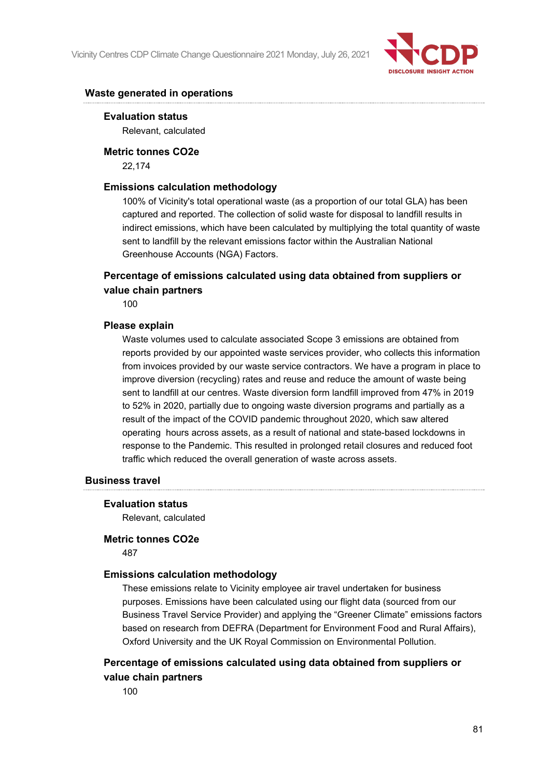

### **Waste generated in operations**

#### **Evaluation status**

Relevant, calculated

#### **Metric tonnes CO2e**

22,174

### **Emissions calculation methodology**

100% of Vicinity's total operational waste (as a proportion of our total GLA) has been captured and reported. The collection of solid waste for disposal to landfill results in indirect emissions, which have been calculated by multiplying the total quantity of waste sent to landfill by the relevant emissions factor within the Australian National Greenhouse Accounts (NGA) Factors.

## **Percentage of emissions calculated using data obtained from suppliers or value chain partners**

100

#### **Please explain**

Waste volumes used to calculate associated Scope 3 emissions are obtained from reports provided by our appointed waste services provider, who collects this information from invoices provided by our waste service contractors. We have a program in place to improve diversion (recycling) rates and reuse and reduce the amount of waste being sent to landfill at our centres. Waste diversion form landfill improved from 47% in 2019 to 52% in 2020, partially due to ongoing waste diversion programs and partially as a result of the impact of the COVID pandemic throughout 2020, which saw altered operating hours across assets, as a result of national and state-based lockdowns in response to the Pandemic. This resulted in prolonged retail closures and reduced foot traffic which reduced the overall generation of waste across assets.

#### **Business travel**

#### **Evaluation status**

Relevant, calculated

#### **Metric tonnes CO2e**

487

#### **Emissions calculation methodology**

These emissions relate to Vicinity employee air travel undertaken for business purposes. Emissions have been calculated using our flight data (sourced from our Business Travel Service Provider) and applying the "Greener Climate" emissions factors based on research from DEFRA (Department for Environment Food and Rural Affairs), Oxford University and the UK Royal Commission on Environmental Pollution.

## **Percentage of emissions calculated using data obtained from suppliers or value chain partners**

100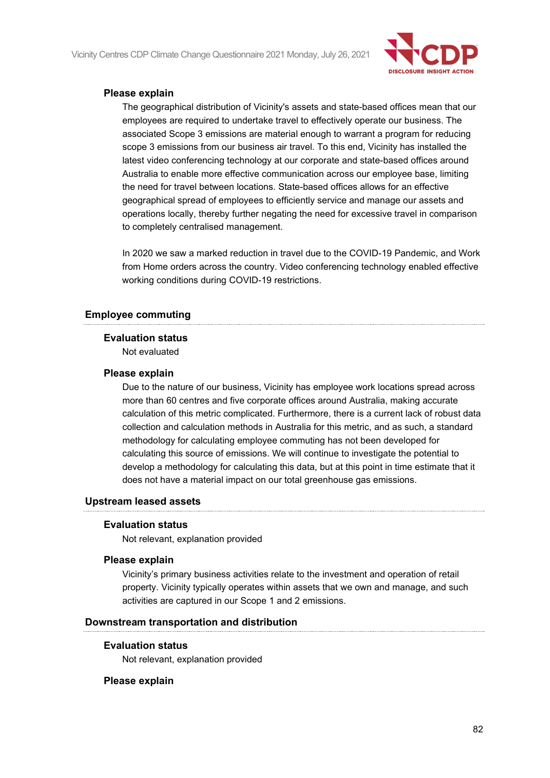Vicinity Centres CDP Climate Change Questionnaire 2021 Monday, July 26, 2021



### **Please explain**

The geographical distribution of Vicinity's assets and state-based offices mean that our employees are required to undertake travel to effectively operate our business. The associated Scope 3 emissions are material enough to warrant a program for reducing scope 3 emissions from our business air travel. To this end, Vicinity has installed the latest video conferencing technology at our corporate and state-based offices around Australia to enable more effective communication across our employee base, limiting the need for travel between locations. State-based offices allows for an effective geographical spread of employees to efficiently service and manage our assets and operations locally, thereby further negating the need for excessive travel in comparison to completely centralised management.

In 2020 we saw a marked reduction in travel due to the COVID-19 Pandemic, and Work from Home orders across the country. Video conferencing technology enabled effective working conditions during COVID-19 restrictions.

### **Employee commuting**

#### **Evaluation status**

Not evaluated

#### **Please explain**

Due to the nature of our business, Vicinity has employee work locations spread across more than 60 centres and five corporate offices around Australia, making accurate calculation of this metric complicated. Furthermore, there is a current lack of robust data collection and calculation methods in Australia for this metric, and as such, a standard methodology for calculating employee commuting has not been developed for calculating this source of emissions. We will continue to investigate the potential to develop a methodology for calculating this data, but at this point in time estimate that it does not have a material impact on our total greenhouse gas emissions.

#### **Upstream leased assets**

#### **Evaluation status**

Not relevant, explanation provided

#### **Please explain**

Vicinity's primary business activities relate to the investment and operation of retail property. Vicinity typically operates within assets that we own and manage, and such activities are captured in our Scope 1 and 2 emissions.

#### **Downstream transportation and distribution**

#### **Evaluation status**

Not relevant, explanation provided

#### **Please explain**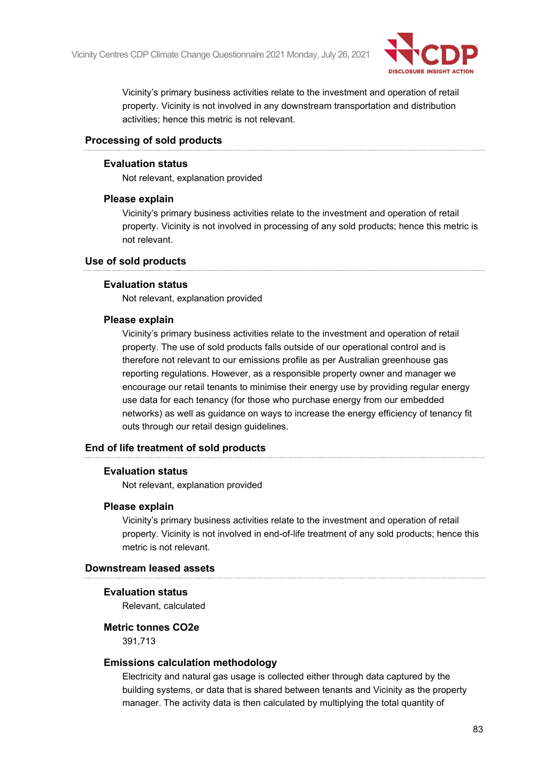

Vicinity's primary business activities relate to the investment and operation of retail property. Vicinity is not involved in any downstream transportation and distribution activities; hence this metric is not relevant.

### **Processing of sold products**

### **Evaluation status**

Not relevant, explanation provided

#### **Please explain**

Vicinity's primary business activities relate to the investment and operation of retail property. Vicinity is not involved in processing of any sold products; hence this metric is not relevant.

#### **Use of sold products**

### **Evaluation status**

Not relevant, explanation provided

#### **Please explain**

Vicinity's primary business activities relate to the investment and operation of retail property. The use of sold products falls outside of our operational control and is therefore not relevant to our emissions profile as per Australian greenhouse gas reporting regulations. However, as a responsible property owner and manager we encourage our retail tenants to minimise their energy use by providing regular energy use data for each tenancy (for those who purchase energy from our embedded networks) as well as guidance on ways to increase the energy efficiency of tenancy fit outs through our retail design guidelines.

### **End of life treatment of sold products**

#### **Evaluation status**

Not relevant, explanation provided

#### **Please explain**

Vicinity's primary business activities relate to the investment and operation of retail property. Vicinity is not involved in end-of-life treatment of any sold products; hence this metric is not relevant.

#### **Downstream leased assets**

#### **Evaluation status**

Relevant, calculated

#### **Metric tonnes CO2e**

391,713

#### **Emissions calculation methodology**

Electricity and natural gas usage is collected either through data captured by the building systems, or data that is shared between tenants and Vicinity as the property manager. The activity data is then calculated by multiplying the total quantity of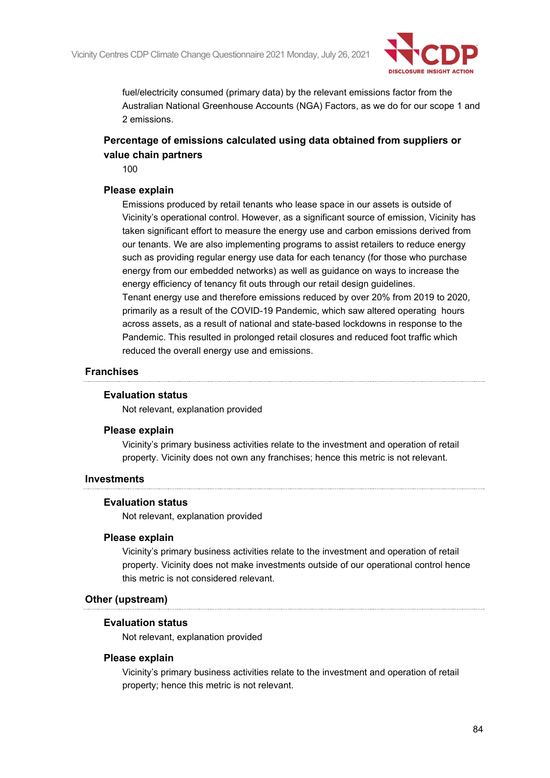

fuel/electricity consumed (primary data) by the relevant emissions factor from the Australian National Greenhouse Accounts (NGA) Factors, as we do for our scope 1 and 2 emissions.

## **Percentage of emissions calculated using data obtained from suppliers or value chain partners**

100

#### **Please explain**

Emissions produced by retail tenants who lease space in our assets is outside of Vicinity's operational control. However, as a significant source of emission, Vicinity has taken significant effort to measure the energy use and carbon emissions derived from our tenants. We are also implementing programs to assist retailers to reduce energy such as providing regular energy use data for each tenancy (for those who purchase energy from our embedded networks) as well as guidance on ways to increase the energy efficiency of tenancy fit outs through our retail design guidelines. Tenant energy use and therefore emissions reduced by over 20% from 2019 to 2020, primarily as a result of the COVID-19 Pandemic, which saw altered operating hours across assets, as a result of national and state-based lockdowns in response to the Pandemic. This resulted in prolonged retail closures and reduced foot traffic which reduced the overall energy use and emissions.

#### **Franchises**

#### **Evaluation status**

Not relevant, explanation provided

#### **Please explain**

Vicinity's primary business activities relate to the investment and operation of retail property. Vicinity does not own any franchises; hence this metric is not relevant.

#### **Investments**

#### **Evaluation status**

Not relevant, explanation provided

#### **Please explain**

Vicinity's primary business activities relate to the investment and operation of retail property. Vicinity does not make investments outside of our operational control hence this metric is not considered relevant.

#### **Other (upstream)**

#### **Evaluation status**

Not relevant, explanation provided

#### **Please explain**

Vicinity's primary business activities relate to the investment and operation of retail property; hence this metric is not relevant.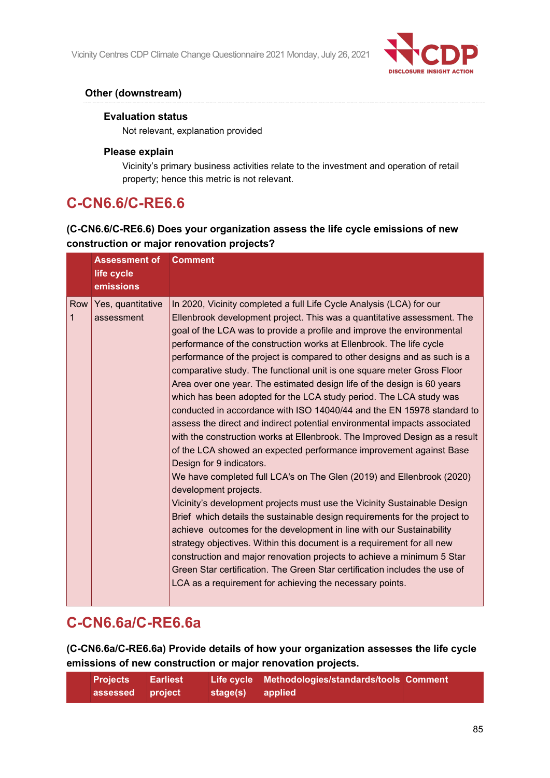

## **Other (downstream)**

### **Evaluation status**

Not relevant, explanation provided

### **Please explain**

Vicinity's primary business activities relate to the investment and operation of retail property; hence this metric is not relevant.

# **C-CN6.6/C-RE6.6**

## **(C-CN6.6/C-RE6.6) Does your organization assess the life cycle emissions of new construction or major renovation projects?**

|          | <b>Assessment of</b><br>life cycle<br>emissions | <b>Comment</b>                                                                                                                                                                                                                                                                                                                                                                                                                                                                                                                                                                                                                                                                                                                                                                                                                                                                                                                                                                                                                                                                                                                                                                                                                                                                                                                                                                                                                                                                                                                                                                   |
|----------|-------------------------------------------------|----------------------------------------------------------------------------------------------------------------------------------------------------------------------------------------------------------------------------------------------------------------------------------------------------------------------------------------------------------------------------------------------------------------------------------------------------------------------------------------------------------------------------------------------------------------------------------------------------------------------------------------------------------------------------------------------------------------------------------------------------------------------------------------------------------------------------------------------------------------------------------------------------------------------------------------------------------------------------------------------------------------------------------------------------------------------------------------------------------------------------------------------------------------------------------------------------------------------------------------------------------------------------------------------------------------------------------------------------------------------------------------------------------------------------------------------------------------------------------------------------------------------------------------------------------------------------------|
| Row<br>1 | Yes, quantitative<br>assessment                 | In 2020, Vicinity completed a full Life Cycle Analysis (LCA) for our<br>Ellenbrook development project. This was a quantitative assessment. The<br>goal of the LCA was to provide a profile and improve the environmental<br>performance of the construction works at Ellenbrook. The life cycle<br>performance of the project is compared to other designs and as such is a<br>comparative study. The functional unit is one square meter Gross Floor<br>Area over one year. The estimated design life of the design is 60 years<br>which has been adopted for the LCA study period. The LCA study was<br>conducted in accordance with ISO 14040/44 and the EN 15978 standard to<br>assess the direct and indirect potential environmental impacts associated<br>with the construction works at Ellenbrook. The Improved Design as a result<br>of the LCA showed an expected performance improvement against Base<br>Design for 9 indicators.<br>We have completed full LCA's on The Glen (2019) and Ellenbrook (2020)<br>development projects.<br>Vicinity's development projects must use the Vicinity Sustainable Design<br>Brief which details the sustainable design requirements for the project to<br>achieve outcomes for the development in line with our Sustainability<br>strategy objectives. Within this document is a requirement for all new<br>construction and major renovation projects to achieve a minimum 5 Star<br>Green Star certification. The Green Star certification includes the use of<br>LCA as a requirement for achieving the necessary points. |

# **C-CN6.6a/C-RE6.6a**

**(C-CN6.6a/C-RE6.6a) Provide details of how your organization assesses the life cycle emissions of new construction or major renovation projects.**

| <b>Projects</b>  | ⊟ Earliest |                  | Life cycle Methodologies/standards/tools Comment |  |
|------------------|------------|------------------|--------------------------------------------------|--|
| assessed project |            | stage(s) applied |                                                  |  |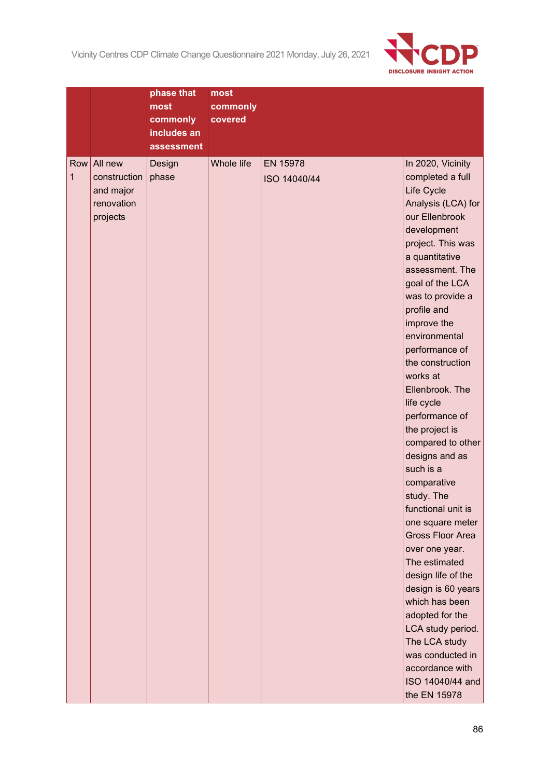Vicinity Centres CDP Climate Change Questionnaire 2021 Monday, July 26, 2021



|          |                                                                | phase that<br>most<br>commonly<br>includes an<br>assessment | most<br>commonly<br>covered |                          |                                                                                                                                                                                                                                                                                                                                                                                                                                                                                                                                                                                                                                                                                                                                                                              |
|----------|----------------------------------------------------------------|-------------------------------------------------------------|-----------------------------|--------------------------|------------------------------------------------------------------------------------------------------------------------------------------------------------------------------------------------------------------------------------------------------------------------------------------------------------------------------------------------------------------------------------------------------------------------------------------------------------------------------------------------------------------------------------------------------------------------------------------------------------------------------------------------------------------------------------------------------------------------------------------------------------------------------|
| Row<br>1 | All new<br>construction<br>and major<br>renovation<br>projects | Design<br>phase                                             | <b>Whole life</b>           | EN 15978<br>ISO 14040/44 | In 2020, Vicinity<br>completed a full<br>Life Cycle<br>Analysis (LCA) for<br>our Ellenbrook<br>development<br>project. This was<br>a quantitative<br>assessment. The<br>goal of the LCA<br>was to provide a<br>profile and<br>improve the<br>environmental<br>performance of<br>the construction<br>works at<br>Ellenbrook. The<br>life cycle<br>performance of<br>the project is<br>compared to other<br>designs and as<br>such is a<br>comparative<br>study. The<br>functional unit is<br>one square meter<br><b>Gross Floor Area</b><br>over one year.<br>The estimated<br>design life of the<br>design is 60 years<br>which has been<br>adopted for the<br>LCA study period.<br>The LCA study<br>was conducted in<br>accordance with<br>ISO 14040/44 and<br>the EN 15978 |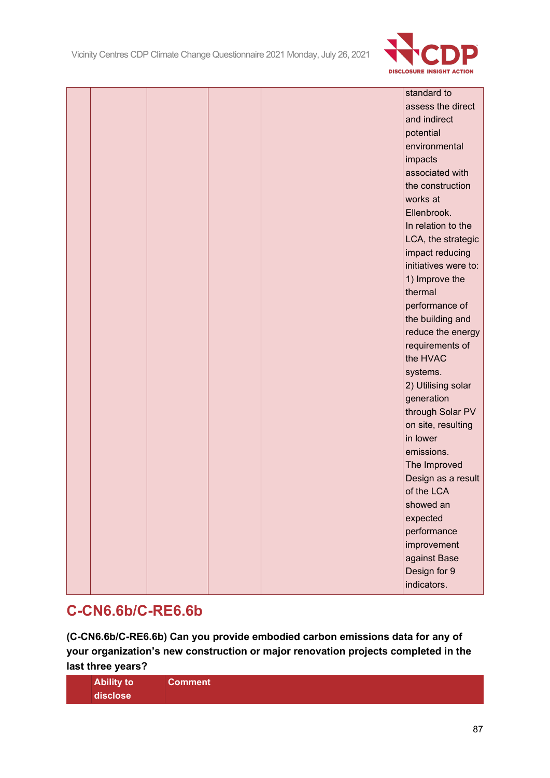

|  |  |  | standard to          |
|--|--|--|----------------------|
|  |  |  | assess the direct    |
|  |  |  | and indirect         |
|  |  |  | potential            |
|  |  |  | environmental        |
|  |  |  | impacts              |
|  |  |  | associated with      |
|  |  |  | the construction     |
|  |  |  | works at             |
|  |  |  | Ellenbrook.          |
|  |  |  | In relation to the   |
|  |  |  | LCA, the strategic   |
|  |  |  | impact reducing      |
|  |  |  | initiatives were to: |
|  |  |  | 1) Improve the       |
|  |  |  | thermal              |
|  |  |  | performance of       |
|  |  |  | the building and     |
|  |  |  | reduce the energy    |
|  |  |  | requirements of      |
|  |  |  | the HVAC             |
|  |  |  | systems.             |
|  |  |  | 2) Utilising solar   |
|  |  |  | generation           |
|  |  |  | through Solar PV     |
|  |  |  | on site, resulting   |
|  |  |  | in lower             |
|  |  |  | emissions.           |
|  |  |  | The Improved         |
|  |  |  | Design as a result   |
|  |  |  | of the LCA           |
|  |  |  | showed an            |
|  |  |  | expected             |
|  |  |  | performance          |
|  |  |  | improvement          |
|  |  |  | against Base         |
|  |  |  | Design for 9         |
|  |  |  | indicators.          |

# **C-CN6.6b/C-RE6.6b**

**(C-CN6.6b/C-RE6.6b) Can you provide embodied carbon emissions data for any of your organization's new construction or major renovation projects completed in the last three years?**

| <b>Ability to</b> | Comment |  |  |
|-------------------|---------|--|--|
| disclose          |         |  |  |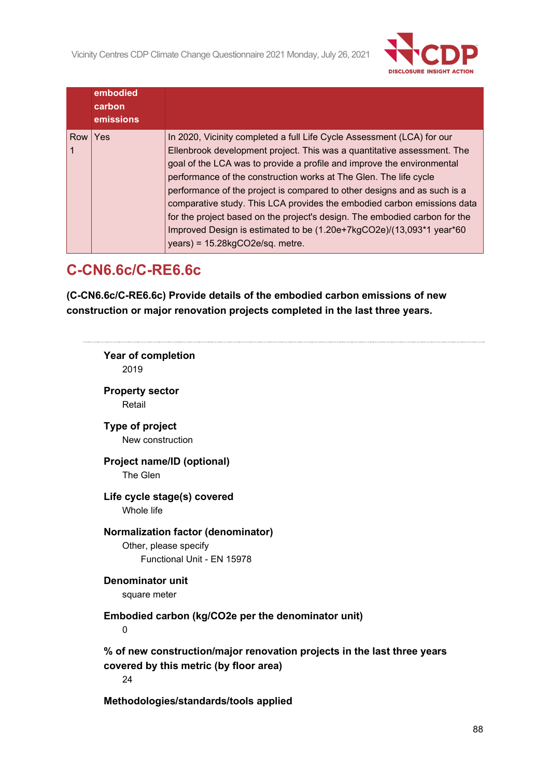

|                | embodied<br>carbon<br>emissions |                                                                                                                                                                                                                                                                                                                                                                                                                                                                                                                                                                                                                                                    |
|----------------|---------------------------------|----------------------------------------------------------------------------------------------------------------------------------------------------------------------------------------------------------------------------------------------------------------------------------------------------------------------------------------------------------------------------------------------------------------------------------------------------------------------------------------------------------------------------------------------------------------------------------------------------------------------------------------------------|
| <b>Row Yes</b> |                                 | In 2020, Vicinity completed a full Life Cycle Assessment (LCA) for our<br>Ellenbrook development project. This was a quantitative assessment. The<br>goal of the LCA was to provide a profile and improve the environmental<br>performance of the construction works at The Glen. The life cycle<br>performance of the project is compared to other designs and as such is a<br>comparative study. This LCA provides the embodied carbon emissions data<br>for the project based on the project's design. The embodied carbon for the<br>Improved Design is estimated to be (1.20e+7kgCO2e)/(13,093*1 year*60<br>$years) = 15.28kgCO2e/sq.$ metre. |

# **C-CN6.6c/C-RE6.6c**

**(C-CN6.6c/C-RE6.6c) Provide details of the embodied carbon emissions of new construction or major renovation projects completed in the last three years.**

| <b>Year of completion</b><br>2019                                                                                       |  |
|-------------------------------------------------------------------------------------------------------------------------|--|
| <b>Property sector</b><br>Retail                                                                                        |  |
| Type of project<br>New construction                                                                                     |  |
| Project name/ID (optional)<br>The Glen                                                                                  |  |
| Life cycle stage(s) covered<br>Whole life                                                                               |  |
| <b>Normalization factor (denominator)</b><br>Other, please specify<br>Functional Unit - EN 15978                        |  |
| <b>Denominator unit</b><br>square meter                                                                                 |  |
| Embodied carbon (kg/CO2e per the denominator unit)<br>$\mathbf 0$                                                       |  |
| % of new construction/major renovation projects in the last three years<br>covered by this metric (by floor area)<br>24 |  |
| Methodologies/standards/tools applied                                                                                   |  |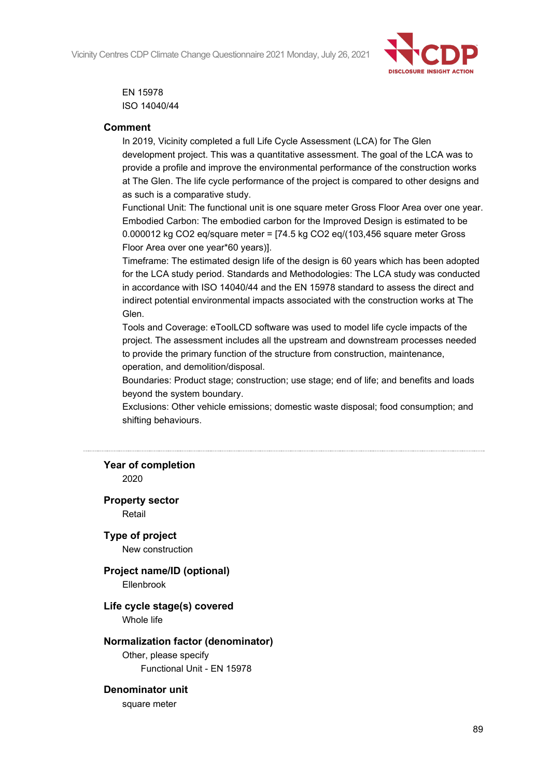Vicinity Centres CDP Climate Change Questionnaire 2021 Monday, July 26, 2021



EN 15978 ISO 14040/44

### **Comment**

In 2019, Vicinity completed a full Life Cycle Assessment (LCA) for The Glen development project. This was a quantitative assessment. The goal of the LCA was to provide a profile and improve the environmental performance of the construction works at The Glen. The life cycle performance of the project is compared to other designs and as such is a comparative study.

Functional Unit: The functional unit is one square meter Gross Floor Area over one year. Embodied Carbon: The embodied carbon for the Improved Design is estimated to be 0.000012 kg CO2 eq/square meter = [74.5 kg CO2 eq/(103,456 square meter Gross Floor Area over one year\*60 years)].

Timeframe: The estimated design life of the design is 60 years which has been adopted for the LCA study period. Standards and Methodologies: The LCA study was conducted in accordance with ISO 14040/44 and the EN 15978 standard to assess the direct and indirect potential environmental impacts associated with the construction works at The Glen.

Tools and Coverage: eToolLCD software was used to model life cycle impacts of the project. The assessment includes all the upstream and downstream processes needed to provide the primary function of the structure from construction, maintenance, operation, and demolition/disposal.

Boundaries: Product stage; construction; use stage; end of life; and benefits and loads beyond the system boundary.

Exclusions: Other vehicle emissions; domestic waste disposal; food consumption; and shifting behaviours.

## **Year of completion**

2020

#### **Property sector**

Retail

**Type of project**

New construction

# **Project name/ID (optional)**

Ellenbrook

## **Life cycle stage(s) covered**

Whole life

#### **Normalization factor (denominator)**

Other, please specify Functional Unit - EN 15978

#### **Denominator unit**

square meter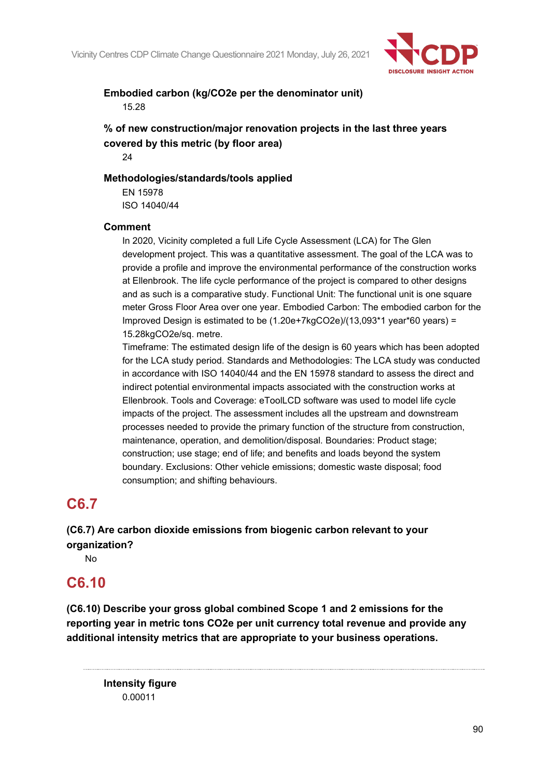

## **Embodied carbon (kg/CO2e per the denominator unit)** 15.28

**% of new construction/major renovation projects in the last three years covered by this metric (by floor area)**

24

### **Methodologies/standards/tools applied**

EN 15978 ISO 14040/44

### **Comment**

In 2020, Vicinity completed a full Life Cycle Assessment (LCA) for The Glen development project. This was a quantitative assessment. The goal of the LCA was to provide a profile and improve the environmental performance of the construction works at Ellenbrook. The life cycle performance of the project is compared to other designs and as such is a comparative study. Functional Unit: The functional unit is one square meter Gross Floor Area over one year. Embodied Carbon: The embodied carbon for the Improved Design is estimated to be (1.20e+7kgCO2e)/(13,093\*1 year\*60 years) = 15.28kgCO2e/sq. metre.

Timeframe: The estimated design life of the design is 60 years which has been adopted for the LCA study period. Standards and Methodologies: The LCA study was conducted in accordance with ISO 14040/44 and the EN 15978 standard to assess the direct and indirect potential environmental impacts associated with the construction works at Ellenbrook. Tools and Coverage: eToolLCD software was used to model life cycle impacts of the project. The assessment includes all the upstream and downstream processes needed to provide the primary function of the structure from construction, maintenance, operation, and demolition/disposal. Boundaries: Product stage; construction; use stage; end of life; and benefits and loads beyond the system boundary. Exclusions: Other vehicle emissions; domestic waste disposal; food consumption; and shifting behaviours.

# **C6.7**

## **(C6.7) Are carbon dioxide emissions from biogenic carbon relevant to your organization?**

No

# **C6.10**

**(C6.10) Describe your gross global combined Scope 1 and 2 emissions for the reporting year in metric tons CO2e per unit currency total revenue and provide any additional intensity metrics that are appropriate to your business operations.**

**Intensity figure** 0.00011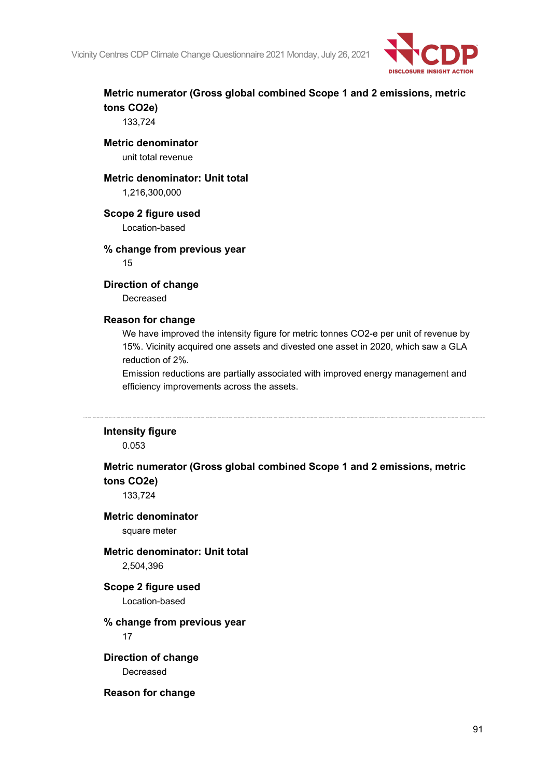

## **Metric numerator (Gross global combined Scope 1 and 2 emissions, metric tons CO2e)**

133,724

#### **Metric denominator** unit total revenue

#### **Metric denominator: Unit total**

1,216,300,000

### **Scope 2 figure used**

Location-based

# **% change from previous year**

15

### **Direction of change**

Decreased

### **Reason for change**

We have improved the intensity figure for metric tonnes CO2-e per unit of revenue by 15%. Vicinity acquired one assets and divested one asset in 2020, which saw a GLA reduction of 2%.

Emission reductions are partially associated with improved energy management and efficiency improvements across the assets.

#### **Intensity figure**

0.053

## **Metric numerator (Gross global combined Scope 1 and 2 emissions, metric tons CO2e)**

133,724

## **Metric denominator**

square meter

#### **Metric denominator: Unit total** 2,504,396

### **Scope 2 figure used** Location-based

#### **% change from previous year** 17

**Direction of change** Decreased

#### **Reason for change**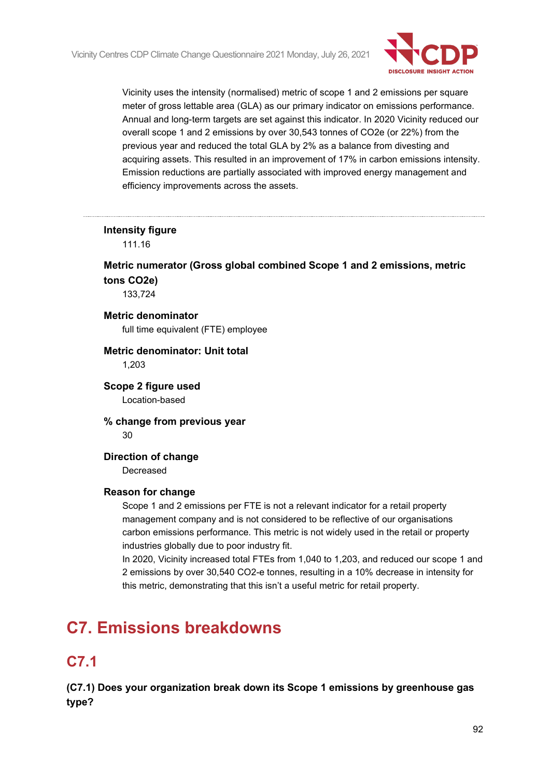

Vicinity uses the intensity (normalised) metric of scope 1 and 2 emissions per square meter of gross lettable area (GLA) as our primary indicator on emissions performance. Annual and long-term targets are set against this indicator. In 2020 Vicinity reduced our overall scope 1 and 2 emissions by over 30,543 tonnes of CO2e (or 22%) from the previous year and reduced the total GLA by 2% as a balance from divesting and acquiring assets. This resulted in an improvement of 17% in carbon emissions intensity. Emission reductions are partially associated with improved energy management and efficiency improvements across the assets.

### **Intensity figure**

111.16

## **Metric numerator (Gross global combined Scope 1 and 2 emissions, metric tons CO2e)**

133,724

### **Metric denominator**

full time equivalent (FTE) employee

# **Metric denominator: Unit total**

1,203

### **Scope 2 figure used** Location-based

**% change from previous year** 30

### **Direction of change**

Decreased

#### **Reason for change**

Scope 1 and 2 emissions per FTE is not a relevant indicator for a retail property management company and is not considered to be reflective of our organisations carbon emissions performance. This metric is not widely used in the retail or property industries globally due to poor industry fit.

In 2020, Vicinity increased total FTEs from 1,040 to 1,203, and reduced our scope 1 and 2 emissions by over 30,540 CO2-e tonnes, resulting in a 10% decrease in intensity for this metric, demonstrating that this isn't a useful metric for retail property.

# **C7. Emissions breakdowns**

# **C7.1**

**(C7.1) Does your organization break down its Scope 1 emissions by greenhouse gas type?**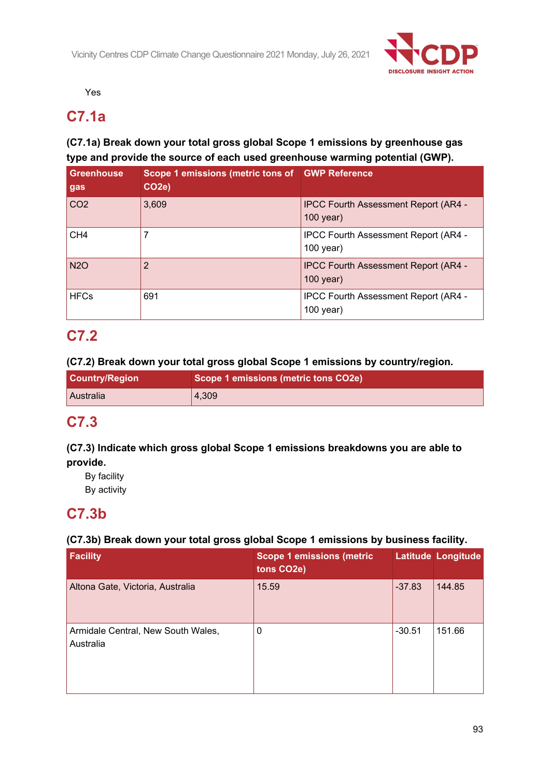

Yes

# **C7.1a**

## **(C7.1a) Break down your total gross global Scope 1 emissions by greenhouse gas type and provide the source of each used greenhouse warming potential (GWP).**

| <b>Greenhouse</b><br>gas | Scope 1 emissions (metric tons of GWP Reference<br>CO <sub>2e</sub> ) |                                                            |
|--------------------------|-----------------------------------------------------------------------|------------------------------------------------------------|
| CO <sub>2</sub>          | 3,609                                                                 | <b>IPCC Fourth Assessment Report (AR4 -</b><br>$100$ year) |
| CH <sub>4</sub>          |                                                                       | IPCC Fourth Assessment Report (AR4 -<br>$100$ year)        |
| <b>N2O</b>               | 2                                                                     | <b>IPCC Fourth Assessment Report (AR4 -</b><br>$100$ year) |
| <b>HFCs</b>              | 691                                                                   | <b>IPCC Fourth Assessment Report (AR4 -</b><br>100 year)   |

# **C7.2**

## **(C7.2) Break down your total gross global Scope 1 emissions by country/region.**

| <b>Country/Region</b> | Scope 1 emissions (metric tons CO2e) |
|-----------------------|--------------------------------------|
| <b>LAustralia</b>     | 4,309                                |

# **C7.3**

## **(C7.3) Indicate which gross global Scope 1 emissions breakdowns you are able to provide.**

By facility By activity

# **C7.3b**

## **(C7.3b) Break down your total gross global Scope 1 emissions by business facility.**

| <b>Facility</b>                                 | <b>Scope 1 emissions (metric</b><br>tons CO2e) |          | Latitude Longitude |
|-------------------------------------------------|------------------------------------------------|----------|--------------------|
| Altona Gate, Victoria, Australia                | 15.59                                          | $-37.83$ | 144.85             |
| Armidale Central, New South Wales,<br>Australia | 0                                              | $-30.51$ | 151.66             |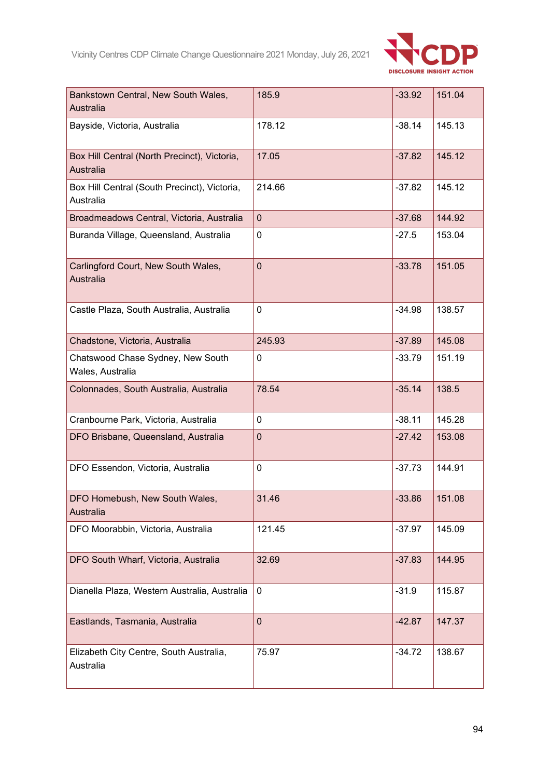

| Bankstown Central, New South Wales,<br>Australia          | 185.9       | $-33.92$ | 151.04 |
|-----------------------------------------------------------|-------------|----------|--------|
| Bayside, Victoria, Australia                              | 178.12      | $-38.14$ | 145.13 |
| Box Hill Central (North Precinct), Victoria,<br>Australia | 17.05       | $-37.82$ | 145.12 |
| Box Hill Central (South Precinct), Victoria,<br>Australia | 214.66      | $-37.82$ | 145.12 |
| Broadmeadows Central, Victoria, Australia                 | $\mathbf 0$ | $-37.68$ | 144.92 |
| Buranda Village, Queensland, Australia                    | $\mathbf 0$ | $-27.5$  | 153.04 |
| Carlingford Court, New South Wales,<br><b>Australia</b>   | $\mathbf 0$ | $-33.78$ | 151.05 |
| Castle Plaza, South Australia, Australia                  | $\mathbf 0$ | $-34.98$ | 138.57 |
| Chadstone, Victoria, Australia                            | 245.93      | $-37.89$ | 145.08 |
| Chatswood Chase Sydney, New South<br>Wales, Australia     | $\mathbf 0$ | $-33.79$ | 151.19 |
| Colonnades, South Australia, Australia                    | 78.54       | $-35.14$ | 138.5  |
| Cranbourne Park, Victoria, Australia                      | $\mathbf 0$ | $-38.11$ | 145.28 |
| DFO Brisbane, Queensland, Australia                       | $\mathbf 0$ | $-27.42$ | 153.08 |
| DFO Essendon, Victoria, Australia                         | $\mathbf 0$ | $-37.73$ | 144.91 |
| DFO Homebush, New South Wales,<br>Australia               | 31.46       | $-33.86$ | 151.08 |
| DFO Moorabbin, Victoria, Australia                        | 121.45      | $-37.97$ | 145.09 |
| DFO South Wharf, Victoria, Australia                      | 32.69       | $-37.83$ | 144.95 |
| Dianella Plaza, Western Australia, Australia              | $\mathbf 0$ | $-31.9$  | 115.87 |
| Eastlands, Tasmania, Australia                            | $\mathbf 0$ | $-42.87$ | 147.37 |
| Elizabeth City Centre, South Australia,<br>Australia      | 75.97       | $-34.72$ | 138.67 |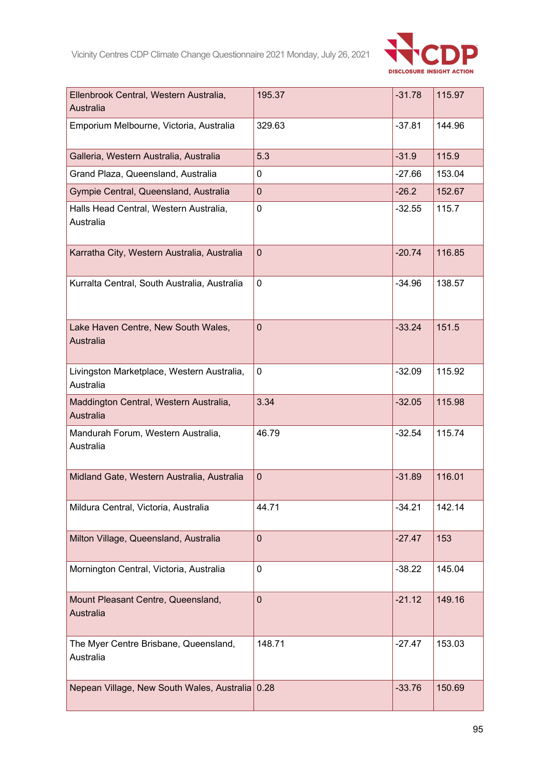

| Ellenbrook Central, Western Australia,<br>Australia     | 195.37         | $-31.78$ | 115.97 |
|---------------------------------------------------------|----------------|----------|--------|
| Emporium Melbourne, Victoria, Australia                 | 329.63         | $-37.81$ | 144.96 |
| Galleria, Western Australia, Australia                  | 5.3            | $-31.9$  | 115.9  |
| Grand Plaza, Queensland, Australia                      | 0              | $-27.66$ | 153.04 |
| Gympie Central, Queensland, Australia                   | $\mathbf{0}$   | $-26.2$  | 152.67 |
| Halls Head Central, Western Australia,<br>Australia     | $\mathbf 0$    | $-32.55$ | 115.7  |
| Karratha City, Western Australia, Australia             | $\mathbf{0}$   | $-20.74$ | 116.85 |
| Kurralta Central, South Australia, Australia            | $\mathbf 0$    | $-34.96$ | 138.57 |
| Lake Haven Centre, New South Wales,<br>Australia        | $\overline{0}$ | $-33.24$ | 151.5  |
| Livingston Marketplace, Western Australia,<br>Australia | $\mathbf 0$    | $-32.09$ | 115.92 |
| Maddington Central, Western Australia,<br>Australia     | 3.34           | $-32.05$ | 115.98 |
| Mandurah Forum, Western Australia,<br>Australia         | 46.79          | $-32.54$ | 115.74 |
| Midland Gate, Western Australia, Australia              | $\mathbf 0$    | $-31.89$ | 116.01 |
| Mildura Central, Victoria, Australia                    | 44.71          | $-34.21$ | 142.14 |
| Milton Village, Queensland, Australia                   | $\mathbf 0$    | $-27.47$ | 153    |
| Mornington Central, Victoria, Australia                 | $\mathbf 0$    | $-38.22$ | 145.04 |
| Mount Pleasant Centre, Queensland,<br>Australia         | $\mathbf 0$    | $-21.12$ | 149.16 |
| The Myer Centre Brisbane, Queensland,<br>Australia      | 148.71         | $-27.47$ | 153.03 |
| Nepean Village, New South Wales, Australia              | 0.28           | $-33.76$ | 150.69 |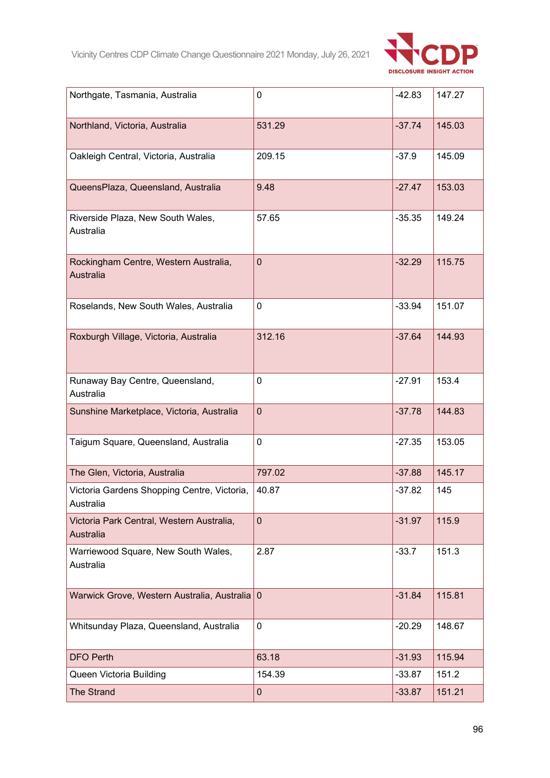

| Northgate, Tasmania, Australia                            | 0           | $-42.83$ | 147.27 |
|-----------------------------------------------------------|-------------|----------|--------|
| Northland, Victoria, Australia                            | 531.29      | $-37.74$ | 145.03 |
| Oakleigh Central, Victoria, Australia                     | 209.15      | $-37.9$  | 145.09 |
| QueensPlaza, Queensland, Australia                        | 9.48        | $-27.47$ | 153.03 |
| Riverside Plaza, New South Wales,<br>Australia            | 57.65       | $-35.35$ | 149.24 |
| Rockingham Centre, Western Australia,<br><b>Australia</b> | $\mathbf 0$ | $-32.29$ | 115.75 |
| Roselands, New South Wales, Australia                     | $\mathbf 0$ | $-33.94$ | 151.07 |
| Roxburgh Village, Victoria, Australia                     | 312.16      | $-37.64$ | 144.93 |
| Runaway Bay Centre, Queensland,<br>Australia              | 0           | $-27.91$ | 153.4  |
| Sunshine Marketplace, Victoria, Australia                 | $\mathbf 0$ | $-37.78$ | 144.83 |
| Taigum Square, Queensland, Australia                      | $\pmb{0}$   | $-27.35$ | 153.05 |
| The Glen, Victoria, Australia                             | 797.02      | $-37.88$ | 145.17 |
| Victoria Gardens Shopping Centre, Victoria,<br>Australia  | 40.87       | $-37.82$ | 145    |
| Victoria Park Central, Western Australia,<br>Australia    | $\mathbf 0$ | $-31.97$ | 115.9  |
| Warriewood Square, New South Wales,<br>Australia          | 2.87        | $-33.7$  | 151.3  |
| Warwick Grove, Western Australia, Australia 0             |             | $-31.84$ | 115.81 |
| Whitsunday Plaza, Queensland, Australia                   | $\mathbf 0$ | $-20.29$ | 148.67 |
| <b>DFO Perth</b>                                          | 63.18       | $-31.93$ | 115.94 |
| Queen Victoria Building                                   | 154.39      | $-33.87$ | 151.2  |
| <b>The Strand</b>                                         | $\pmb{0}$   | $-33.87$ | 151.21 |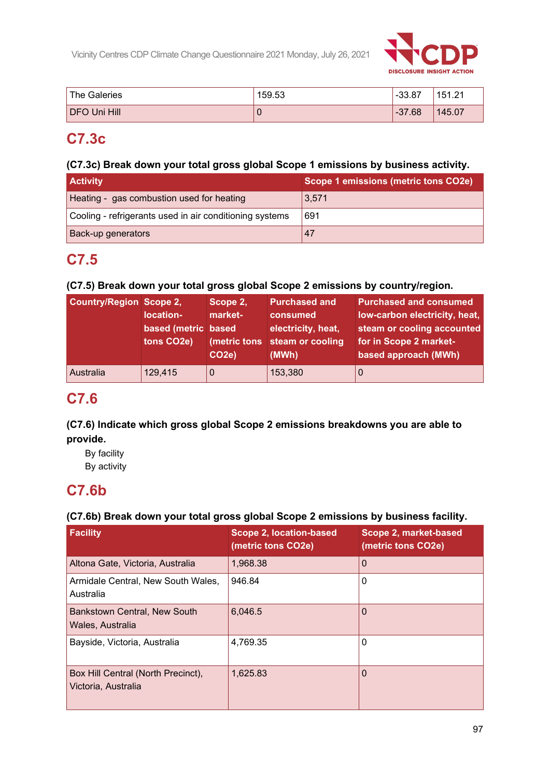

| 'The Galeries | 159.53 | . -33.87 | 151.21<br>. <u>.</u> |
|---------------|--------|----------|----------------------|
| DFO Uni Hill  | v      | $-37.68$ | 145.07               |

# **C7.3c**

### **(C7.3c) Break down your total gross global Scope 1 emissions by business activity.**

| <b>Activity</b>                                         | Scope 1 emissions (metric tons CO2e) |
|---------------------------------------------------------|--------------------------------------|
| Heating - gas combustion used for heating               | 3,571                                |
| Cooling - refrigerants used in air conditioning systems | 691                                  |
| Back-up generators                                      | 47                                   |

# **C7.5**

## **(C7.5) Break down your total gross global Scope 2 emissions by country/region.**

| <b>Country/Region Scope 2,</b> | location-<br>based (metric based<br>tons CO <sub>2</sub> e) | Scope 2,<br>market-<br>(metric tons<br>CO <sub>2e</sub> ) | <b>Purchased and</b><br>consumed<br>electricity, heat,<br>steam or cooling<br>(MWh) | <b>Purchased and consumed</b><br>low-carbon electricity, heat,<br>steam or cooling accounted<br>for in Scope 2 market-<br>based approach (MWh) |
|--------------------------------|-------------------------------------------------------------|-----------------------------------------------------------|-------------------------------------------------------------------------------------|------------------------------------------------------------------------------------------------------------------------------------------------|
| <b>Australia</b>               | 129,415                                                     | 0                                                         | 153,380                                                                             | O                                                                                                                                              |

# **C7.6**

## **(C7.6) Indicate which gross global Scope 2 emissions breakdowns you are able to provide.**

By facility

By activity

# **C7.6b**

## **(C7.6b) Break down your total gross global Scope 2 emissions by business facility.**

| <b>Facility</b>                                           | <b>Scope 2, location-based</b><br>(metric tons CO2e) | Scope 2, market-based<br>(metric tons CO2e) |
|-----------------------------------------------------------|------------------------------------------------------|---------------------------------------------|
| Altona Gate, Victoria, Australia                          | 1,968.38                                             | $\Omega$                                    |
| Armidale Central, New South Wales,<br>Australia           | 946.84                                               | 0                                           |
| Bankstown Central, New South<br>Wales, Australia          | 6,046.5                                              | $\Omega$                                    |
| Bayside, Victoria, Australia                              | 4,769.35                                             | 0                                           |
| Box Hill Central (North Precinct),<br>Victoria, Australia | 1,625.83                                             | 0                                           |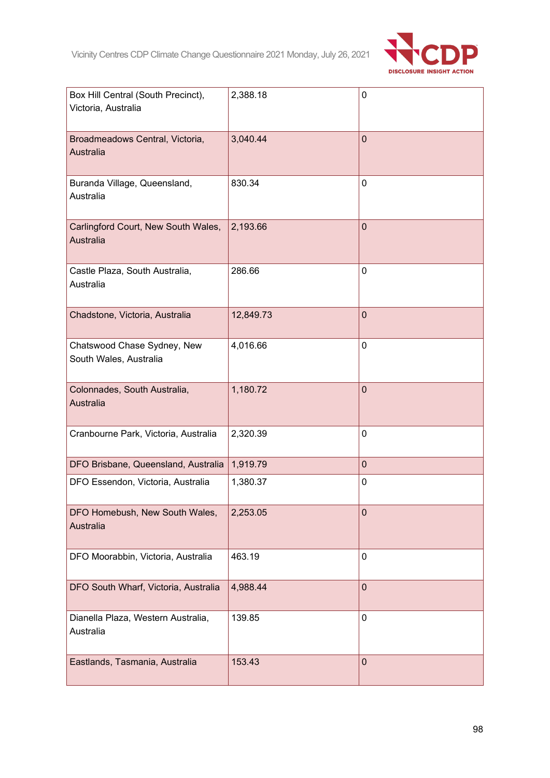

| Box Hill Central (South Precinct),<br>Victoria, Australia | 2,388.18  | 0              |
|-----------------------------------------------------------|-----------|----------------|
| Broadmeadows Central, Victoria,<br><b>Australia</b>       | 3,040.44  | $\overline{0}$ |
| Buranda Village, Queensland,<br>Australia                 | 830.34    | 0              |
| Carlingford Court, New South Wales,<br>Australia          | 2,193.66  | $\overline{0}$ |
| Castle Plaza, South Australia,<br>Australia               | 286.66    | 0              |
| Chadstone, Victoria, Australia                            | 12,849.73 | $\mathbf 0$    |
| Chatswood Chase Sydney, New<br>South Wales, Australia     | 4,016.66  | 0              |
| Colonnades, South Australia,<br>Australia                 | 1,180.72  | $\mathbf 0$    |
| Cranbourne Park, Victoria, Australia                      | 2,320.39  | 0              |
| DFO Brisbane, Queensland, Australia                       | 1,919.79  | $\overline{0}$ |
| DFO Essendon, Victoria, Australia                         | 1,380.37  | 0              |
| DFO Homebush, New South Wales,<br>Australia               | 2,253.05  | $\mathbf 0$    |
| DFO Moorabbin, Victoria, Australia                        | 463.19    | 0              |
| DFO South Wharf, Victoria, Australia                      | 4,988.44  | $\mathbf 0$    |
| Dianella Plaza, Western Australia,<br>Australia           | 139.85    | 0              |
| Eastlands, Tasmania, Australia                            | 153.43    | $\mathbf 0$    |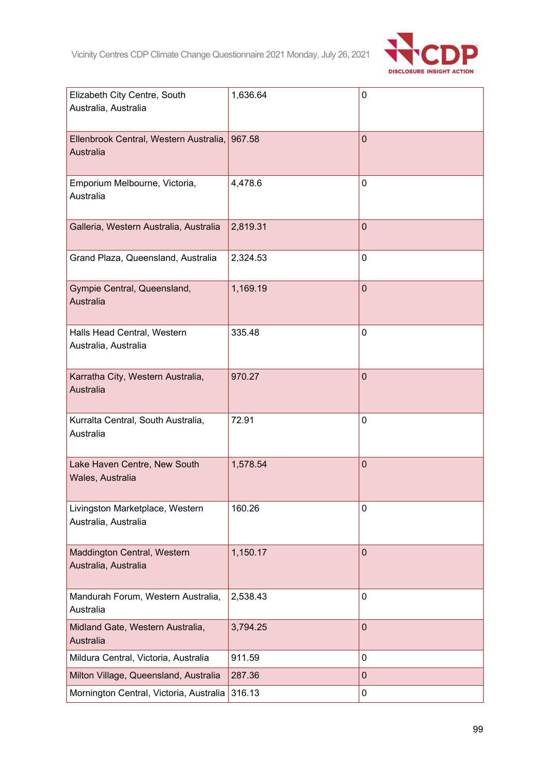

| Elizabeth City Centre, South<br>Australia, Australia       | 1,636.64 | 0              |
|------------------------------------------------------------|----------|----------------|
| Ellenbrook Central, Western Australia, 967.58<br>Australia |          | $\overline{0}$ |
| Emporium Melbourne, Victoria,<br>Australia                 | 4,478.6  | 0              |
| Galleria, Western Australia, Australia                     | 2,819.31 | $\mathbf 0$    |
| Grand Plaza, Queensland, Australia                         | 2,324.53 | 0              |
| Gympie Central, Queensland,<br>Australia                   | 1,169.19 | $\overline{0}$ |
| Halls Head Central, Western<br>Australia, Australia        | 335.48   | 0              |
| Karratha City, Western Australia,<br>Australia             | 970.27   | $\overline{0}$ |
| Kurralta Central, South Australia,<br>Australia            | 72.91    | 0              |
| Lake Haven Centre, New South<br>Wales, Australia           | 1,578.54 | $\mathbf 0$    |
| Livingston Marketplace, Western<br>Australia, Australia    | 160.26   | 0              |
| Maddington Central, Western<br>Australia, Australia        | 1,150.17 | $\overline{0}$ |
| Mandurah Forum, Western Australia,<br>Australia            | 2,538.43 | 0              |
| Midland Gate, Western Australia,<br>Australia              | 3,794.25 | $\mathbf 0$    |
| Mildura Central, Victoria, Australia                       | 911.59   | 0              |
| Milton Village, Queensland, Australia                      | 287.36   | $\pmb{0}$      |
| Mornington Central, Victoria, Australia                    | 316.13   | 0              |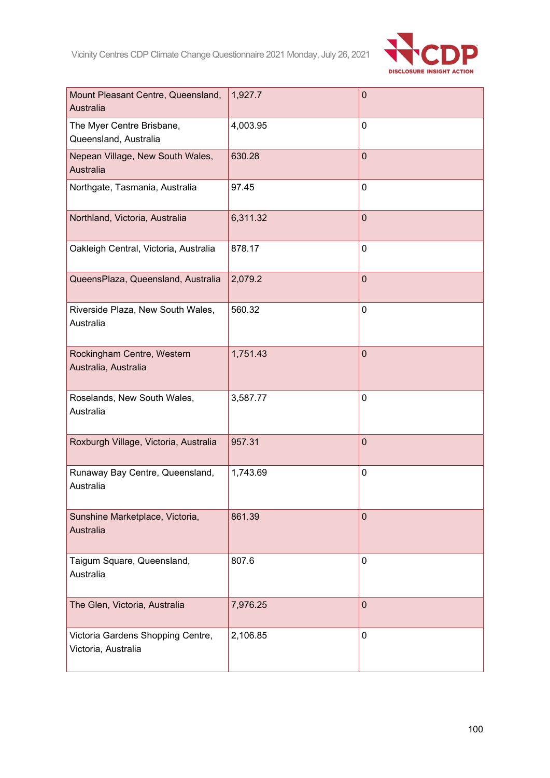

| Mount Pleasant Centre, Queensland,<br>Australia          | 1,927.7  | $\mathbf 0$    |
|----------------------------------------------------------|----------|----------------|
| The Myer Centre Brisbane,<br>Queensland, Australia       | 4,003.95 | 0              |
| Nepean Village, New South Wales,<br>Australia            | 630.28   | $\mathbf 0$    |
| Northgate, Tasmania, Australia                           | 97.45    | 0              |
| Northland, Victoria, Australia                           | 6,311.32 | $\mathbf 0$    |
| Oakleigh Central, Victoria, Australia                    | 878.17   | 0              |
| QueensPlaza, Queensland, Australia                       | 2,079.2  | $\overline{0}$ |
| Riverside Plaza, New South Wales,<br>Australia           | 560.32   | 0              |
| Rockingham Centre, Western<br>Australia, Australia       | 1,751.43 | $\mathbf 0$    |
| Roselands, New South Wales,<br>Australia                 | 3,587.77 | 0              |
| Roxburgh Village, Victoria, Australia                    | 957.31   | $\overline{0}$ |
| Runaway Bay Centre, Queensland,<br>Australia             | 1,743.69 | 0              |
| Sunshine Marketplace, Victoria,<br>Australia             | 861.39   | $\mathbf 0$    |
| Taigum Square, Queensland,<br>Australia                  | 807.6    | 0              |
| The Glen, Victoria, Australia                            | 7,976.25 | $\mathbf 0$    |
| Victoria Gardens Shopping Centre,<br>Victoria, Australia | 2,106.85 | 0              |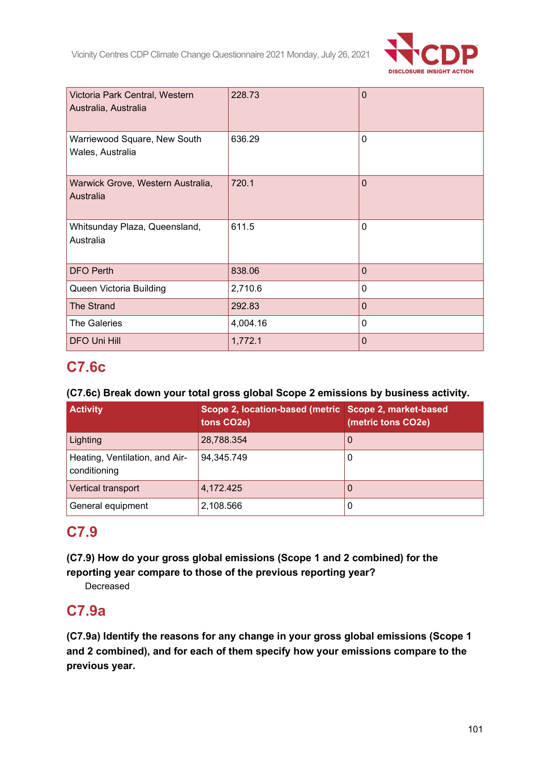

| Victoria Park Central, Western<br>Australia, Australia | 228.73   | $\mathbf 0$    |
|--------------------------------------------------------|----------|----------------|
| Warriewood Square, New South<br>Wales, Australia       | 636.29   | $\mathbf 0$    |
| Warwick Grove, Western Australia,<br>Australia         | 720.1    | $\overline{0}$ |
| Whitsunday Plaza, Queensland,<br>Australia             | 611.5    | $\mathbf 0$    |
| <b>DFO Perth</b>                                       | 838.06   | $\overline{0}$ |
| Queen Victoria Building                                | 2,710.6  | 0              |
| <b>The Strand</b>                                      | 292.83   | $\Omega$       |
| <b>The Galeries</b>                                    | 4,004.16 | 0              |
| <b>DFO Uni Hill</b>                                    | 1,772.1  | $\overline{0}$ |

# **C7.6c**

## **(C7.6c) Break down your total gross global Scope 2 emissions by business activity.**

| <b>Activity</b>                                | Scope 2, location-based (metric Scope 2, market-based<br>tons CO2e) | (metric tons CO2e) |
|------------------------------------------------|---------------------------------------------------------------------|--------------------|
| Lighting                                       | 28,788.354                                                          | U                  |
| Heating, Ventilation, and Air-<br>conditioning | 94,345.749                                                          |                    |
| Vertical transport                             | 4,172.425                                                           |                    |
| General equipment                              | 2,108.566                                                           | U                  |

# **C7.9**

**(C7.9) How do your gross global emissions (Scope 1 and 2 combined) for the reporting year compare to those of the previous reporting year?**

Decreased

# **C7.9a**

**(C7.9a) Identify the reasons for any change in your gross global emissions (Scope 1 and 2 combined), and for each of them specify how your emissions compare to the previous year.**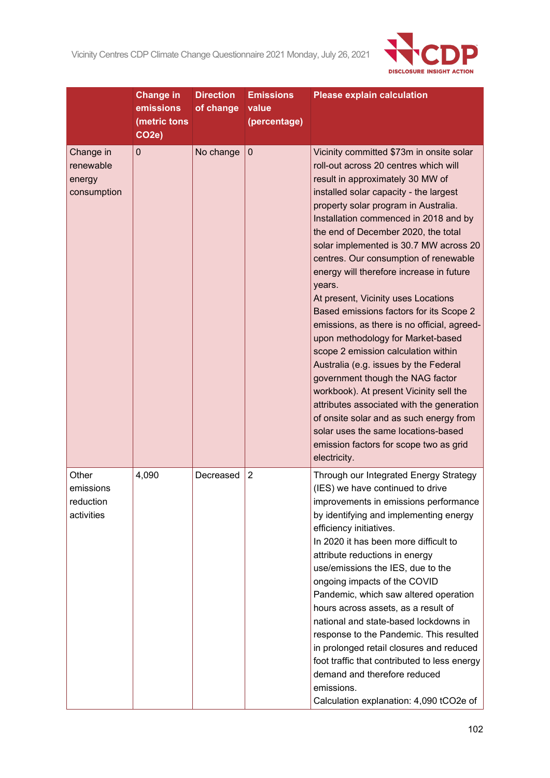

|                                                 | <b>Change in</b><br>emissions<br>(metric tons<br>CO <sub>2e</sub> ) | <b>Direction</b><br>of change | <b>Emissions</b><br>value<br>(percentage) | <b>Please explain calculation</b>                                                                                                                                                                                                                                                                                                                                                                                                                                                                                                                                                                                                                                                                                                                                                                                                                                                                                                                              |
|-------------------------------------------------|---------------------------------------------------------------------|-------------------------------|-------------------------------------------|----------------------------------------------------------------------------------------------------------------------------------------------------------------------------------------------------------------------------------------------------------------------------------------------------------------------------------------------------------------------------------------------------------------------------------------------------------------------------------------------------------------------------------------------------------------------------------------------------------------------------------------------------------------------------------------------------------------------------------------------------------------------------------------------------------------------------------------------------------------------------------------------------------------------------------------------------------------|
| Change in<br>renewable<br>energy<br>consumption | $\mathbf 0$                                                         | No change                     | $\boldsymbol{0}$                          | Vicinity committed \$73m in onsite solar<br>roll-out across 20 centres which will<br>result in approximately 30 MW of<br>installed solar capacity - the largest<br>property solar program in Australia.<br>Installation commenced in 2018 and by<br>the end of December 2020, the total<br>solar implemented is 30.7 MW across 20<br>centres. Our consumption of renewable<br>energy will therefore increase in future<br>years.<br>At present, Vicinity uses Locations<br>Based emissions factors for its Scope 2<br>emissions, as there is no official, agreed-<br>upon methodology for Market-based<br>scope 2 emission calculation within<br>Australia (e.g. issues by the Federal<br>government though the NAG factor<br>workbook). At present Vicinity sell the<br>attributes associated with the generation<br>of onsite solar and as such energy from<br>solar uses the same locations-based<br>emission factors for scope two as grid<br>electricity. |
| Other<br>emissions<br>reduction<br>activities   | 4,090                                                               | Decreased                     | $\overline{2}$                            | Through our Integrated Energy Strategy<br>(IES) we have continued to drive<br>improvements in emissions performance<br>by identifying and implementing energy<br>efficiency initiatives.<br>In 2020 it has been more difficult to<br>attribute reductions in energy<br>use/emissions the IES, due to the<br>ongoing impacts of the COVID<br>Pandemic, which saw altered operation<br>hours across assets, as a result of<br>national and state-based lockdowns in<br>response to the Pandemic. This resulted<br>in prolonged retail closures and reduced<br>foot traffic that contributed to less energy<br>demand and therefore reduced<br>emissions.<br>Calculation explanation: 4,090 tCO2e of                                                                                                                                                                                                                                                              |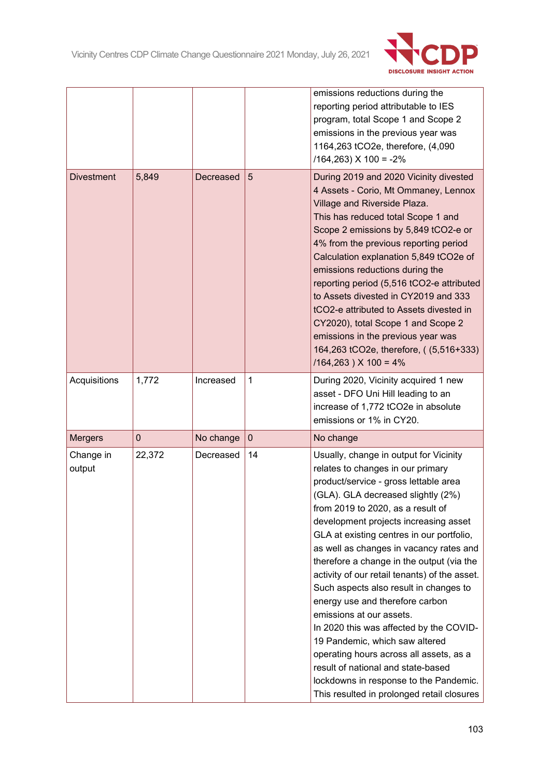

|                     |             |           |              | emissions reductions during the<br>reporting period attributable to IES<br>program, total Scope 1 and Scope 2<br>emissions in the previous year was<br>1164,263 tCO2e, therefore, (4,090<br>$/164,263)$ X $100 = -2%$                                                                                                                                                                                                                                                                                                                                                                                                                                                                                                                                                                         |
|---------------------|-------------|-----------|--------------|-----------------------------------------------------------------------------------------------------------------------------------------------------------------------------------------------------------------------------------------------------------------------------------------------------------------------------------------------------------------------------------------------------------------------------------------------------------------------------------------------------------------------------------------------------------------------------------------------------------------------------------------------------------------------------------------------------------------------------------------------------------------------------------------------|
| <b>Divestment</b>   | 5,849       | Decreased | 5            | During 2019 and 2020 Vicinity divested<br>4 Assets - Corio, Mt Ommaney, Lennox<br>Village and Riverside Plaza.<br>This has reduced total Scope 1 and<br>Scope 2 emissions by 5,849 tCO2-e or<br>4% from the previous reporting period<br>Calculation explanation 5,849 tCO2e of<br>emissions reductions during the<br>reporting period (5,516 tCO2-e attributed<br>to Assets divested in CY2019 and 333<br>tCO2-e attributed to Assets divested in<br>CY2020), total Scope 1 and Scope 2<br>emissions in the previous year was<br>164,263 tCO2e, therefore, ((5,516+333)<br>$/164,263$ ) X 100 = 4%                                                                                                                                                                                           |
| Acquisitions        | 1,772       | Increased | $\mathbf{1}$ | During 2020, Vicinity acquired 1 new<br>asset - DFO Uni Hill leading to an<br>increase of 1,772 tCO2e in absolute<br>emissions or 1% in CY20.                                                                                                                                                                                                                                                                                                                                                                                                                                                                                                                                                                                                                                                 |
| <b>Mergers</b>      | $\mathbf 0$ | No change | $\mathbf{0}$ | No change                                                                                                                                                                                                                                                                                                                                                                                                                                                                                                                                                                                                                                                                                                                                                                                     |
| Change in<br>output | 22,372      | Decreased | 14           | Usually, change in output for Vicinity<br>relates to changes in our primary<br>product/service - gross lettable area<br>(GLA). GLA decreased slightly (2%)<br>from 2019 to 2020, as a result of<br>development projects increasing asset<br>GLA at existing centres in our portfolio,<br>as well as changes in vacancy rates and<br>therefore a change in the output (via the<br>activity of our retail tenants) of the asset.<br>Such aspects also result in changes to<br>energy use and therefore carbon<br>emissions at our assets.<br>In 2020 this was affected by the COVID-<br>19 Pandemic, which saw altered<br>operating hours across all assets, as a<br>result of national and state-based<br>lockdowns in response to the Pandemic.<br>This resulted in prolonged retail closures |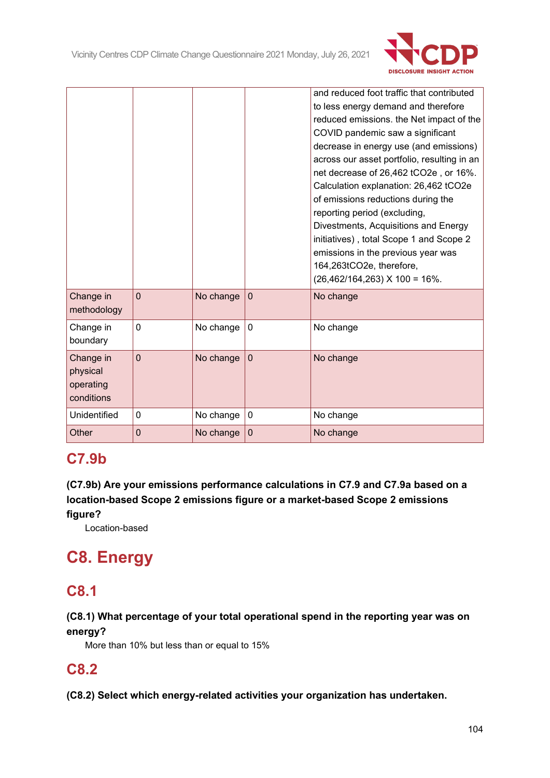

|                                                  |             |           |                | and reduced foot traffic that contributed<br>to less energy demand and therefore<br>reduced emissions. the Net impact of the<br>COVID pandemic saw a significant<br>decrease in energy use (and emissions)<br>across our asset portfolio, resulting in an<br>net decrease of 26,462 tCO2e, or 16%.<br>Calculation explanation: 26,462 tCO2e<br>of emissions reductions during the<br>reporting period (excluding,<br>Divestments, Acquisitions and Energy<br>initiatives), total Scope 1 and Scope 2<br>emissions in the previous year was<br>164,263tCO2e, therefore,<br>$(26,462/164,263)$ X 100 = 16%. |
|--------------------------------------------------|-------------|-----------|----------------|-----------------------------------------------------------------------------------------------------------------------------------------------------------------------------------------------------------------------------------------------------------------------------------------------------------------------------------------------------------------------------------------------------------------------------------------------------------------------------------------------------------------------------------------------------------------------------------------------------------|
| Change in<br>methodology                         | $\mathbf 0$ | No change | $\overline{0}$ | No change                                                                                                                                                                                                                                                                                                                                                                                                                                                                                                                                                                                                 |
| Change in<br>boundary                            | 0           | No change | 0              | No change                                                                                                                                                                                                                                                                                                                                                                                                                                                                                                                                                                                                 |
| Change in<br>physical<br>operating<br>conditions | 0           | No change | $\overline{0}$ | No change                                                                                                                                                                                                                                                                                                                                                                                                                                                                                                                                                                                                 |
| Unidentified                                     | 0           | No change | 0              | No change                                                                                                                                                                                                                                                                                                                                                                                                                                                                                                                                                                                                 |
| Other                                            | 0           | No change | $\mathbf 0$    | No change                                                                                                                                                                                                                                                                                                                                                                                                                                                                                                                                                                                                 |

# **C7.9b**

**(C7.9b) Are your emissions performance calculations in C7.9 and C7.9a based on a location-based Scope 2 emissions figure or a market-based Scope 2 emissions figure?**

Location-based

# **C8. Energy**

# **C8.1**

## **(C8.1) What percentage of your total operational spend in the reporting year was on energy?**

More than 10% but less than or equal to 15%

# **C8.2**

**(C8.2) Select which energy-related activities your organization has undertaken.**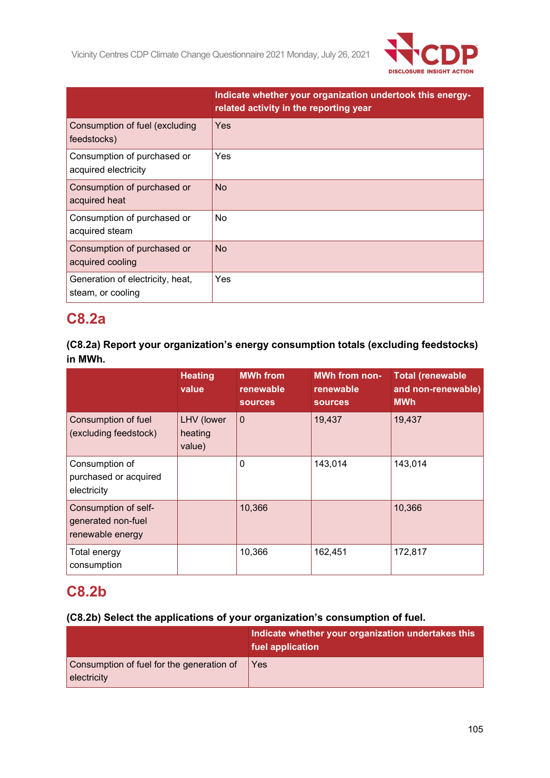

|                                                       | Indicate whether your organization undertook this energy-<br>related activity in the reporting year |
|-------------------------------------------------------|-----------------------------------------------------------------------------------------------------|
| Consumption of fuel (excluding<br>feedstocks)         | Yes                                                                                                 |
| Consumption of purchased or<br>acquired electricity   | Yes                                                                                                 |
| Consumption of purchased or<br>acquired heat          | <b>No</b>                                                                                           |
| Consumption of purchased or<br>acquired steam         | No.                                                                                                 |
| Consumption of purchased or<br>acquired cooling       | <b>No</b>                                                                                           |
| Generation of electricity, heat,<br>steam, or cooling | Yes                                                                                                 |

# **C8.2a**

**(C8.2a) Report your organization's energy consumption totals (excluding feedstocks) in MWh.**

|                                                                | <b>Heating</b><br>value         | <b>MWh from</b><br>renewable<br><b>sources</b> | <b>MWh from non-</b><br>renewable<br><b>sources</b> | <b>Total (renewable</b><br>and non-renewable)<br><b>MWh</b> |
|----------------------------------------------------------------|---------------------------------|------------------------------------------------|-----------------------------------------------------|-------------------------------------------------------------|
| Consumption of fuel<br>(excluding feedstock)                   | LHV (lower<br>heating<br>value) | $\mathbf 0$                                    | 19,437                                              | 19,437                                                      |
| Consumption of<br>purchased or acquired<br>electricity         |                                 | 0                                              | 143,014                                             | 143,014                                                     |
| Consumption of self-<br>generated non-fuel<br>renewable energy |                                 | 10,366                                         |                                                     | 10,366                                                      |
| Total energy<br>consumption                                    |                                 | 10,366                                         | 162,451                                             | 172,817                                                     |

# **C8.2b**

## **(C8.2b) Select the applications of your organization's consumption of fuel.**

|                                                          | Indicate whether your organization undertakes this<br>fuel application |
|----------------------------------------------------------|------------------------------------------------------------------------|
| Consumption of fuel for the generation of<br>electricity | Yes                                                                    |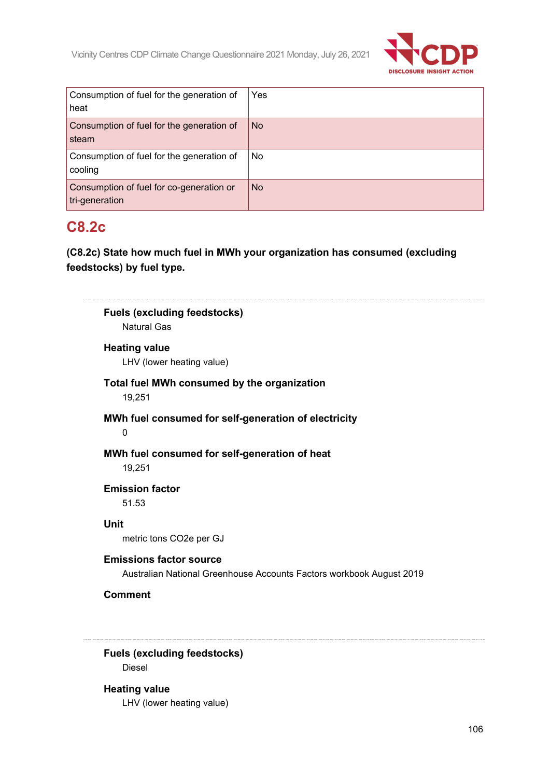

| Consumption of fuel for the generation of<br>heat          | Yes       |
|------------------------------------------------------------|-----------|
| Consumption of fuel for the generation of<br>steam         | <b>No</b> |
| Consumption of fuel for the generation of<br>cooling       | No        |
| Consumption of fuel for co-generation or<br>tri-generation | <b>No</b> |

# **C8.2c**

**(C8.2c) State how much fuel in MWh your organization has consumed (excluding feedstocks) by fuel type.**

| <b>Natural Gas</b>              | <b>Fuels (excluding feedstocks)</b>                                                                    |
|---------------------------------|--------------------------------------------------------------------------------------------------------|
| <b>Heating value</b>            | LHV (lower heating value)                                                                              |
| 19,251                          | Total fuel MWh consumed by the organization                                                            |
| 0                               | MWh fuel consumed for self-generation of electricity                                                   |
| 19,251                          | MWh fuel consumed for self-generation of heat                                                          |
| <b>Emission factor</b><br>51.53 |                                                                                                        |
| <b>Unit</b>                     | metric tons CO2e per GJ                                                                                |
|                                 | <b>Emissions factor source</b><br>Australian National Greenhouse Accounts Factors workbook August 2019 |
|                                 |                                                                                                        |

Diesel

**Heating value** LHV (lower heating value)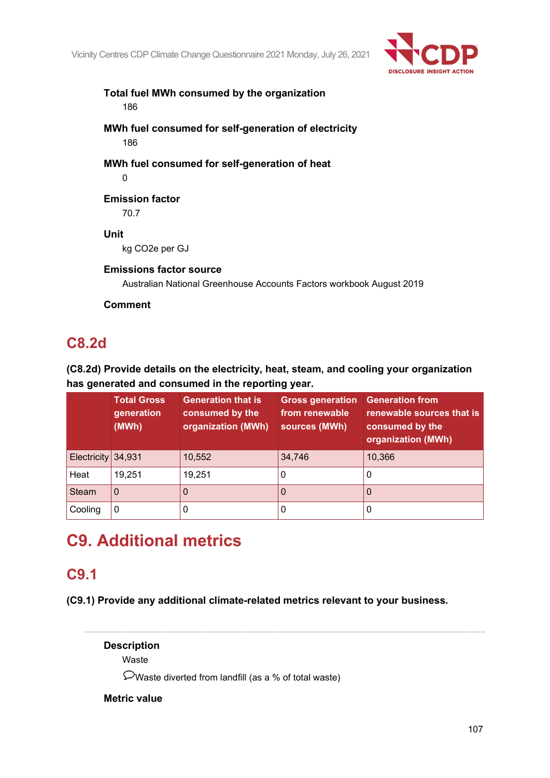

## **Total fuel MWh consumed by the organization** 186

**MWh fuel consumed for self-generation of electricity** 186

**MWh fuel consumed for self-generation of heat**  $\Omega$ 

# **Emission factor**

70.7

## **Unit**

kg CO2e per GJ

## **Emissions factor source**

Australian National Greenhouse Accounts Factors workbook August 2019

**Comment**

# **C8.2d**

## **(C8.2d) Provide details on the electricity, heat, steam, and cooling your organization has generated and consumed in the reporting year.**

|                      | <b>Total Gross</b><br>generation<br>(MWh) | <b>Generation that is</b><br>consumed by the<br>organization (MWh) | <b>Gross generation</b><br>from renewable<br>sources (MWh) | <b>Generation from</b><br>renewable sources that is<br>consumed by the<br>organization (MWh) |
|----------------------|-------------------------------------------|--------------------------------------------------------------------|------------------------------------------------------------|----------------------------------------------------------------------------------------------|
| Electricity $34,931$ |                                           | 10,552                                                             | 34,746                                                     | 10,366                                                                                       |
| Heat                 | 19,251                                    | 19,251                                                             | O                                                          | 0                                                                                            |
| <b>Steam</b>         | 0                                         |                                                                    | $\Omega$                                                   | 0                                                                                            |
| Cooling              | 0                                         |                                                                    | 0                                                          | 0                                                                                            |

# **C9. Additional metrics**

# **C9.1**

**(C9.1) Provide any additional climate-related metrics relevant to your business.**

**Description** Waste

Waste diverted from landfill (as a % of total waste)

## **Metric value**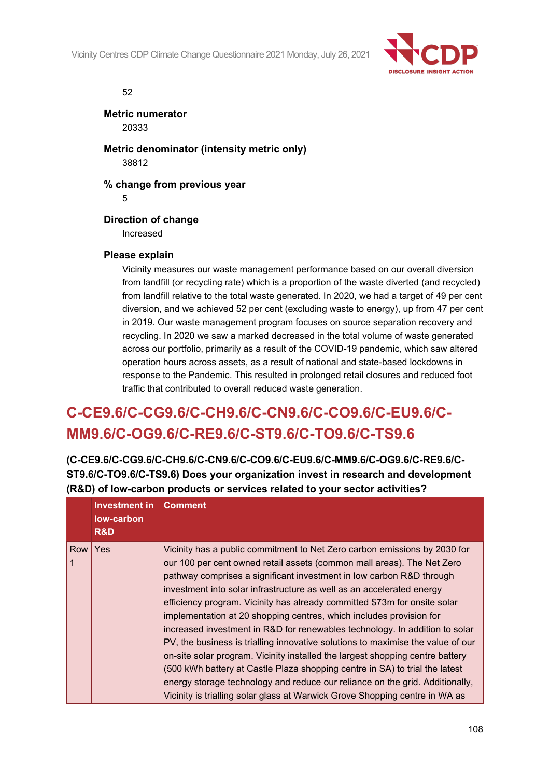Vicinity Centres CDP Climate Change Questionnaire 2021 Monday, July 26, 2021



#### 52

**Metric numerator** 20333

**Metric denominator (intensity metric only)** 38812

**% change from previous year**

5

### **Direction of change**

Increased

### **Please explain**

Vicinity measures our waste management performance based on our overall diversion from landfill (or recycling rate) which is a proportion of the waste diverted (and recycled) from landfill relative to the total waste generated. In 2020, we had a target of 49 per cent diversion, and we achieved 52 per cent (excluding waste to energy), up from 47 per cent in 2019. Our waste management program focuses on source separation recovery and recycling. In 2020 we saw a marked decreased in the total volume of waste generated across our portfolio, primarily as a result of the COVID-19 pandemic, which saw altered operation hours across assets, as a result of national and state-based lockdowns in response to the Pandemic. This resulted in prolonged retail closures and reduced foot traffic that contributed to overall reduced waste generation.

# **C-CE9.6/C-CG9.6/C-CH9.6/C-CN9.6/C-CO9.6/C-EU9.6/C-MM9.6/C-OG9.6/C-RE9.6/C-ST9.6/C-TO9.6/C-TS9.6**

**(C-CE9.6/C-CG9.6/C-CH9.6/C-CN9.6/C-CO9.6/C-EU9.6/C-MM9.6/C-OG9.6/C-RE9.6/C-ST9.6/C-TO9.6/C-TS9.6) Does your organization invest in research and development (R&D) of low-carbon products or services related to your sector activities?**

|     | <b>Investment in</b><br>low-carbon<br>R&D | <b>Comment</b>                                                                                                                                                                                                                                                                                                                                                                                                                                                                                                                                                                                                                                                                                                                                                                                                                                                                                                                                            |
|-----|-------------------------------------------|-----------------------------------------------------------------------------------------------------------------------------------------------------------------------------------------------------------------------------------------------------------------------------------------------------------------------------------------------------------------------------------------------------------------------------------------------------------------------------------------------------------------------------------------------------------------------------------------------------------------------------------------------------------------------------------------------------------------------------------------------------------------------------------------------------------------------------------------------------------------------------------------------------------------------------------------------------------|
| Row | <b>Yes</b>                                | Vicinity has a public commitment to Net Zero carbon emissions by 2030 for<br>our 100 per cent owned retail assets (common mall areas). The Net Zero<br>pathway comprises a significant investment in low carbon R&D through<br>investment into solar infrastructure as well as an accelerated energy<br>efficiency program. Vicinity has already committed \$73m for onsite solar<br>implementation at 20 shopping centres, which includes provision for<br>increased investment in R&D for renewables technology. In addition to solar<br>PV, the business is trialling innovative solutions to maximise the value of our<br>on-site solar program. Vicinity installed the largest shopping centre battery<br>(500 kWh battery at Castle Plaza shopping centre in SA) to trial the latest<br>energy storage technology and reduce our reliance on the grid. Additionally,<br>Vicinity is trialling solar glass at Warwick Grove Shopping centre in WA as |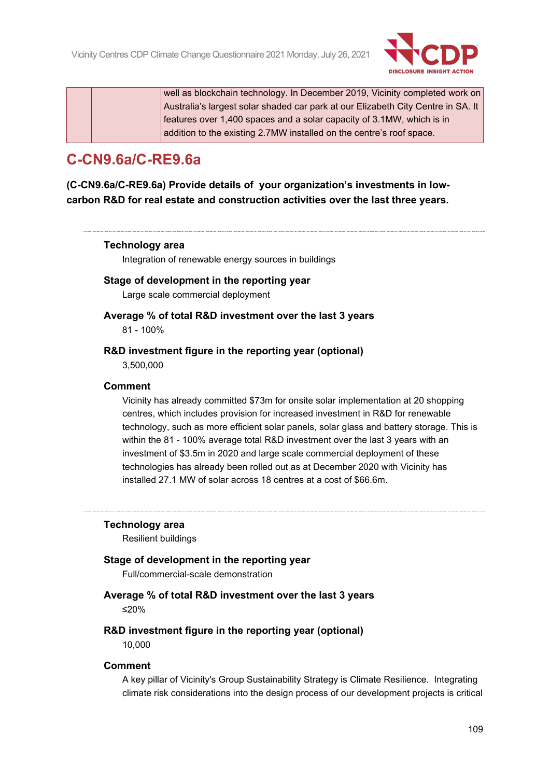

well as blockchain technology. In December 2019, Vicinity completed work on Australia's largest solar shaded car park at our Elizabeth City Centre in SA. It features over 1,400 spaces and a solar capacity of 3.1MW, which is in addition to the existing 2.7MW installed on the centre's roof space.

## **C-CN9.6a/C-RE9.6a**

**(C-CN9.6a/C-RE9.6a) Provide details of your organization's investments in lowcarbon R&D for real estate and construction activities over the last three years.**

#### **Technology area**

Integration of renewable energy sources in buildings

#### **Stage of development in the reporting year**

Large scale commercial deployment

## **Average % of total R&D investment over the last 3 years**

81 - 100%

#### **R&D investment figure in the reporting year (optional)**

3,500,000

#### **Comment**

Vicinity has already committed \$73m for onsite solar implementation at 20 shopping centres, which includes provision for increased investment in R&D for renewable technology, such as more efficient solar panels, solar glass and battery storage. This is within the 81 - 100% average total R&D investment over the last 3 years with an investment of \$3.5m in 2020 and large scale commercial deployment of these technologies has already been rolled out as at December 2020 with Vicinity has installed 27.1 MW of solar across 18 centres at a cost of \$66.6m.

#### **Technology area**

Resilient buildings

#### **Stage of development in the reporting year**

Full/commercial-scale demonstration

#### **Average % of total R&D investment over the last 3 years** ≤20%

#### **R&D investment figure in the reporting year (optional)**

10,000

#### **Comment**

A key pillar of Vicinity's Group Sustainability Strategy is Climate Resilience. Integrating climate risk considerations into the design process of our development projects is critical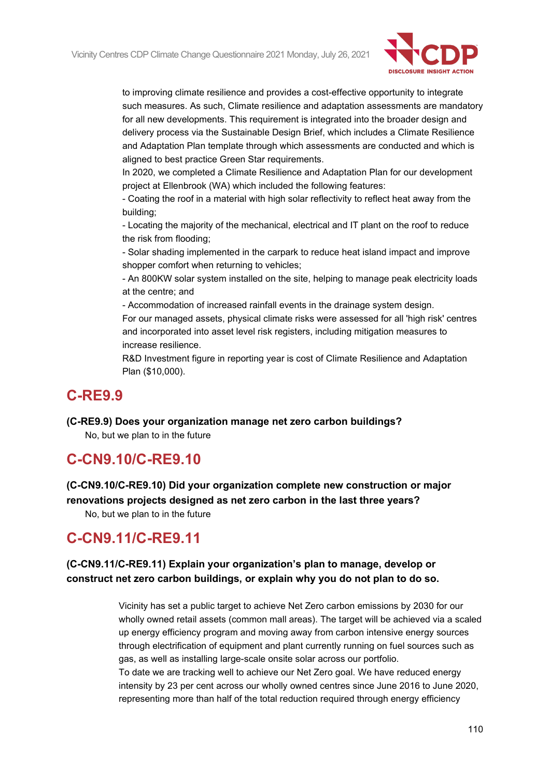

to improving climate resilience and provides a cost-effective opportunity to integrate such measures. As such, Climate resilience and adaptation assessments are mandatory for all new developments. This requirement is integrated into the broader design and delivery process via the Sustainable Design Brief, which includes a Climate Resilience and Adaptation Plan template through which assessments are conducted and which is aligned to best practice Green Star requirements.

In 2020, we completed a Climate Resilience and Adaptation Plan for our development project at Ellenbrook (WA) which included the following features:

- Coating the roof in a material with high solar reflectivity to reflect heat away from the building;

- Locating the majority of the mechanical, electrical and IT plant on the roof to reduce the risk from flooding;

- Solar shading implemented in the carpark to reduce heat island impact and improve shopper comfort when returning to vehicles;

- An 800KW solar system installed on the site, helping to manage peak electricity loads at the centre; and

- Accommodation of increased rainfall events in the drainage system design. For our managed assets, physical climate risks were assessed for all 'high risk' centres and incorporated into asset level risk registers, including mitigation measures to increase resilience.

R&D Investment figure in reporting year is cost of Climate Resilience and Adaptation Plan (\$10,000).

### **C-RE9.9**

**(C-RE9.9) Does your organization manage net zero carbon buildings?**

No, but we plan to in the future

### **C-CN9.10/C-RE9.10**

**(C-CN9.10/C-RE9.10) Did your organization complete new construction or major renovations projects designed as net zero carbon in the last three years?**

No, but we plan to in the future

## **C-CN9.11/C-RE9.11**

### **(C-CN9.11/C-RE9.11) Explain your organization's plan to manage, develop or construct net zero carbon buildings, or explain why you do not plan to do so.**

Vicinity has set a public target to achieve Net Zero carbon emissions by 2030 for our wholly owned retail assets (common mall areas). The target will be achieved via a scaled up energy efficiency program and moving away from carbon intensive energy sources through electrification of equipment and plant currently running on fuel sources such as gas, as well as installing large-scale onsite solar across our portfolio.

To date we are tracking well to achieve our Net Zero goal. We have reduced energy intensity by 23 per cent across our wholly owned centres since June 2016 to June 2020, representing more than half of the total reduction required through energy efficiency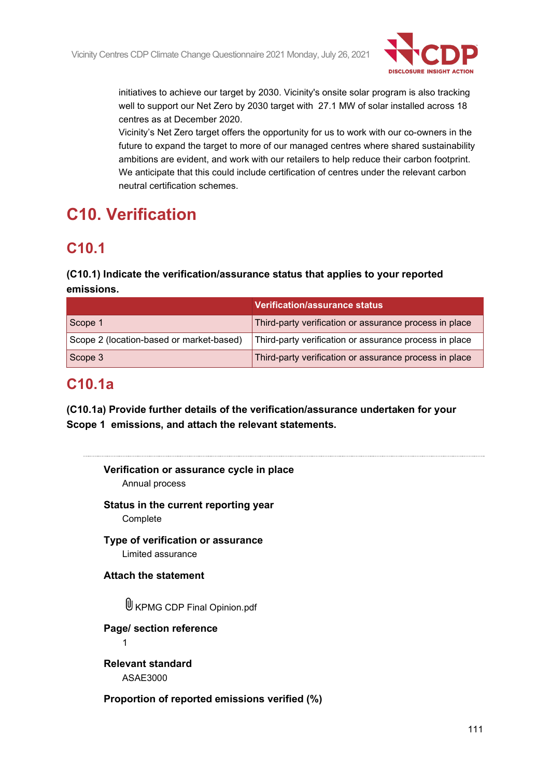

initiatives to achieve our target by 2030. Vicinity's onsite solar program is also tracking well to support our Net Zero by 2030 target with 27.1 MW of solar installed across 18 centres as at December 2020.

Vicinity's Net Zero target offers the opportunity for us to work with our co-owners in the future to expand the target to more of our managed centres where shared sustainability ambitions are evident, and work with our retailers to help reduce their carbon footprint. We anticipate that this could include certification of centres under the relevant carbon neutral certification schemes.

# **C10. Verification**

## **C10.1**

### **(C10.1) Indicate the verification/assurance status that applies to your reported emissions.**

|                                          | <b>Verification/assurance status</b>                   |
|------------------------------------------|--------------------------------------------------------|
| Scope 1                                  | Third-party verification or assurance process in place |
| Scope 2 (location-based or market-based) | Third-party verification or assurance process in place |
| Scope 3                                  | Third-party verification or assurance process in place |

## **C10.1a**

**(C10.1a) Provide further details of the verification/assurance undertaken for your Scope 1 emissions, and attach the relevant statements.**

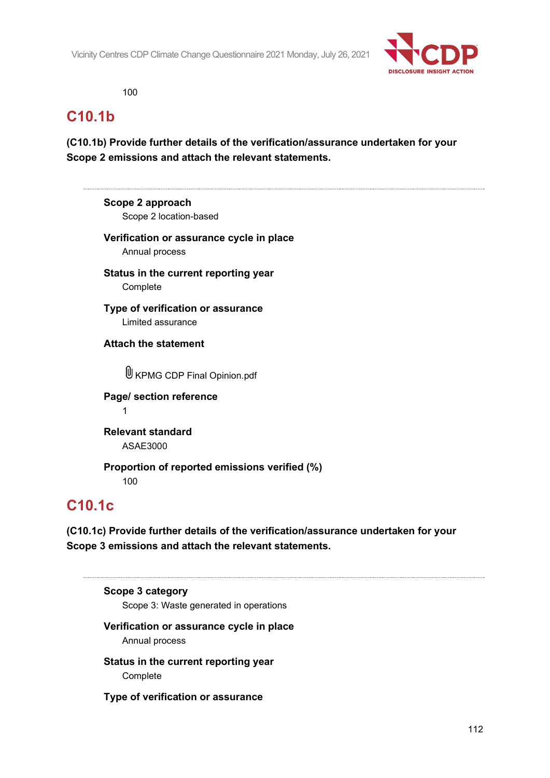

100

## **C10.1b**

**(C10.1b) Provide further details of the verification/assurance undertaken for your Scope 2 emissions and attach the relevant statements.**

**Scope 2 approach** Scope 2 location-based **Verification or assurance cycle in place** Annual process **Status in the current reporting year** Complete **Type of verification or assurance** Limited assurance

**Attach the statement**

U KPMG CDP Final Opinion.pdf

**Page/ section reference** 1

**Relevant standard** ASAE3000

**Proportion of reported emissions verified (%)** 100

## **C10.1c**

**(C10.1c) Provide further details of the verification/assurance undertaken for your Scope 3 emissions and attach the relevant statements.**

**Scope 3 category** Scope 3: Waste generated in operations **Verification or assurance cycle in place** Annual process

**Status in the current reporting year Complete** 

**Type of verification or assurance**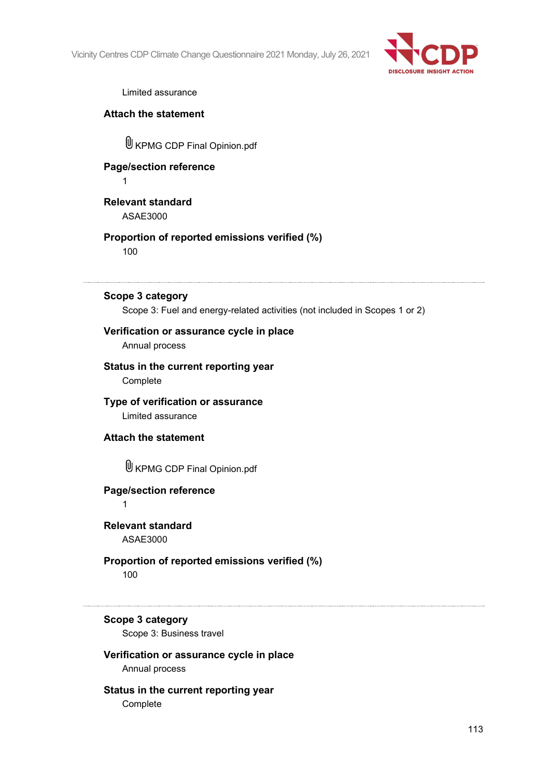

Limited assurance

#### **Attach the statement**

KPMG CDP Final Opinion.pdf

## **Page/section reference**

1

### **Relevant standard** ASAE3000

### **Proportion of reported emissions verified (%)** 100

#### **Scope 3 category**

Scope 3: Fuel and energy-related activities (not included in Scopes 1 or 2)

### **Verification or assurance cycle in place**

Annual process

#### **Status in the current reporting year Complete**

#### **Type of verification or assurance** Limited assurance

### **Attach the statement**

KPMG CDP Final Opinion.pdf

### **Page/section reference**

1

#### **Relevant standard** ASAE3000

### **Proportion of reported emissions verified (%)** 100

#### **Scope 3 category**

Scope 3: Business travel

### **Verification or assurance cycle in place**

Annual process

### **Status in the current reporting year**

**Complete**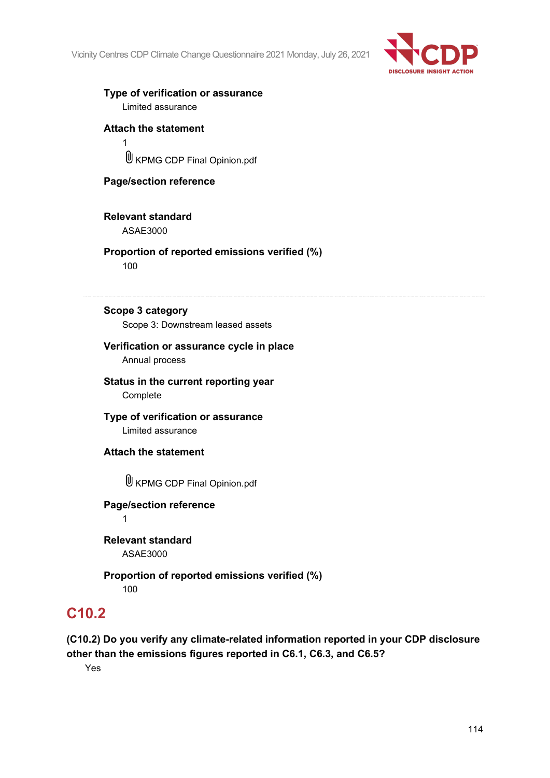

### **Type of verification or assurance**

Limited assurance

### **Attach the statement**

1 KPMG CDP Final Opinion.pdf

### **Page/section reference**

### **Relevant standard**

ASAE3000

### **Proportion of reported emissions verified (%)**

100

#### **Scope 3 category**

Scope 3: Downstream leased assets

#### **Verification or assurance cycle in place** Annual process

#### **Status in the current reporting year Complete**

**Type of verification or assurance** Limited assurance

**Attach the statement**

KPMG CDP Final Opinion.pdf

### **Page/section reference**

1

**Relevant standard** ASAE3000

### **Proportion of reported emissions verified (%)**

100

## **C10.2**

### **(C10.2) Do you verify any climate-related information reported in your CDP disclosure other than the emissions figures reported in C6.1, C6.3, and C6.5?**

Yes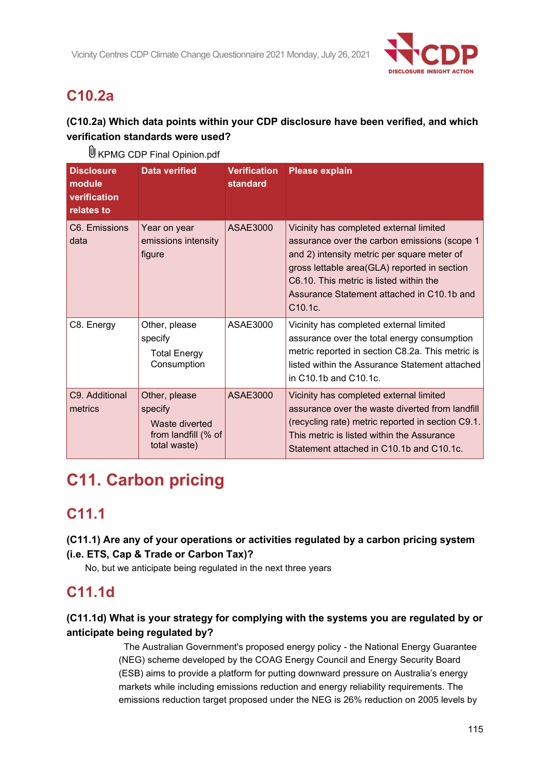

# **C10.2a**

### **(C10.2a) Which data points within your CDP disclosure have been verified, and which verification standards were used?**

| <b>Disclosure</b><br>module<br>verification<br>relates to | <b>Data verified</b>                                                              | <b>Verification</b><br>standard | <b>Please explain</b>                                                                                                                                                                                                                                                                     |
|-----------------------------------------------------------|-----------------------------------------------------------------------------------|---------------------------------|-------------------------------------------------------------------------------------------------------------------------------------------------------------------------------------------------------------------------------------------------------------------------------------------|
| C6. Emissions<br>data                                     | Year on year<br>emissions intensity<br>figure                                     | <b>ASAE3000</b>                 | Vicinity has completed external limited<br>assurance over the carbon emissions (scope 1<br>and 2) intensity metric per square meter of<br>gross lettable area(GLA) reported in section<br>C6.10. This metric is listed within the<br>Assurance Statement attached in C10.1b and<br>C10.1c |
| C8. Energy                                                | Other, please<br>specify<br><b>Total Energy</b><br>Consumption                    | ASAE3000                        | Vicinity has completed external limited<br>assurance over the total energy consumption<br>metric reported in section C8.2a. This metric is<br>listed within the Assurance Statement attached<br>in C10.1b and C10.1c.                                                                     |
| C9. Additional<br>metrics                                 | Other, please<br>specify<br>Waste diverted<br>from landfill (% of<br>total waste) | ASAE3000                        | Vicinity has completed external limited<br>assurance over the waste diverted from landfill<br>(recycling rate) metric reported in section C9.1.<br>This metric is listed within the Assurance<br>Statement attached in C10.1b and C10.1c.                                                 |

U KPMG CDP Final Opinion.pdf

# **C11. Carbon pricing**

## **C11.1**

**(C11.1) Are any of your operations or activities regulated by a carbon pricing system (i.e. ETS, Cap & Trade or Carbon Tax)?**

No, but we anticipate being regulated in the next three years

## **C11.1d**

### **(C11.1d) What is your strategy for complying with the systems you are regulated by or anticipate being regulated by?**

 The Australian Government's proposed energy policy - the National Energy Guarantee (NEG) scheme developed by the COAG Energy Council and Energy Security Board (ESB) aims to provide a platform for putting downward pressure on Australia's energy markets while including emissions reduction and energy reliability requirements. The emissions reduction target proposed under the NEG is 26% reduction on 2005 levels by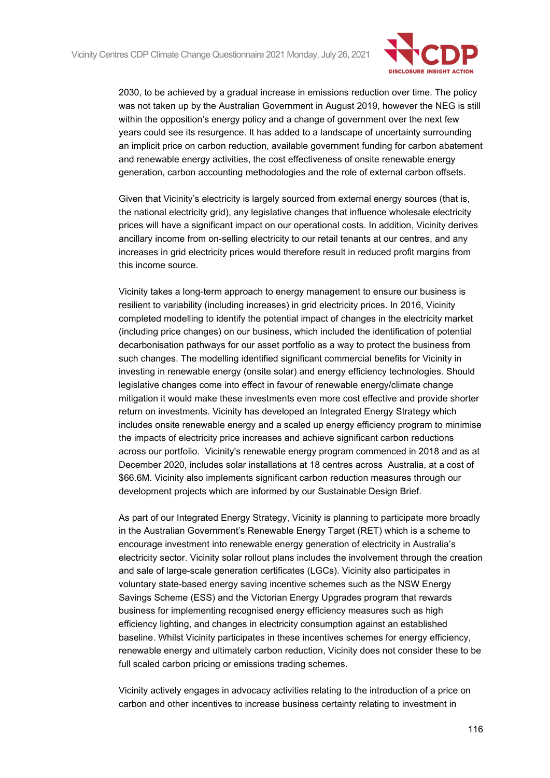

2030, to be achieved by a gradual increase in emissions reduction over time. The policy was not taken up by the Australian Government in August 2019, however the NEG is still within the opposition's energy policy and a change of government over the next few years could see its resurgence. It has added to a landscape of uncertainty surrounding an implicit price on carbon reduction, available government funding for carbon abatement and renewable energy activities, the cost effectiveness of onsite renewable energy generation, carbon accounting methodologies and the role of external carbon offsets.

Given that Vicinity's electricity is largely sourced from external energy sources (that is, the national electricity grid), any legislative changes that influence wholesale electricity prices will have a significant impact on our operational costs. In addition, Vicinity derives ancillary income from on-selling electricity to our retail tenants at our centres, and any increases in grid electricity prices would therefore result in reduced profit margins from this income source.

Vicinity takes a long-term approach to energy management to ensure our business is resilient to variability (including increases) in grid electricity prices. In 2016, Vicinity completed modelling to identify the potential impact of changes in the electricity market (including price changes) on our business, which included the identification of potential decarbonisation pathways for our asset portfolio as a way to protect the business from such changes. The modelling identified significant commercial benefits for Vicinity in investing in renewable energy (onsite solar) and energy efficiency technologies. Should legislative changes come into effect in favour of renewable energy/climate change mitigation it would make these investments even more cost effective and provide shorter return on investments. Vicinity has developed an Integrated Energy Strategy which includes onsite renewable energy and a scaled up energy efficiency program to minimise the impacts of electricity price increases and achieve significant carbon reductions across our portfolio. Vicinity's renewable energy program commenced in 2018 and as at December 2020, includes solar installations at 18 centres across Australia, at a cost of \$66.6M. Vicinity also implements significant carbon reduction measures through our development projects which are informed by our Sustainable Design Brief.

As part of our Integrated Energy Strategy, Vicinity is planning to participate more broadly in the Australian Government's Renewable Energy Target (RET) which is a scheme to encourage investment into renewable energy generation of electricity in Australia's electricity sector. Vicinity solar rollout plans includes the involvement through the creation and sale of large-scale generation certificates (LGCs). Vicinity also participates in voluntary state-based energy saving incentive schemes such as the NSW Energy Savings Scheme (ESS) and the Victorian Energy Upgrades program that rewards business for implementing recognised energy efficiency measures such as high efficiency lighting, and changes in electricity consumption against an established baseline. Whilst Vicinity participates in these incentives schemes for energy efficiency, renewable energy and ultimately carbon reduction, Vicinity does not consider these to be full scaled carbon pricing or emissions trading schemes.

Vicinity actively engages in advocacy activities relating to the introduction of a price on carbon and other incentives to increase business certainty relating to investment in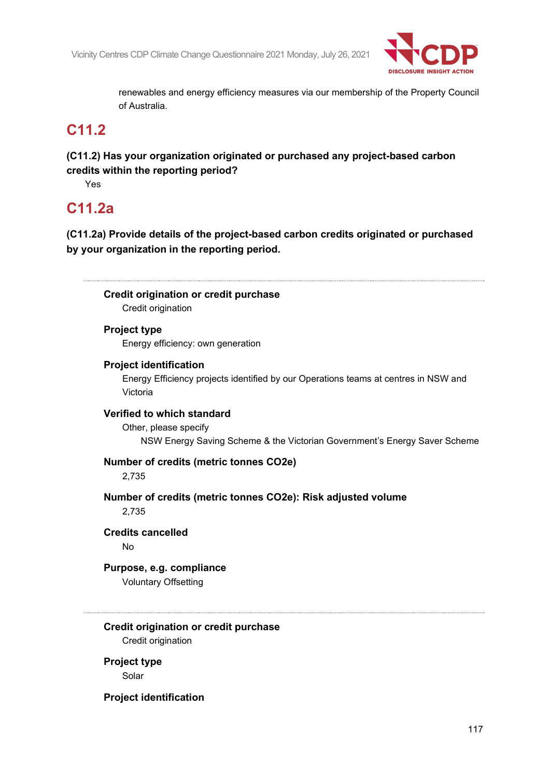

renewables and energy efficiency measures via our membership of the Property Council of Australia.

## **C11.2**

**(C11.2) Has your organization originated or purchased any project-based carbon credits within the reporting period?**

Yes

## **C11.2a**

**(C11.2a) Provide details of the project-based carbon credits originated or purchased by your organization in the reporting period.**

**Credit origination or credit purchase** Credit origination **Project type** Energy efficiency: own generation **Project identification** Energy Efficiency projects identified by our Operations teams at centres in NSW and Victoria **Verified to which standard** Other, please specify NSW Energy Saving Scheme & the Victorian Government's Energy Saver Scheme **Number of credits (metric tonnes CO2e)** 2,735 **Number of credits (metric tonnes CO2e): Risk adjusted volume** 2,735 **Credits cancelled** No **Purpose, e.g. compliance** Voluntary Offsetting **Credit origination or credit purchase** Credit origination **Project type** Solar

**Project identification**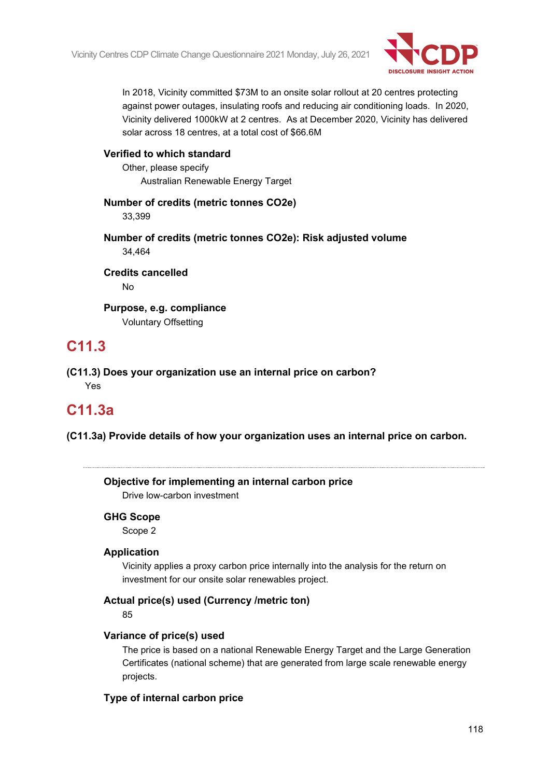

In 2018, Vicinity committed \$73M to an onsite solar rollout at 20 centres protecting against power outages, insulating roofs and reducing air conditioning loads. In 2020, Vicinity delivered 1000kW at 2 centres. As at December 2020, Vicinity has delivered solar across 18 centres, at a total cost of \$66.6M

### **Verified to which standard**

Other, please specify Australian Renewable Energy Target

### **Number of credits (metric tonnes CO2e)**

33,399

**Number of credits (metric tonnes CO2e): Risk adjusted volume** 34,464

**Credits cancelled** No

**Purpose, e.g. compliance** Voluntary Offsetting

## **C11.3**

**(C11.3) Does your organization use an internal price on carbon?** Yes

## **C11.3a**

**(C11.3a) Provide details of how your organization uses an internal price on carbon.**

| Objective for implementing an internal carbon price<br>Drive low-carbon investment                                                          |
|---------------------------------------------------------------------------------------------------------------------------------------------|
| <b>GHG Scope</b>                                                                                                                            |
| Scope 2                                                                                                                                     |
| <b>Application</b>                                                                                                                          |
| Vicinity applies a proxy carbon price internally into the analysis for the return on<br>investment for our onsite solar renewables project. |
| Actual price(s) used (Currency / metric ton)                                                                                                |
| 85                                                                                                                                          |
| Variance of price(s) used                                                                                                                   |
| The price is based on a national Renewable Energy Target and the Large Generation                                                           |
| Certificates (national scheme) that are generated from large scale renewable energy                                                         |

#### **Type of internal carbon price**

projects.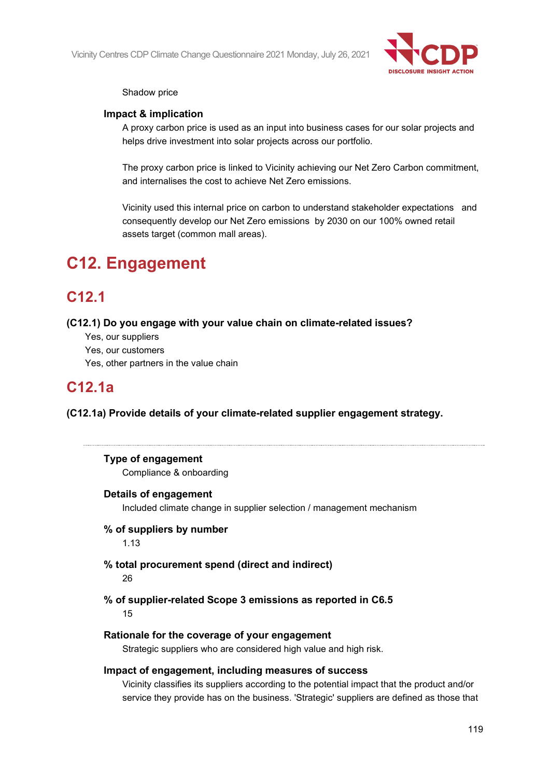

#### Shadow price

#### **Impact & implication**

A proxy carbon price is used as an input into business cases for our solar projects and helps drive investment into solar projects across our portfolio.

The proxy carbon price is linked to Vicinity achieving our Net Zero Carbon commitment, and internalises the cost to achieve Net Zero emissions.

Vicinity used this internal price on carbon to understand stakeholder expectations and consequently develop our Net Zero emissions by 2030 on our 100% owned retail assets target (common mall areas).

# **C12. Engagement**

## **C12.1**

**(C12.1) Do you engage with your value chain on climate-related issues?**

- Yes, our suppliers
- Yes, our customers
- Yes, other partners in the value chain

## **C12.1a**

**(C12.1a) Provide details of your climate-related supplier engagement strategy.**

#### **Type of engagement**

Compliance & onboarding

#### **Details of engagement**

Included climate change in supplier selection / management mechanism

#### **% of suppliers by number**

1.13

**% total procurement spend (direct and indirect)**

#### 26

**% of supplier-related Scope 3 emissions as reported in C6.5** 15

#### **Rationale for the coverage of your engagement**

Strategic suppliers who are considered high value and high risk.

#### **Impact of engagement, including measures of success**

Vicinity classifies its suppliers according to the potential impact that the product and/or service they provide has on the business. 'Strategic' suppliers are defined as those that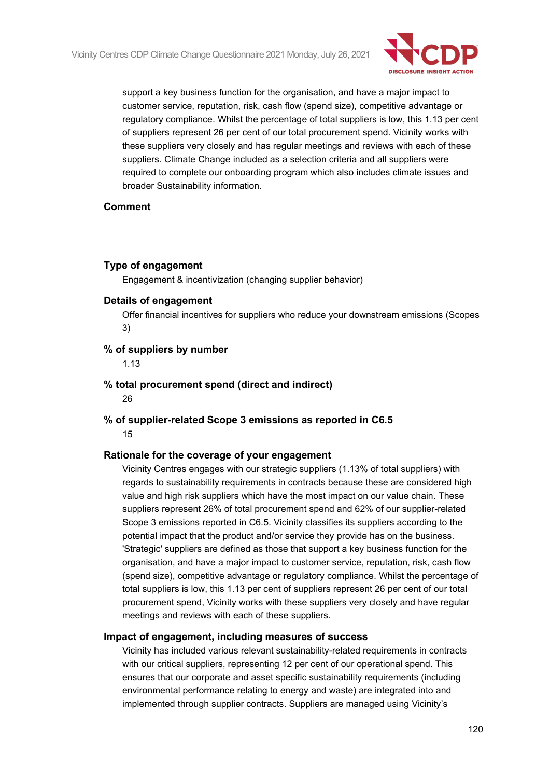

support a key business function for the organisation, and have a major impact to customer service, reputation, risk, cash flow (spend size), competitive advantage or regulatory compliance. Whilst the percentage of total suppliers is low, this 1.13 per cent of suppliers represent 26 per cent of our total procurement spend. Vicinity works with these suppliers very closely and has regular meetings and reviews with each of these suppliers. Climate Change included as a selection criteria and all suppliers were required to complete our onboarding program which also includes climate issues and broader Sustainability information.

#### **Comment**

#### **Type of engagement**

Engagement & incentivization (changing supplier behavior)

#### **Details of engagement**

Offer financial incentives for suppliers who reduce your downstream emissions (Scopes 3)

#### **% of suppliers by number**

1.13

**% total procurement spend (direct and indirect)**

26

**% of supplier-related Scope 3 emissions as reported in C6.5** 15

#### **Rationale for the coverage of your engagement**

Vicinity Centres engages with our strategic suppliers (1.13% of total suppliers) with regards to sustainability requirements in contracts because these are considered high value and high risk suppliers which have the most impact on our value chain. These suppliers represent 26% of total procurement spend and 62% of our supplier-related Scope 3 emissions reported in C6.5. Vicinity classifies its suppliers according to the potential impact that the product and/or service they provide has on the business. 'Strategic' suppliers are defined as those that support a key business function for the organisation, and have a major impact to customer service, reputation, risk, cash flow (spend size), competitive advantage or regulatory compliance. Whilst the percentage of total suppliers is low, this 1.13 per cent of suppliers represent 26 per cent of our total procurement spend, Vicinity works with these suppliers very closely and have regular meetings and reviews with each of these suppliers.

#### **Impact of engagement, including measures of success**

Vicinity has included various relevant sustainability-related requirements in contracts with our critical suppliers, representing 12 per cent of our operational spend. This ensures that our corporate and asset specific sustainability requirements (including environmental performance relating to energy and waste) are integrated into and implemented through supplier contracts. Suppliers are managed using Vicinity's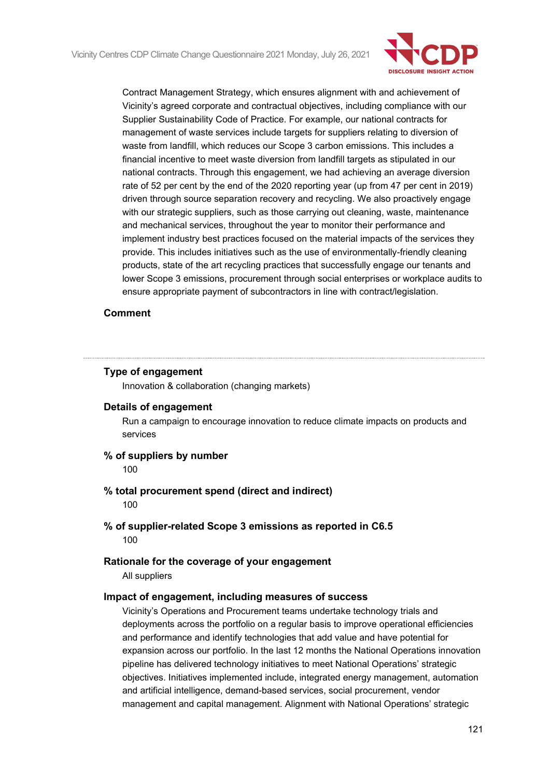

Contract Management Strategy, which ensures alignment with and achievement of Vicinity's agreed corporate and contractual objectives, including compliance with our Supplier Sustainability Code of Practice. For example, our national contracts for management of waste services include targets for suppliers relating to diversion of waste from landfill, which reduces our Scope 3 carbon emissions. This includes a financial incentive to meet waste diversion from landfill targets as stipulated in our national contracts. Through this engagement, we had achieving an average diversion rate of 52 per cent by the end of the 2020 reporting year (up from 47 per cent in 2019) driven through source separation recovery and recycling. We also proactively engage with our strategic suppliers, such as those carrying out cleaning, waste, maintenance and mechanical services, throughout the year to monitor their performance and implement industry best practices focused on the material impacts of the services they provide. This includes initiatives such as the use of environmentally-friendly cleaning products, state of the art recycling practices that successfully engage our tenants and lower Scope 3 emissions, procurement through social enterprises or workplace audits to ensure appropriate payment of subcontractors in line with contract/legislation.

#### **Comment**

#### **Type of engagement**

Innovation & collaboration (changing markets)

#### **Details of engagement**

Run a campaign to encourage innovation to reduce climate impacts on products and services

#### **% of suppliers by number**

100

- **% total procurement spend (direct and indirect)** 100
- **% of supplier-related Scope 3 emissions as reported in C6.5** 100

#### **Rationale for the coverage of your engagement**

All suppliers

#### **Impact of engagement, including measures of success**

Vicinity's Operations and Procurement teams undertake technology trials and deployments across the portfolio on a regular basis to improve operational efficiencies and performance and identify technologies that add value and have potential for expansion across our portfolio. In the last 12 months the National Operations innovation pipeline has delivered technology initiatives to meet National Operations' strategic objectives. Initiatives implemented include, integrated energy management, automation and artificial intelligence, demand-based services, social procurement, vendor management and capital management. Alignment with National Operations' strategic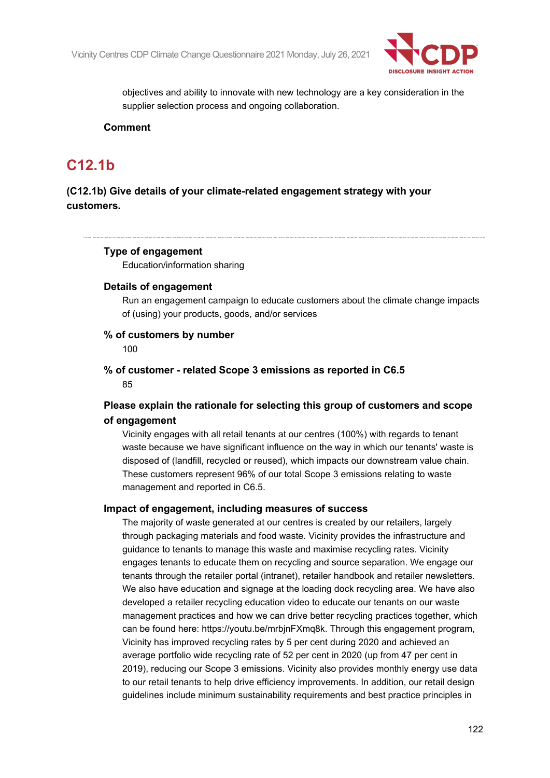

objectives and ability to innovate with new technology are a key consideration in the supplier selection process and ongoing collaboration.

#### **Comment**

## **C12.1b**

### **(C12.1b) Give details of your climate-related engagement strategy with your customers.**

#### **Type of engagement**

Education/information sharing

#### **Details of engagement**

Run an engagement campaign to educate customers about the climate change impacts of (using) your products, goods, and/or services

#### **% of customers by number**

100

#### **% of customer - related Scope 3 emissions as reported in C6.5** 85

### **Please explain the rationale for selecting this group of customers and scope of engagement**

Vicinity engages with all retail tenants at our centres (100%) with regards to tenant waste because we have significant influence on the way in which our tenants' waste is disposed of (landfill, recycled or reused), which impacts our downstream value chain. These customers represent 96% of our total Scope 3 emissions relating to waste management and reported in C6.5.

#### **Impact of engagement, including measures of success**

The majority of waste generated at our centres is created by our retailers, largely through packaging materials and food waste. Vicinity provides the infrastructure and guidance to tenants to manage this waste and maximise recycling rates. Vicinity engages tenants to educate them on recycling and source separation. We engage our tenants through the retailer portal (intranet), retailer handbook and retailer newsletters. We also have education and signage at the loading dock recycling area. We have also developed a retailer recycling education video to educate our tenants on our waste management practices and how we can drive better recycling practices together, which can be found here: https://youtu.be/mrbjnFXmq8k. Through this engagement program, Vicinity has improved recycling rates by 5 per cent during 2020 and achieved an average portfolio wide recycling rate of 52 per cent in 2020 (up from 47 per cent in 2019), reducing our Scope 3 emissions. Vicinity also provides monthly energy use data to our retail tenants to help drive efficiency improvements. In addition, our retail design guidelines include minimum sustainability requirements and best practice principles in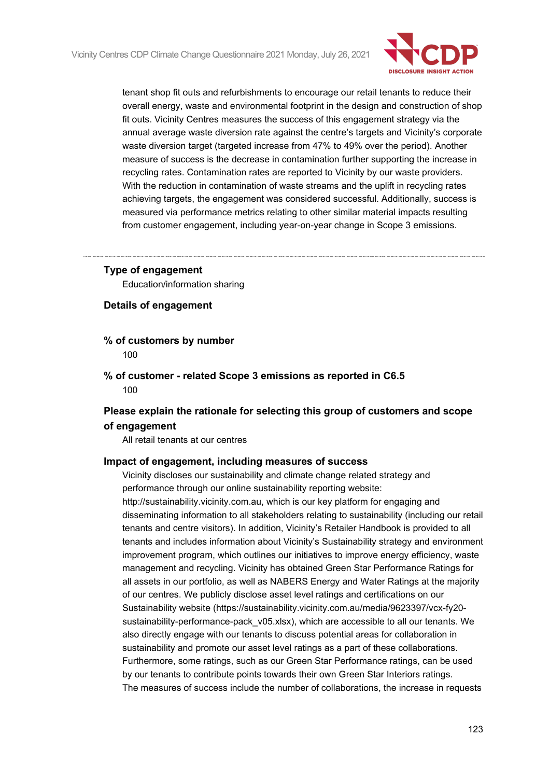

tenant shop fit outs and refurbishments to encourage our retail tenants to reduce their overall energy, waste and environmental footprint in the design and construction of shop fit outs. Vicinity Centres measures the success of this engagement strategy via the annual average waste diversion rate against the centre's targets and Vicinity's corporate waste diversion target (targeted increase from 47% to 49% over the period). Another measure of success is the decrease in contamination further supporting the increase in recycling rates. Contamination rates are reported to Vicinity by our waste providers. With the reduction in contamination of waste streams and the uplift in recycling rates achieving targets, the engagement was considered successful. Additionally, success is measured via performance metrics relating to other similar material impacts resulting from customer engagement, including year-on-year change in Scope 3 emissions.

#### **Type of engagement**

Education/information sharing

**Details of engagement**

- **% of customers by number** 100
- **% of customer - related Scope 3 emissions as reported in C6.5** 100

### **Please explain the rationale for selecting this group of customers and scope of engagement**

All retail tenants at our centres

#### **Impact of engagement, including measures of success**

Vicinity discloses our sustainability and climate change related strategy and performance through our online sustainability reporting website: http://sustainability.vicinity.com.au, which is our key platform for engaging and disseminating information to all stakeholders relating to sustainability (including our retail tenants and centre visitors). In addition, Vicinity's Retailer Handbook is provided to all tenants and includes information about Vicinity's Sustainability strategy and environment improvement program, which outlines our initiatives to improve energy efficiency, waste management and recycling. Vicinity has obtained Green Star Performance Ratings for all assets in our portfolio, as well as NABERS Energy and Water Ratings at the majority of our centres. We publicly disclose asset level ratings and certifications on our Sustainability website (https://sustainability.vicinity.com.au/media/9623397/vcx-fy20 sustainability-performance-pack v05.xlsx), which are accessible to all our tenants. We also directly engage with our tenants to discuss potential areas for collaboration in sustainability and promote our asset level ratings as a part of these collaborations. Furthermore, some ratings, such as our Green Star Performance ratings, can be used by our tenants to contribute points towards their own Green Star Interiors ratings. The measures of success include the number of collaborations, the increase in requests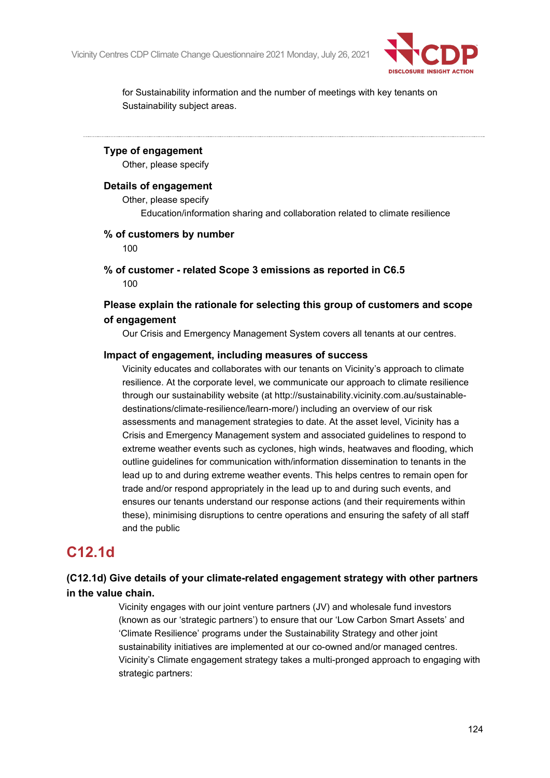

for Sustainability information and the number of meetings with key tenants on Sustainability subject areas.

#### **Type of engagement**

Other, please specify

#### **Details of engagement**

Other, please specify Education/information sharing and collaboration related to climate resilience

#### **% of customers by number**

100

**% of customer - related Scope 3 emissions as reported in C6.5** 100

### **Please explain the rationale for selecting this group of customers and scope of engagement**

Our Crisis and Emergency Management System covers all tenants at our centres.

#### **Impact of engagement, including measures of success**

Vicinity educates and collaborates with our tenants on Vicinity's approach to climate resilience. At the corporate level, we communicate our approach to climate resilience through our sustainability website (at http://sustainability.vicinity.com.au/sustainabledestinations/climate-resilience/learn-more/) including an overview of our risk assessments and management strategies to date. At the asset level, Vicinity has a Crisis and Emergency Management system and associated guidelines to respond to extreme weather events such as cyclones, high winds, heatwaves and flooding, which outline guidelines for communication with/information dissemination to tenants in the lead up to and during extreme weather events. This helps centres to remain open for trade and/or respond appropriately in the lead up to and during such events, and ensures our tenants understand our response actions (and their requirements within these), minimising disruptions to centre operations and ensuring the safety of all staff and the public

## **C12.1d**

### **(C12.1d) Give details of your climate-related engagement strategy with other partners in the value chain.**

Vicinity engages with our joint venture partners (JV) and wholesale fund investors (known as our 'strategic partners') to ensure that our 'Low Carbon Smart Assets' and 'Climate Resilience' programs under the Sustainability Strategy and other joint sustainability initiatives are implemented at our co-owned and/or managed centres. Vicinity's Climate engagement strategy takes a multi-pronged approach to engaging with strategic partners: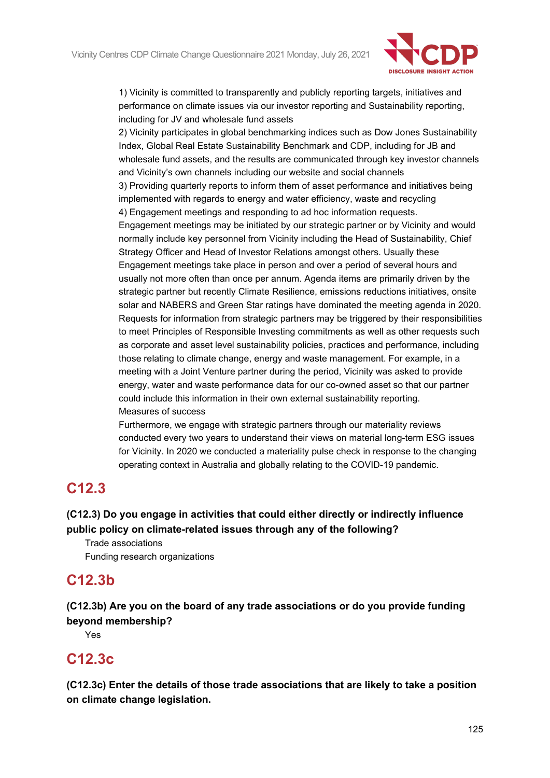

1) Vicinity is committed to transparently and publicly reporting targets, initiatives and performance on climate issues via our investor reporting and Sustainability reporting, including for JV and wholesale fund assets

2) Vicinity participates in global benchmarking indices such as Dow Jones Sustainability Index, Global Real Estate Sustainability Benchmark and CDP, including for JB and wholesale fund assets, and the results are communicated through key investor channels and Vicinity's own channels including our website and social channels 3) Providing quarterly reports to inform them of asset performance and initiatives being implemented with regards to energy and water efficiency, waste and recycling 4) Engagement meetings and responding to ad hoc information requests. Engagement meetings may be initiated by our strategic partner or by Vicinity and would normally include key personnel from Vicinity including the Head of Sustainability, Chief Strategy Officer and Head of Investor Relations amongst others. Usually these Engagement meetings take place in person and over a period of several hours and usually not more often than once per annum. Agenda items are primarily driven by the strategic partner but recently Climate Resilience, emissions reductions initiatives, onsite solar and NABERS and Green Star ratings have dominated the meeting agenda in 2020. Requests for information from strategic partners may be triggered by their responsibilities to meet Principles of Responsible Investing commitments as well as other requests such as corporate and asset level sustainability policies, practices and performance, including those relating to climate change, energy and waste management. For example, in a meeting with a Joint Venture partner during the period, Vicinity was asked to provide energy, water and waste performance data for our co-owned asset so that our partner could include this information in their own external sustainability reporting.

Measures of success

Furthermore, we engage with strategic partners through our materiality reviews conducted every two years to understand their views on material long-term ESG issues for Vicinity. In 2020 we conducted a materiality pulse check in response to the changing operating context in Australia and globally relating to the COVID-19 pandemic.

## **C12.3**

### **(C12.3) Do you engage in activities that could either directly or indirectly influence public policy on climate-related issues through any of the following?**

Trade associations Funding research organizations

## **C12.3b**

**(C12.3b) Are you on the board of any trade associations or do you provide funding beyond membership?**

Yes

## **C12.3c**

**(C12.3c) Enter the details of those trade associations that are likely to take a position on climate change legislation.**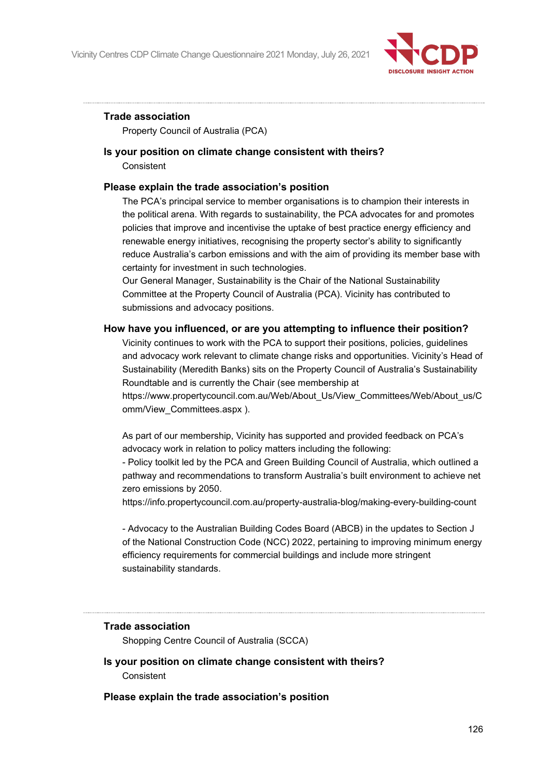

#### **Trade association**

Property Council of Australia (PCA)

#### **Is your position on climate change consistent with theirs? Consistent**

#### **Please explain the trade association's position**

The PCA's principal service to member organisations is to champion their interests in the political arena. With regards to sustainability, the PCA advocates for and promotes policies that improve and incentivise the uptake of best practice energy efficiency and renewable energy initiatives, recognising the property sector's ability to significantly reduce Australia's carbon emissions and with the aim of providing its member base with certainty for investment in such technologies.

Our General Manager, Sustainability is the Chair of the National Sustainability Committee at the Property Council of Australia (PCA). Vicinity has contributed to submissions and advocacy positions.

#### **How have you influenced, or are you attempting to influence their position?**

Vicinity continues to work with the PCA to support their positions, policies, guidelines and advocacy work relevant to climate change risks and opportunities. Vicinity's Head of Sustainability (Meredith Banks) sits on the Property Council of Australia's Sustainability Roundtable and is currently the Chair (see membership at

https://www.propertycouncil.com.au/Web/About\_Us/View\_Committees/Web/About\_us/C omm/View\_Committees.aspx ).

As part of our membership, Vicinity has supported and provided feedback on PCA's advocacy work in relation to policy matters including the following:

- Policy toolkit led by the PCA and Green Building Council of Australia, which outlined a pathway and recommendations to transform Australia's built environment to achieve net zero emissions by 2050.

https://info.propertycouncil.com.au/property-australia-blog/making-every-building-count

- Advocacy to the Australian Building Codes Board (ABCB) in the updates to Section J of the National Construction Code (NCC) 2022, pertaining to improving minimum energy efficiency requirements for commercial buildings and include more stringent sustainability standards.

#### **Trade association**

Shopping Centre Council of Australia (SCCA)

#### **Is your position on climate change consistent with theirs? Consistent**

#### **Please explain the trade association's position**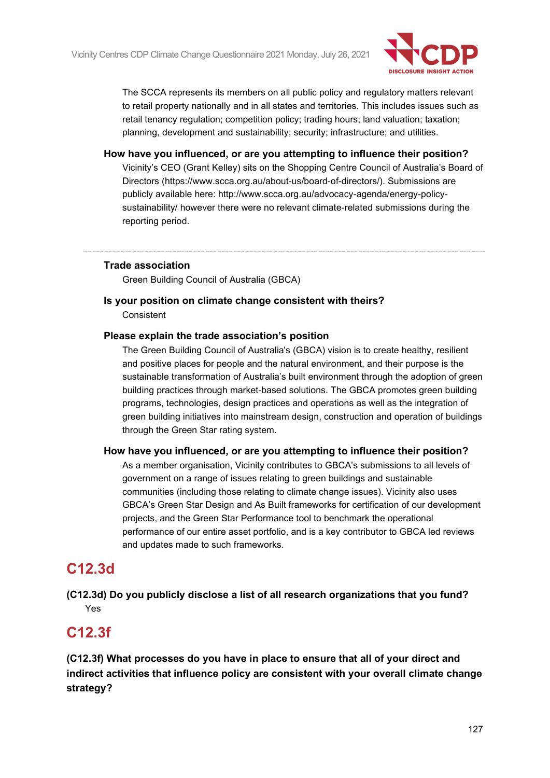

The SCCA represents its members on all public policy and regulatory matters relevant to retail property nationally and in all states and territories. This includes issues such as retail tenancy regulation; competition policy; trading hours; land valuation; taxation; planning, development and sustainability; security; infrastructure; and utilities.

**How have you influenced, or are you attempting to influence their position?** Vicinity's CEO (Grant Kelley) sits on the Shopping Centre Council of Australia's Board of Directors (https://www.scca.org.au/about-us/board-of-directors/). Submissions are publicly available here: http://www.scca.org.au/advocacy-agenda/energy-policysustainability/ however there were no relevant climate-related submissions during the reporting period.

### **Trade association**

Green Building Council of Australia (GBCA)

**Is your position on climate change consistent with theirs? Consistent** 

#### **Please explain the trade association's position**

The Green Building Council of Australia's (GBCA) vision is to create healthy, resilient and positive places for people and the natural environment, and their purpose is the sustainable transformation of Australia's built environment through the adoption of green building practices through market-based solutions. The GBCA promotes green building programs, technologies, design practices and operations as well as the integration of green building initiatives into mainstream design, construction and operation of buildings through the Green Star rating system.

#### **How have you influenced, or are you attempting to influence their position?**

As a member organisation, Vicinity contributes to GBCA's submissions to all levels of government on a range of issues relating to green buildings and sustainable communities (including those relating to climate change issues). Vicinity also uses GBCA's Green Star Design and As Built frameworks for certification of our development projects, and the Green Star Performance tool to benchmark the operational performance of our entire asset portfolio, and is a key contributor to GBCA led reviews and updates made to such frameworks.

## **C12.3d**

**(C12.3d) Do you publicly disclose a list of all research organizations that you fund?** Yes

## **C12.3f**

**(C12.3f) What processes do you have in place to ensure that all of your direct and indirect activities that influence policy are consistent with your overall climate change strategy?**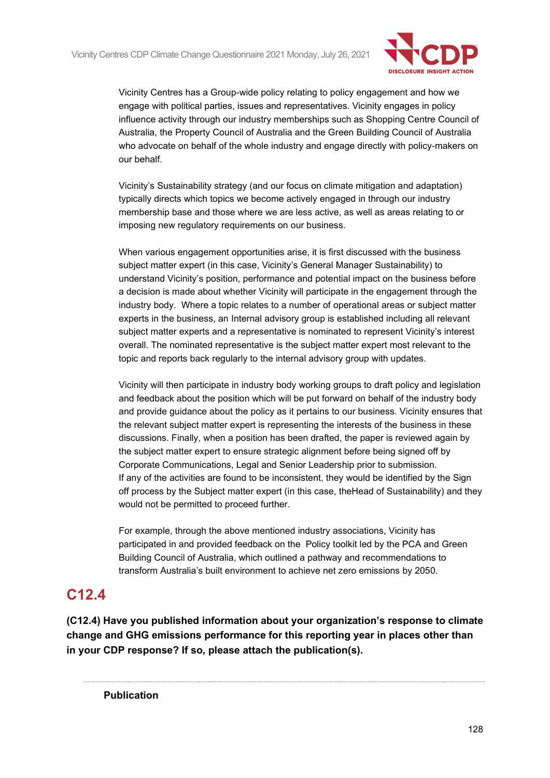

Vicinity Centres has a Group-wide policy relating to policy engagement and how we engage with political parties, issues and representatives. Vicinity engages in policy influence activity through our industry memberships such as Shopping Centre Council of Australia, the Property Council of Australia and the Green Building Council of Australia who advocate on behalf of the whole industry and engage directly with policy-makers on our behalf.

Vicinity's Sustainability strategy (and our focus on climate mitigation and adaptation) typically directs which topics we become actively engaged in through our industry membership base and those where we are less active, as well as areas relating to or imposing new regulatory requirements on our business.

When various engagement opportunities arise, it is first discussed with the business subject matter expert (in this case, Vicinity's General Manager Sustainability) to understand Vicinity's position, performance and potential impact on the business before a decision is made about whether Vicinity will participate in the engagement through the industry body. Where a topic relates to a number of operational areas or subject matter experts in the business, an Internal advisory group is established including all relevant subject matter experts and a representative is nominated to represent Vicinity's interest overall. The nominated representative is the subject matter expert most relevant to the topic and reports back regularly to the internal advisory group with updates.

Vicinity will then participate in industry body working groups to draft policy and legislation and feedback about the position which will be put forward on behalf of the industry body and provide guidance about the policy as it pertains to our business. Vicinity ensures that the relevant subject matter expert is representing the interests of the business in these discussions. Finally, when a position has been drafted, the paper is reviewed again by the subject matter expert to ensure strategic alignment before being signed off by Corporate Communications, Legal and Senior Leadership prior to submission. If any of the activities are found to be inconsistent, they would be identified by the Sign off process by the Subject matter expert (in this case, theHead of Sustainability) and they would not be permitted to proceed further.

For example, through the above mentioned industry associations, Vicinity has participated in and provided feedback on the Policy toolkit led by the PCA and Green Building Council of Australia, which outlined a pathway and recommendations to transform Australia's built environment to achieve net zero emissions by 2050.

## **C12.4**

**(C12.4) Have you published information about your organization's response to climate change and GHG emissions performance for this reporting year in places other than in your CDP response? If so, please attach the publication(s).**

**Publication**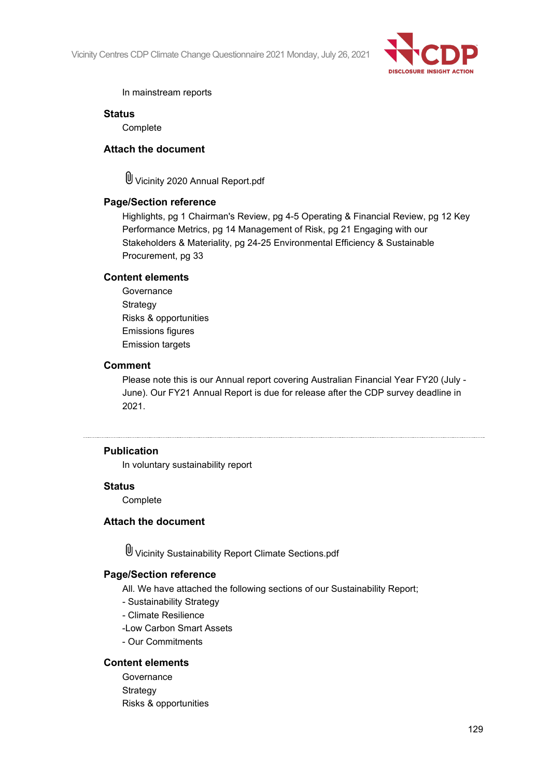

#### In mainstream reports

#### **Status**

**Complete** 

#### **Attach the document**

Vicinity 2020 Annual Report.pdf

#### **Page/Section reference**

Highlights, pg 1 Chairman's Review, pg 4-5 Operating & Financial Review, pg 12 Key Performance Metrics, pg 14 Management of Risk, pg 21 Engaging with our Stakeholders & Materiality, pg 24-25 Environmental Efficiency & Sustainable Procurement, pg 33

#### **Content elements**

Governance **Strategy** Risks & opportunities Emissions figures Emission targets

#### **Comment**

Please note this is our Annual report covering Australian Financial Year FY20 (July - June). Our FY21 Annual Report is due for release after the CDP survey deadline in 2021.

#### **Publication**

In voluntary sustainability report

#### **Status**

**Complete** 

#### **Attach the document**

Vicinity Sustainability Report Climate Sections.pdf

#### **Page/Section reference**

All. We have attached the following sections of our Sustainability Report;

- Sustainability Strategy
- Climate Resilience
- -Low Carbon Smart Assets
- Our Commitments

#### **Content elements**

**Governance** Strategy Risks & opportunities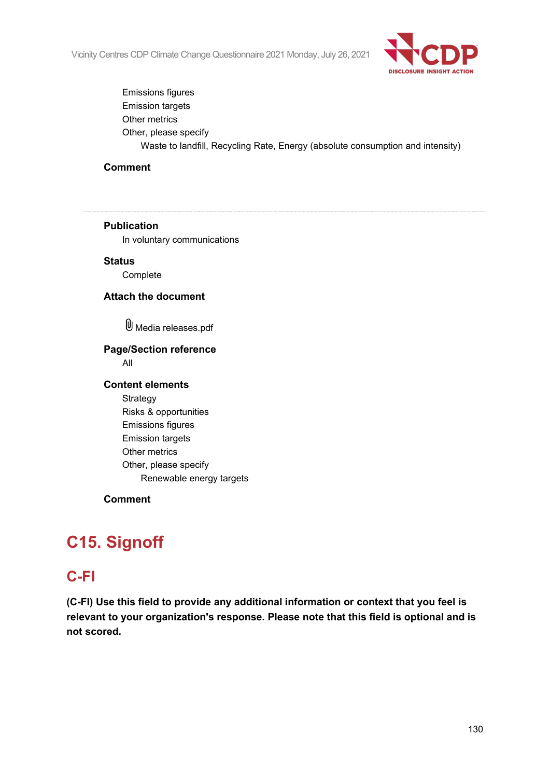

Emissions figures Emission targets Other metrics Other, please specify Waste to landfill, Recycling Rate, Energy (absolute consumption and intensity)

#### **Comment**

## **Publication** In voluntary communications **Status** Complete **Attach the document** Media releases.pdf **Page/Section reference** All **Content elements** Strategy Risks & opportunities Emissions figures Emission targets Other metrics Other, please specify Renewable energy targets **Comment**

# **C15. Signoff**

## **C-FI**

**(C-FI) Use this field to provide any additional information or context that you feel is relevant to your organization's response. Please note that this field is optional and is not scored.**